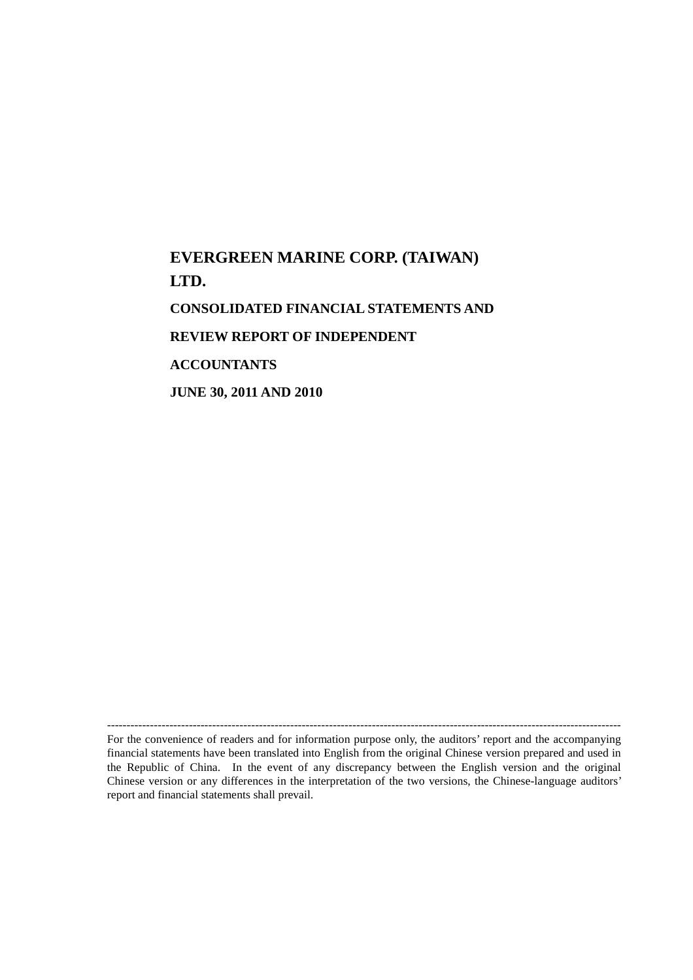# **EVERGREEN MARINE CORP. (TAIWAN) LTD. CONSOLIDATED FINANCIAL STATEMENTS AND REVIEW REPORT OF INDEPENDENT ACCOUNTANTS JUNE 30, 2011 AND 2010**

------------------------------------------------------------------------------------------------------------------------------------ For the convenience of readers and for information purpose only, the auditors' report and the accompanying financial statements have been translated into English from the original Chinese version prepared and used in the Republic of China. In the event of any discrepancy between the English version and the original Chinese version or any differences in the interpretation of the two versions, the Chinese-language auditors' report and financial statements shall prevail.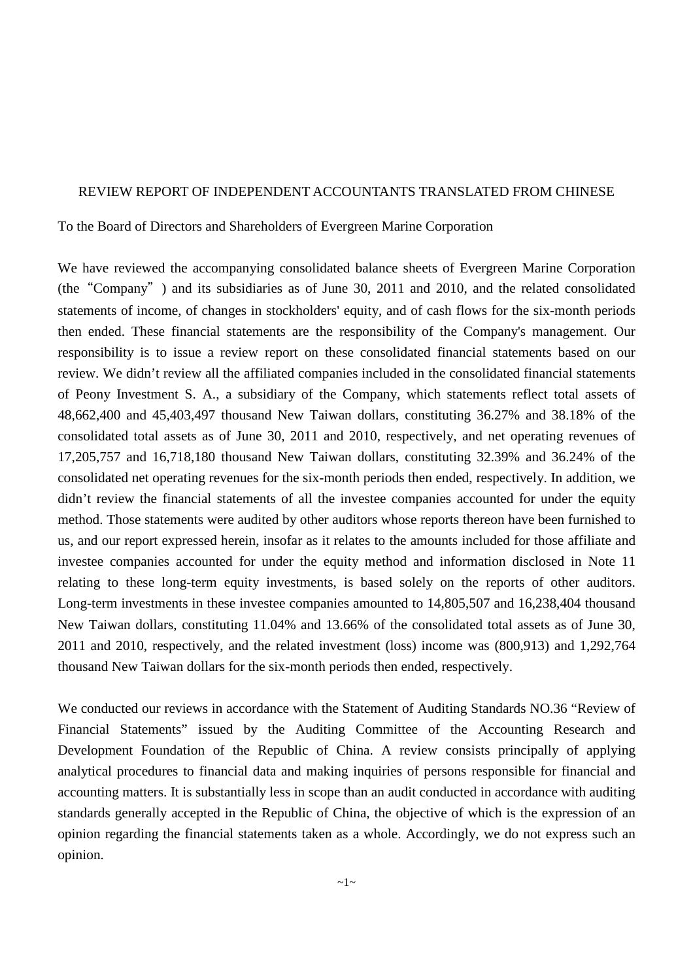#### REVIEW REPORT OF INDEPENDENT ACCOUNTANTS TRANSLATED FROM CHINESE

To the Board of Directors and Shareholders of Evergreen Marine Corporation

We have reviewed the accompanying consolidated balance sheets of Evergreen Marine Corporation (the"Company") and its subsidiaries as of June 30, 2011 and 2010, and the related consolidated statements of income, of changes in stockholders' equity, and of cash flows for the six-month periods then ended. These financial statements are the responsibility of the Company's management. Our responsibility is to issue a review report on these consolidated financial statements based on our review. We didn't review all the affiliated companies included in the consolidated financial statements of Peony Investment S. A., a subsidiary of the Company, which statements reflect total assets of 48,662,400 and 45,403,497 thousand New Taiwan dollars, constituting 36.27% and 38.18% of the consolidated total assets as of June 30, 2011 and 2010, respectively, and net operating revenues of 17,205,757 and 16,718,180 thousand New Taiwan dollars, constituting 32.39% and 36.24% of the consolidated net operating revenues for the six-month periods then ended, respectively. In addition, we didn't review the financial statements of all the investee companies accounted for under the equity method. Those statements were audited by other auditors whose reports thereon have been furnished to us, and our report expressed herein, insofar as it relates to the amounts included for those affiliate and investee companies accounted for under the equity method and information disclosed in Note 11 relating to these long-term equity investments, is based solely on the reports of other auditors. Long-term investments in these investee companies amounted to 14,805,507 and 16,238,404 thousand New Taiwan dollars, constituting 11.04% and 13.66% of the consolidated total assets as of June 30, 2011 and 2010, respectively, and the related investment (loss) income was (800,913) and 1,292,764 thousand New Taiwan dollars for the six-month periods then ended, respectively.

We conducted our reviews in accordance with the Statement of Auditing Standards NO.36 "Review of Financial Statements" issued by the Auditing Committee of the Accounting Research and Development Foundation of the Republic of China. A review consists principally of applying analytical procedures to financial data and making inquiries of persons responsible for financial and accounting matters. It is substantially less in scope than an audit conducted in accordance with auditing standards generally accepted in the Republic of China, the objective of which is the expression of an opinion regarding the financial statements taken as a whole. Accordingly, we do not express such an opinion.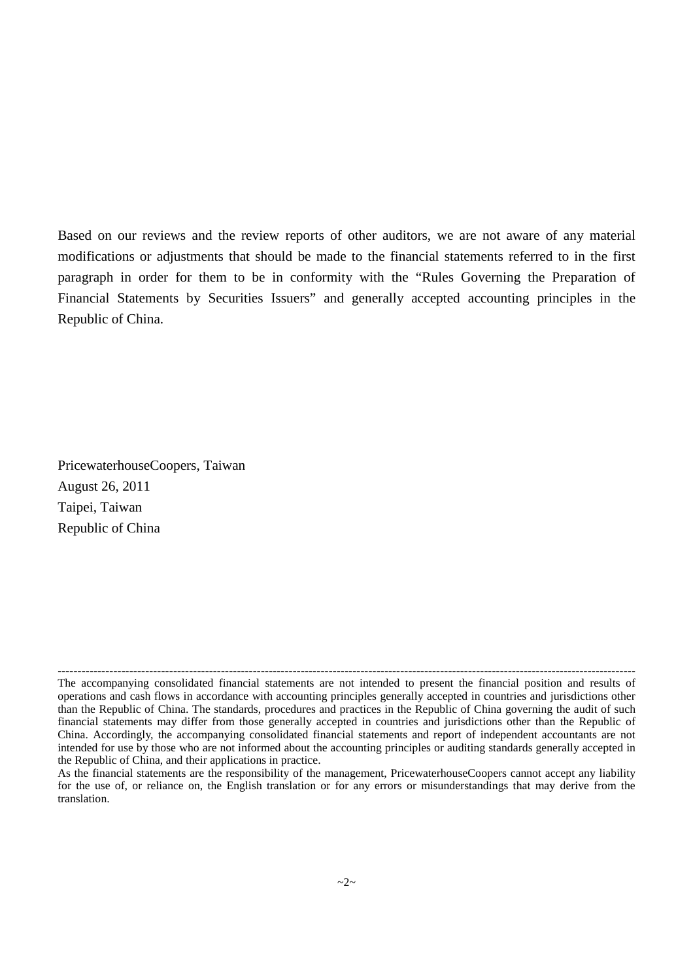Based on our reviews and the review reports of other auditors, we are not aware of any material modifications or adjustments that should be made to the financial statements referred to in the first paragraph in order for them to be in conformity with the "Rules Governing the Preparation of Financial Statements by Securities Issuers" and generally accepted accounting principles in the Republic of China.

PricewaterhouseCoopers, Taiwan August 26, 2011 Taipei, Taiwan Republic of China

<sup>-------------------------------------------------------------------------------------------------------------------------------------------------</sup> The accompanying consolidated financial statements are not intended to present the financial position and results of operations and cash flows in accordance with accounting principles generally accepted in countries and jurisdictions other than the Republic of China. The standards, procedures and practices in the Republic of China governing the audit of such financial statements may differ from those generally accepted in countries and jurisdictions other than the Republic of China. Accordingly, the accompanying consolidated financial statements and report of independent accountants are not intended for use by those who are not informed about the accounting principles or auditing standards generally accepted in the Republic of China, and their applications in practice.

As the financial statements are the responsibility of the management, PricewaterhouseCoopers cannot accept any liability for the use of, or reliance on, the English translation or for any errors or misunderstandings that may derive from the translation.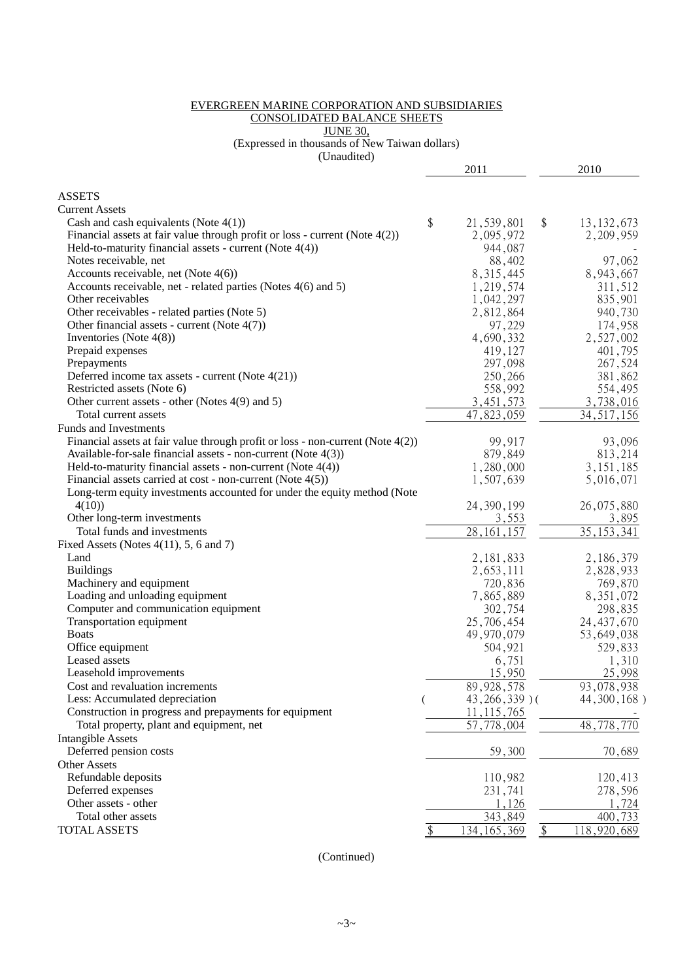#### EVERGREEN MARINE CORPORATION AND SUBSIDIARIES CONSOLIDATED BALANCE SHEETS JUNE 30,

(Expressed in thousands of New Taiwan dollars)

(Unaudited)

| <b>ASSETS</b><br><b>Current Assets</b><br>\$<br>Cash and cash equivalents (Note $4(1)$ )<br>21,539,801<br>\$<br>13, 132, 673<br>Financial assets at fair value through profit or loss - current (Note $4(2)$ )<br>2,095,972<br>2,209,959<br>Held-to-maturity financial assets - current (Note $4(4)$ )<br>944,087<br>Notes receivable, net<br>88,402<br>97,062<br>Accounts receivable, net (Note $4(6)$ )<br>8,943,667<br>8, 315, 445<br>Accounts receivable, net - related parties (Notes 4(6) and 5)<br>1,219,574<br>311,512<br>Other receivables<br>1,042,297<br>835,901<br>Other receivables - related parties (Note 5)<br>940,730<br>2,812,864<br>Other financial assets - current (Note $4(7)$ )<br>97,229<br>174,958<br>Inventories (Note $4(8)$ )<br>4,690,332<br>2,527,002<br>Prepaid expenses<br>419,127<br>401,795<br>Prepayments<br>297,098<br>267,524<br>Deferred income tax assets - current (Note 4(21))<br>250,266<br>381,862<br>558,992<br>Restricted assets (Note 6)<br>554,495<br>3,738,016<br>3,451,573<br>Other current assets - other (Notes 4(9) and 5)<br>47,823,059<br>34, 517, 156<br>Total current assets<br>Funds and Investments<br>Financial assets at fair value through profit or loss - non-current (Note $4(2)$ )<br>99,917<br>93,096<br>Available-for-sale financial assets - non-current (Note 4(3))<br>879,849<br>813,214<br>Held-to-maturity financial assets - non-current (Note $4(4)$ )<br>3, 151, 185<br>1,280,000<br>Financial assets carried at cost - non-current (Note $4(5)$ )<br>1,507,639<br>5,016,071<br>Long-term equity investments accounted for under the equity method (Note<br>24, 390, 199<br>26,075,880<br>4(10)<br>Other long-term investments<br>3,895<br>3,553<br>Total funds and investments<br>28, 161, 157<br>35, 153, 341<br>Fixed Assets (Notes $4(11)$ , 5, 6 and 7)<br>Land<br>2, 181, 833<br>2,186,379<br><b>Buildings</b><br>2,653,111<br>2,828,933<br>Machinery and equipment<br>720,836<br>769,870<br>Loading and unloading equipment<br>7,865,889<br>8, 351, 072<br>Computer and communication equipment<br>302,754<br>298,835<br>Transportation equipment<br>25,706,454<br>24, 437, 670<br><b>Boats</b><br>49,970,079<br>53,649,038<br>Office equipment<br>529,833<br>504,921<br>Leased assets<br>6,751<br>1,310<br>15,950<br>25,998<br>Leasehold improvements<br>Cost and revaluation increments<br>89, 928, 578<br>93,078,938<br>Less: Accumulated depreciation<br>$43,266,339$ )(<br>44, 300, 168)<br>(<br>Construction in progress and prepayments for equipment<br>11, 115, 765<br>48,778,770<br>Total property, plant and equipment, net<br>57,778,004<br><b>Intangible Assets</b><br>Deferred pension costs<br>59,300<br>70,689<br><b>Other Assets</b><br>Refundable deposits<br>110,982<br>120,413<br>Deferred expenses<br>231,741<br>278,596<br>Other assets - other<br>1,126<br>1,724<br>343,849<br>Total other assets<br>400,733<br><b>TOTAL ASSETS</b><br>134, 165, 369<br>118,920,689<br>\$<br>$\frac{1}{2}$ |  | 2011 |  | 2010 |
|-----------------------------------------------------------------------------------------------------------------------------------------------------------------------------------------------------------------------------------------------------------------------------------------------------------------------------------------------------------------------------------------------------------------------------------------------------------------------------------------------------------------------------------------------------------------------------------------------------------------------------------------------------------------------------------------------------------------------------------------------------------------------------------------------------------------------------------------------------------------------------------------------------------------------------------------------------------------------------------------------------------------------------------------------------------------------------------------------------------------------------------------------------------------------------------------------------------------------------------------------------------------------------------------------------------------------------------------------------------------------------------------------------------------------------------------------------------------------------------------------------------------------------------------------------------------------------------------------------------------------------------------------------------------------------------------------------------------------------------------------------------------------------------------------------------------------------------------------------------------------------------------------------------------------------------------------------------------------------------------------------------------------------------------------------------------------------------------------------------------------------------------------------------------------------------------------------------------------------------------------------------------------------------------------------------------------------------------------------------------------------------------------------------------------------------------------------------------------------------------------------------------------------------------------------------------------------------------------------------------------------------------------------------------------------------------------------------------------------------------------------------------------------------------------------------------------------------------------------------------------------------------------------------------------------------------------------------------------------------------------------|--|------|--|------|
|                                                                                                                                                                                                                                                                                                                                                                                                                                                                                                                                                                                                                                                                                                                                                                                                                                                                                                                                                                                                                                                                                                                                                                                                                                                                                                                                                                                                                                                                                                                                                                                                                                                                                                                                                                                                                                                                                                                                                                                                                                                                                                                                                                                                                                                                                                                                                                                                                                                                                                                                                                                                                                                                                                                                                                                                                                                                                                                                                                                                     |  |      |  |      |
|                                                                                                                                                                                                                                                                                                                                                                                                                                                                                                                                                                                                                                                                                                                                                                                                                                                                                                                                                                                                                                                                                                                                                                                                                                                                                                                                                                                                                                                                                                                                                                                                                                                                                                                                                                                                                                                                                                                                                                                                                                                                                                                                                                                                                                                                                                                                                                                                                                                                                                                                                                                                                                                                                                                                                                                                                                                                                                                                                                                                     |  |      |  |      |
|                                                                                                                                                                                                                                                                                                                                                                                                                                                                                                                                                                                                                                                                                                                                                                                                                                                                                                                                                                                                                                                                                                                                                                                                                                                                                                                                                                                                                                                                                                                                                                                                                                                                                                                                                                                                                                                                                                                                                                                                                                                                                                                                                                                                                                                                                                                                                                                                                                                                                                                                                                                                                                                                                                                                                                                                                                                                                                                                                                                                     |  |      |  |      |
|                                                                                                                                                                                                                                                                                                                                                                                                                                                                                                                                                                                                                                                                                                                                                                                                                                                                                                                                                                                                                                                                                                                                                                                                                                                                                                                                                                                                                                                                                                                                                                                                                                                                                                                                                                                                                                                                                                                                                                                                                                                                                                                                                                                                                                                                                                                                                                                                                                                                                                                                                                                                                                                                                                                                                                                                                                                                                                                                                                                                     |  |      |  |      |
|                                                                                                                                                                                                                                                                                                                                                                                                                                                                                                                                                                                                                                                                                                                                                                                                                                                                                                                                                                                                                                                                                                                                                                                                                                                                                                                                                                                                                                                                                                                                                                                                                                                                                                                                                                                                                                                                                                                                                                                                                                                                                                                                                                                                                                                                                                                                                                                                                                                                                                                                                                                                                                                                                                                                                                                                                                                                                                                                                                                                     |  |      |  |      |
|                                                                                                                                                                                                                                                                                                                                                                                                                                                                                                                                                                                                                                                                                                                                                                                                                                                                                                                                                                                                                                                                                                                                                                                                                                                                                                                                                                                                                                                                                                                                                                                                                                                                                                                                                                                                                                                                                                                                                                                                                                                                                                                                                                                                                                                                                                                                                                                                                                                                                                                                                                                                                                                                                                                                                                                                                                                                                                                                                                                                     |  |      |  |      |
|                                                                                                                                                                                                                                                                                                                                                                                                                                                                                                                                                                                                                                                                                                                                                                                                                                                                                                                                                                                                                                                                                                                                                                                                                                                                                                                                                                                                                                                                                                                                                                                                                                                                                                                                                                                                                                                                                                                                                                                                                                                                                                                                                                                                                                                                                                                                                                                                                                                                                                                                                                                                                                                                                                                                                                                                                                                                                                                                                                                                     |  |      |  |      |
|                                                                                                                                                                                                                                                                                                                                                                                                                                                                                                                                                                                                                                                                                                                                                                                                                                                                                                                                                                                                                                                                                                                                                                                                                                                                                                                                                                                                                                                                                                                                                                                                                                                                                                                                                                                                                                                                                                                                                                                                                                                                                                                                                                                                                                                                                                                                                                                                                                                                                                                                                                                                                                                                                                                                                                                                                                                                                                                                                                                                     |  |      |  |      |
|                                                                                                                                                                                                                                                                                                                                                                                                                                                                                                                                                                                                                                                                                                                                                                                                                                                                                                                                                                                                                                                                                                                                                                                                                                                                                                                                                                                                                                                                                                                                                                                                                                                                                                                                                                                                                                                                                                                                                                                                                                                                                                                                                                                                                                                                                                                                                                                                                                                                                                                                                                                                                                                                                                                                                                                                                                                                                                                                                                                                     |  |      |  |      |
|                                                                                                                                                                                                                                                                                                                                                                                                                                                                                                                                                                                                                                                                                                                                                                                                                                                                                                                                                                                                                                                                                                                                                                                                                                                                                                                                                                                                                                                                                                                                                                                                                                                                                                                                                                                                                                                                                                                                                                                                                                                                                                                                                                                                                                                                                                                                                                                                                                                                                                                                                                                                                                                                                                                                                                                                                                                                                                                                                                                                     |  |      |  |      |
|                                                                                                                                                                                                                                                                                                                                                                                                                                                                                                                                                                                                                                                                                                                                                                                                                                                                                                                                                                                                                                                                                                                                                                                                                                                                                                                                                                                                                                                                                                                                                                                                                                                                                                                                                                                                                                                                                                                                                                                                                                                                                                                                                                                                                                                                                                                                                                                                                                                                                                                                                                                                                                                                                                                                                                                                                                                                                                                                                                                                     |  |      |  |      |
|                                                                                                                                                                                                                                                                                                                                                                                                                                                                                                                                                                                                                                                                                                                                                                                                                                                                                                                                                                                                                                                                                                                                                                                                                                                                                                                                                                                                                                                                                                                                                                                                                                                                                                                                                                                                                                                                                                                                                                                                                                                                                                                                                                                                                                                                                                                                                                                                                                                                                                                                                                                                                                                                                                                                                                                                                                                                                                                                                                                                     |  |      |  |      |
|                                                                                                                                                                                                                                                                                                                                                                                                                                                                                                                                                                                                                                                                                                                                                                                                                                                                                                                                                                                                                                                                                                                                                                                                                                                                                                                                                                                                                                                                                                                                                                                                                                                                                                                                                                                                                                                                                                                                                                                                                                                                                                                                                                                                                                                                                                                                                                                                                                                                                                                                                                                                                                                                                                                                                                                                                                                                                                                                                                                                     |  |      |  |      |
|                                                                                                                                                                                                                                                                                                                                                                                                                                                                                                                                                                                                                                                                                                                                                                                                                                                                                                                                                                                                                                                                                                                                                                                                                                                                                                                                                                                                                                                                                                                                                                                                                                                                                                                                                                                                                                                                                                                                                                                                                                                                                                                                                                                                                                                                                                                                                                                                                                                                                                                                                                                                                                                                                                                                                                                                                                                                                                                                                                                                     |  |      |  |      |
|                                                                                                                                                                                                                                                                                                                                                                                                                                                                                                                                                                                                                                                                                                                                                                                                                                                                                                                                                                                                                                                                                                                                                                                                                                                                                                                                                                                                                                                                                                                                                                                                                                                                                                                                                                                                                                                                                                                                                                                                                                                                                                                                                                                                                                                                                                                                                                                                                                                                                                                                                                                                                                                                                                                                                                                                                                                                                                                                                                                                     |  |      |  |      |
|                                                                                                                                                                                                                                                                                                                                                                                                                                                                                                                                                                                                                                                                                                                                                                                                                                                                                                                                                                                                                                                                                                                                                                                                                                                                                                                                                                                                                                                                                                                                                                                                                                                                                                                                                                                                                                                                                                                                                                                                                                                                                                                                                                                                                                                                                                                                                                                                                                                                                                                                                                                                                                                                                                                                                                                                                                                                                                                                                                                                     |  |      |  |      |
|                                                                                                                                                                                                                                                                                                                                                                                                                                                                                                                                                                                                                                                                                                                                                                                                                                                                                                                                                                                                                                                                                                                                                                                                                                                                                                                                                                                                                                                                                                                                                                                                                                                                                                                                                                                                                                                                                                                                                                                                                                                                                                                                                                                                                                                                                                                                                                                                                                                                                                                                                                                                                                                                                                                                                                                                                                                                                                                                                                                                     |  |      |  |      |
|                                                                                                                                                                                                                                                                                                                                                                                                                                                                                                                                                                                                                                                                                                                                                                                                                                                                                                                                                                                                                                                                                                                                                                                                                                                                                                                                                                                                                                                                                                                                                                                                                                                                                                                                                                                                                                                                                                                                                                                                                                                                                                                                                                                                                                                                                                                                                                                                                                                                                                                                                                                                                                                                                                                                                                                                                                                                                                                                                                                                     |  |      |  |      |
|                                                                                                                                                                                                                                                                                                                                                                                                                                                                                                                                                                                                                                                                                                                                                                                                                                                                                                                                                                                                                                                                                                                                                                                                                                                                                                                                                                                                                                                                                                                                                                                                                                                                                                                                                                                                                                                                                                                                                                                                                                                                                                                                                                                                                                                                                                                                                                                                                                                                                                                                                                                                                                                                                                                                                                                                                                                                                                                                                                                                     |  |      |  |      |
|                                                                                                                                                                                                                                                                                                                                                                                                                                                                                                                                                                                                                                                                                                                                                                                                                                                                                                                                                                                                                                                                                                                                                                                                                                                                                                                                                                                                                                                                                                                                                                                                                                                                                                                                                                                                                                                                                                                                                                                                                                                                                                                                                                                                                                                                                                                                                                                                                                                                                                                                                                                                                                                                                                                                                                                                                                                                                                                                                                                                     |  |      |  |      |
|                                                                                                                                                                                                                                                                                                                                                                                                                                                                                                                                                                                                                                                                                                                                                                                                                                                                                                                                                                                                                                                                                                                                                                                                                                                                                                                                                                                                                                                                                                                                                                                                                                                                                                                                                                                                                                                                                                                                                                                                                                                                                                                                                                                                                                                                                                                                                                                                                                                                                                                                                                                                                                                                                                                                                                                                                                                                                                                                                                                                     |  |      |  |      |
|                                                                                                                                                                                                                                                                                                                                                                                                                                                                                                                                                                                                                                                                                                                                                                                                                                                                                                                                                                                                                                                                                                                                                                                                                                                                                                                                                                                                                                                                                                                                                                                                                                                                                                                                                                                                                                                                                                                                                                                                                                                                                                                                                                                                                                                                                                                                                                                                                                                                                                                                                                                                                                                                                                                                                                                                                                                                                                                                                                                                     |  |      |  |      |
|                                                                                                                                                                                                                                                                                                                                                                                                                                                                                                                                                                                                                                                                                                                                                                                                                                                                                                                                                                                                                                                                                                                                                                                                                                                                                                                                                                                                                                                                                                                                                                                                                                                                                                                                                                                                                                                                                                                                                                                                                                                                                                                                                                                                                                                                                                                                                                                                                                                                                                                                                                                                                                                                                                                                                                                                                                                                                                                                                                                                     |  |      |  |      |
|                                                                                                                                                                                                                                                                                                                                                                                                                                                                                                                                                                                                                                                                                                                                                                                                                                                                                                                                                                                                                                                                                                                                                                                                                                                                                                                                                                                                                                                                                                                                                                                                                                                                                                                                                                                                                                                                                                                                                                                                                                                                                                                                                                                                                                                                                                                                                                                                                                                                                                                                                                                                                                                                                                                                                                                                                                                                                                                                                                                                     |  |      |  |      |
|                                                                                                                                                                                                                                                                                                                                                                                                                                                                                                                                                                                                                                                                                                                                                                                                                                                                                                                                                                                                                                                                                                                                                                                                                                                                                                                                                                                                                                                                                                                                                                                                                                                                                                                                                                                                                                                                                                                                                                                                                                                                                                                                                                                                                                                                                                                                                                                                                                                                                                                                                                                                                                                                                                                                                                                                                                                                                                                                                                                                     |  |      |  |      |
|                                                                                                                                                                                                                                                                                                                                                                                                                                                                                                                                                                                                                                                                                                                                                                                                                                                                                                                                                                                                                                                                                                                                                                                                                                                                                                                                                                                                                                                                                                                                                                                                                                                                                                                                                                                                                                                                                                                                                                                                                                                                                                                                                                                                                                                                                                                                                                                                                                                                                                                                                                                                                                                                                                                                                                                                                                                                                                                                                                                                     |  |      |  |      |
|                                                                                                                                                                                                                                                                                                                                                                                                                                                                                                                                                                                                                                                                                                                                                                                                                                                                                                                                                                                                                                                                                                                                                                                                                                                                                                                                                                                                                                                                                                                                                                                                                                                                                                                                                                                                                                                                                                                                                                                                                                                                                                                                                                                                                                                                                                                                                                                                                                                                                                                                                                                                                                                                                                                                                                                                                                                                                                                                                                                                     |  |      |  |      |
|                                                                                                                                                                                                                                                                                                                                                                                                                                                                                                                                                                                                                                                                                                                                                                                                                                                                                                                                                                                                                                                                                                                                                                                                                                                                                                                                                                                                                                                                                                                                                                                                                                                                                                                                                                                                                                                                                                                                                                                                                                                                                                                                                                                                                                                                                                                                                                                                                                                                                                                                                                                                                                                                                                                                                                                                                                                                                                                                                                                                     |  |      |  |      |
|                                                                                                                                                                                                                                                                                                                                                                                                                                                                                                                                                                                                                                                                                                                                                                                                                                                                                                                                                                                                                                                                                                                                                                                                                                                                                                                                                                                                                                                                                                                                                                                                                                                                                                                                                                                                                                                                                                                                                                                                                                                                                                                                                                                                                                                                                                                                                                                                                                                                                                                                                                                                                                                                                                                                                                                                                                                                                                                                                                                                     |  |      |  |      |
|                                                                                                                                                                                                                                                                                                                                                                                                                                                                                                                                                                                                                                                                                                                                                                                                                                                                                                                                                                                                                                                                                                                                                                                                                                                                                                                                                                                                                                                                                                                                                                                                                                                                                                                                                                                                                                                                                                                                                                                                                                                                                                                                                                                                                                                                                                                                                                                                                                                                                                                                                                                                                                                                                                                                                                                                                                                                                                                                                                                                     |  |      |  |      |
|                                                                                                                                                                                                                                                                                                                                                                                                                                                                                                                                                                                                                                                                                                                                                                                                                                                                                                                                                                                                                                                                                                                                                                                                                                                                                                                                                                                                                                                                                                                                                                                                                                                                                                                                                                                                                                                                                                                                                                                                                                                                                                                                                                                                                                                                                                                                                                                                                                                                                                                                                                                                                                                                                                                                                                                                                                                                                                                                                                                                     |  |      |  |      |
|                                                                                                                                                                                                                                                                                                                                                                                                                                                                                                                                                                                                                                                                                                                                                                                                                                                                                                                                                                                                                                                                                                                                                                                                                                                                                                                                                                                                                                                                                                                                                                                                                                                                                                                                                                                                                                                                                                                                                                                                                                                                                                                                                                                                                                                                                                                                                                                                                                                                                                                                                                                                                                                                                                                                                                                                                                                                                                                                                                                                     |  |      |  |      |
|                                                                                                                                                                                                                                                                                                                                                                                                                                                                                                                                                                                                                                                                                                                                                                                                                                                                                                                                                                                                                                                                                                                                                                                                                                                                                                                                                                                                                                                                                                                                                                                                                                                                                                                                                                                                                                                                                                                                                                                                                                                                                                                                                                                                                                                                                                                                                                                                                                                                                                                                                                                                                                                                                                                                                                                                                                                                                                                                                                                                     |  |      |  |      |
|                                                                                                                                                                                                                                                                                                                                                                                                                                                                                                                                                                                                                                                                                                                                                                                                                                                                                                                                                                                                                                                                                                                                                                                                                                                                                                                                                                                                                                                                                                                                                                                                                                                                                                                                                                                                                                                                                                                                                                                                                                                                                                                                                                                                                                                                                                                                                                                                                                                                                                                                                                                                                                                                                                                                                                                                                                                                                                                                                                                                     |  |      |  |      |
|                                                                                                                                                                                                                                                                                                                                                                                                                                                                                                                                                                                                                                                                                                                                                                                                                                                                                                                                                                                                                                                                                                                                                                                                                                                                                                                                                                                                                                                                                                                                                                                                                                                                                                                                                                                                                                                                                                                                                                                                                                                                                                                                                                                                                                                                                                                                                                                                                                                                                                                                                                                                                                                                                                                                                                                                                                                                                                                                                                                                     |  |      |  |      |
|                                                                                                                                                                                                                                                                                                                                                                                                                                                                                                                                                                                                                                                                                                                                                                                                                                                                                                                                                                                                                                                                                                                                                                                                                                                                                                                                                                                                                                                                                                                                                                                                                                                                                                                                                                                                                                                                                                                                                                                                                                                                                                                                                                                                                                                                                                                                                                                                                                                                                                                                                                                                                                                                                                                                                                                                                                                                                                                                                                                                     |  |      |  |      |
|                                                                                                                                                                                                                                                                                                                                                                                                                                                                                                                                                                                                                                                                                                                                                                                                                                                                                                                                                                                                                                                                                                                                                                                                                                                                                                                                                                                                                                                                                                                                                                                                                                                                                                                                                                                                                                                                                                                                                                                                                                                                                                                                                                                                                                                                                                                                                                                                                                                                                                                                                                                                                                                                                                                                                                                                                                                                                                                                                                                                     |  |      |  |      |
|                                                                                                                                                                                                                                                                                                                                                                                                                                                                                                                                                                                                                                                                                                                                                                                                                                                                                                                                                                                                                                                                                                                                                                                                                                                                                                                                                                                                                                                                                                                                                                                                                                                                                                                                                                                                                                                                                                                                                                                                                                                                                                                                                                                                                                                                                                                                                                                                                                                                                                                                                                                                                                                                                                                                                                                                                                                                                                                                                                                                     |  |      |  |      |
|                                                                                                                                                                                                                                                                                                                                                                                                                                                                                                                                                                                                                                                                                                                                                                                                                                                                                                                                                                                                                                                                                                                                                                                                                                                                                                                                                                                                                                                                                                                                                                                                                                                                                                                                                                                                                                                                                                                                                                                                                                                                                                                                                                                                                                                                                                                                                                                                                                                                                                                                                                                                                                                                                                                                                                                                                                                                                                                                                                                                     |  |      |  |      |
|                                                                                                                                                                                                                                                                                                                                                                                                                                                                                                                                                                                                                                                                                                                                                                                                                                                                                                                                                                                                                                                                                                                                                                                                                                                                                                                                                                                                                                                                                                                                                                                                                                                                                                                                                                                                                                                                                                                                                                                                                                                                                                                                                                                                                                                                                                                                                                                                                                                                                                                                                                                                                                                                                                                                                                                                                                                                                                                                                                                                     |  |      |  |      |
|                                                                                                                                                                                                                                                                                                                                                                                                                                                                                                                                                                                                                                                                                                                                                                                                                                                                                                                                                                                                                                                                                                                                                                                                                                                                                                                                                                                                                                                                                                                                                                                                                                                                                                                                                                                                                                                                                                                                                                                                                                                                                                                                                                                                                                                                                                                                                                                                                                                                                                                                                                                                                                                                                                                                                                                                                                                                                                                                                                                                     |  |      |  |      |
|                                                                                                                                                                                                                                                                                                                                                                                                                                                                                                                                                                                                                                                                                                                                                                                                                                                                                                                                                                                                                                                                                                                                                                                                                                                                                                                                                                                                                                                                                                                                                                                                                                                                                                                                                                                                                                                                                                                                                                                                                                                                                                                                                                                                                                                                                                                                                                                                                                                                                                                                                                                                                                                                                                                                                                                                                                                                                                                                                                                                     |  |      |  |      |
|                                                                                                                                                                                                                                                                                                                                                                                                                                                                                                                                                                                                                                                                                                                                                                                                                                                                                                                                                                                                                                                                                                                                                                                                                                                                                                                                                                                                                                                                                                                                                                                                                                                                                                                                                                                                                                                                                                                                                                                                                                                                                                                                                                                                                                                                                                                                                                                                                                                                                                                                                                                                                                                                                                                                                                                                                                                                                                                                                                                                     |  |      |  |      |
|                                                                                                                                                                                                                                                                                                                                                                                                                                                                                                                                                                                                                                                                                                                                                                                                                                                                                                                                                                                                                                                                                                                                                                                                                                                                                                                                                                                                                                                                                                                                                                                                                                                                                                                                                                                                                                                                                                                                                                                                                                                                                                                                                                                                                                                                                                                                                                                                                                                                                                                                                                                                                                                                                                                                                                                                                                                                                                                                                                                                     |  |      |  |      |
|                                                                                                                                                                                                                                                                                                                                                                                                                                                                                                                                                                                                                                                                                                                                                                                                                                                                                                                                                                                                                                                                                                                                                                                                                                                                                                                                                                                                                                                                                                                                                                                                                                                                                                                                                                                                                                                                                                                                                                                                                                                                                                                                                                                                                                                                                                                                                                                                                                                                                                                                                                                                                                                                                                                                                                                                                                                                                                                                                                                                     |  |      |  |      |
|                                                                                                                                                                                                                                                                                                                                                                                                                                                                                                                                                                                                                                                                                                                                                                                                                                                                                                                                                                                                                                                                                                                                                                                                                                                                                                                                                                                                                                                                                                                                                                                                                                                                                                                                                                                                                                                                                                                                                                                                                                                                                                                                                                                                                                                                                                                                                                                                                                                                                                                                                                                                                                                                                                                                                                                                                                                                                                                                                                                                     |  |      |  |      |
|                                                                                                                                                                                                                                                                                                                                                                                                                                                                                                                                                                                                                                                                                                                                                                                                                                                                                                                                                                                                                                                                                                                                                                                                                                                                                                                                                                                                                                                                                                                                                                                                                                                                                                                                                                                                                                                                                                                                                                                                                                                                                                                                                                                                                                                                                                                                                                                                                                                                                                                                                                                                                                                                                                                                                                                                                                                                                                                                                                                                     |  |      |  |      |
|                                                                                                                                                                                                                                                                                                                                                                                                                                                                                                                                                                                                                                                                                                                                                                                                                                                                                                                                                                                                                                                                                                                                                                                                                                                                                                                                                                                                                                                                                                                                                                                                                                                                                                                                                                                                                                                                                                                                                                                                                                                                                                                                                                                                                                                                                                                                                                                                                                                                                                                                                                                                                                                                                                                                                                                                                                                                                                                                                                                                     |  |      |  |      |
|                                                                                                                                                                                                                                                                                                                                                                                                                                                                                                                                                                                                                                                                                                                                                                                                                                                                                                                                                                                                                                                                                                                                                                                                                                                                                                                                                                                                                                                                                                                                                                                                                                                                                                                                                                                                                                                                                                                                                                                                                                                                                                                                                                                                                                                                                                                                                                                                                                                                                                                                                                                                                                                                                                                                                                                                                                                                                                                                                                                                     |  |      |  |      |

(Continued)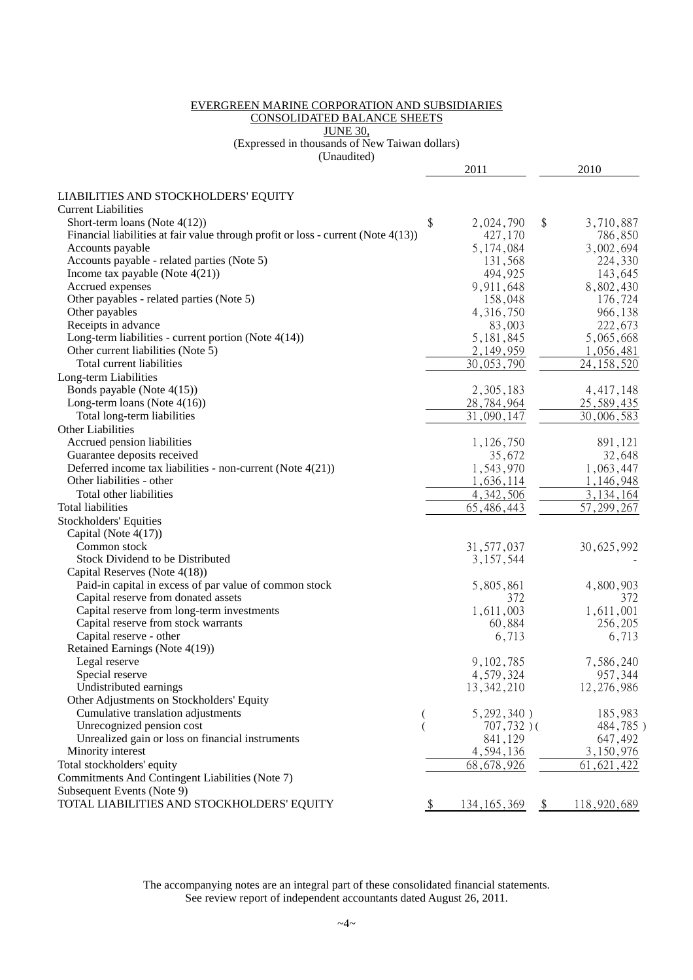#### EVERGREEN MARINE CORPORATION AND SUBSIDIARIES CONSOLIDATED BALANCE SHEETS JUNE 30,

(Expressed in thousands of New Taiwan dollars)

(Unaudited)

|                                                                                   |    | 2011                       |               | 2010               |
|-----------------------------------------------------------------------------------|----|----------------------------|---------------|--------------------|
|                                                                                   |    |                            |               |                    |
| LIABILITIES AND STOCKHOLDERS' EQUITY                                              |    |                            |               |                    |
| <b>Current Liabilities</b>                                                        |    |                            |               |                    |
| Short-term loans (Note $4(12)$ )                                                  | \$ | 2,024,790                  | \$            | 3,710,887          |
| Financial liabilities at fair value through profit or loss - current (Note 4(13)) |    | 427,170                    |               | 786,850            |
| Accounts payable<br>Accounts payable - related parties (Note 5)                   |    | 5, 174, 084                |               | 3,002,694          |
| Income tax payable (Note $4(21)$ )                                                |    | 131,568<br>494,925         |               | 224,330<br>143,645 |
| Accrued expenses                                                                  |    | 9,911,648                  |               | 8,802,430          |
| Other payables - related parties (Note 5)                                         |    | 158,048                    |               | 176,724            |
| Other payables                                                                    |    | 4, 316, 750                |               | 966,138            |
| Receipts in advance                                                               |    | 83,003                     |               | 222,673            |
| Long-term liabilities - current portion (Note $4(14)$ )                           |    | 5, 181, 845                |               | 5,065,668          |
| Other current liabilities (Note 5)                                                |    | 2, 149, 959                |               | 1,056,481          |
| Total current liabilities                                                         |    | $\overline{30}$ , 053, 790 |               | 24, 158, 520       |
| Long-term Liabilities                                                             |    |                            |               |                    |
| Bonds payable (Note 4(15))                                                        |    | 2,305,183                  |               | 4, 417, 148        |
| Long-term loans (Note $4(16)$ )                                                   |    | 28,784,964                 |               | 25, 589, 435       |
| Total long-term liabilities                                                       |    | 31,090,147                 |               | 30,006,583         |
| Other Liabilities                                                                 |    |                            |               |                    |
| Accrued pension liabilities                                                       |    | 1,126,750                  |               | 891,121            |
| Guarantee deposits received                                                       |    | 35,672                     |               | 32,648             |
| Deferred income tax liabilities - non-current (Note $4(21)$ )                     |    | 1,543,970                  |               | 1,063,447          |
| Other liabilities - other                                                         |    | 1,636,114                  |               | 1,146,948          |
| Total other liabilities                                                           |    | 4, 342, 506                |               | 3, 134, 164        |
| <b>Total liabilities</b>                                                          |    | 65, 486, 443               |               | 57, 299, 267       |
| <b>Stockholders' Equities</b>                                                     |    |                            |               |                    |
| Capital (Note $4(17)$ )                                                           |    |                            |               |                    |
| Common stock                                                                      |    | 31, 577, 037               |               | 30,625,992         |
| Stock Dividend to be Distributed                                                  |    | 3, 157, 544                |               |                    |
| Capital Reserves (Note 4(18))                                                     |    |                            |               |                    |
| Paid-in capital in excess of par value of common stock                            |    | 5,805,861                  |               | 4,800,903          |
| Capital reserve from donated assets                                               |    | 372                        |               | 372                |
| Capital reserve from long-term investments                                        |    | 1,611,003                  |               | 1,611,001          |
| Capital reserve from stock warrants                                               |    | 60,884                     |               | 256,205            |
| Capital reserve - other                                                           |    | 6,713                      |               | 6,713              |
| Retained Earnings (Note 4(19))                                                    |    |                            |               |                    |
| Legal reserve                                                                     |    | 9, 102, 785                |               | 7,586,240          |
| Special reserve                                                                   |    | 4,579,324                  |               | 957,344            |
| Undistributed earnings                                                            |    | 13, 342, 210               |               | 12,276,986         |
| Other Adjustments on Stockholders' Equity                                         |    |                            |               |                    |
| Cumulative translation adjustments                                                |    | 5,292,340)                 |               | 185,983            |
| Unrecognized pension cost                                                         |    | $707,732)$ (               |               | 484,785)           |
| Unrealized gain or loss on financial instruments                                  |    | 841,129                    |               | 647,492            |
| Minority interest                                                                 |    | 4,594,136                  |               | 3,150,976          |
| Total stockholders' equity                                                        |    | 68, 678, 926               |               | 61, 621, 422       |
| Commitments And Contingent Liabilities (Note 7)                                   |    |                            |               |                    |
| Subsequent Events (Note 9)                                                        |    |                            |               |                    |
| TOTAL LIABILITIES AND STOCKHOLDERS' EQUITY                                        | Y. | 134, 165, 369              | $\frac{1}{2}$ | 118,920,689        |
|                                                                                   |    |                            |               |                    |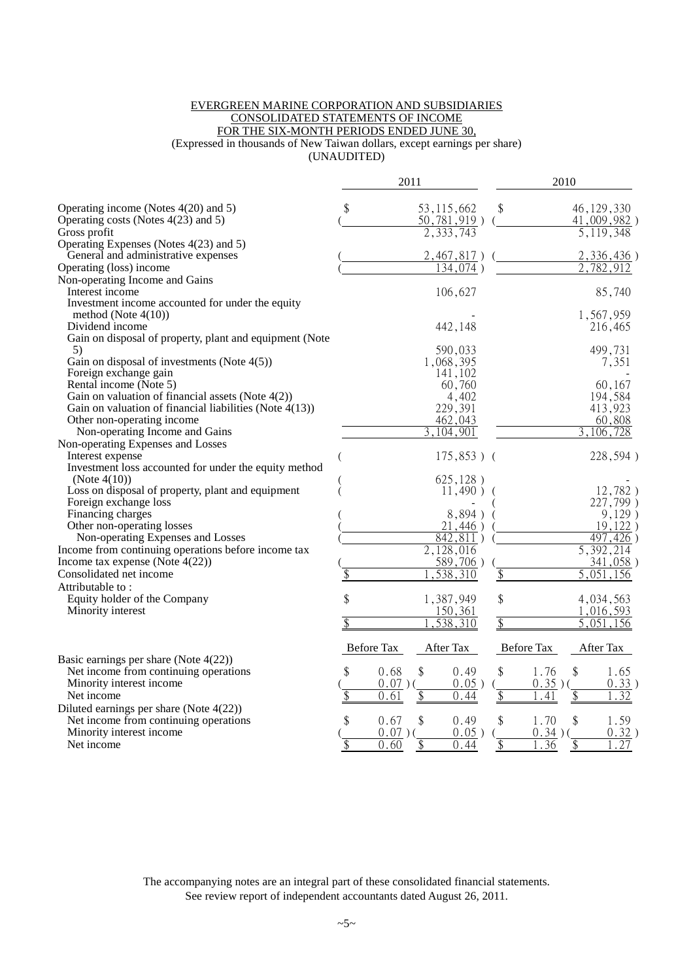#### EVERGREEN MARINE CORPORATION AND SUBSIDIARIES CONSOLIDATED STATEMENTS OF INCOME FOR THE SIX-MONTH PERIODS ENDED JUNE 30, (Expressed in thousands of New Taiwan dollars, except earnings per share) (UNAUDITED)

|                                                                            |                 | 2011              |                 |                        |              |                          | 2010               |                |
|----------------------------------------------------------------------------|-----------------|-------------------|-----------------|------------------------|--------------|--------------------------|--------------------|----------------|
| Operating income (Notes $4(20)$ and 5)                                     | \$              |                   |                 | 53, 115, 662           | \$           |                          |                    | 46, 129, 330   |
| Operating costs (Notes 4(23) and 5)                                        |                 |                   |                 | $50, 781, 919$ )       |              |                          |                    | $41,009,982$ ) |
| Gross profit                                                               |                 |                   |                 | 2,333,743              |              |                          |                    | 5, 119, 348    |
| Operating Expenses (Notes 4(23) and 5)                                     |                 |                   |                 |                        |              |                          |                    |                |
| General and administrative expenses                                        |                 |                   |                 | $2,467,817$ )          |              |                          |                    | 2,336,436)     |
| Operating (loss) income                                                    |                 |                   |                 | $\overline{134,074}$ ) |              |                          |                    | 782,912        |
| Non-operating Income and Gains                                             |                 |                   |                 |                        |              |                          |                    |                |
| Interest income                                                            |                 |                   |                 | 106,627                |              |                          |                    | 85,740         |
| Investment income accounted for under the equity<br>method (Note $4(10)$ ) |                 |                   |                 |                        |              |                          |                    | 1,567,959      |
| Dividend income                                                            |                 |                   |                 | 442,148                |              |                          |                    | 216,465        |
| Gain on disposal of property, plant and equipment (Note<br>5)              |                 |                   |                 | 590,033                |              |                          |                    | 499,731        |
| Gain on disposal of investments (Note 4(5))                                |                 |                   |                 | 1,068,395              |              |                          |                    | 7,351          |
| Foreign exchange gain                                                      |                 |                   |                 | 141,102                |              |                          |                    |                |
| Rental income (Note 5)                                                     |                 |                   |                 | 60,760                 |              |                          |                    | 60,167         |
| Gain on valuation of financial assets (Note $4(2)$ )                       |                 |                   |                 | 4,402                  |              |                          |                    | 194,584        |
| Gain on valuation of financial liabilities (Note 4(13))                    |                 |                   |                 | 229,391                |              |                          |                    | 413,923        |
| Other non-operating income                                                 |                 |                   |                 | 462,043                |              |                          |                    | 60,808         |
| Non-operating Income and Gains                                             |                 |                   |                 | 3,104,901              |              |                          |                    | 3,106,728      |
| Non-operating Expenses and Losses                                          |                 |                   |                 |                        |              |                          |                    |                |
| Interest expense                                                           |                 |                   |                 | $175,853$ ) (          |              |                          |                    | 228,594)       |
| Investment loss accounted for under the equity method                      |                 |                   |                 |                        |              |                          |                    |                |
| (Note $4(10)$ )                                                            |                 |                   |                 | 625, 128)              |              |                          |                    |                |
| Loss on disposal of property, plant and equipment                          |                 |                   |                 | $11,490$ )             |              |                          |                    | 12,782)        |
| Foreign exchange loss                                                      |                 |                   |                 |                        |              |                          |                    | 227,799)       |
| Financing charges                                                          |                 |                   |                 | 8,894)                 |              |                          |                    | 9,129)         |
| Other non-operating losses                                                 |                 |                   |                 | 21,446)                |              |                          |                    | 19,122         |
| Non-operating Expenses and Losses                                          |                 |                   |                 | 842,811)               |              |                          |                    | 497.426        |
| Income from continuing operations before income tax                        |                 |                   |                 | 2,128,016              |              |                          |                    | 5,392,214      |
| Income tax expense (Note $4(22)$ )                                         |                 |                   |                 | 589,706)               |              |                          |                    | 341,058)       |
| Consolidated net income                                                    | \$              |                   |                 | 538<br>.310            | $\sqrt[6]{}$ |                          | $\overline{5,051}$ | 156            |
| Attributable to:                                                           |                 |                   |                 |                        |              |                          |                    |                |
| Equity holder of the Company                                               | \$              |                   |                 | 1,387,949              | \$           |                          |                    | 4,034,563      |
| Minority interest                                                          |                 |                   |                 | 150,361                |              |                          |                    | 1,016,593      |
|                                                                            | \$              |                   |                 | ,538,310               | \$           |                          |                    | 5,051,156      |
| Basic earnings per share (Note $4(22)$ )                                   |                 | <b>Before Tax</b> |                 | After Tax              |              | <b>Before Tax</b>        |                    | After Tax      |
| Net income from continuing operations                                      | \$              | 0.68              | \$              | 0.49                   | \$           | 1.76                     | \$                 | 1.65           |
| Minority interest income                                                   |                 | $0.07$ )(         |                 | $0.05$ )               |              | $0.35)$ (                |                    | 0.33)          |
| Net income                                                                 |                 | 0.61              |                 | 0.44                   | \$           | .41                      |                    | .32            |
|                                                                            |                 |                   |                 |                        |              |                          |                    |                |
| Diluted earnings per share (Note 4(22))                                    | \$              |                   |                 |                        |              |                          |                    | 1.59           |
| Net income from continuing operations<br>Minority interest income          |                 | 0.67<br>$0.07$ )( | \$              | 0.49<br>$0.05$ )       | \$           | 1.70                     | \$                 | 0.32)          |
| Net income                                                                 | $\overline{\$}$ | 0.60              | $\overline{\$}$ | 0.44                   | \$           | 0.34)<br>$\overline{36}$ | \$                 | 27             |
|                                                                            |                 |                   |                 |                        |              |                          |                    |                |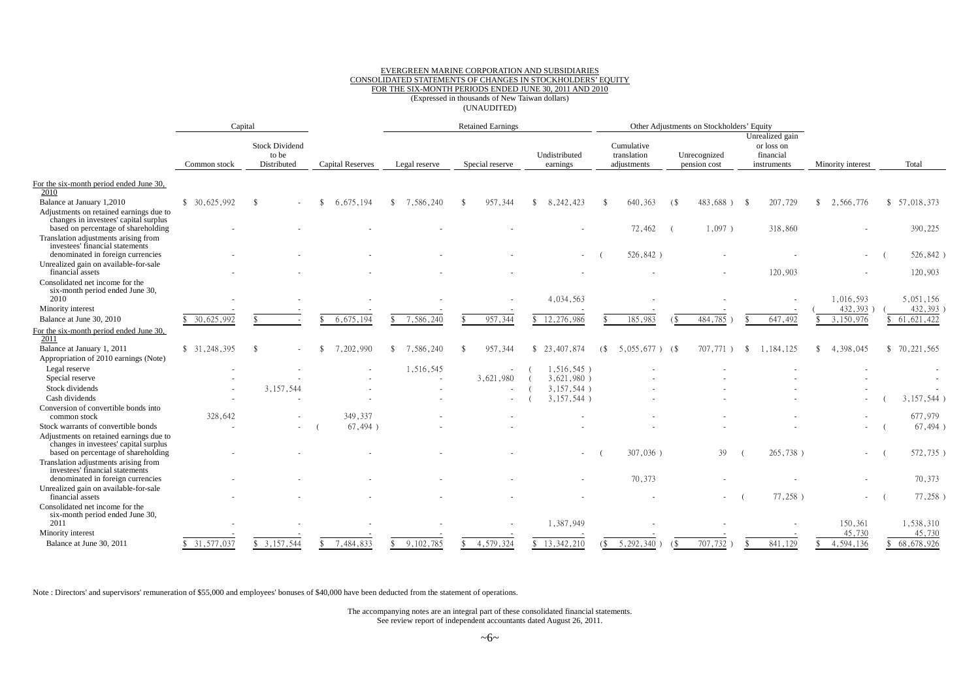#### EVERGREEN MARINE CORPORATION AND SUBSIDIARIES CONSOLIDATED STATEMENTS OF CHANGES IN STOCKHOLDERS' EQUITY FOR THE SIX-MONTH PERIODS ENDED JUNE 30, 2011 AND 2010 (Expressed in thousands of New Taiwan dollars) (UNAUDITED)

|                                                                                                                         |              | Capital                                       |                         | <b>Retained Earnings</b> |                          |                           | Other Adjustments on Stockholders' Equity |                              |                                                           |                   |              |
|-------------------------------------------------------------------------------------------------------------------------|--------------|-----------------------------------------------|-------------------------|--------------------------|--------------------------|---------------------------|-------------------------------------------|------------------------------|-----------------------------------------------------------|-------------------|--------------|
|                                                                                                                         | Common stock | <b>Stock Dividend</b><br>to be<br>Distributed | <b>Capital Reserves</b> | Legal reserve            | Special reserve          | Undistributed<br>earnings | Cumulative<br>translation<br>adjustments  | Unrecognized<br>pension cost | Unrealized gain<br>or loss on<br>financial<br>instruments | Minority interest | Total        |
| For the six-month period ended June 30,<br>2010                                                                         |              |                                               |                         |                          |                          |                           |                                           |                              |                                                           |                   |              |
| Balance at January 1,2010                                                                                               | \$30.625.992 | -\$                                           | 6.675.194               | 7,586,240<br>\$          | 957.344                  | 8.242.423<br>\$           | 640,363                                   | 483.688)<br>(                | 207,729<br>- 8                                            | 2,566,776         | \$57,018,373 |
| Adjustments on retained earnings due to<br>changes in investees' capital surplus<br>based on percentage of shareholding |              |                                               |                         |                          |                          |                           | 72,462                                    | $1,097$ )                    | 318,860                                                   |                   | 390,225      |
| Translation adjustments arising from<br>investees' financial statements                                                 |              |                                               |                         |                          |                          |                           |                                           |                              |                                                           |                   |              |
| denominated in foreign currencies                                                                                       |              |                                               |                         |                          |                          |                           | 526,842)                                  |                              |                                                           |                   | 526,842)     |
| Unrealized gain on available-for-sale<br>financial assets                                                               |              |                                               |                         |                          |                          |                           |                                           |                              | 120,903                                                   |                   | 120,903      |
| Consolidated net income for the<br>six-month period ended June 30,<br>2010                                              |              |                                               |                         |                          |                          | 4,034,563                 |                                           |                              |                                                           | 1,016,593         | 5,051,156    |
| Minority interest                                                                                                       |              |                                               |                         |                          |                          |                           |                                           |                              |                                                           | 432,393           | 432,393      |
| Balance at June 30, 2010                                                                                                | 30,625,992   |                                               | 6,675,194               | 7,586,240                | 957,344                  | 12,276,986                | 185,983                                   | 484,785                      | 647,492                                                   | 3,150,976         | 61, 621, 422 |
| For the six-month period ended June 30,<br>2011                                                                         |              |                                               |                         |                          |                          |                           |                                           |                              |                                                           |                   |              |
| Balance at January 1, 2011                                                                                              | \$31,248,395 | -\$                                           | 7,202,990               | 7,586,240<br>\$          | 957,344                  | \$23,407,874              | $($ \$<br>5,055,677)                      | 707,771<br>- (\$             | 1,184,125<br>-\$                                          | 4,398,045         | \$70,221,565 |
| Appropriation of 2010 earnings (Note)                                                                                   |              |                                               |                         |                          |                          |                           |                                           |                              |                                                           |                   |              |
| Legal reserve                                                                                                           |              |                                               |                         | 1,516,545                | $\overline{\phantom{a}}$ | $1,516,545$ )             |                                           |                              |                                                           |                   |              |
| Special reserve                                                                                                         |              |                                               |                         | $\overline{\phantom{a}}$ | 3,621,980                | 3,621,980)                |                                           |                              |                                                           |                   |              |
| Stock dividends                                                                                                         |              | 3,157,544                                     |                         |                          |                          | 3,157,544)                |                                           |                              |                                                           |                   |              |
| Cash dividends                                                                                                          |              |                                               |                         |                          |                          | 3,157,544)                |                                           |                              |                                                           |                   | 3,157,544)   |
| Conversion of convertible bonds into<br>common stock                                                                    | 328,642      |                                               | 349,337                 |                          |                          |                           |                                           |                              |                                                           |                   | 677,979      |
| Stock warrants of convertible bonds                                                                                     |              |                                               | 67,494)                 |                          |                          |                           |                                           |                              |                                                           |                   | 67,494)      |
| Adjustments on retained earnings due to<br>changes in investees' capital surplus                                        |              |                                               |                         |                          |                          |                           |                                           |                              |                                                           |                   |              |
| based on percentage of shareholding<br>Translation adjustments arising from<br>investees' financial statements          |              |                                               |                         |                          |                          |                           | 307,036)                                  | 39                           | 265,738)                                                  |                   | 572,735)     |
| denominated in foreign currencies                                                                                       |              |                                               |                         |                          |                          |                           | 70,373                                    |                              |                                                           |                   | 70,373       |
| Unrealized gain on available-for-sale<br>financial assets                                                               |              |                                               |                         |                          |                          |                           |                                           |                              | $77,258$ )                                                |                   | 77,258)      |
| Consolidated net income for the<br>six-month period ended June 30,<br>2011                                              |              |                                               |                         |                          |                          | 1,387,949                 |                                           |                              |                                                           | 150,361           | 1,538,310    |
| Minority interest                                                                                                       |              |                                               |                         |                          |                          |                           |                                           |                              |                                                           | 45,730            | 45,730       |
| Balance at June 30, 2011                                                                                                | \$31,577,037 | \$3,157,544                                   | 7,484,833               | 9,102,785                | 4,579,324                | \$13,342,210              | 5,292,340)<br>(S                          | 707,732<br>(                 | 841,129                                                   | 4,594,136         | \$68,678,926 |

Note : Directors' and supervisors' remuneration of \$55,000 and employees' bonuses of \$40,000 have been deducted from the statement of operations.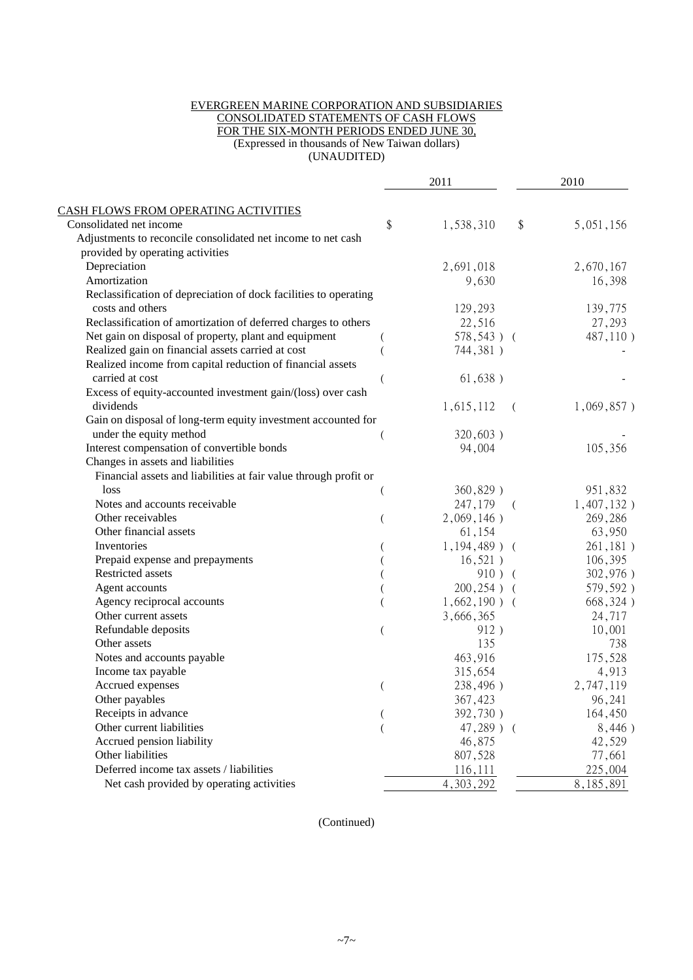#### EVERGREEN MARINE CORPORATION AND SUBSIDIARIES CONSOLIDATED STATEMENTS OF CASH FLOWS FOR THE SIX-MONTH PERIODS ENDED JUNE 30, (Expressed in thousands of New Taiwan dollars) (UNAUDITED)

|                                                                  | 2011            |            | 2010       |
|------------------------------------------------------------------|-----------------|------------|------------|
| CASH FLOWS FROM OPERATING ACTIVITIES                             |                 |            |            |
| Consolidated net income                                          | \$<br>1,538,310 | \$         | 5,051,156  |
| Adjustments to reconcile consolidated net income to net cash     |                 |            |            |
| provided by operating activities                                 |                 |            |            |
| Depreciation                                                     | 2,691,018       |            | 2,670,167  |
| Amortization                                                     | 9,630           |            | 16,398     |
| Reclassification of depreciation of dock facilities to operating |                 |            |            |
| costs and others                                                 | 129,293         |            | 139,775    |
| Reclassification of amortization of deferred charges to others   | 22,516          |            | 27,293     |
| Net gain on disposal of property, plant and equipment            | $578,543$ ) (   |            | 487,110)   |
| Realized gain on financial assets carried at cost                | 744,381)        |            |            |
| Realized income from capital reduction of financial assets       |                 |            |            |
| carried at cost                                                  | 61,638)         |            |            |
| Excess of equity-accounted investment gain/(loss) over cash      |                 |            |            |
| dividends                                                        | 1,615,112       | $\left($   | 1,069,857) |
| Gain on disposal of long-term equity investment accounted for    |                 |            |            |
| under the equity method                                          | $320,603$ )     |            |            |
| Interest compensation of convertible bonds                       | 94,004          |            | 105,356    |
| Changes in assets and liabilities                                |                 |            |            |
| Financial assets and liabilities at fair value through profit or |                 |            |            |
| loss                                                             | $360,829$ )     |            | 951,832    |
| Notes and accounts receivable                                    | 247,179         | $\sqrt{2}$ | 1,407,132) |
| Other receivables                                                | 2,069,146)      |            | 269,286    |
| Other financial assets                                           | 61,154          |            | 63,950     |
| Inventories                                                      | $1,194,489$ ) ( |            | 261,181)   |
| Prepaid expense and prepayments                                  | $16,521$ )      |            | 106,395    |
| Restricted assets                                                | $910)$ (        |            | 302,976)   |
| Agent accounts                                                   | $200, 254$ ) (  |            | 579,592)   |
| Agency reciprocal accounts                                       | $1,662,190$ ) ( |            | 668,324)   |
| Other current assets                                             | 3,666,365       |            | 24,717     |
| Refundable deposits                                              | 912)            |            | 10,001     |
| Other assets                                                     | 135             |            | 738        |
| Notes and accounts payable                                       | 463,916         |            | 175,528    |
| Income tax payable                                               | 315,654         |            | 4,913      |
| Accrued expenses                                                 | 238,496)        |            | 2,747,119  |
| Other payables                                                   | 367,423         |            | 96,241     |
| Receipts in advance                                              | 392,730)        |            | 164,450    |
| Other current liabilities                                        | $47,289$ ) (    |            | 8,446)     |
| Accrued pension liability                                        | 46,875          |            | 42,529     |
| Other liabilities                                                | 807,528         |            | 77,661     |
| Deferred income tax assets / liabilities                         | 116,111         |            | 225,004    |
| Net cash provided by operating activities                        | 4,303,292       |            | 8,185,891  |

(Continued)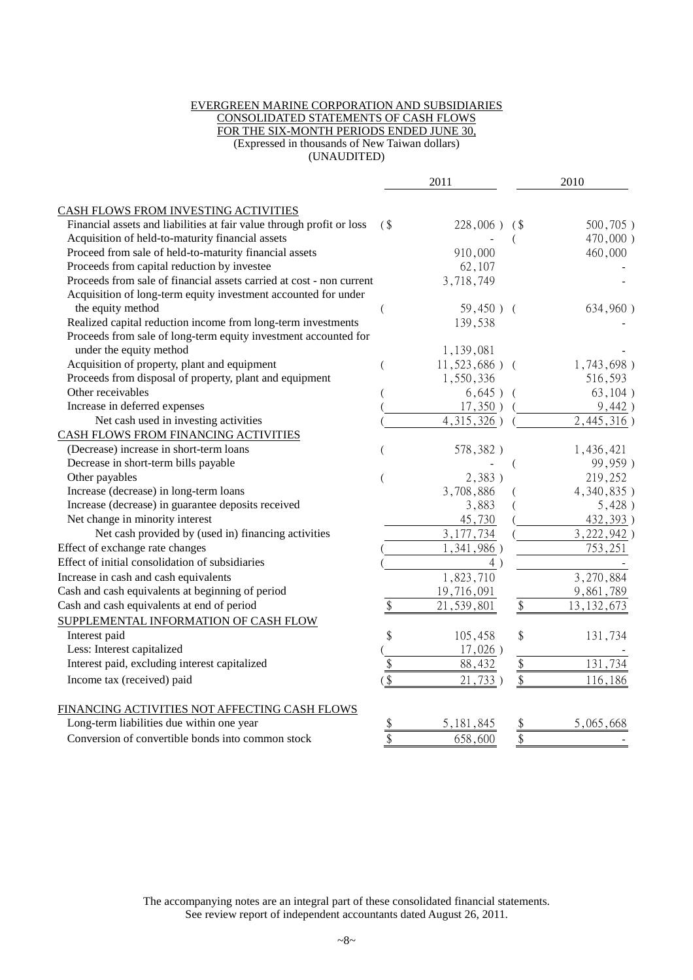#### EVERGREEN MARINE CORPORATION AND SUBSIDIARIES CONSOLIDATED STATEMENTS OF CASH FLOWS FOR THE SIX-MONTH PERIODS ENDED JUNE 30, (Expressed in thousands of New Taiwan dollars) (UNAUDITED)

|                                                                       |               | 2011             |               | 2010         |
|-----------------------------------------------------------------------|---------------|------------------|---------------|--------------|
| CASH FLOWS FROM INVESTING ACTIVITIES                                  |               |                  |               |              |
| Financial assets and liabilities at fair value through profit or loss | (             | $228,006$ )      | (             | $500,705$ )  |
| Acquisition of held-to-maturity financial assets                      |               |                  |               | 470,000)     |
| Proceed from sale of held-to-maturity financial assets                |               | 910,000          |               | 460,000      |
| Proceeds from capital reduction by investee                           |               | 62,107           |               |              |
| Proceeds from sale of financial assets carried at cost - non current  |               | 3,718,749        |               |              |
| Acquisition of long-term equity investment accounted for under        |               |                  |               |              |
| the equity method                                                     |               | $59,450$ ) (     |               | 634,960)     |
| Realized capital reduction income from long-term investments          |               | 139,538          |               |              |
| Proceeds from sale of long-term equity investment accounted for       |               |                  |               |              |
| under the equity method                                               |               | 1,139,081        |               |              |
| Acquisition of property, plant and equipment                          |               | $11,523,686$ ) ( |               | 1,743,698)   |
| Proceeds from disposal of property, plant and equipment               |               | 1,550,336        |               | 516,593      |
| Other receivables                                                     |               | $6,645$ ) (      |               | 63,104)      |
| Increase in deferred expenses                                         |               | $17,350$ )       |               | 9,442)       |
| Net cash used in investing activities                                 |               | 4, 315, 326)     |               | 2,445,316)   |
| CASH FLOWS FROM FINANCING ACTIVITIES                                  |               |                  |               |              |
| (Decrease) increase in short-term loans                               |               | 578,382)         |               | 1,436,421    |
| Decrease in short-term bills payable                                  |               |                  |               | 99,959)      |
| Other payables                                                        |               | 2,383)           |               | 219,252      |
| Increase (decrease) in long-term loans                                |               | 3,708,886        |               | 4,340,835)   |
| Increase (decrease) in guarantee deposits received                    |               | 3,883            |               | 5,428)       |
| Net change in minority interest                                       |               | 45,730           |               | 432,393)     |
| Net cash provided by (used in) financing activities                   |               | 3, 177, 734      |               | 3,222,942)   |
| Effect of exchange rate changes                                       |               | 1,341,986)       |               | 753,251      |
| Effect of initial consolidation of subsidiaries                       |               | 4)               |               |              |
| Increase in cash and cash equivalents                                 |               | 1,823,710        |               | 3,270,884    |
| Cash and cash equivalents at beginning of period                      |               | 19,716,091       |               | 9,861,789    |
| Cash and cash equivalents at end of period                            | \$            | 21,539,801       | \$            | 13, 132, 673 |
| SUPPLEMENTAL INFORMATION OF CASH FLOW                                 |               |                  |               |              |
| Interest paid                                                         | \$            | 105,458          | \$            | 131,734      |
| Less: Interest capitalized                                            |               | $17,026$ )       |               |              |
| Interest paid, excluding interest capitalized                         | \$            | 88,432           | \$            | 131,734      |
| Income tax (received) paid                                            | \$            | 21,733)          | \$            | 116,186      |
|                                                                       |               |                  |               |              |
| FINANCING ACTIVITIES NOT AFFECTING CASH FLOWS                         |               |                  |               |              |
| Long-term liabilities due within one year                             | $\frac{1}{2}$ | 5, 181, 845      | $\frac{1}{2}$ | 5,065,668    |
| Conversion of convertible bonds into common stock                     | \$            | 658,600          | \$            |              |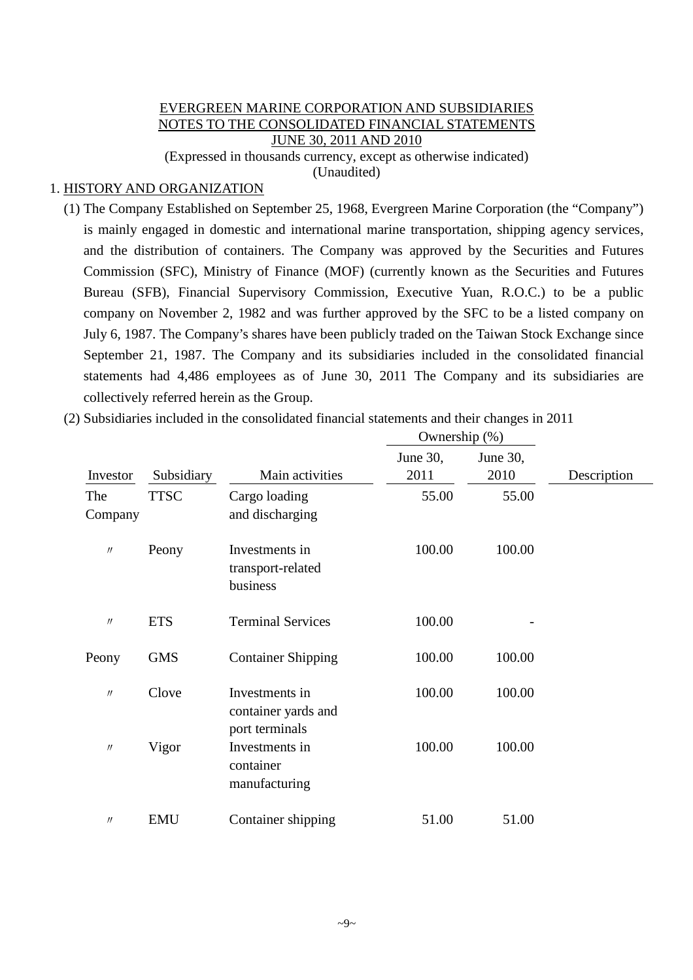#### EVERGREEN MARINE CORPORATION AND SUBSIDIARIES NOTES TO THE CONSOLIDATED FINANCIAL STATEMENTS JUNE 30, 2011 AND 2010 (Expressed in thousands currency, except as otherwise indicated)

(Unaudited)

#### 1. HISTORY AND ORGANIZATION

(1) The Company Established on September 25, 1968, Evergreen Marine Corporation (the "Company") is mainly engaged in domestic and international marine transportation, shipping agency services, and the distribution of containers. The Company was approved by the Securities and Futures Commission (SFC), Ministry of Finance (MOF) (currently known as the Securities and Futures Bureau (SFB), Financial Supervisory Commission, Executive Yuan, R.O.C.) to be a public company on November 2, 1982 and was further approved by the SFC to be a listed company on July 6, 1987. The Company's shares have been publicly traded on the Taiwan Stock Exchange since September 21, 1987. The Company and its subsidiaries included in the consolidated financial statements had 4,486 employees as of June 30, 2011 The Company and its subsidiaries are collectively referred herein as the Group.

| (2) Subsidiaries included in the consolidated financial statements and their changes in 2011 |  |
|----------------------------------------------------------------------------------------------|--|
|----------------------------------------------------------------------------------------------|--|

|                |             |                                                         | Ownership (%)    |                  |             |  |
|----------------|-------------|---------------------------------------------------------|------------------|------------------|-------------|--|
| Investor       | Subsidiary  | Main activities                                         | June 30,<br>2011 | June 30,<br>2010 | Description |  |
| The<br>Company | <b>TTSC</b> | Cargo loading<br>and discharging                        | 55.00            | 55.00            |             |  |
| $\prime$       | Peony       | Investments in<br>transport-related<br>business         | 100.00           | 100.00           |             |  |
| $\prime\prime$ | <b>ETS</b>  | <b>Terminal Services</b>                                | 100.00           |                  |             |  |
| Peony          | <b>GMS</b>  | <b>Container Shipping</b>                               | 100.00           | 100.00           |             |  |
| $\prime$       | Clove       | Investments in<br>container yards and<br>port terminals | 100.00           | 100.00           |             |  |
| $\prime\prime$ | Vigor       | Investments in<br>container<br>manufacturing            | 100.00           | 100.00           |             |  |
| $\prime$       | <b>EMU</b>  | Container shipping                                      | 51.00            | 51.00            |             |  |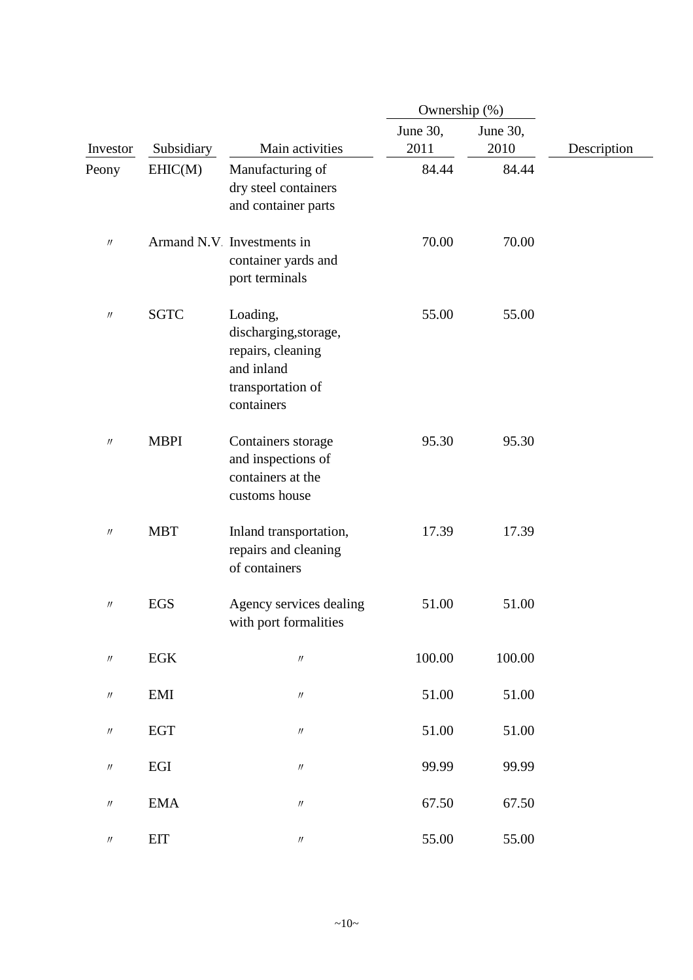|                               |              |                                                                                                         | Ownership (%)    |                  |             |
|-------------------------------|--------------|---------------------------------------------------------------------------------------------------------|------------------|------------------|-------------|
| Investor                      | Subsidiary   | Main activities                                                                                         | June 30,<br>2011 | June 30,<br>2010 | Description |
| Peony                         | EHIC(M)      | Manufacturing of<br>dry steel containers<br>and container parts                                         | 84.44            | 84.44            |             |
| $\prime\prime$                |              | Armand N.V Investments in<br>container yards and<br>port terminals                                      | 70.00            | 70.00            |             |
| $^{\prime\prime}$             | <b>SGTC</b>  | Loading,<br>discharging, storage,<br>repairs, cleaning<br>and inland<br>transportation of<br>containers | 55.00            | 55.00            |             |
| $\prime\prime$                | <b>MBPI</b>  | Containers storage<br>and inspections of<br>containers at the<br>customs house                          | 95.30            | 95.30            |             |
| $\prime\prime$                | <b>MBT</b>   | Inland transportation,<br>repairs and cleaning<br>of containers                                         | 17.39            | 17.39            |             |
| $^{\prime\prime}$             | EGS          | Agency services dealing<br>with port formalities                                                        | 51.00            | 51.00            |             |
| $\ensuremath{\mathnormal{H}}$ | $_{\rm EGK}$ | $\prime\prime$                                                                                          | 100.00           | 100.00           |             |
| $\prime\prime$                | EMI          | $\boldsymbol{\mathcal{U}}$                                                                              | 51.00            | 51.00            |             |
| $\prime\prime$                | <b>EGT</b>   | $\boldsymbol{\mathcal{U}}$                                                                              | 51.00            | 51.00            |             |
| $\prime\prime$                | $_{\rm EGI}$ | $\ensuremath{\mathnormal{H}}$                                                                           | 99.99            | 99.99            |             |
| $\prime\prime$                | <b>EMA</b>   | $\ensuremath{\mathnormal{H}}$                                                                           | 67.50            | 67.50            |             |
| $^{\prime\prime}$             | <b>EIT</b>   | $\ensuremath{\mathnormal{H}}$                                                                           | 55.00            | 55.00            |             |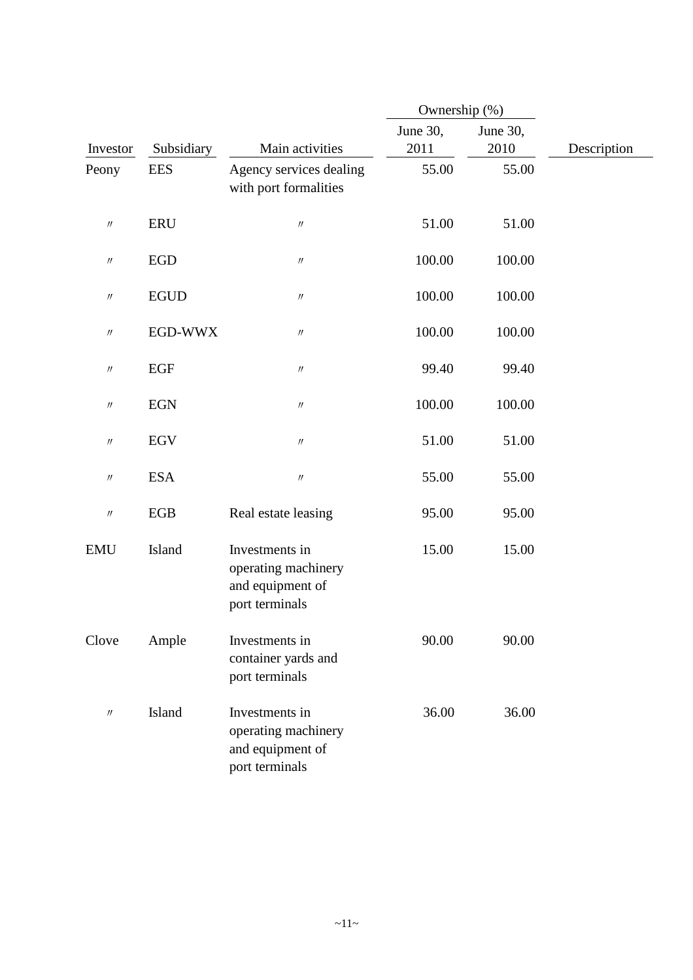|                               |             |                                                                             | Ownership (%)    |                  |             |
|-------------------------------|-------------|-----------------------------------------------------------------------------|------------------|------------------|-------------|
| Investor                      | Subsidiary  | Main activities                                                             | June 30,<br>2011 | June 30,<br>2010 | Description |
| Peony                         | <b>EES</b>  | Agency services dealing<br>with port formalities                            | 55.00            | 55.00            |             |
| $\prime\prime$                | <b>ERU</b>  | $\ensuremath{\mathnormal{H}}$                                               | 51.00            | 51.00            |             |
| $\prime\prime$                | <b>EGD</b>  | $\ensuremath{\mathnormal{H}}$                                               | 100.00           | 100.00           |             |
| $\prime\prime$                | <b>EGUD</b> | $\prime\prime$                                                              | 100.00           | 100.00           |             |
| $\prime\prime$                | EGD-WWX     | $\ensuremath{\mathnormal{H}}$                                               | 100.00           | 100.00           |             |
| $\prime\prime$                | <b>EGF</b>  | $\ensuremath{\mathnormal{H}}$                                               | 99.40            | 99.40            |             |
| $\prime\prime$                | <b>EGN</b>  | $\prime\prime$                                                              | 100.00           | 100.00           |             |
| $\prime\prime$                | <b>EGV</b>  | $\ensuremath{\mathnormal{H}}$                                               | 51.00            | 51.00            |             |
| $\prime\prime$                | <b>ESA</b>  | $\ensuremath{\mathnormal{H}}$                                               | 55.00            | 55.00            |             |
| $\ensuremath{\mathnormal{H}}$ | EGB         | Real estate leasing                                                         | 95.00            | 95.00            |             |
| <b>EMU</b>                    | Island      | Investments in<br>operating machinery<br>and equipment of<br>port terminals | 15.00            | 15.00            |             |
| Clove                         | Ample       | Investments in<br>container yards and<br>port terminals                     | 90.00            | 90.00            |             |
| $\prime\prime$                | Island      | Investments in<br>operating machinery<br>and equipment of<br>port terminals | 36.00            | 36.00            |             |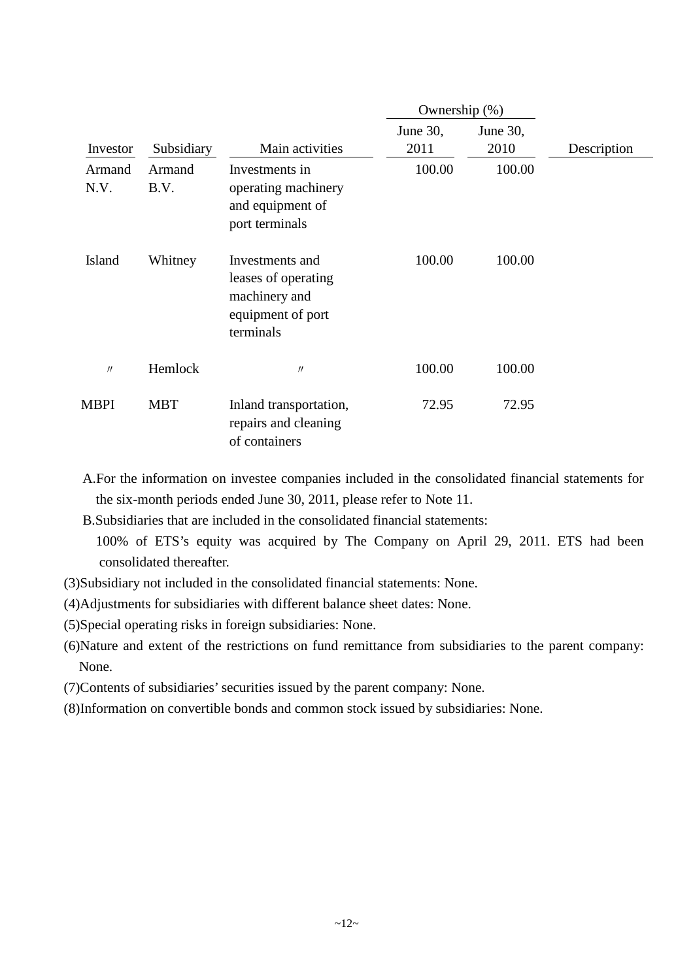|                | Ownership (%)  |                                                                                           |                  |                  |             |
|----------------|----------------|-------------------------------------------------------------------------------------------|------------------|------------------|-------------|
| Investor       | Subsidiary     | Main activities                                                                           | June 30,<br>2011 | June 30,<br>2010 | Description |
| Armand<br>N.V. | Armand<br>B.V. | Investments in<br>operating machinery<br>and equipment of<br>port terminals               | 100.00           | 100.00           |             |
| Island         | Whitney        | Investments and<br>leases of operating<br>machinery and<br>equipment of port<br>terminals | 100.00           | 100.00           |             |
| $\prime$       | Hemlock        | $\prime$                                                                                  | 100.00           | 100.00           |             |
| MBPI           | <b>MBT</b>     | Inland transportation,<br>repairs and cleaning<br>of containers                           | 72.95            | 72.95            |             |

- A.For the information on investee companies included in the consolidated financial statements for the six-month periods ended June 30, 2011, please refer to Note 11.
- B.Subsidiaries that are included in the consolidated financial statements: 100% of ETS's equity was acquired by The Company on April 29, 2011. ETS had been consolidated thereafter.
- (3)Subsidiary not included in the consolidated financial statements: None.
- (4)Adjustments for subsidiaries with different balance sheet dates: None.
- (5)Special operating risks in foreign subsidiaries: None.
- (6)Nature and extent of the restrictions on fund remittance from subsidiaries to the parent company: None.
- (7)Contents of subsidiaries' securities issued by the parent company: None.
- (8)Information on convertible bonds and common stock issued by subsidiaries: None.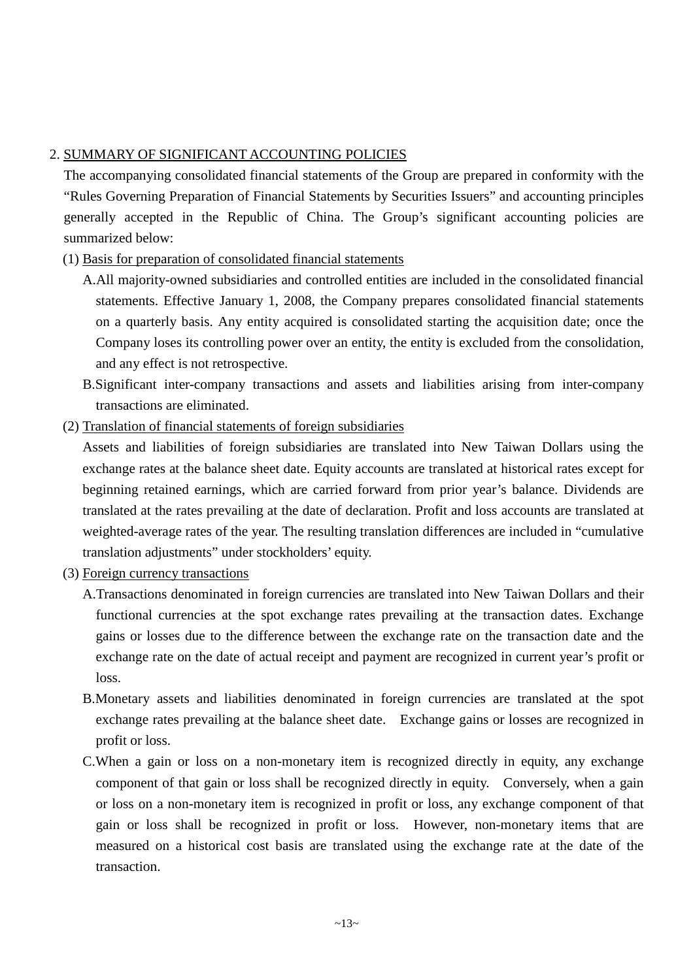### 2. SUMMARY OF SIGNIFICANT ACCOUNTING POLICIES

The accompanying consolidated financial statements of the Group are prepared in conformity with the "Rules Governing Preparation of Financial Statements by Securities Issuers" and accounting principles generally accepted in the Republic of China. The Group's significant accounting policies are summarized below:

### (1) Basis for preparation of consolidated financial statements

- A.All majority-owned subsidiaries and controlled entities are included in the consolidated financial statements. Effective January 1, 2008, the Company prepares consolidated financial statements on a quarterly basis. Any entity acquired is consolidated starting the acquisition date; once the Company loses its controlling power over an entity, the entity is excluded from the consolidation, and any effect is not retrospective.
- B.Significant inter-company transactions and assets and liabilities arising from inter-company transactions are eliminated.
- (2) Translation of financial statements of foreign subsidiaries

Assets and liabilities of foreign subsidiaries are translated into New Taiwan Dollars using the exchange rates at the balance sheet date. Equity accounts are translated at historical rates except for beginning retained earnings, which are carried forward from prior year's balance. Dividends are translated at the rates prevailing at the date of declaration. Profit and loss accounts are translated at weighted-average rates of the year. The resulting translation differences are included in "cumulative translation adjustments" under stockholders' equity.

- (3) Foreign currency transactions
	- A.Transactions denominated in foreign currencies are translated into New Taiwan Dollars and their functional currencies at the spot exchange rates prevailing at the transaction dates. Exchange gains or losses due to the difference between the exchange rate on the transaction date and the exchange rate on the date of actual receipt and payment are recognized in current year's profit or loss.
	- B.Monetary assets and liabilities denominated in foreign currencies are translated at the spot exchange rates prevailing at the balance sheet date. Exchange gains or losses are recognized in profit or loss.
	- C.When a gain or loss on a non-monetary item is recognized directly in equity, any exchange component of that gain or loss shall be recognized directly in equity. Conversely, when a gain or loss on a non-monetary item is recognized in profit or loss, any exchange component of that gain or loss shall be recognized in profit or loss. However, non-monetary items that are measured on a historical cost basis are translated using the exchange rate at the date of the transaction.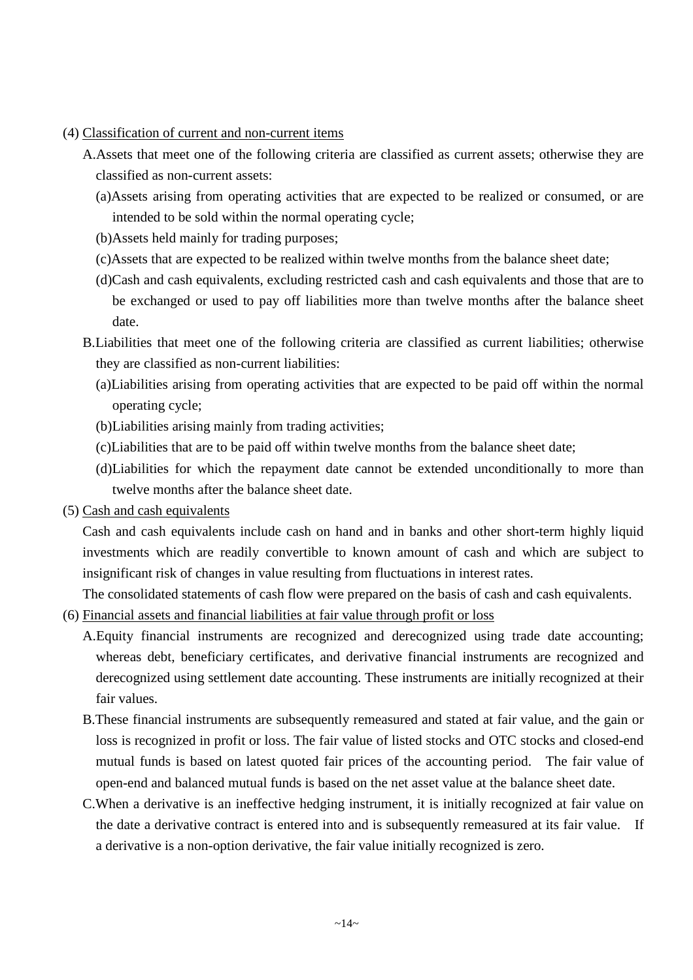- (4) Classification of current and non-current items
	- A.Assets that meet one of the following criteria are classified as current assets; otherwise they are classified as non-current assets:
		- (a)Assets arising from operating activities that are expected to be realized or consumed, or are intended to be sold within the normal operating cycle;
		- (b)Assets held mainly for trading purposes;
		- (c)Assets that are expected to be realized within twelve months from the balance sheet date;
		- (d)Cash and cash equivalents, excluding restricted cash and cash equivalents and those that are to be exchanged or used to pay off liabilities more than twelve months after the balance sheet date.
	- B.Liabilities that meet one of the following criteria are classified as current liabilities; otherwise they are classified as non-current liabilities:
		- (a)Liabilities arising from operating activities that are expected to be paid off within the normal operating cycle;
		- (b)Liabilities arising mainly from trading activities;
		- (c)Liabilities that are to be paid off within twelve months from the balance sheet date;
		- (d)Liabilities for which the repayment date cannot be extended unconditionally to more than twelve months after the balance sheet date.
- (5) Cash and cash equivalents

Cash and cash equivalents include cash on hand and in banks and other short-term highly liquid investments which are readily convertible to known amount of cash and which are subject to insignificant risk of changes in value resulting from fluctuations in interest rates.

The consolidated statements of cash flow were prepared on the basis of cash and cash equivalents.

- (6) Financial assets and financial liabilities at fair value through profit or loss
	- A.Equity financial instruments are recognized and derecognized using trade date accounting; whereas debt, beneficiary certificates, and derivative financial instruments are recognized and derecognized using settlement date accounting. These instruments are initially recognized at their fair values.
	- B.These financial instruments are subsequently remeasured and stated at fair value, and the gain or loss is recognized in profit or loss. The fair value of listed stocks and OTC stocks and closed-end mutual funds is based on latest quoted fair prices of the accounting period. The fair value of open-end and balanced mutual funds is based on the net asset value at the balance sheet date.
	- C.When a derivative is an ineffective hedging instrument, it is initially recognized at fair value on the date a derivative contract is entered into and is subsequently remeasured at its fair value. If a derivative is a non-option derivative, the fair value initially recognized is zero.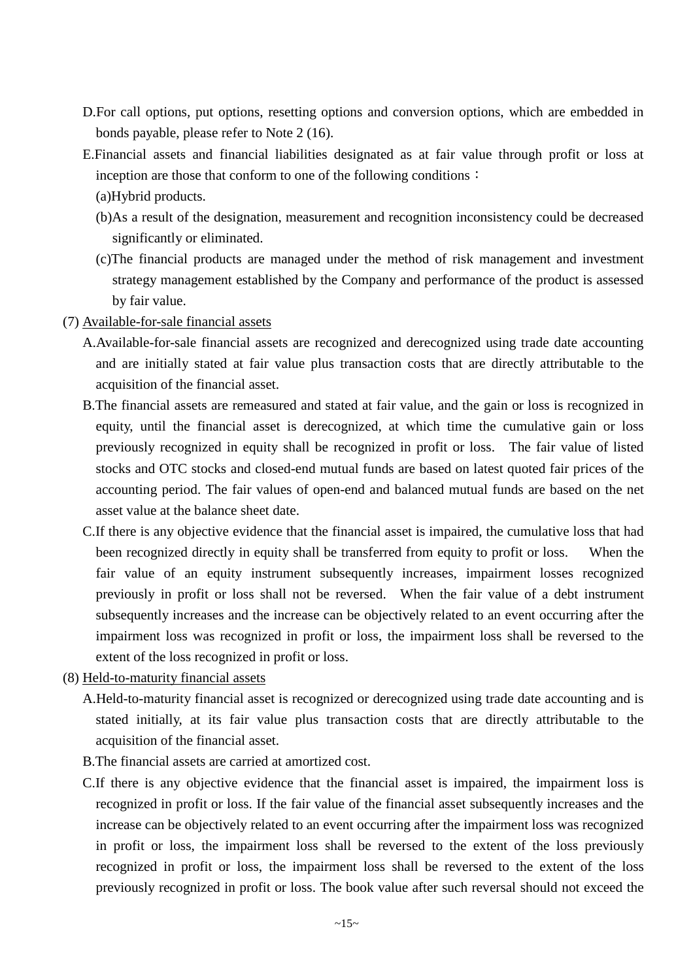- D.For call options, put options, resetting options and conversion options, which are embedded in bonds payable, please refer to Note 2 (16).
- E.Financial assets and financial liabilities designated as at fair value through profit or loss at inception are those that conform to one of the following conditions: (a)Hybrid products.
	- (b)As a result of the designation, measurement and recognition inconsistency could be decreased significantly or eliminated.
	- (c)The financial products are managed under the method of risk management and investment strategy management established by the Company and performance of the product is assessed by fair value.
- (7) Available-for-sale financial assets
	- A.Available-for-sale financial assets are recognized and derecognized using trade date accounting and are initially stated at fair value plus transaction costs that are directly attributable to the acquisition of the financial asset.
	- B.The financial assets are remeasured and stated at fair value, and the gain or loss is recognized in equity, until the financial asset is derecognized, at which time the cumulative gain or loss previously recognized in equity shall be recognized in profit or loss. The fair value of listed stocks and OTC stocks and closed-end mutual funds are based on latest quoted fair prices of the accounting period. The fair values of open-end and balanced mutual funds are based on the net asset value at the balance sheet date.
	- C.If there is any objective evidence that the financial asset is impaired, the cumulative loss that had been recognized directly in equity shall be transferred from equity to profit or loss. When the fair value of an equity instrument subsequently increases, impairment losses recognized previously in profit or loss shall not be reversed. When the fair value of a debt instrument subsequently increases and the increase can be objectively related to an event occurring after the impairment loss was recognized in profit or loss, the impairment loss shall be reversed to the extent of the loss recognized in profit or loss.
- (8) Held-to-maturity financial assets
	- A.Held-to-maturity financial asset is recognized or derecognized using trade date accounting and is stated initially, at its fair value plus transaction costs that are directly attributable to the acquisition of the financial asset.
	- B.The financial assets are carried at amortized cost.
	- C.If there is any objective evidence that the financial asset is impaired, the impairment loss is recognized in profit or loss. If the fair value of the financial asset subsequently increases and the increase can be objectively related to an event occurring after the impairment loss was recognized in profit or loss, the impairment loss shall be reversed to the extent of the loss previously recognized in profit or loss, the impairment loss shall be reversed to the extent of the loss previously recognized in profit or loss. The book value after such reversal should not exceed the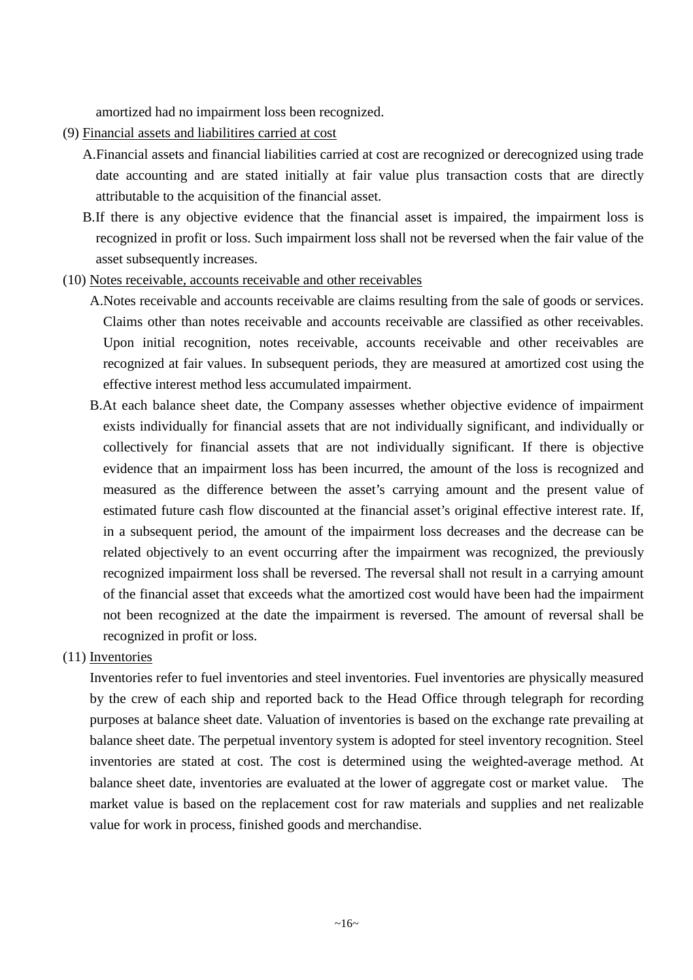amortized had no impairment loss been recognized.

- (9) Financial assets and liabilitires carried at cost
	- A.Financial assets and financial liabilities carried at cost are recognized or derecognized using trade date accounting and are stated initially at fair value plus transaction costs that are directly attributable to the acquisition of the financial asset.
	- B.If there is any objective evidence that the financial asset is impaired, the impairment loss is recognized in profit or loss. Such impairment loss shall not be reversed when the fair value of the asset subsequently increases.
- (10) Notes receivable, accounts receivable and other receivables
	- A.Notes receivable and accounts receivable are claims resulting from the sale of goods or services. Claims other than notes receivable and accounts receivable are classified as other receivables. Upon initial recognition, notes receivable, accounts receivable and other receivables are recognized at fair values. In subsequent periods, they are measured at amortized cost using the effective interest method less accumulated impairment.
	- B.At each balance sheet date, the Company assesses whether objective evidence of impairment exists individually for financial assets that are not individually significant, and individually or collectively for financial assets that are not individually significant. If there is objective evidence that an impairment loss has been incurred, the amount of the loss is recognized and measured as the difference between the asset's carrying amount and the present value of estimated future cash flow discounted at the financial asset's original effective interest rate. If, in a subsequent period, the amount of the impairment loss decreases and the decrease can be related objectively to an event occurring after the impairment was recognized, the previously recognized impairment loss shall be reversed. The reversal shall not result in a carrying amount of the financial asset that exceeds what the amortized cost would have been had the impairment not been recognized at the date the impairment is reversed. The amount of reversal shall be recognized in profit or loss.
- (11) Inventories

Inventories refer to fuel inventories and steel inventories. Fuel inventories are physically measured by the crew of each ship and reported back to the Head Office through telegraph for recording purposes at balance sheet date. Valuation of inventories is based on the exchange rate prevailing at balance sheet date. The perpetual inventory system is adopted for steel inventory recognition. Steel inventories are stated at cost. The cost is determined using the weighted-average method. At balance sheet date, inventories are evaluated at the lower of aggregate cost or market value. The market value is based on the replacement cost for raw materials and supplies and net realizable value for work in process, finished goods and merchandise.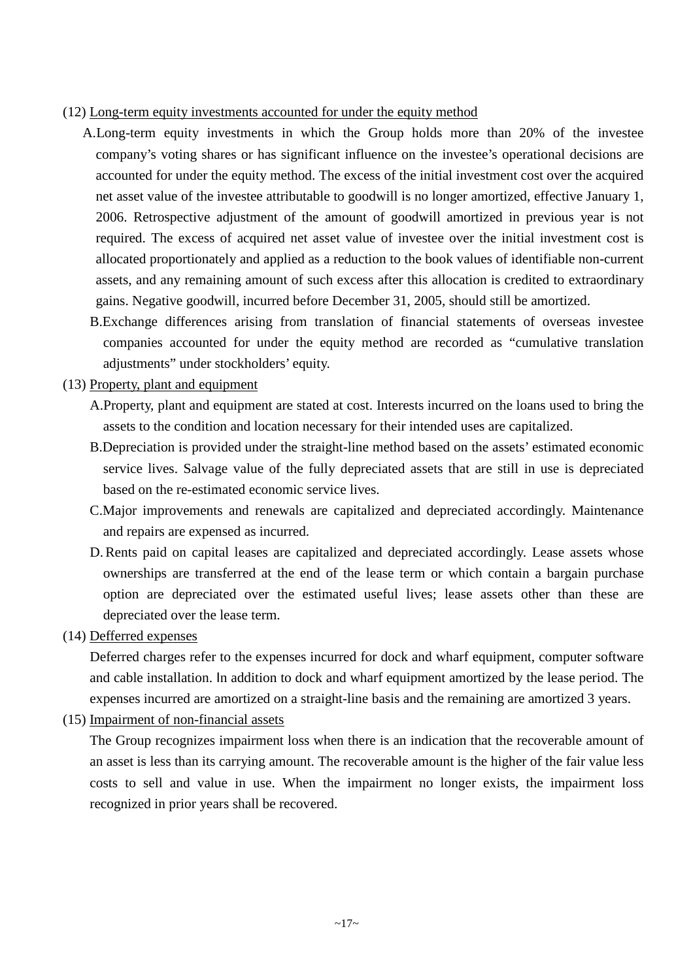#### (12) Long-term equity investments accounted for under the equity method

- A.Long-term equity investments in which the Group holds more than 20% of the investee company's voting shares or has significant influence on the investee's operational decisions are accounted for under the equity method. The excess of the initial investment cost over the acquired net asset value of the investee attributable to goodwill is no longer amortized, effective January 1, 2006. Retrospective adjustment of the amount of goodwill amortized in previous year is not required. The excess of acquired net asset value of investee over the initial investment cost is allocated proportionately and applied as a reduction to the book values of identifiable non-current assets, and any remaining amount of such excess after this allocation is credited to extraordinary gains. Negative goodwill, incurred before December 31, 2005, should still be amortized.
	- B.Exchange differences arising from translation of financial statements of overseas investee companies accounted for under the equity method are recorded as "cumulative translation adjustments" under stockholders' equity.

(13) Property, plant and equipment

- A.Property, plant and equipment are stated at cost. Interests incurred on the loans used to bring the assets to the condition and location necessary for their intended uses are capitalized.
- B.Depreciation is provided under the straight-line method based on the assets' estimated economic service lives. Salvage value of the fully depreciated assets that are still in use is depreciated based on the re-estimated economic service lives.
- C.Major improvements and renewals are capitalized and depreciated accordingly. Maintenance and repairs are expensed as incurred.
- D. Rents paid on capital leases are capitalized and depreciated accordingly. Lease assets whose ownerships are transferred at the end of the lease term or which contain a bargain purchase option are depreciated over the estimated useful lives; lease assets other than these are depreciated over the lease term.

(14) Defferred expenses

Deferred charges refer to the expenses incurred for dock and wharf equipment, computer software and cable installation. In addition to dock and wharf equipment amortized by the lease period. The expenses incurred are amortized on a straight-line basis and the remaining are amortized 3 years.

(15) Impairment of non-financial assets

The Group recognizes impairment loss when there is an indication that the recoverable amount of an asset is less than its carrying amount. The recoverable amount is the higher of the fair value less costs to sell and value in use. When the impairment no longer exists, the impairment loss recognized in prior years shall be recovered.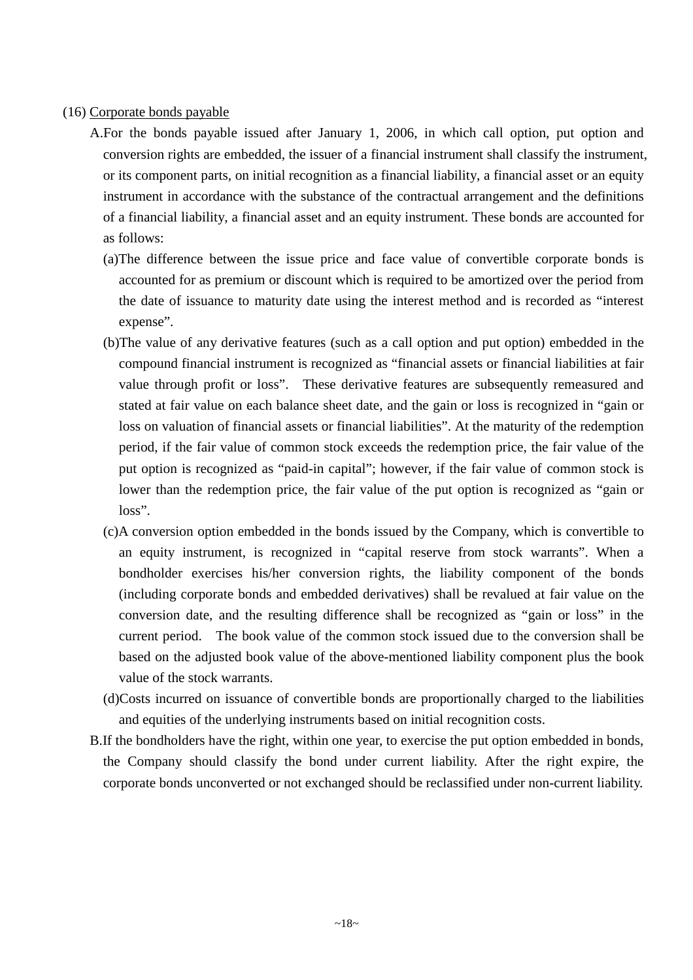#### (16) Corporate bonds payable

- A.For the bonds payable issued after January 1, 2006, in which call option, put option and conversion rights are embedded, the issuer of a financial instrument shall classify the instrument, or its component parts, on initial recognition as a financial liability, a financial asset or an equity instrument in accordance with the substance of the contractual arrangement and the definitions of a financial liability, a financial asset and an equity instrument. These bonds are accounted for as follows:
	- (a)The difference between the issue price and face value of convertible corporate bonds is accounted for as premium or discount which is required to be amortized over the period from the date of issuance to maturity date using the interest method and is recorded as "interest expense".
	- (b)The value of any derivative features (such as a call option and put option) embedded in the compound financial instrument is recognized as "financial assets or financial liabilities at fair value through profit or loss". These derivative features are subsequently remeasured and stated at fair value on each balance sheet date, and the gain or loss is recognized in "gain or loss on valuation of financial assets or financial liabilities". At the maturity of the redemption period, if the fair value of common stock exceeds the redemption price, the fair value of the put option is recognized as "paid-in capital"; however, if the fair value of common stock is lower than the redemption price, the fair value of the put option is recognized as "gain or loss".
	- (c)A conversion option embedded in the bonds issued by the Company, which is convertible to an equity instrument, is recognized in "capital reserve from stock warrants". When a bondholder exercises his/her conversion rights, the liability component of the bonds (including corporate bonds and embedded derivatives) shall be revalued at fair value on the conversion date, and the resulting difference shall be recognized as "gain or loss" in the current period. The book value of the common stock issued due to the conversion shall be based on the adjusted book value of the above-mentioned liability component plus the book value of the stock warrants.
	- (d)Costs incurred on issuance of convertible bonds are proportionally charged to the liabilities and equities of the underlying instruments based on initial recognition costs.
- B.If the bondholders have the right, within one year, to exercise the put option embedded in bonds, the Company should classify the bond under current liability. After the right expire, the corporate bonds unconverted or not exchanged should be reclassified under non-current liability.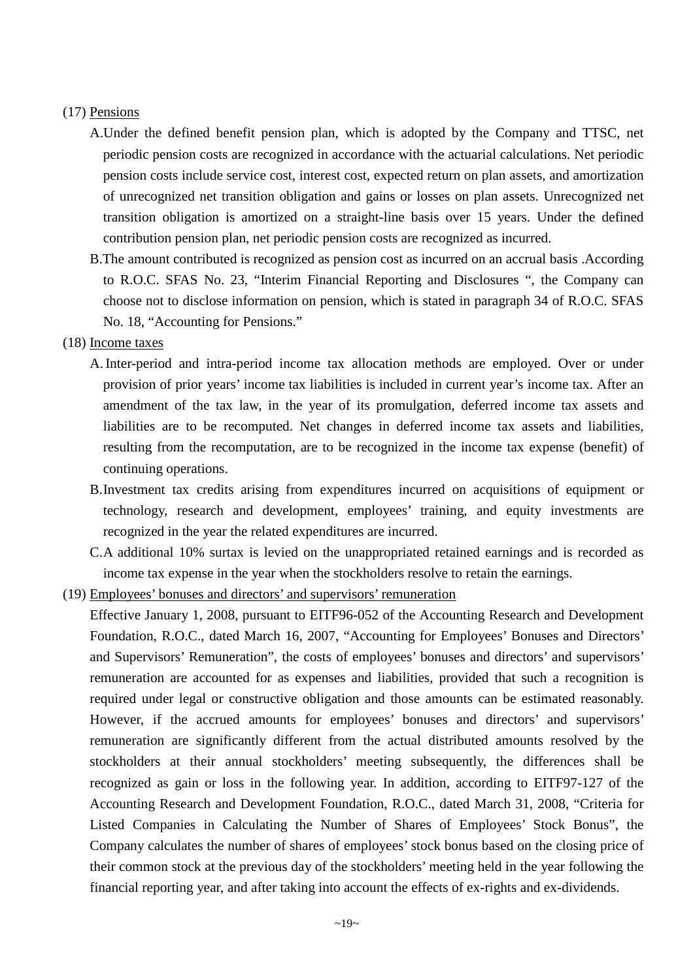#### (17) Pensions

- A.Under the defined benefit pension plan, which is adopted by the Company and TTSC, net periodic pension costs are recognized in accordance with the actuarial calculations. Net periodic pension costs include service cost, interest cost, expected return on plan assets, and amortization of unrecognized net transition obligation and gains or losses on plan assets. Unrecognized net transition obligation is amortized on a straight-line basis over 15 years. Under the defined contribution pension plan, net periodic pension costs are recognized as incurred.
- B.The amount contributed is recognized as pension cost as incurred on an accrual basis .According to R.O.C. SFAS No. 23, "Interim Financial Reporting and Disclosures ", the Company can choose not to disclose information on pension, which is stated in paragraph 34 of R.O.C. SFAS No. 18, "Accounting for Pensions."

#### (18) Income taxes

- A. Inter-period and intra-period income tax allocation methods are employed. Over or under provision of prior years' income tax liabilities is included in current year's income tax. After an amendment of the tax law, in the year of its promulgation, deferred income tax assets and liabilities are to be recomputed. Net changes in deferred income tax assets and liabilities, resulting from the recomputation, are to be recognized in the income tax expense (benefit) of continuing operations.
- B.Investment tax credits arising from expenditures incurred on acquisitions of equipment or technology, research and development, employees' training, and equity investments are recognized in the year the related expenditures are incurred.
- C.A additional 10% surtax is levied on the unappropriated retained earnings and is recorded as income tax expense in the year when the stockholders resolve to retain the earnings.
- (19) Employees' bonuses and directors' and supervisors' remuneration
	- Effective January 1, 2008, pursuant to EITF96-052 of the Accounting Research and Development Foundation, R.O.C., dated March 16, 2007, "Accounting for Employees' Bonuses and Directors' and Supervisors' Remuneration", the costs of employees' bonuses and directors' and supervisors' remuneration are accounted for as expenses and liabilities, provided that such a recognition is required under legal or constructive obligation and those amounts can be estimated reasonably. However, if the accrued amounts for employees' bonuses and directors' and supervisors' remuneration are significantly different from the actual distributed amounts resolved by the stockholders at their annual stockholders' meeting subsequently, the differences shall be recognized as gain or loss in the following year. In addition, according to EITF97-127 of the Accounting Research and Development Foundation, R.O.C., dated March 31, 2008, "Criteria for Listed Companies in Calculating the Number of Shares of Employees' Stock Bonus", the Company calculates the number of shares of employees' stock bonus based on the closing price of their common stock at the previous day of the stockholders' meeting held in the year following the financial reporting year, and after taking into account the effects of ex-rights and ex-dividends.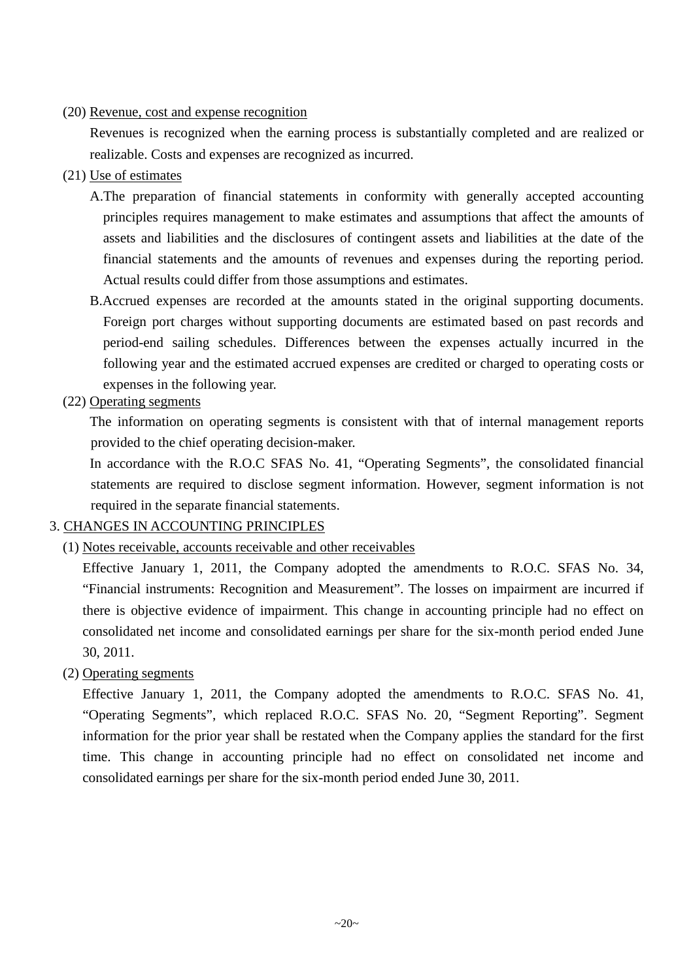#### (20) Revenue, cost and expense recognition

Revenues is recognized when the earning process is substantially completed and are realized or realizable. Costs and expenses are recognized as incurred.

- (21) Use of estimates
	- A.The preparation of financial statements in conformity with generally accepted accounting principles requires management to make estimates and assumptions that affect the amounts of assets and liabilities and the disclosures of contingent assets and liabilities at the date of the financial statements and the amounts of revenues and expenses during the reporting period. Actual results could differ from those assumptions and estimates.
	- B.Accrued expenses are recorded at the amounts stated in the original supporting documents. Foreign port charges without supporting documents are estimated based on past records and period-end sailing schedules. Differences between the expenses actually incurred in the following year and the estimated accrued expenses are credited or charged to operating costs or expenses in the following year.
- (22) Operating segments

The information on operating segments is consistent with that of internal management reports provided to the chief operating decision-maker.

In accordance with the R.O.C SFAS No. 41, "Operating Segments", the consolidated financial statements are required to disclose segment information. However, segment information is not required in the separate financial statements.

### 3. CHANGES IN ACCOUNTING PRINCIPLES

#### (1) Notes receivable, accounts receivable and other receivables

Effective January 1, 2011, the Company adopted the amendments to R.O.C. SFAS No. 34, "Financial instruments: Recognition and Measurement". The losses on impairment are incurred if there is objective evidence of impairment. This change in accounting principle had no effect on consolidated net income and consolidated earnings per share for the six-month period ended June 30, 2011.

#### (2) Operating segments

Effective January 1, 2011, the Company adopted the amendments to R.O.C. SFAS No. 41, "Operating Segments", which replaced R.O.C. SFAS No. 20, "Segment Reporting". Segment information for the prior year shall be restated when the Company applies the standard for the first time. This change in accounting principle had no effect on consolidated net income and consolidated earnings per share for the six-month period ended June 30, 2011.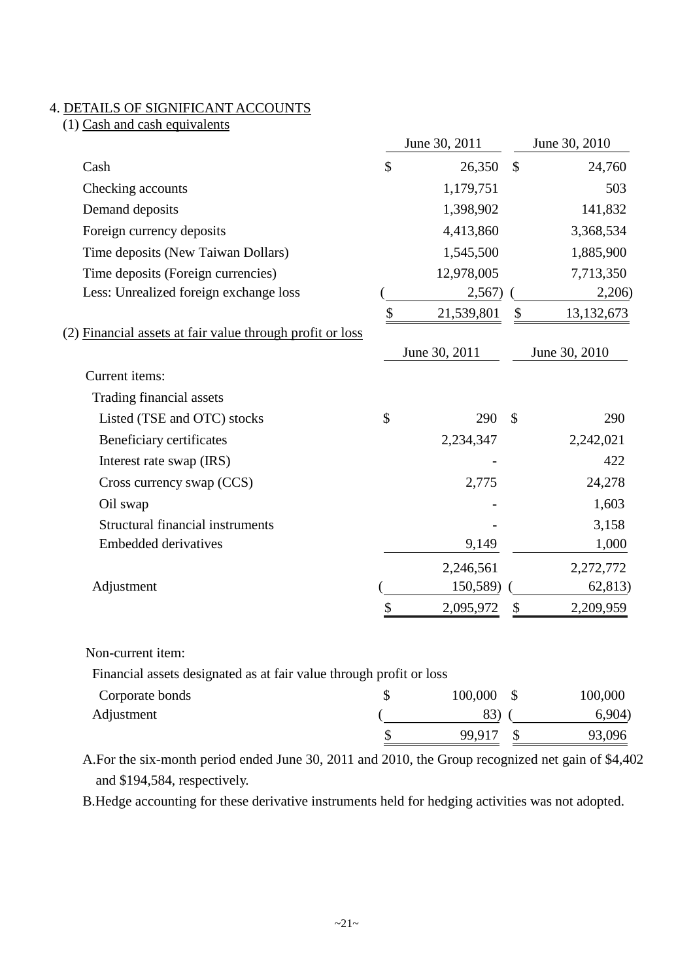### 4. DETAILS OF SIGNIFICANT ACCOUNTS

 $(1)$  Cash and cash equivalents

|                                                           |               | June 30, 2011 |               | June 30, 2010 |
|-----------------------------------------------------------|---------------|---------------|---------------|---------------|
| Cash                                                      | \$            | 26,350        | $\mathcal{S}$ | 24,760        |
| Checking accounts                                         |               | 1,179,751     |               | 503           |
| Demand deposits                                           |               | 1,398,902     |               | 141,832       |
| Foreign currency deposits                                 |               | 4,413,860     |               | 3,368,534     |
| Time deposits (New Taiwan Dollars)                        |               | 1,545,500     |               | 1,885,900     |
| Time deposits (Foreign currencies)                        |               | 12,978,005    |               | 7,713,350     |
| Less: Unrealized foreign exchange loss                    |               | 2,567)        |               | 2,206)        |
|                                                           | \$            | 21,539,801    | $\mathcal{S}$ | 13,132,673    |
| (2) Financial assets at fair value through profit or loss |               |               |               |               |
|                                                           |               | June 30, 2011 |               | June 30, 2010 |
| Current items:                                            |               |               |               |               |
| Trading financial assets                                  |               |               |               |               |
| Listed (TSE and OTC) stocks                               | $\mathcal{S}$ | 290           | $\mathcal{S}$ | 290           |
| Beneficiary certificates                                  |               | 2,234,347     |               | 2,242,021     |
| Interest rate swap (IRS)                                  |               |               |               | 422           |
| Cross currency swap (CCS)                                 |               | 2,775         |               | 24,278        |
| Oil swap                                                  |               |               |               | 1,603         |
| <b>Structural financial instruments</b>                   |               |               |               | 3,158         |
| Embedded derivatives                                      |               | 9,149         |               | 1,000         |
|                                                           |               | 2,246,561     |               | 2,272,772     |
| Adjustment                                                |               | 150,589)      |               | 62,813)       |
|                                                           | \$            | 2,095,972     | \$            | 2,209,959     |
|                                                           |               |               |               |               |

#### Non-current item:

Financial assets designated as at fair value through profit or loss

| Corporate bonds | 100,000 | 100,000 |
|-----------------|---------|---------|
| Adjustment      | 83)     | 6,904)  |
|                 | 99,917  | 93,096  |

A.For the six-month period ended June 30, 2011 and 2010, the Group recognized net gain of \$4,402 and \$194,584, respectively.

B.Hedge accounting for these derivative instruments held for hedging activities was not adopted.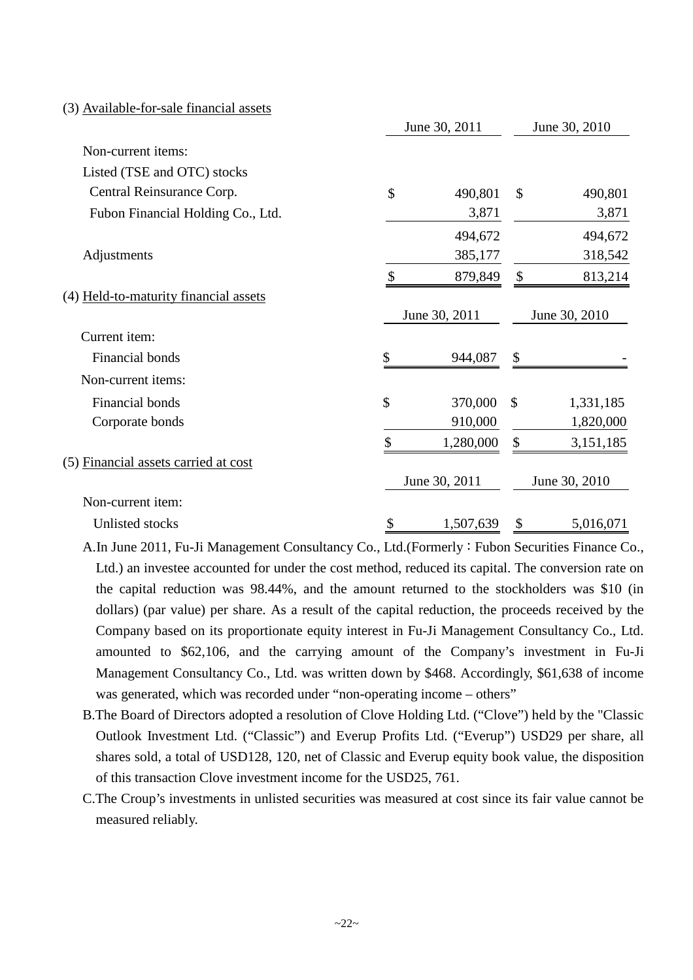| (3) Available-for-sale financial assets |
|-----------------------------------------|
|-----------------------------------------|

|                                       | June 30, 2011   | June 30, 2010 |               |  |
|---------------------------------------|-----------------|---------------|---------------|--|
| Non-current items:                    |                 |               |               |  |
| Listed (TSE and OTC) stocks           |                 |               |               |  |
| Central Reinsurance Corp.             | \$<br>490,801   | $\mathcal{S}$ | 490,801       |  |
| Fubon Financial Holding Co., Ltd.     | 3,871           |               | 3,871         |  |
|                                       | 494,672         |               | 494,672       |  |
| Adjustments                           | 385,177         |               | 318,542       |  |
|                                       | \$<br>879,849   | \$            | 813,214       |  |
| (4) Held-to-maturity financial assets |                 |               |               |  |
|                                       | June 30, 2011   |               | June 30, 2010 |  |
| Current item:                         |                 |               |               |  |
| Financial bonds                       | \$<br>944,087   | \$            |               |  |
| Non-current items:                    |                 |               |               |  |
| Financial bonds                       | \$<br>370,000   | $\mathcal{S}$ | 1,331,185     |  |
| Corporate bonds                       | 910,000         |               | 1,820,000     |  |
|                                       | \$<br>1,280,000 | \$            | 3,151,185     |  |
| (5) Financial assets carried at cost  |                 |               |               |  |
|                                       | June 30, 2011   |               | June 30, 2010 |  |
| Non-current item:                     |                 |               |               |  |
| Unlisted stocks                       | \$<br>1,507,639 | \$            | 5,016,071     |  |

A.In June 2011, Fu-Ji Management Consultancy Co., Ltd.(Formerly:Fubon Securities Finance Co., Ltd.) an investee accounted for under the cost method, reduced its capital. The conversion rate on the capital reduction was 98.44%, and the amount returned to the stockholders was \$10 (in dollars) (par value) per share. As a result of the capital reduction, the proceeds received by the Company based on its proportionate equity interest in Fu-Ji Management Consultancy Co., Ltd. amounted to \$62,106, and the carrying amount of the Company's investment in Fu-Ji Management Consultancy Co., Ltd. was written down by \$468. Accordingly, \$61,638 of income was generated, which was recorded under "non-operating income – others"

- B.The Board of Directors adopted a resolution of Clove Holding Ltd. ("Clove") held by the "Classic Outlook Investment Ltd. ("Classic") and Everup Profits Ltd. ("Everup") USD29 per share, all shares sold, a total of USD128, 120, net of Classic and Everup equity book value, the disposition of this transaction Clove investment income for the USD25, 761.
- C.The Croup's investments in unlisted securities was measured at cost since its fair value cannot be measured reliably.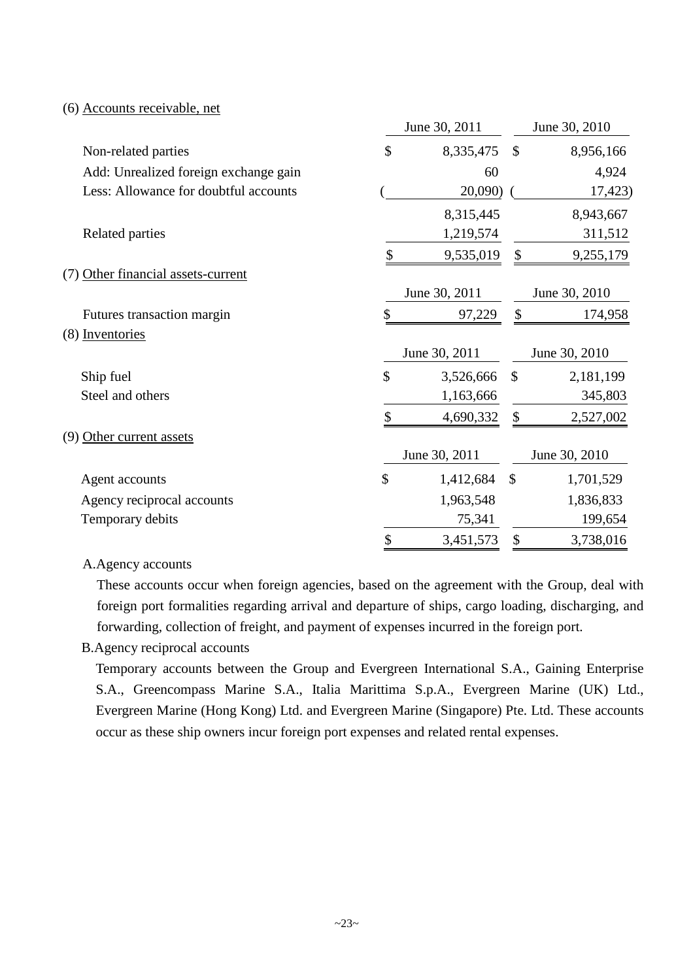#### (6) Accounts receivable, net

|                                       | June 30, 2011   |               | June 30, 2010 |
|---------------------------------------|-----------------|---------------|---------------|
| Non-related parties                   | \$<br>8,335,475 | $\mathcal{S}$ | 8,956,166     |
| Add: Unrealized foreign exchange gain | 60              |               | 4,924         |
| Less: Allowance for doubtful accounts | 20,090)         |               | 17,423)       |
|                                       | 8,315,445       |               | 8,943,667     |
| <b>Related parties</b>                | 1,219,574       |               | 311,512       |
|                                       | 9,535,019       | \$            | 9,255,179     |
| (7) Other financial assets-current    |                 |               |               |
|                                       | June 30, 2011   |               | June 30, 2010 |
| Futures transaction margin            | \$<br>97,229    | \$            | 174,958       |
| (8) Inventories                       |                 |               |               |
|                                       | June 30, 2011   |               | June 30, 2010 |
| Ship fuel                             | \$<br>3,526,666 | $\mathcal{S}$ | 2,181,199     |
| Steel and others                      | 1,163,666       |               | 345,803       |
|                                       | \$<br>4,690,332 | \$            | 2,527,002     |
| (9) Other current assets              |                 |               |               |
|                                       | June 30, 2011   |               | June 30, 2010 |
| Agent accounts                        | \$<br>1,412,684 | $\mathcal{S}$ | 1,701,529     |
| Agency reciprocal accounts            | 1,963,548       |               | 1,836,833     |
| Temporary debits                      | 75,341          |               | 199,654       |
|                                       | \$<br>3,451,573 | \$            | 3,738,016     |

#### A.Agency accounts

These accounts occur when foreign agencies, based on the agreement with the Group, deal with foreign port formalities regarding arrival and departure of ships, cargo loading, discharging, and forwarding, collection of freight, and payment of expenses incurred in the foreign port.

#### B.Agency reciprocal accounts

Temporary accounts between the Group and Evergreen International S.A., Gaining Enterprise S.A., Greencompass Marine S.A., Italia Marittima S.p.A., Evergreen Marine (UK) Ltd., Evergreen Marine (Hong Kong) Ltd. and Evergreen Marine (Singapore) Pte. Ltd. These accounts occur as these ship owners incur foreign port expenses and related rental expenses.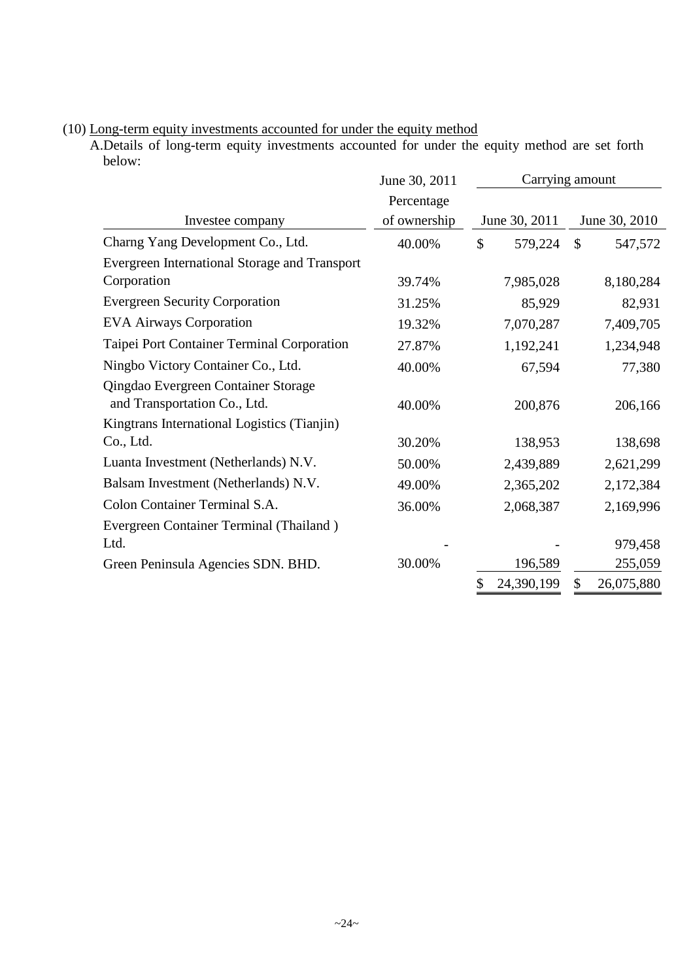|                                               | June 30, 2011 |                          | Carrying amount         |
|-----------------------------------------------|---------------|--------------------------|-------------------------|
|                                               | Percentage    |                          |                         |
| Investee company                              | of ownership  | June 30, 2011            | June 30, 2010           |
| Charng Yang Development Co., Ltd.             | 40.00%        | $\mathcal{S}$<br>579,224 | $\mathbb{S}$<br>547,572 |
| Evergreen International Storage and Transport |               |                          |                         |
| Corporation                                   | 39.74%        | 7,985,028                | 8,180,284               |
| <b>Evergreen Security Corporation</b>         | 31.25%        | 85,929                   | 82,931                  |
| <b>EVA Airways Corporation</b>                | 19.32%        | 7,070,287                | 7,409,705               |
| Taipei Port Container Terminal Corporation    | 27.87%        | 1,192,241                | 1,234,948               |
| Ningbo Victory Container Co., Ltd.            | 40.00%        | 67,594                   | 77,380                  |
| Qingdao Evergreen Container Storage           |               |                          |                         |
| and Transportation Co., Ltd.                  | 40.00%        | 200,876                  | 206,166                 |
| Kingtrans International Logistics (Tianjin)   |               |                          |                         |
| Co., Ltd.                                     | 30.20%        | 138,953                  | 138,698                 |
| Luanta Investment (Netherlands) N.V.          | 50.00%        | 2,439,889                | 2,621,299               |
| Balsam Investment (Netherlands) N.V.          | 49.00%        | 2,365,202                | 2,172,384               |
| Colon Container Terminal S.A.                 | 36.00%        | 2,068,387                | 2,169,996               |
| Evergreen Container Terminal (Thailand)       |               |                          |                         |
| Ltd.                                          |               |                          | 979,458                 |
| Green Peninsula Agencies SDN. BHD.            | 30.00%        | 196,589                  | 255,059                 |
|                                               |               | 24,390,199<br>\$         | 26,075,880<br>\$        |

(10) Long-term equity investments accounted for under the equity method

A.Details of long-term equity investments accounted for under the equity method are set forth below: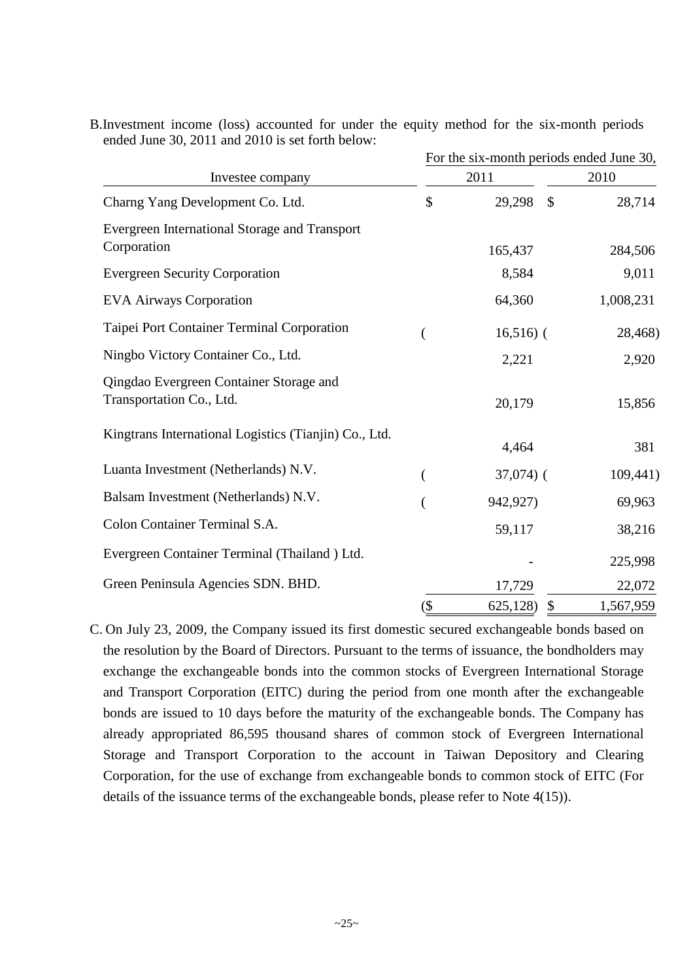|                                                                     | For the six-month periods ended June 30, |                |           |  |  |  |
|---------------------------------------------------------------------|------------------------------------------|----------------|-----------|--|--|--|
| Investee company                                                    |                                          | 2011           | 2010      |  |  |  |
| Charng Yang Development Co. Ltd.                                    | \$                                       | \$<br>29,298   | 28,714    |  |  |  |
| Evergreen International Storage and Transport<br>Corporation        |                                          | 165,437        | 284,506   |  |  |  |
| <b>Evergreen Security Corporation</b>                               |                                          | 8,584          | 9,011     |  |  |  |
| <b>EVA Airways Corporation</b>                                      |                                          | 64,360         | 1,008,231 |  |  |  |
| Taipei Port Container Terminal Corporation                          |                                          | $16,516$ ) (   | 28,468)   |  |  |  |
| Ningbo Victory Container Co., Ltd.                                  |                                          | 2,221          | 2,920     |  |  |  |
| Qingdao Evergreen Container Storage and<br>Transportation Co., Ltd. |                                          | 20,179         | 15,856    |  |  |  |
| Kingtrans International Logistics (Tianjin) Co., Ltd.               |                                          | 4,464          | 381       |  |  |  |
| Luanta Investment (Netherlands) N.V.                                |                                          | $37,074$ ) (   | 109,441)  |  |  |  |
| Balsam Investment (Netherlands) N.V.                                |                                          | 942,927)       | 69,963    |  |  |  |
| Colon Container Terminal S.A.                                       |                                          | 59,117         | 38,216    |  |  |  |
| Evergreen Container Terminal (Thailand) Ltd.                        |                                          |                | 225,998   |  |  |  |
| Green Peninsula Agencies SDN. BHD.                                  |                                          | 17,729         | 22,072    |  |  |  |
|                                                                     | $($ \$                                   | \$<br>625,128) | 1,567,959 |  |  |  |

B.Investment income (loss) accounted for under the equity method for the six-month periods ended June 30, 2011 and 2010 is set forth below:

C. On July 23, 2009, the Company issued its first domestic secured exchangeable bonds based on the resolution by the Board of Directors. Pursuant to the terms of issuance, the bondholders may exchange the exchangeable bonds into the common stocks of Evergreen International Storage and Transport Corporation (EITC) during the period from one month after the exchangeable bonds are issued to 10 days before the maturity of the exchangeable bonds. The Company has already appropriated 86,595 thousand shares of common stock of Evergreen International Storage and Transport Corporation to the account in Taiwan Depository and Clearing Corporation, for the use of exchange from exchangeable bonds to common stock of EITC (For details of the issuance terms of the exchangeable bonds, please refer to Note 4(15)).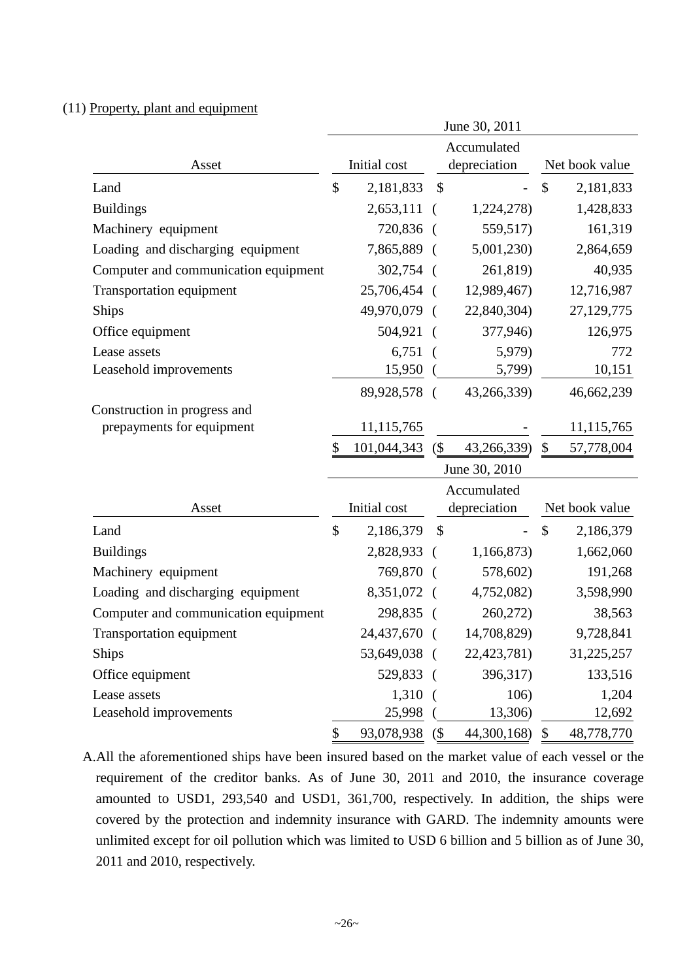#### (11) Property, plant and equipment

|                                      |               |              |               | June 30, 2011  |                |                |  |
|--------------------------------------|---------------|--------------|---------------|----------------|----------------|----------------|--|
|                                      |               |              |               | Accumulated    |                |                |  |
| Asset                                |               | Initial cost |               | depreciation   |                | Net book value |  |
| Land                                 | \$            | 2,181,833    | \$            |                | \$             | 2,181,833      |  |
| <b>Buildings</b>                     |               | 2,653,111    | - (           | 1,224,278)     |                | 1,428,833      |  |
| Machinery equipment                  |               | 720,836 (    |               | 559,517)       |                | 161,319        |  |
| Loading and discharging equipment    |               | 7,865,889 (  |               | 5,001,230)     |                | 2,864,659      |  |
| Computer and communication equipment |               | 302,754 (    |               | 261,819)       |                | 40,935         |  |
| <b>Transportation equipment</b>      |               | 25,706,454 ( |               | 12,989,467)    |                | 12,716,987     |  |
| Ships                                |               | 49,970,079 ( |               | 22,840,304)    |                | 27,129,775     |  |
| Office equipment                     |               | 504,921      |               | 377,946)       |                | 126,975        |  |
| Lease assets                         |               | 6,751        |               | 5,979)         |                | 772            |  |
| Leasehold improvements               |               | 15,950       |               | 5,799)         |                | 10,151         |  |
|                                      |               | 89,928,578 ( |               | 43,266,339)    |                | 46,662,239     |  |
| Construction in progress and         |               |              |               |                |                |                |  |
| prepayments for equipment            |               | 11,115,765   |               |                |                | 11,115,765     |  |
|                                      | \$            | 101,044,343  | (             | 43,266,339)    | \$             | 57,778,004     |  |
|                                      |               |              | June 30, 2010 |                |                |                |  |
|                                      |               |              | Accumulated   |                |                |                |  |
| Asset                                |               | Initial cost |               | depreciation   | Net book value |                |  |
| Land                                 | $\mathcal{S}$ | 2,186,379    | \$            |                | $\mathcal{S}$  | 2,186,379      |  |
| <b>Buildings</b>                     |               | 2,828,933    | $\left($      | 1,166,873)     |                | 1,662,060      |  |
| Machinery equipment                  |               | 769,870      |               | 578,602)       |                | 191,268        |  |
| Loading and discharging equipment    |               | 8,351,072 (  |               | 4,752,082)     |                | 3,598,990      |  |
| Computer and communication equipment |               | 298,835      |               | 260,272)       |                | 38,563         |  |
| <b>Transportation equipment</b>      |               | 24,437,670   |               | 14,708,829)    |                | 9,728,841      |  |
| <b>Ships</b>                         |               | 53,649,038 ( |               | 22,423,781)    |                | 31,225,257     |  |
| Office equipment                     |               | 529,833 (    |               | 396,317)       |                | 133,516        |  |
| Lease assets                         |               | 1,310        |               | 106)           |                | 1,204          |  |
| Leasehold improvements               |               | 25,998       |               | 13,306)        |                | 12,692         |  |
|                                      | \$            | 93,078,938   | (             | 44,300,168) \$ |                | 48,778,770     |  |

A.All the aforementioned ships have been insured based on the market value of each vessel or the requirement of the creditor banks. As of June 30, 2011 and 2010, the insurance coverage amounted to USD1, 293,540 and USD1, 361,700, respectively. In addition, the ships were covered by the protection and indemnity insurance with GARD. The indemnity amounts were unlimited except for oil pollution which was limited to USD 6 billion and 5 billion as of June 30, 2011 and 2010, respectively.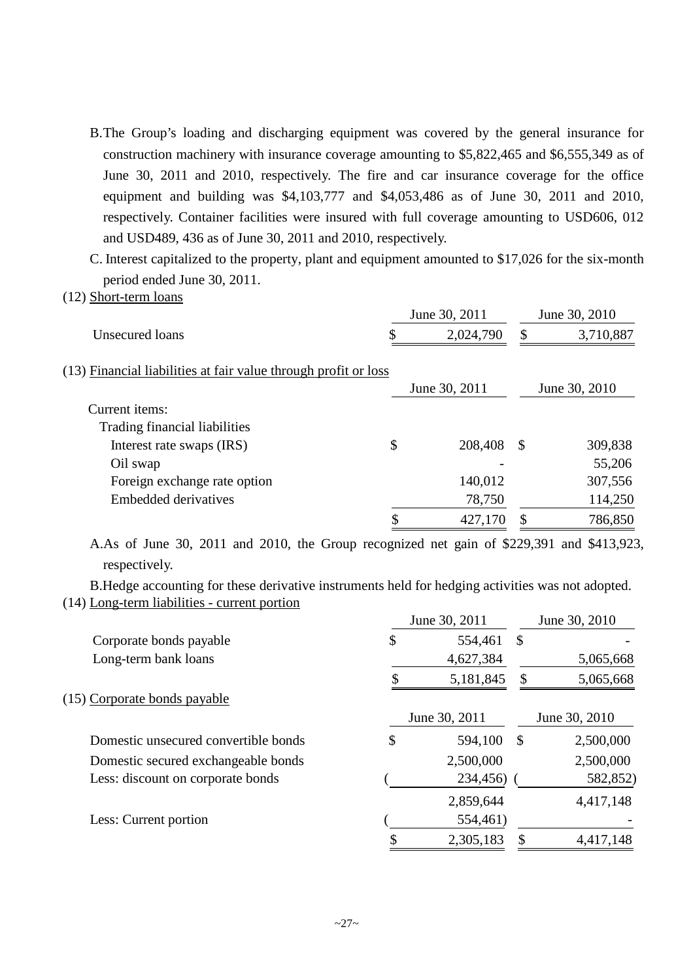B.The Group's loading and discharging equipment was covered by the general insurance for construction machinery with insurance coverage amounting to \$5,822,465 and \$6,555,349 as of June 30, 2011 and 2010, respectively. The fire and car insurance coverage for the office equipment and building was \$4,103,777 and \$4,053,486 as of June 30, 2011 and 2010, respectively. Container facilities were insured with full coverage amounting to USD606, 012 and USD489, 436 as of June 30, 2011 and 2010, respectively.

C. Interest capitalized to the property, plant and equipment amounted to \$17,026 for the six-month period ended June 30, 2011.

(12) Short-term loans

|                                                                 | June 30, 2011 | June 30, 2010 |               |  |
|-----------------------------------------------------------------|---------------|---------------|---------------|--|
| Unsecured loans                                                 | 2,024,790     | \$            | 3,710,887     |  |
| (13) Financial liabilities at fair value through profit or loss | June 30, 2011 |               | June 30, 2010 |  |
| Current items:                                                  |               |               |               |  |
| Trading financial liabilities                                   |               |               |               |  |
| Interest rate swaps (IRS)                                       | \$<br>208,408 | <sup>\$</sup> | 309,838       |  |
| Oil swap                                                        |               |               | 55,206        |  |
| Foreign exchange rate option                                    | 140,012       |               | 307,556       |  |
| Embedded derivatives                                            | 78,750        |               | 114,250       |  |
|                                                                 | 427,170       |               | 786,850       |  |

A.As of June 30, 2011 and 2010, the Group recognized net gain of \$229,391 and \$413,923, respectively.

B.Hedge accounting for these derivative instruments held for hedging activities was not adopted. (14) Long-term liabilities - current portion

|                                      | June 30, 2011 |               |               | June 30, 2010 |  |  |
|--------------------------------------|---------------|---------------|---------------|---------------|--|--|
| Corporate bonds payable              | \$            | 554,461       | \$            |               |  |  |
| Long-term bank loans                 |               | 4,627,384     |               | 5,065,668     |  |  |
|                                      |               | 5,181,845     | S             | 5,065,668     |  |  |
| (15) Corporate bonds payable         |               |               |               |               |  |  |
|                                      |               | June 30, 2011 |               | June 30, 2010 |  |  |
| Domestic unsecured convertible bonds | \$            | 594,100       | <sup>\$</sup> | 2,500,000     |  |  |
| Domestic secured exchangeable bonds  |               | 2,500,000     |               | 2,500,000     |  |  |
| Less: discount on corporate bonds    |               | 234,456)      |               | 582,852)      |  |  |
|                                      |               | 2,859,644     |               | 4,417,148     |  |  |
| Less: Current portion                |               | 554,461)      |               |               |  |  |
|                                      |               | 2,305,183     | \$            | 4,417,148     |  |  |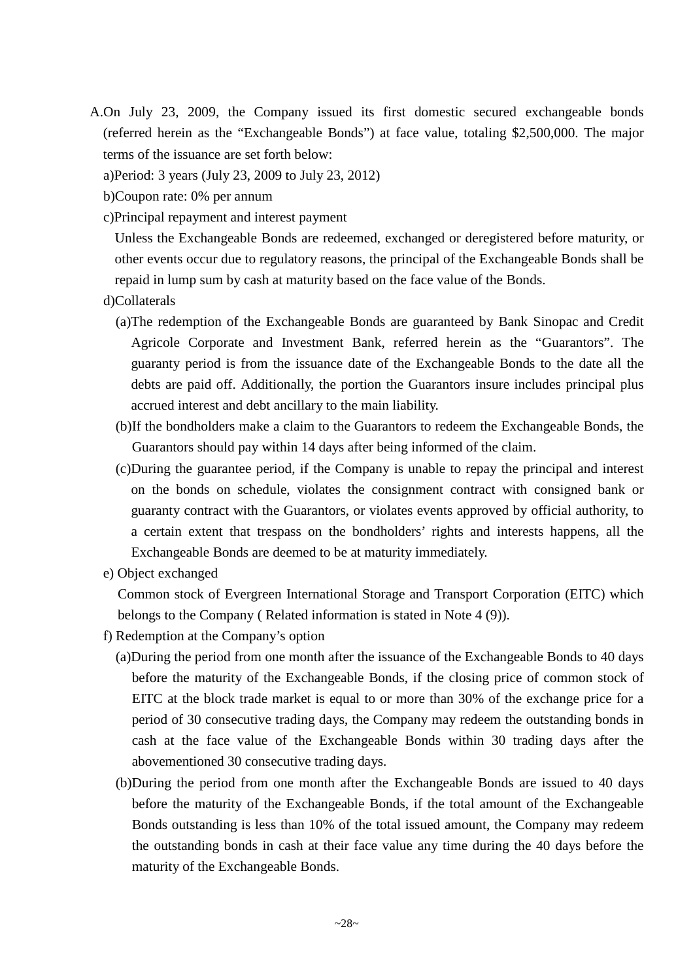- A.On July 23, 2009, the Company issued its first domestic secured exchangeable bonds (referred herein as the "Exchangeable Bonds") at face value, totaling \$2,500,000. The major terms of the issuance are set forth below:
	- a)Period: 3 years (July 23, 2009 to July 23, 2012)
	- b)Coupon rate: 0% per annum
	- c)Principal repayment and interest payment

Unless the Exchangeable Bonds are redeemed, exchanged or deregistered before maturity, or other events occur due to regulatory reasons, the principal of the Exchangeable Bonds shall be repaid in lump sum by cash at maturity based on the face value of the Bonds.

- d)Collaterals
	- (a)The redemption of the Exchangeable Bonds are guaranteed by Bank Sinopac and Credit Agricole Corporate and Investment Bank, referred herein as the "Guarantors". The guaranty period is from the issuance date of the Exchangeable Bonds to the date all the debts are paid off. Additionally, the portion the Guarantors insure includes principal plus accrued interest and debt ancillary to the main liability.
	- (b)If the bondholders make a claim to the Guarantors to redeem the Exchangeable Bonds, the Guarantors should pay within 14 days after being informed of the claim.
	- (c)During the guarantee period, if the Company is unable to repay the principal and interest on the bonds on schedule, violates the consignment contract with consigned bank or guaranty contract with the Guarantors, or violates events approved by official authority, to a certain extent that trespass on the bondholders' rights and interests happens, all the Exchangeable Bonds are deemed to be at maturity immediately.
- e) Object exchanged

Common stock of Evergreen International Storage and Transport Corporation (EITC) which belongs to the Company ( Related information is stated in Note 4 (9)).

- f) Redemption at the Company's option
	- (a)During the period from one month after the issuance of the Exchangeable Bonds to 40 days before the maturity of the Exchangeable Bonds, if the closing price of common stock of EITC at the block trade market is equal to or more than 30% of the exchange price for a period of 30 consecutive trading days, the Company may redeem the outstanding bonds in cash at the face value of the Exchangeable Bonds within 30 trading days after the abovementioned 30 consecutive trading days.
	- (b)During the period from one month after the Exchangeable Bonds are issued to 40 days before the maturity of the Exchangeable Bonds, if the total amount of the Exchangeable Bonds outstanding is less than 10% of the total issued amount, the Company may redeem the outstanding bonds in cash at their face value any time during the 40 days before the maturity of the Exchangeable Bonds.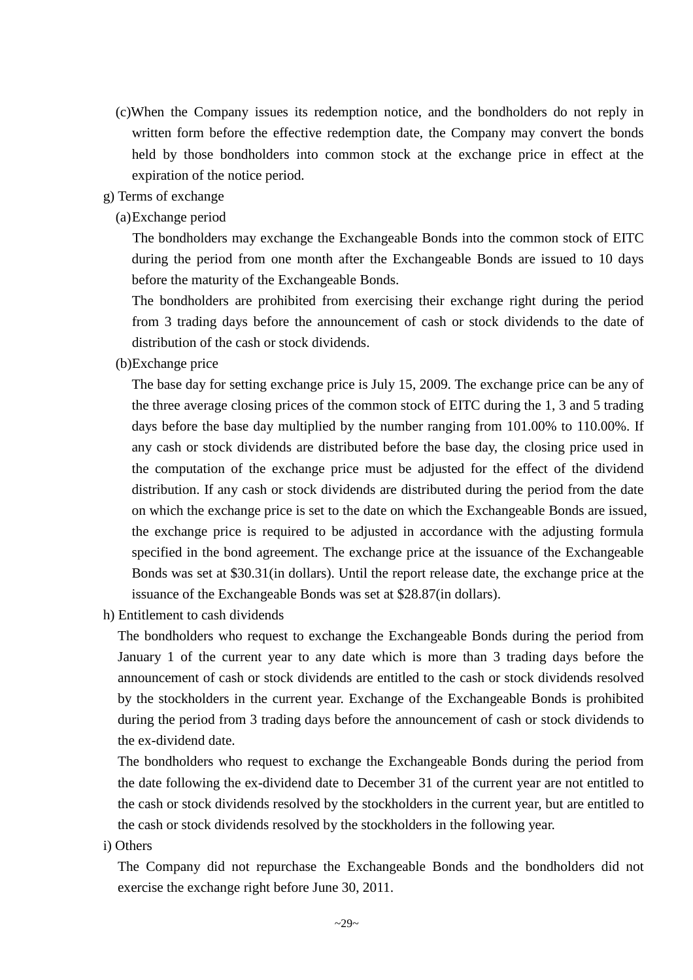- (c)When the Company issues its redemption notice, and the bondholders do not reply in written form before the effective redemption date, the Company may convert the bonds held by those bondholders into common stock at the exchange price in effect at the expiration of the notice period.
- g) Terms of exchange
	- (a)Exchange period

The bondholders may exchange the Exchangeable Bonds into the common stock of EITC during the period from one month after the Exchangeable Bonds are issued to 10 days before the maturity of the Exchangeable Bonds.

The bondholders are prohibited from exercising their exchange right during the period from 3 trading days before the announcement of cash or stock dividends to the date of distribution of the cash or stock dividends.

(b)Exchange price

The base day for setting exchange price is July 15, 2009. The exchange price can be any of the three average closing prices of the common stock of EITC during the 1, 3 and 5 trading days before the base day multiplied by the number ranging from 101.00% to 110.00%. If any cash or stock dividends are distributed before the base day, the closing price used in the computation of the exchange price must be adjusted for the effect of the dividend distribution. If any cash or stock dividends are distributed during the period from the date on which the exchange price is set to the date on which the Exchangeable Bonds are issued, the exchange price is required to be adjusted in accordance with the adjusting formula specified in the bond agreement. The exchange price at the issuance of the Exchangeable Bonds was set at \$30.31(in dollars). Until the report release date, the exchange price at the issuance of the Exchangeable Bonds was set at \$28.87(in dollars).

h) Entitlement to cash dividends

The bondholders who request to exchange the Exchangeable Bonds during the period from January 1 of the current year to any date which is more than 3 trading days before the announcement of cash or stock dividends are entitled to the cash or stock dividends resolved by the stockholders in the current year. Exchange of the Exchangeable Bonds is prohibited during the period from 3 trading days before the announcement of cash or stock dividends to the ex-dividend date.

The bondholders who request to exchange the Exchangeable Bonds during the period from the date following the ex-dividend date to December 31 of the current year are not entitled to the cash or stock dividends resolved by the stockholders in the current year, but are entitled to the cash or stock dividends resolved by the stockholders in the following year.

i) Others

The Company did not repurchase the Exchangeable Bonds and the bondholders did not exercise the exchange right before June 30, 2011.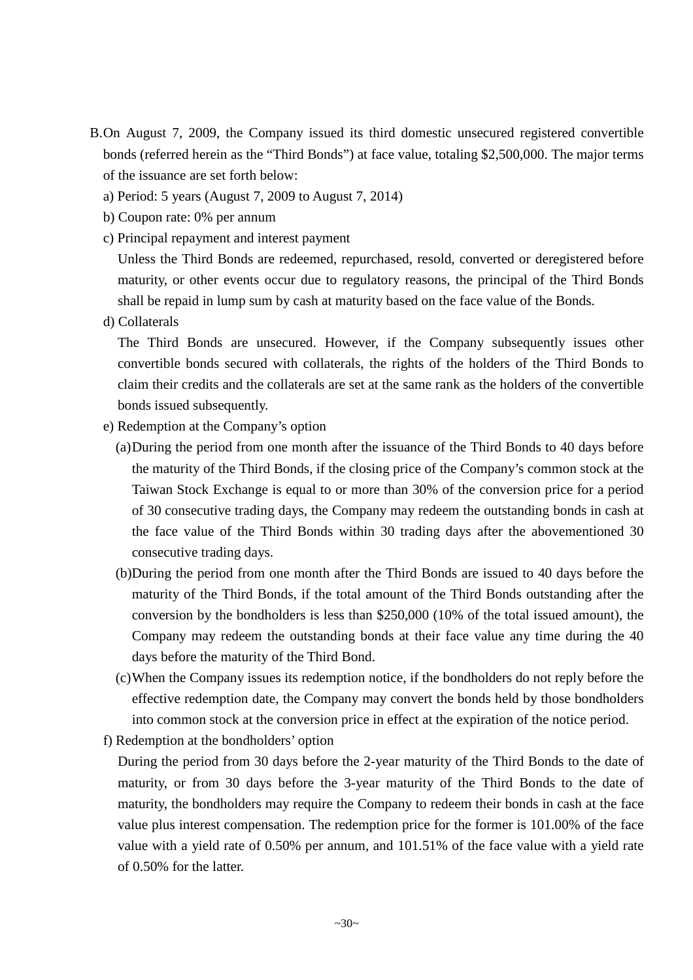- B.On August 7, 2009, the Company issued its third domestic unsecured registered convertible bonds (referred herein as the "Third Bonds") at face value, totaling \$2,500,000. The major terms of the issuance are set forth below:
	- a) Period: 5 years (August 7, 2009 to August 7, 2014)
	- b) Coupon rate: 0% per annum
	- c) Principal repayment and interest payment

Unless the Third Bonds are redeemed, repurchased, resold, converted or deregistered before maturity, or other events occur due to regulatory reasons, the principal of the Third Bonds shall be repaid in lump sum by cash at maturity based on the face value of the Bonds.

d) Collaterals

The Third Bonds are unsecured. However, if the Company subsequently issues other convertible bonds secured with collaterals, the rights of the holders of the Third Bonds to claim their credits and the collaterals are set at the same rank as the holders of the convertible bonds issued subsequently.

- e) Redemption at the Company's option
	- (a)During the period from one month after the issuance of the Third Bonds to 40 days before the maturity of the Third Bonds, if the closing price of the Company's common stock at the Taiwan Stock Exchange is equal to or more than 30% of the conversion price for a period of 30 consecutive trading days, the Company may redeem the outstanding bonds in cash at the face value of the Third Bonds within 30 trading days after the abovementioned 30 consecutive trading days.
	- (b)During the period from one month after the Third Bonds are issued to 40 days before the maturity of the Third Bonds, if the total amount of the Third Bonds outstanding after the conversion by the bondholders is less than \$250,000 (10% of the total issued amount), the Company may redeem the outstanding bonds at their face value any time during the 40 days before the maturity of the Third Bond.
	- (c)When the Company issues its redemption notice, if the bondholders do not reply before the effective redemption date, the Company may convert the bonds held by those bondholders into common stock at the conversion price in effect at the expiration of the notice period.
- f) Redemption at the bondholders' option

During the period from 30 days before the 2-year maturity of the Third Bonds to the date of maturity, or from 30 days before the 3-year maturity of the Third Bonds to the date of maturity, the bondholders may require the Company to redeem their bonds in cash at the face value plus interest compensation. The redemption price for the former is 101.00% of the face value with a yield rate of 0.50% per annum, and 101.51% of the face value with a yield rate of 0.50% for the latter.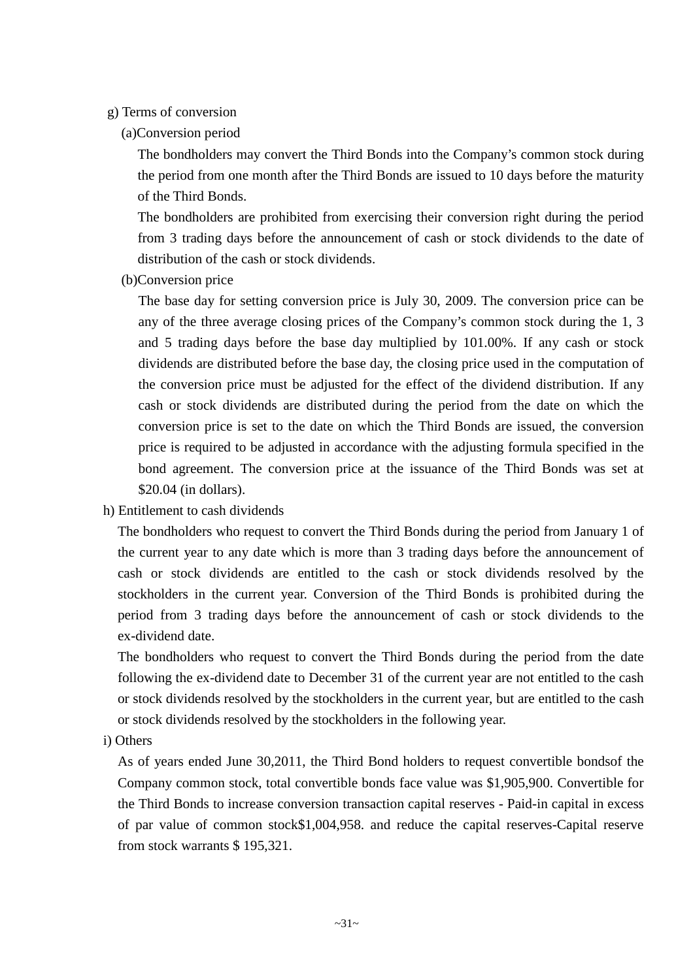#### g) Terms of conversion

(a)Conversion period

The bondholders may convert the Third Bonds into the Company's common stock during the period from one month after the Third Bonds are issued to 10 days before the maturity of the Third Bonds.

The bondholders are prohibited from exercising their conversion right during the period from 3 trading days before the announcement of cash or stock dividends to the date of distribution of the cash or stock dividends.

(b)Conversion price

The base day for setting conversion price is July 30, 2009. The conversion price can be any of the three average closing prices of the Company's common stock during the 1, 3 and 5 trading days before the base day multiplied by 101.00%. If any cash or stock dividends are distributed before the base day, the closing price used in the computation of the conversion price must be adjusted for the effect of the dividend distribution. If any cash or stock dividends are distributed during the period from the date on which the conversion price is set to the date on which the Third Bonds are issued, the conversion price is required to be adjusted in accordance with the adjusting formula specified in the bond agreement. The conversion price at the issuance of the Third Bonds was set at \$20.04 (in dollars).

h) Entitlement to cash dividends

The bondholders who request to convert the Third Bonds during the period from January 1 of the current year to any date which is more than 3 trading days before the announcement of cash or stock dividends are entitled to the cash or stock dividends resolved by the stockholders in the current year. Conversion of the Third Bonds is prohibited during the period from 3 trading days before the announcement of cash or stock dividends to the ex-dividend date.

The bondholders who request to convert the Third Bonds during the period from the date following the ex-dividend date to December 31 of the current year are not entitled to the cash or stock dividends resolved by the stockholders in the current year, but are entitled to the cash or stock dividends resolved by the stockholders in the following year.

i) Others

As of years ended June 30,2011, the Third Bond holders to request convertible bondsof the Company common stock, total convertible bonds face value was \$1,905,900. Convertible for the Third Bonds to increase conversion transaction capital reserves - Paid-in capital in excess of par value of common stock\$1,004,958. and reduce the capital reserves-Capital reserve from stock warrants \$ 195,321.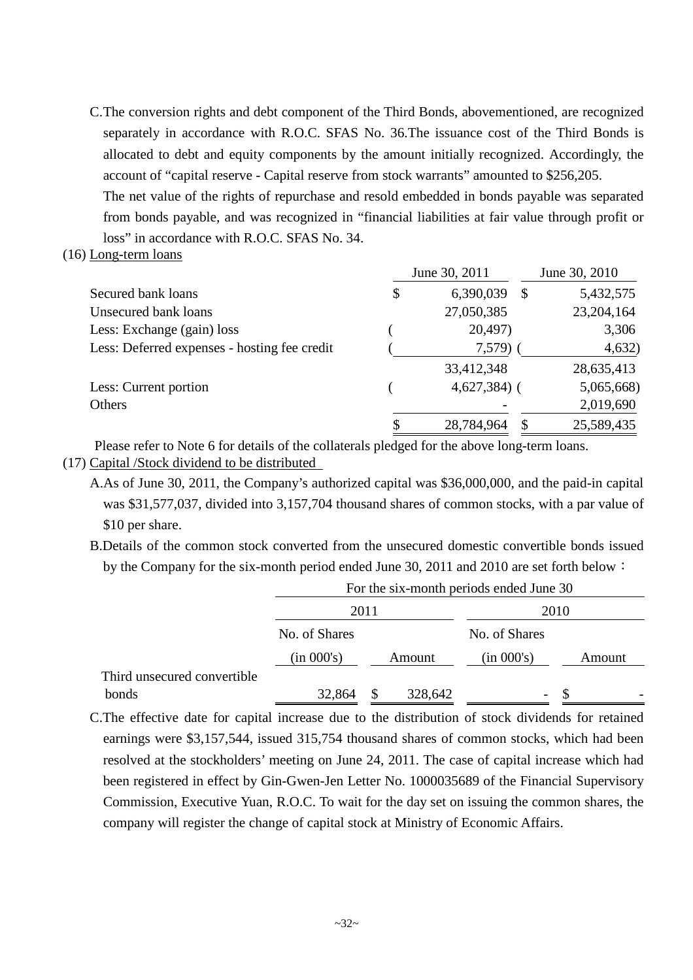C.The conversion rights and debt component of the Third Bonds, abovementioned, are recognized separately in accordance with R.O.C. SFAS No. 36.The issuance cost of the Third Bonds is allocated to debt and equity components by the amount initially recognized. Accordingly, the account of "capital reserve - Capital reserve from stock warrants" amounted to \$256,205.

The net value of the rights of repurchase and resold embedded in bonds payable was separated from bonds payable, and was recognized in "financial liabilities at fair value through profit or loss" in accordance with R.O.C. SFAS No. 34.

(16) Long-term loans

|                                              | June 30, 2011 |                        | June 30, 2010 |  |  |
|----------------------------------------------|---------------|------------------------|---------------|--|--|
| Secured bank loans                           | \$            | 6,390,039<br>\$        | 5,432,575     |  |  |
| Unsecured bank loans                         |               | 27,050,385             | 23,204,164    |  |  |
| Less: Exchange (gain) loss                   |               | 20,497)                | 3,306         |  |  |
| Less: Deferred expenses - hosting fee credit |               | $7,579$ )              | 4,632)        |  |  |
|                                              |               | 33,412,348             | 28,635,413    |  |  |
| Less: Current portion                        |               | $4,627,384$ (          | 5,065,668)    |  |  |
| Others                                       |               |                        | 2,019,690     |  |  |
|                                              | \$            | 28,784,964<br><b>S</b> | 25,589,435    |  |  |

(17) Capital /Stock dividend to be distributed Please refer to Note 6 for details of the collaterals pledged for the above long-term loans.

- A.As of June 30, 2011, the Company's authorized capital was \$36,000,000, and the paid-in capital was \$31,577,037, divided into 3,157,704 thousand shares of common stocks, with a par value of
	- \$10 per share.
	- B.Details of the common stock converted from the unsecured domestic convertible bonds issued by the Company for the six-month period ended June 30, 2011 and 2010 are set forth below:

|                             | For the six-month periods ended June 30 |    |         |                          |  |        |  |  |
|-----------------------------|-----------------------------------------|----|---------|--------------------------|--|--------|--|--|
|                             | 2011                                    |    |         | 2010                     |  |        |  |  |
|                             | No. of Shares                           |    |         | No. of Shares            |  |        |  |  |
|                             | (in 000's)                              |    | Amount  | (in 000's)               |  | Amount |  |  |
| Third unsecured convertible |                                         |    |         |                          |  |        |  |  |
| bonds                       | 32,864                                  | ъ. | 328,642 | $\overline{\phantom{0}}$ |  |        |  |  |

C.The effective date for capital increase due to the distribution of stock dividends for retained earnings were \$3,157,544, issued 315,754 thousand shares of common stocks, which had been resolved at the stockholders' meeting on June 24, 2011. The case of capital increase which had been registered in effect by Gin-Gwen-Jen Letter No. 1000035689 of the Financial Supervisory Commission, Executive Yuan, R.O.C. To wait for the day set on issuing the common shares, the company will register the change of capital stock at Ministry of Economic Affairs.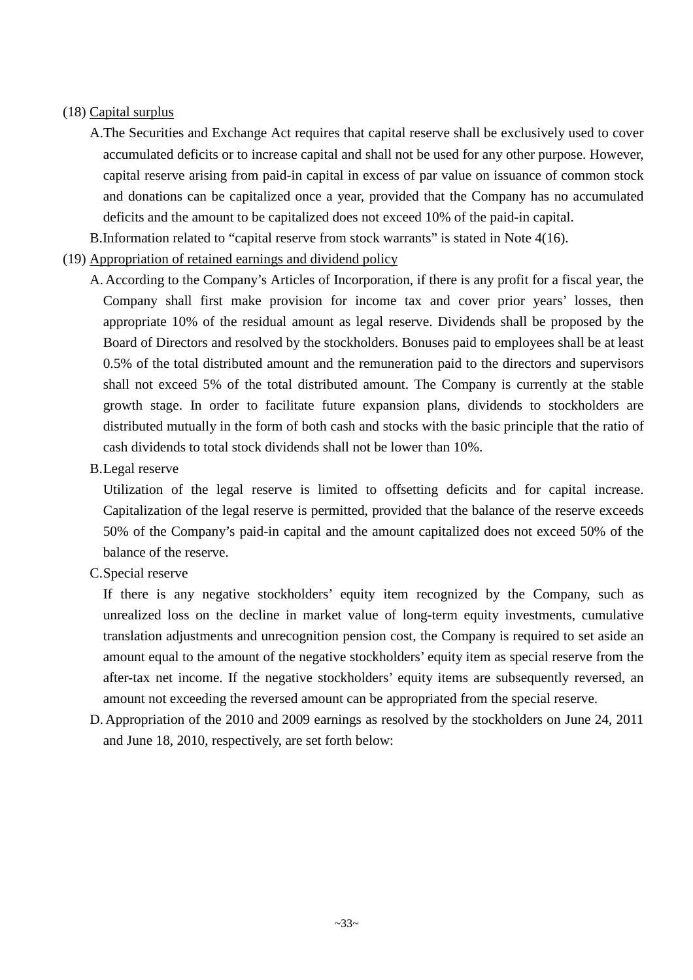### (18) Capital surplus

A.The Securities and Exchange Act requires that capital reserve shall be exclusively used to cover accumulated deficits or to increase capital and shall not be used for any other purpose. However, capital reserve arising from paid-in capital in excess of par value on issuance of common stock and donations can be capitalized once a year, provided that the Company has no accumulated deficits and the amount to be capitalized does not exceed 10% of the paid-in capital.

B.Information related to "capital reserve from stock warrants" is stated in Note 4(16).

- (19) Appropriation of retained earnings and dividend policy
	- A. According to the Company's Articles of Incorporation, if there is any profit for a fiscal year, the Company shall first make provision for income tax and cover prior years' losses, then appropriate 10% of the residual amount as legal reserve. Dividends shall be proposed by the Board of Directors and resolved by the stockholders. Bonuses paid to employees shall be at least 0.5% of the total distributed amount and the remuneration paid to the directors and supervisors shall not exceed 5% of the total distributed amount. The Company is currently at the stable growth stage. In order to facilitate future expansion plans, dividends to stockholders are distributed mutually in the form of both cash and stocks with the basic principle that the ratio of cash dividends to total stock dividends shall not be lower than 10%.
	- B.Legal reserve

Utilization of the legal reserve is limited to offsetting deficits and for capital increase. Capitalization of the legal reserve is permitted, provided that the balance of the reserve exceeds 50% of the Company's paid-in capital and the amount capitalized does not exceed 50% of the balance of the reserve.

C.Special reserve

If there is any negative stockholders' equity item recognized by the Company, such as unrealized loss on the decline in market value of long-term equity investments, cumulative translation adjustments and unrecognition pension cost, the Company is required to set aside an amount equal to the amount of the negative stockholders' equity item as special reserve from the after-tax net income. If the negative stockholders' equity items are subsequently reversed, an amount not exceeding the reversed amount can be appropriated from the special reserve.

D. Appropriation of the 2010 and 2009 earnings as resolved by the stockholders on June 24, 2011 and June 18, 2010, respectively, are set forth below: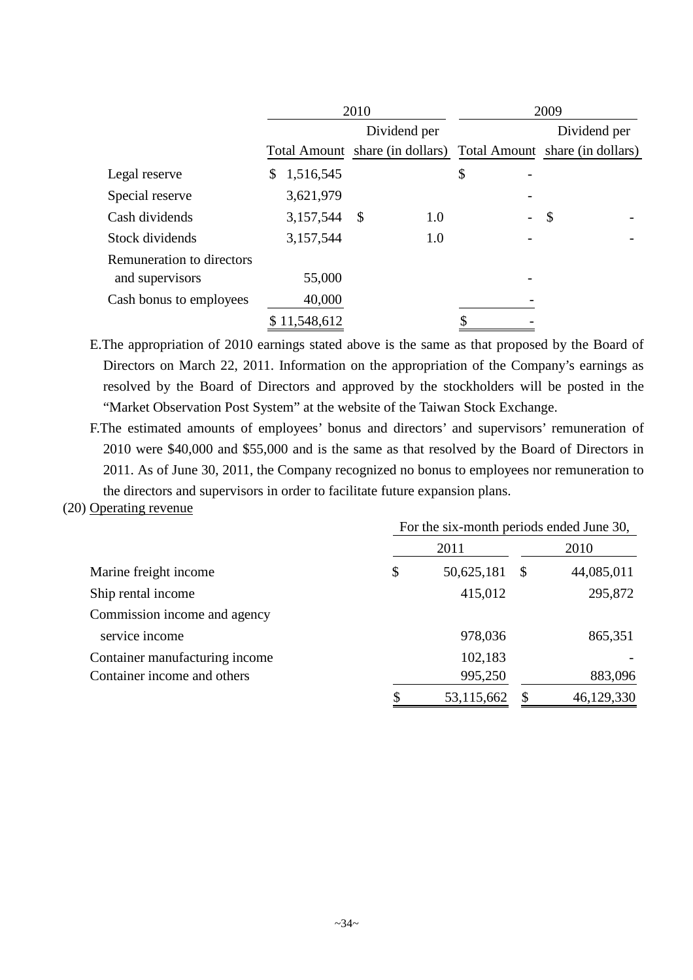|                           | 2010                                                            |               |     | 2009           |                           |  |  |  |
|---------------------------|-----------------------------------------------------------------|---------------|-----|----------------|---------------------------|--|--|--|
|                           |                                                                 | Dividend per  |     |                | Dividend per              |  |  |  |
|                           | Total Amount share (in dollars) Total Amount share (in dollars) |               |     |                |                           |  |  |  |
| Legal reserve             | \$<br>1,516,545                                                 |               |     | \$             |                           |  |  |  |
| Special reserve           | 3,621,979                                                       |               |     |                |                           |  |  |  |
| Cash dividends            | 3,157,544                                                       | $\mathcal{S}$ | 1.0 | $\overline{a}$ | $\boldsymbol{\mathsf{S}}$ |  |  |  |
| Stock dividends           | 3,157,544                                                       |               | 1.0 |                |                           |  |  |  |
| Remuneration to directors |                                                                 |               |     |                |                           |  |  |  |
| and supervisors           | 55,000                                                          |               |     |                |                           |  |  |  |
| Cash bonus to employees   | 40,000                                                          |               |     |                |                           |  |  |  |
|                           | \$11,548,612                                                    |               |     |                |                           |  |  |  |

E.The appropriation of 2010 earnings stated above is the same as that proposed by the Board of Directors on March 22, 2011. Information on the appropriation of the Company's earnings as resolved by the Board of Directors and approved by the stockholders will be posted in the "Market Observation Post System" at the website of the Taiwan Stock Exchange.

F.The estimated amounts of employees' bonus and directors' and supervisors' remuneration of 2010 were \$40,000 and \$55,000 and is the same as that resolved by the Board of Directors in 2011. As of June 30, 2011, the Company recognized no bonus to employees nor remuneration to the directors and supervisors in order to facilitate future expansion plans.

### (20) Operating revenue

|                                |    |            | For the six-month periods ended June 30, |            |
|--------------------------------|----|------------|------------------------------------------|------------|
|                                |    | 2011       |                                          | 2010       |
| Marine freight income          | \$ | 50,625,181 | - \$                                     | 44,085,011 |
| Ship rental income             |    | 415,012    |                                          | 295,872    |
| Commission income and agency   |    |            |                                          |            |
| service income                 |    | 978,036    |                                          | 865,351    |
| Container manufacturing income |    | 102,183    |                                          |            |
| Container income and others    |    | 995,250    |                                          | 883,096    |
|                                |    | 53,115,662 |                                          | 46,129,330 |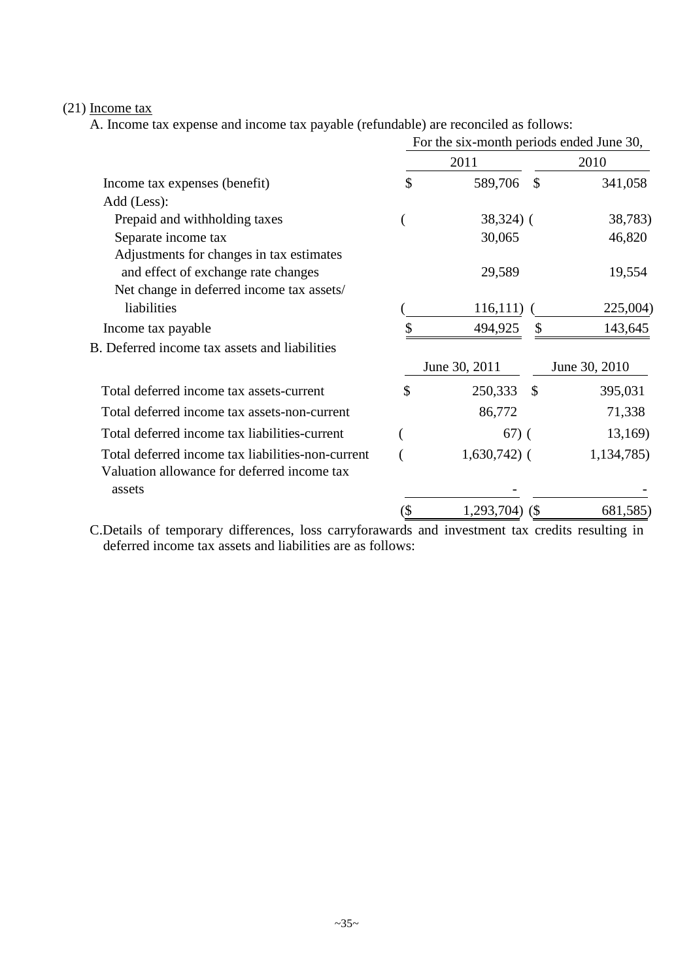## (21) Income tax

A. Income tax expense and income tax payable (refundable) are reconciled as follows:

| For the six-month periods ended June 30, |            |               |                                                   |
|------------------------------------------|------------|---------------|---------------------------------------------------|
| 2011                                     |            |               | 2010                                              |
| \$                                       | 589,706    | $\mathcal{S}$ | 341,058                                           |
|                                          |            |               |                                                   |
|                                          |            |               | 38,783)                                           |
|                                          | 30,065     |               | 46,820                                            |
|                                          |            |               |                                                   |
|                                          | 29,589     |               | 19,554                                            |
|                                          |            |               |                                                   |
|                                          |            |               | 225,004)                                          |
|                                          | 494,925    |               | 143,645                                           |
|                                          |            |               |                                                   |
|                                          |            |               | June 30, 2010                                     |
| \$                                       | 250,333    | $\mathcal{S}$ | 395,031                                           |
|                                          | 86,772     |               | 71,338                                            |
|                                          |            |               | 13,169)                                           |
|                                          |            |               | 1,134,785)                                        |
|                                          |            |               |                                                   |
|                                          |            |               |                                                   |
|                                          | 1,293,704) | (S            | 681,585)                                          |
|                                          |            | June 30, 2011 | $38,324$ (<br>116,111<br>$67)$ (<br>$1,630,742$ ( |

C.Details of temporary differences, loss carryforawards and investment tax credits resulting in deferred income tax assets and liabilities are as follows: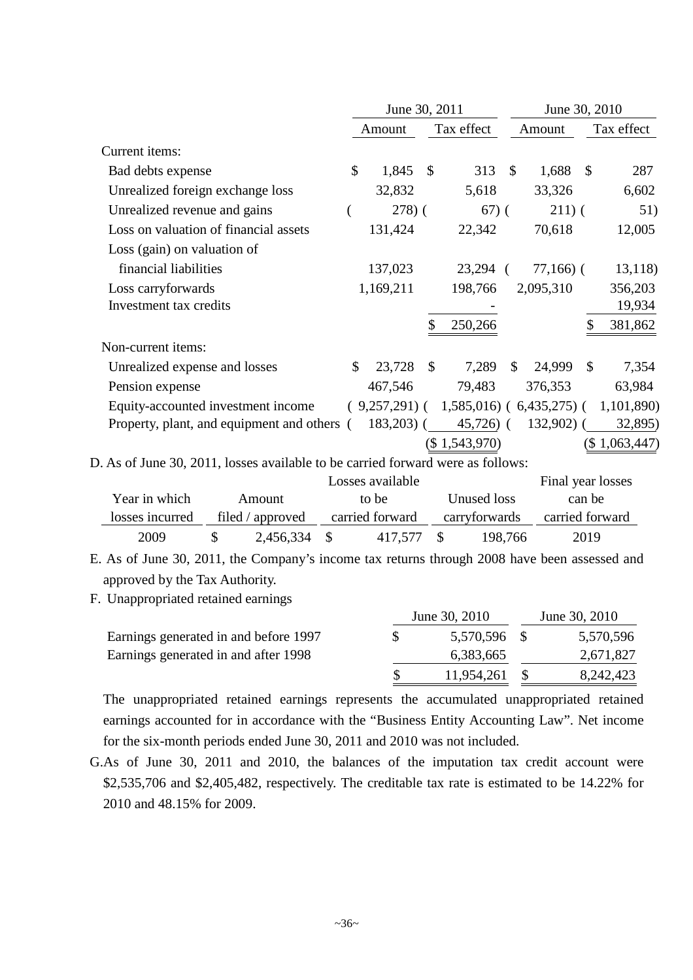|                                                                                 | June 30, 2011 |                      |               |               | June 30, 2010 |                           |               |               |
|---------------------------------------------------------------------------------|---------------|----------------------|---------------|---------------|---------------|---------------------------|---------------|---------------|
|                                                                                 |               | Tax effect<br>Amount |               |               | Amount        |                           | Tax effect    |               |
| Current items:                                                                  |               |                      |               |               |               |                           |               |               |
| Bad debts expense                                                               | \$            | 1,845                | $\mathcal{S}$ | 313           | $\mathbb{S}$  | 1,688                     | <b>S</b>      | 287           |
| Unrealized foreign exchange loss                                                |               | 32,832               |               | 5,618         |               | 33,326                    |               | 6,602         |
| Unrealized revenue and gains                                                    |               | 278(                 |               | $67)$ (       |               | $211)$ (                  |               | 51)           |
| Loss on valuation of financial assets                                           |               | 131,424              |               | 22,342        |               | 70,618                    |               | 12,005        |
| Loss (gain) on valuation of                                                     |               |                      |               |               |               |                           |               |               |
| financial liabilities                                                           |               | 137,023              |               | 23,294        | $\left($      | $77,166$ ) (              |               | 13,118)       |
| Loss carryforwards                                                              |               | 1,169,211            |               | 198,766       |               | 2,095,310                 |               | 356,203       |
| Investment tax credits                                                          |               |                      |               |               |               |                           |               | 19,934        |
|                                                                                 |               |                      |               | 250,266       |               |                           |               | 381,862       |
| Non-current items:                                                              |               |                      |               |               |               |                           |               |               |
| Unrealized expense and losses                                                   | \$            | 23,728               | $\mathbb{S}$  | 7,289         | $\mathbb{S}$  | 24,999                    | $\mathcal{S}$ | 7,354         |
| Pension expense                                                                 |               | 467,546              |               | 79,483        |               | 376,353                   |               | 63,984        |
| Equity-accounted investment income                                              |               | $(9,257,291)$ (      |               |               |               | $1,585,016$ (6,435,275) ( |               | 1,101,890)    |
| Property, plant, and equipment and others (                                     |               | $183,203$ (          |               | $45,726$ (    |               | 132,902)                  |               | 32,895)       |
|                                                                                 |               |                      |               | (\$1,543,970) |               |                           |               | (\$1,063,447) |
| D. As of June 30, 2011, losses available to be carried forward were as follows: |               |                      |               |               |               |                           |               |               |

|                 |                  | Losses available |                          | Final year losses |
|-----------------|------------------|------------------|--------------------------|-------------------|
| Year in which   | Amount           | to be            | Unused loss              | can be            |
| losses incurred | filed / approved | carried forward  | carryforwards            | carried forward   |
| 2009            | 2,456,334 \$     | 417.577          | 198.766<br>$\mathcal{S}$ | 2019              |

E. As of June 30, 2011, the Company's income tax returns through 2008 have been assessed and approved by the Tax Authority.

F. Unappropriated retained earnings

|                                       | June 30, 2010 | June 30, 2010 |
|---------------------------------------|---------------|---------------|
| Earnings generated in and before 1997 | 5,570,596 \$  | 5,570,596     |
| Earnings generated in and after 1998  | 6,383,665     | 2,671,827     |
|                                       | 11,954,261    | 8,242,423     |

The unappropriated retained earnings represents the accumulated unappropriated retained earnings accounted for in accordance with the "Business Entity Accounting Law". Net income for the six-month periods ended June 30, 2011 and 2010 was not included.

G.As of June 30, 2011 and 2010, the balances of the imputation tax credit account were \$2,535,706 and \$2,405,482, respectively. The creditable tax rate is estimated to be 14.22% for 2010 and 48.15% for 2009.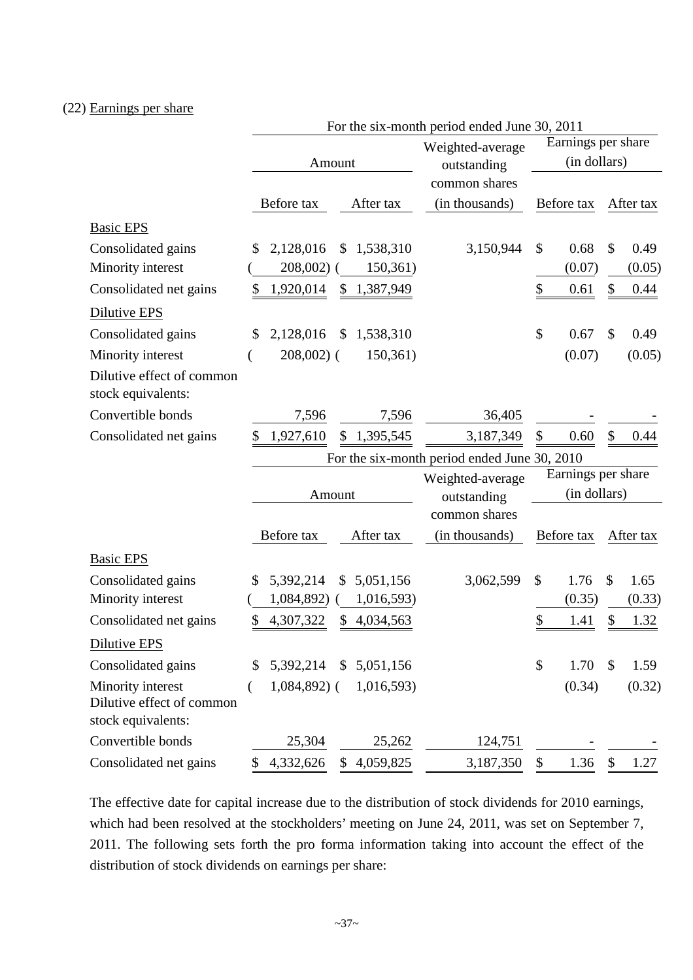### (22) Earnings per share

|                                                                      |                 | For the six-month period ended June 30, 2011 |                                              |                    |                    |               |           |
|----------------------------------------------------------------------|-----------------|----------------------------------------------|----------------------------------------------|--------------------|--------------------|---------------|-----------|
|                                                                      |                 |                                              | Weighted-average                             | Earnings per share |                    |               |           |
|                                                                      | Amount          |                                              | outstanding                                  |                    | (in dollars)       |               |           |
|                                                                      |                 |                                              | common shares                                |                    |                    |               |           |
|                                                                      | Before tax      | After tax                                    | (in thousands)                               |                    | Before tax         |               | After tax |
| <b>Basic EPS</b>                                                     |                 |                                              |                                              |                    |                    |               |           |
| Consolidated gains                                                   | 2,128,016<br>\$ | 1,538,310<br>\$                              | 3,150,944                                    | \$                 | 0.68               | \$            | 0.49      |
| Minority interest                                                    | 208,002)        | 150,361)                                     |                                              |                    | (0.07)             |               | (0.05)    |
| Consolidated net gains                                               | 1,920,014<br>\$ | 1,387,949<br>\$                              |                                              | \$                 | 0.61               | \$            | 0.44      |
| Dilutive EPS                                                         |                 |                                              |                                              |                    |                    |               |           |
| Consolidated gains                                                   | 2,128,016<br>\$ | $\mathbb{S}$<br>1,538,310                    |                                              | \$                 | 0.67               | \$            | 0.49      |
| Minority interest                                                    | $208,002$ (     | 150,361)                                     |                                              |                    | (0.07)             |               | (0.05)    |
| Dilutive effect of common<br>stock equivalents:                      |                 |                                              |                                              |                    |                    |               |           |
| Convertible bonds                                                    | 7,596           | 7,596                                        | 36,405                                       |                    |                    |               |           |
| Consolidated net gains                                               | 1,927,610       | \$<br>1,395,545                              | 3,187,349                                    | \$                 | 0.60               | \$            | 0.44      |
|                                                                      |                 |                                              | For the six-month period ended June 30, 2010 |                    |                    |               |           |
|                                                                      |                 |                                              | Weighted-average                             |                    | Earnings per share |               |           |
|                                                                      | Amount          |                                              | outstanding                                  |                    | (in dollars)       |               |           |
|                                                                      |                 |                                              | common shares                                |                    |                    |               |           |
|                                                                      | Before tax      | After tax                                    | (in thousands)                               |                    | Before tax         |               | After tax |
| <b>Basic EPS</b>                                                     |                 |                                              |                                              |                    |                    |               |           |
| Consolidated gains                                                   | 5,392,214<br>\$ | 5,051,156<br>\$                              | 3,062,599                                    | $\mathcal{S}$      | 1.76               | $\mathcal{S}$ | 1.65      |
| Minority interest                                                    | 1,084,892)      | 1,016,593)                                   |                                              |                    | (0.35)             |               | (0.33)    |
| Consolidated net gains                                               | 4,307,322<br>\$ | 4,034,563<br>\$                              |                                              | \$                 | 1.41               | \$            | 1.32      |
| Dilutive EPS                                                         |                 |                                              |                                              |                    |                    |               |           |
| Consolidated gains                                                   | 5,392,214<br>\$ | \$5,051,156                                  |                                              | \$                 | 1.70               | \$            | 1.59      |
| Minority interest<br>Dilutive effect of common<br>stock equivalents: | $1,084,892$ (   | 1,016,593)                                   |                                              |                    | (0.34)             |               | (0.32)    |
| Convertible bonds                                                    | 25,304          | 25,262                                       | 124,751                                      |                    |                    |               |           |
| Consolidated net gains                                               | 4,332,626<br>\$ | \$4,059,825                                  | 3,187,350                                    | \$                 | 1.36               | \$            | 1.27      |

The effective date for capital increase due to the distribution of stock dividends for 2010 earnings, which had been resolved at the stockholders' meeting on June 24, 2011, was set on September 7, 2011. The following sets forth the pro forma information taking into account the effect of the distribution of stock dividends on earnings per share: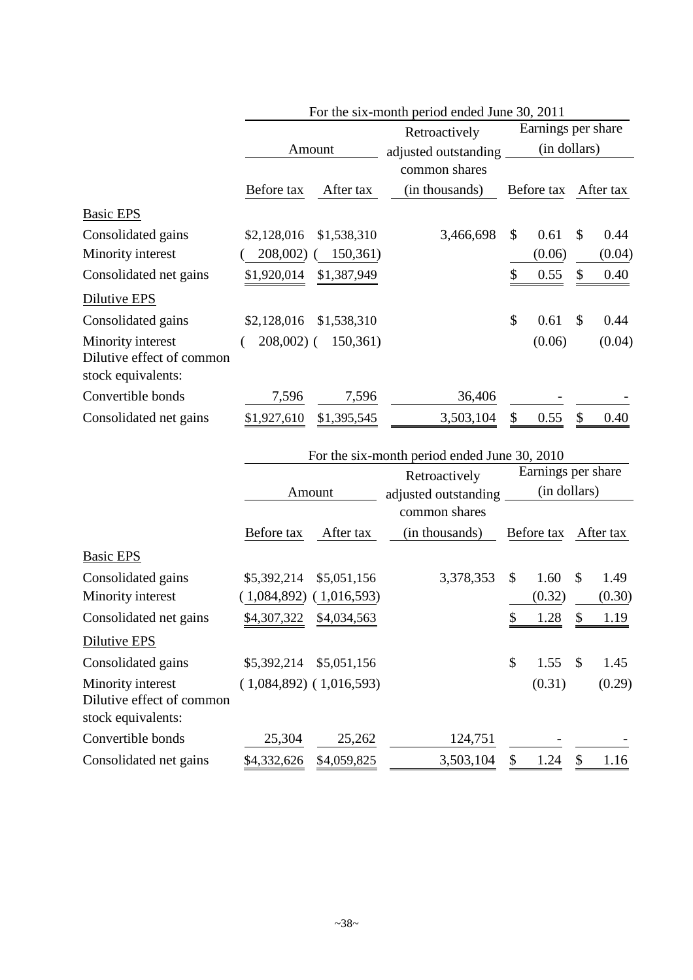|                                                                      |             |             | For the six-month period ended June 30, 2011 |    |                    |               |           |  |
|----------------------------------------------------------------------|-------------|-------------|----------------------------------------------|----|--------------------|---------------|-----------|--|
|                                                                      |             |             | Retroactively                                |    | Earnings per share |               |           |  |
|                                                                      |             | Amount      | adjusted outstanding                         |    | (in dollars)       |               |           |  |
|                                                                      |             |             | common shares                                |    |                    |               |           |  |
|                                                                      | Before tax  | After tax   | (in thousands)                               |    | Before tax         |               | After tax |  |
| <b>Basic EPS</b>                                                     |             |             |                                              |    |                    |               |           |  |
| Consolidated gains                                                   | \$2,128,016 | \$1,538,310 | 3,466,698                                    | \$ | 0.61               | \$            | 0.44      |  |
| Minority interest                                                    | 208,002)    | 150,361)    |                                              |    | (0.06)             |               | (0.04)    |  |
| Consolidated net gains                                               | \$1,920,014 | \$1,387,949 |                                              |    | 0.55               | \$            | 0.40      |  |
| Dilutive EPS                                                         |             |             |                                              |    |                    |               |           |  |
| Consolidated gains                                                   | \$2,128,016 | \$1,538,310 |                                              | \$ | 0.61               | $\mathcal{S}$ | 0.44      |  |
| Minority interest<br>Dilutive effect of common<br>stock equivalents: | $208,002$ ( | 150,361)    |                                              |    | (0.06)             |               | (0.04)    |  |
| Convertible bonds                                                    | 7,596       | 7,596       | 36,406                                       |    |                    |               |           |  |
| Consolidated net gains                                               | \$1,927,610 | \$1,395,545 | 3,503,104                                    |    | 0.55               | \$            | 0.40      |  |

|                                                                      |             |                             | For the six-month period ended June 30, 2010 |    |                    |              |           |  |
|----------------------------------------------------------------------|-------------|-----------------------------|----------------------------------------------|----|--------------------|--------------|-----------|--|
|                                                                      |             |                             | Retroactively                                |    | Earnings per share |              |           |  |
|                                                                      |             | Amount                      | adjusted outstanding                         |    | (in dollars)       |              |           |  |
|                                                                      |             |                             | common shares                                |    |                    |              |           |  |
|                                                                      | Before tax  | After tax                   | (in thousands)                               |    | Before tax         |              | After tax |  |
| <b>Basic EPS</b>                                                     |             |                             |                                              |    |                    |              |           |  |
| Consolidated gains                                                   | \$5,392,214 | \$5,051,156                 | 3,378,353                                    | \$ | 1.60               | \$           | 1.49      |  |
| Minority interest                                                    | (1,084,892) | (1,016,593)                 |                                              |    | (0.32)             |              | (0.30)    |  |
| Consolidated net gains                                               | \$4,307,322 | \$4,034,563                 |                                              |    | 1.28               | \$           | 1.19      |  |
| Dilutive EPS                                                         |             |                             |                                              |    |                    |              |           |  |
| Consolidated gains                                                   | \$5,392,214 | \$5,051,156                 |                                              | \$ | 1.55               | $\mathbb{S}$ | 1.45      |  |
| Minority interest<br>Dilutive effect of common<br>stock equivalents: |             | $(1,084,892)$ $(1,016,593)$ |                                              |    | (0.31)             |              | (0.29)    |  |
| Convertible bonds                                                    | 25,304      | 25,262                      | 124,751                                      |    |                    |              |           |  |
| Consolidated net gains                                               | \$4,332,626 | \$4,059,825                 | 3,503,104                                    | \$ | 1.24               | \$           | 1.16      |  |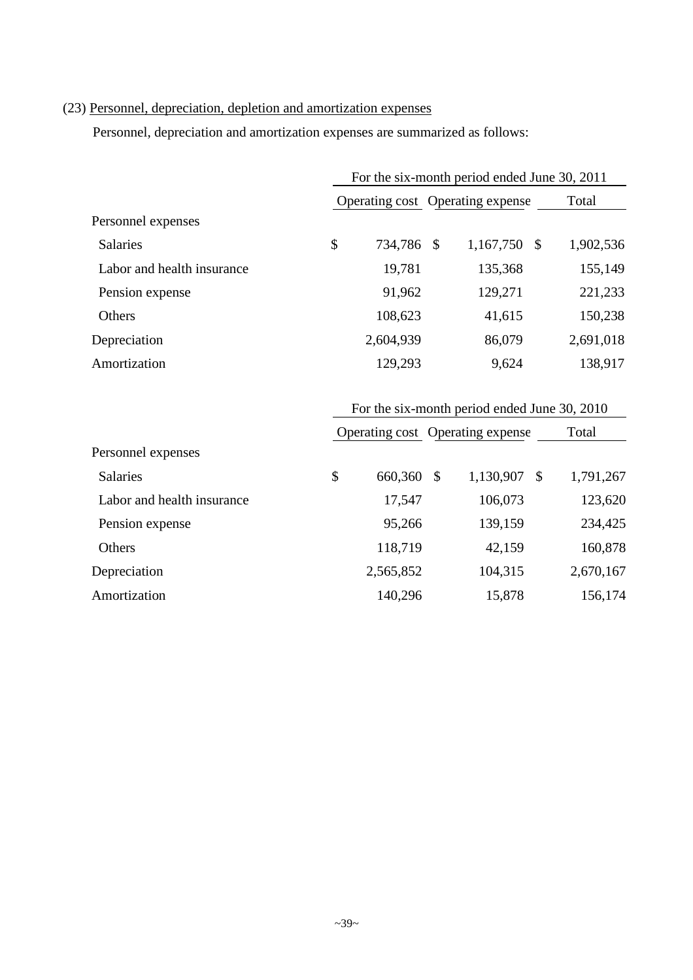# (23) Personnel, depreciation, depletion and amortization expenses

Personnel, depreciation and amortization expenses are summarized as follows:

|                            | For the six-month period ended June 30, 2011 |                                              |           |  |  |  |
|----------------------------|----------------------------------------------|----------------------------------------------|-----------|--|--|--|
|                            | Operating cost Operating expense             |                                              |           |  |  |  |
| Personnel expenses         |                                              |                                              |           |  |  |  |
| <b>Salaries</b>            | \$<br>734,786 \$                             | 1,167,750 \$                                 | 1,902,536 |  |  |  |
| Labor and health insurance | 19,781                                       | 135,368                                      | 155,149   |  |  |  |
| Pension expense            | 91,962                                       | 129,271                                      | 221,233   |  |  |  |
| Others                     | 108,623                                      | 41,615                                       | 150,238   |  |  |  |
| Depreciation               | 2,604,939                                    | 86,079                                       | 2,691,018 |  |  |  |
| Amortization               | 129,293                                      | 9,624                                        | 138,917   |  |  |  |
|                            |                                              | For the six-month period ended June 30, 2010 |           |  |  |  |

|                            |               |     | Operating cost Operating expense |     | Total     |
|----------------------------|---------------|-----|----------------------------------|-----|-----------|
| Personnel expenses         |               |     |                                  |     |           |
| <b>Salaries</b>            | \$<br>660,360 | -\$ | 1,130,907                        | -\$ | 1,791,267 |
| Labor and health insurance | 17,547        |     | 106,073                          |     | 123,620   |
| Pension expense            | 95,266        |     | 139,159                          |     | 234,425   |
| Others                     | 118,719       |     | 42,159                           |     | 160,878   |
| Depreciation               | 2,565,852     |     | 104,315                          |     | 2,670,167 |
| Amortization               | 140,296       |     | 15,878                           |     | 156,174   |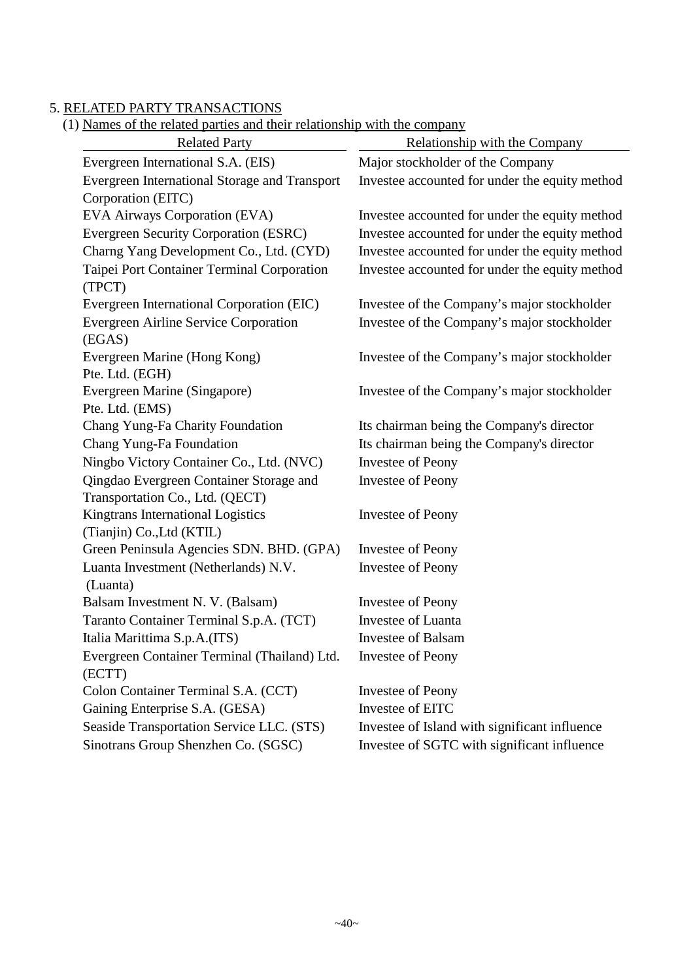### 5. RELATED PARTY TRANSACTIONS

#### (1) Names of the related parties and their relationship with the company

| <b>Related Party</b>                          | Relationship with the Company                  |
|-----------------------------------------------|------------------------------------------------|
| Evergreen International S.A. (EIS)            | Major stockholder of the Company               |
| Evergreen International Storage and Transport | Investee accounted for under the equity method |
| Corporation (EITC)                            |                                                |
| <b>EVA Airways Corporation (EVA)</b>          | Investee accounted for under the equity method |
| <b>Evergreen Security Corporation (ESRC)</b>  | Investee accounted for under the equity method |
| Charng Yang Development Co., Ltd. (CYD)       | Investee accounted for under the equity method |
| Taipei Port Container Terminal Corporation    | Investee accounted for under the equity method |
| (TPCT)                                        |                                                |
| Evergreen International Corporation (EIC)     | Investee of the Company's major stockholder    |
| Evergreen Airline Service Corporation         | Investee of the Company's major stockholder    |
| (EGAS)                                        |                                                |
| Evergreen Marine (Hong Kong)                  | Investee of the Company's major stockholder    |
| Pte. Ltd. (EGH)                               |                                                |
| Evergreen Marine (Singapore)                  | Investee of the Company's major stockholder    |
| Pte. Ltd. (EMS)                               |                                                |
| Chang Yung-Fa Charity Foundation              | Its chairman being the Company's director      |
| Chang Yung-Fa Foundation                      | Its chairman being the Company's director      |
| Ningbo Victory Container Co., Ltd. (NVC)      | <b>Investee of Peony</b>                       |
| Qingdao Evergreen Container Storage and       | <b>Investee of Peony</b>                       |
| Transportation Co., Ltd. (QECT)               |                                                |
| Kingtrans International Logistics             | <b>Investee of Peony</b>                       |
| (Tianjin) Co., Ltd (KTIL)                     |                                                |
| Green Peninsula Agencies SDN. BHD. (GPA)      | <b>Investee of Peony</b>                       |
| Luanta Investment (Netherlands) N.V.          | <b>Investee of Peony</b>                       |
| (Luanta)                                      |                                                |
| Balsam Investment N. V. (Balsam)              | <b>Investee of Peony</b>                       |
| Taranto Container Terminal S.p.A. (TCT)       | Investee of Luanta                             |
| Italia Marittima S.p.A.(ITS)                  | <b>Investee of Balsam</b>                      |
| Evergreen Container Terminal (Thailand) Ltd.  | <b>Investee of Peony</b>                       |
| (ECTT)                                        |                                                |
| Colon Container Terminal S.A. (CCT)           | <b>Investee of Peony</b>                       |
| Gaining Enterprise S.A. (GESA)                | Investee of EITC                               |
| Seaside Transportation Service LLC. (STS)     | Investee of Island with significant influence  |
| Sinotrans Group Shenzhen Co. (SGSC)           | Investee of SGTC with significant influence    |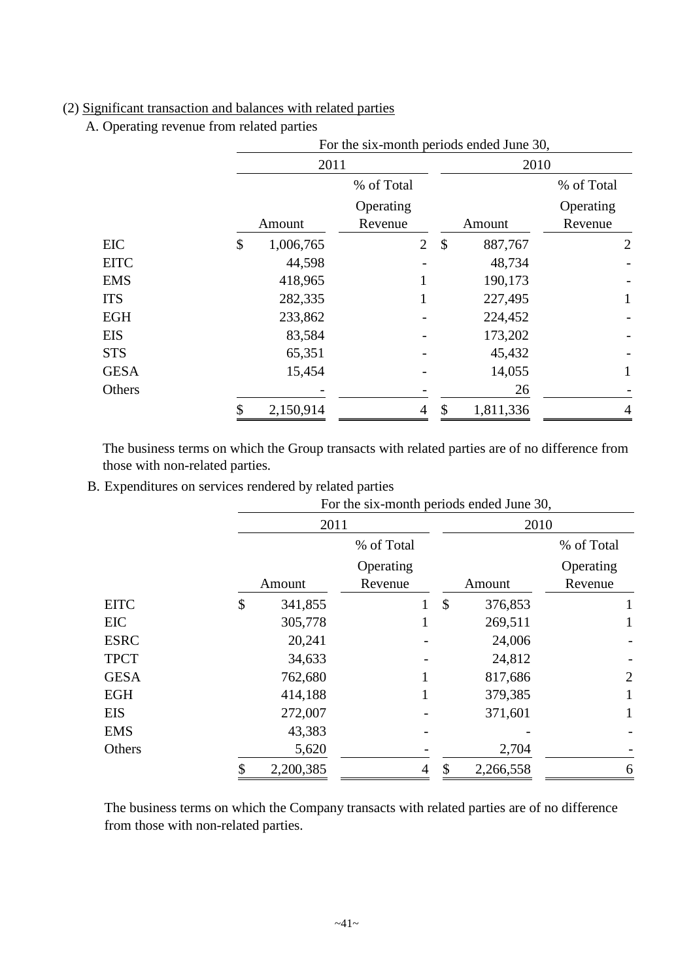# (2) Significant transaction and balances with related parties

A. Operating revenue from related parties

|             |                 | For the six-month periods ended June 30, |                |    |           |                |  |  |  |
|-------------|-----------------|------------------------------------------|----------------|----|-----------|----------------|--|--|--|
|             |                 | 2011                                     |                |    | 2010      |                |  |  |  |
|             |                 | % of Total                               |                |    |           | % of Total     |  |  |  |
|             |                 | Operating                                |                |    |           | Operating      |  |  |  |
|             | Amount          | Revenue                                  |                |    | Amount    | Revenue        |  |  |  |
| EIC         | \$<br>1,006,765 |                                          | $\overline{2}$ | \$ | 887,767   | $\overline{2}$ |  |  |  |
| <b>EITC</b> |                 | 44,598                                   |                |    | 48,734    |                |  |  |  |
| <b>EMS</b>  | 418,965         |                                          |                |    | 190,173   |                |  |  |  |
| <b>ITS</b>  | 282,335         |                                          |                |    | 227,495   |                |  |  |  |
| <b>EGH</b>  | 233,862         |                                          |                |    | 224,452   |                |  |  |  |
| <b>EIS</b>  |                 | 83,584                                   |                |    | 173,202   |                |  |  |  |
| <b>STS</b>  |                 | 65,351                                   |                |    | 45,432    |                |  |  |  |
| <b>GESA</b> |                 | 15,454                                   |                |    | 14,055    |                |  |  |  |
| Others      |                 |                                          |                |    | 26        |                |  |  |  |
|             | \$<br>2,150,914 |                                          | 4              | \$ | 1,811,336 | 4              |  |  |  |

The business terms on which the Group transacts with related parties are of no difference from those with non-related parties.

B. Expenditures on services rendered by related parties

|             |               | For the six-month periods ended June 30, |                          |                |  |  |  |
|-------------|---------------|------------------------------------------|--------------------------|----------------|--|--|--|
|             |               | 2011                                     | 2010                     |                |  |  |  |
|             |               | % of Total                               |                          | % of Total     |  |  |  |
|             |               | Operating                                |                          | Operating      |  |  |  |
|             | Amount        | Revenue                                  | Amount                   | Revenue        |  |  |  |
| <b>EITC</b> | \$<br>341,855 |                                          | $\mathcal{S}$<br>376,853 |                |  |  |  |
| EIC         | 305,778       |                                          | 269,511                  |                |  |  |  |
| <b>ESRC</b> | 20,241        |                                          | 24,006                   |                |  |  |  |
| <b>TPCT</b> | 34,633        |                                          | 24,812                   |                |  |  |  |
| <b>GESA</b> | 762,680       |                                          | 817,686                  | $\overline{2}$ |  |  |  |
| EGH         | 414,188       |                                          | 379,385                  |                |  |  |  |
| <b>EIS</b>  | 272,007       |                                          | 371,601                  |                |  |  |  |
| EMS         | 43,383        |                                          |                          |                |  |  |  |
| Others      | 5,620         |                                          | 2,704                    |                |  |  |  |
|             | 2,200,385     | 4                                        | 2,266,558<br>\$          | 6              |  |  |  |

The business terms on which the Company transacts with related parties are of no difference from those with non-related parties.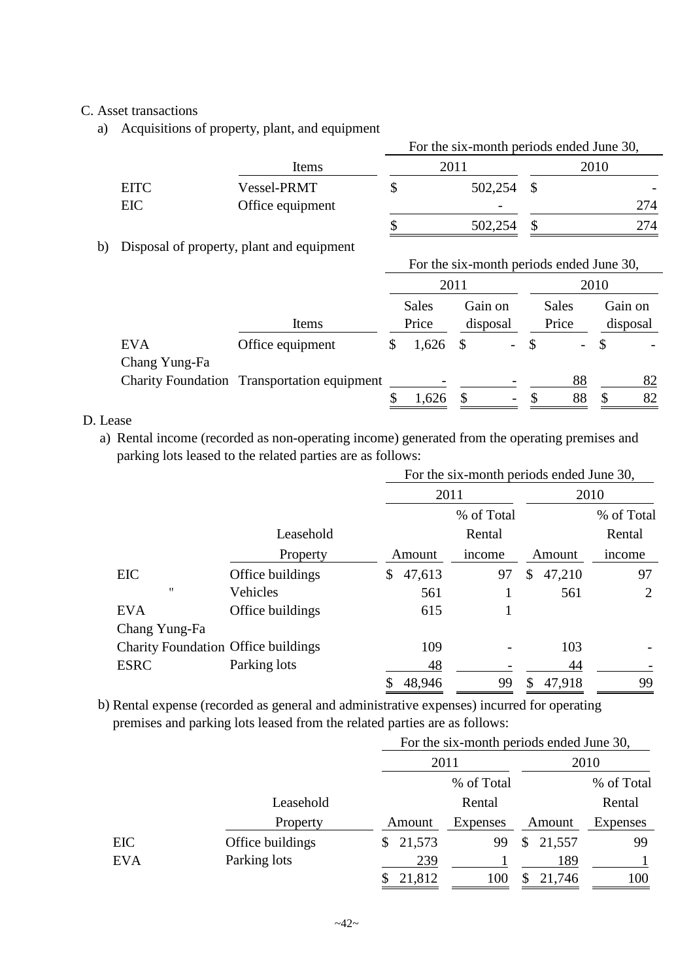# C. Asset transactions

a) Acquisitions of property, plant, and equipment

|             |                  | For the six-month periods ended June 30, |                          |  |                          |  |  |  |
|-------------|------------------|------------------------------------------|--------------------------|--|--------------------------|--|--|--|
|             | Items            |                                          | 2011                     |  | 2010                     |  |  |  |
| <b>EITC</b> | Vessel-PRMT      |                                          | 502,254                  |  | $\overline{\phantom{0}}$ |  |  |  |
| EIC         | Office equipment |                                          | $\overline{\phantom{a}}$ |  | 274                      |  |  |  |
|             |                  |                                          | 502,254                  |  | 274                      |  |  |  |

## b) Disposal of property, plant and equipment

|                             |                                             |     | For the six-month periods ended June 30, |          |                          |    |                       |      |                     |
|-----------------------------|---------------------------------------------|-----|------------------------------------------|----------|--------------------------|----|-----------------------|------|---------------------|
|                             |                                             |     |                                          | 2011     |                          |    |                       | 2010 |                     |
|                             | Items                                       |     | <b>Sales</b><br>Price                    |          | Gain on<br>disposal      |    | <b>Sales</b><br>Price |      | Gain on<br>disposal |
| <b>EVA</b><br>Chang Yung-Fa | Office equipment                            | \$. | 1,626                                    | -S       | $\sim$ $-$               |    |                       | - \$ |                     |
|                             | Charity Foundation Transportation equipment |     |                                          |          |                          |    | 88                    |      | 82                  |
|                             |                                             |     | 1,626                                    | <b>S</b> | $\overline{\phantom{0}}$ | -S | 88                    | \$.  | 82                  |

# D. Lease

a) Rental income (recorded as non-operating income) generated from the operating premises and parking lots leased to the related parties are as follows:

|                                            |                  |              | For the six-month periods ended June 30, |            |              |        |                |  |
|--------------------------------------------|------------------|--------------|------------------------------------------|------------|--------------|--------|----------------|--|
|                                            |                  |              | 2011                                     |            |              | 2010   |                |  |
|                                            |                  |              |                                          | % of Total |              |        | % of Total     |  |
|                                            | Leasehold        |              |                                          | Rental     |              |        | Rental         |  |
|                                            | Property         | Amount       |                                          | income     |              | Amount | income         |  |
| EIC                                        | Office buildings | \$<br>47,613 |                                          | 97         | \$           | 47,210 | 97             |  |
| $^{\prime}$                                | Vehicles         |              | 561                                      | 1          |              | 561    | $\overline{2}$ |  |
| <b>EVA</b>                                 | Office buildings |              | 615                                      |            |              |        |                |  |
| Chang Yung-Fa                              |                  |              |                                          |            |              |        |                |  |
| <b>Charity Foundation Office buildings</b> |                  |              | 109                                      |            |              | 103    |                |  |
| <b>ESRC</b>                                | Parking lots     |              | 48                                       |            |              | 44     |                |  |
|                                            |                  | 48,946<br>\$ |                                          | 99         | <sup>S</sup> | 47,918 | 99             |  |

b) Rental expense (recorded as general and administrative expenses) incurred for operating premises and parking lots leased from the related parties are as follows:

|            |                  |              | For the six-month periods ended June 30, |              |                 |
|------------|------------------|--------------|------------------------------------------|--------------|-----------------|
|            |                  |              | 2011                                     |              | 2010            |
|            |                  |              | % of Total                               |              | % of Total      |
|            | Leasehold        |              | Rental                                   |              | Rental          |
|            | Property         | Amount       | Expenses                                 | Amount       | <b>Expenses</b> |
| EIC        | Office buildings | 21,573<br>S. | 99                                       | 21,557<br>\$ | 99              |
| <b>EVA</b> | Parking lots     | 239          |                                          | 189          |                 |
|            |                  | 21,812       | 100                                      | 21,746       | 100             |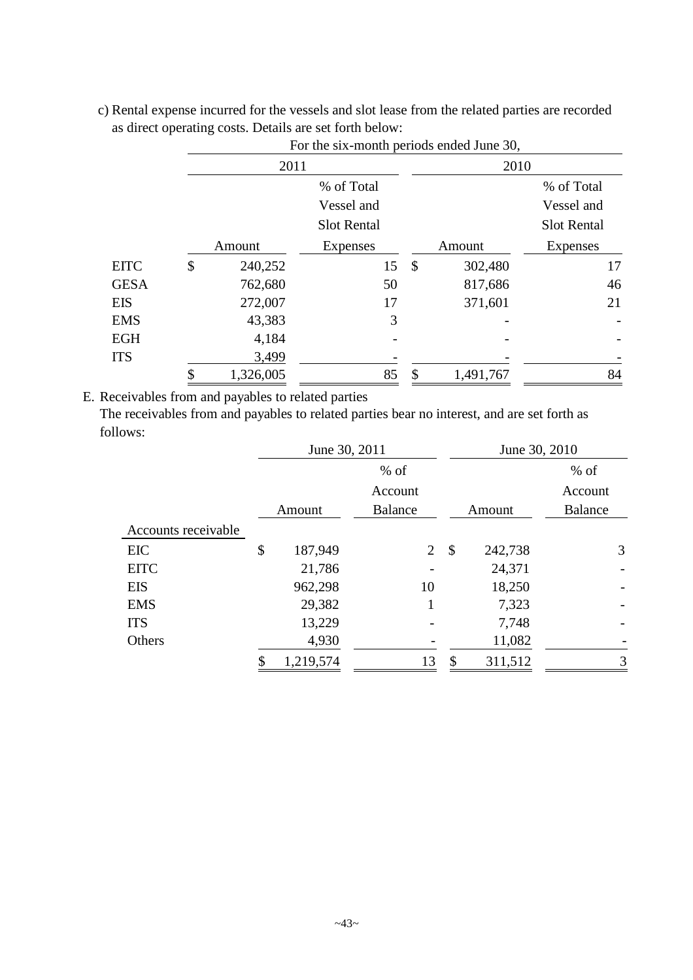|             |               | For the six-month periods ended June 30, |               |           |                    |  |  |
|-------------|---------------|------------------------------------------|---------------|-----------|--------------------|--|--|
|             | 2011          |                                          |               | 2010      |                    |  |  |
|             |               | % of Total                               |               |           | % of Total         |  |  |
|             |               | Vessel and                               |               |           | Vessel and         |  |  |
|             |               | <b>Slot Rental</b>                       |               |           | <b>Slot Rental</b> |  |  |
|             | Amount        | <b>Expenses</b>                          |               | Amount    | Expenses           |  |  |
| <b>EITC</b> | \$<br>240,252 | 15                                       | $\mathcal{S}$ | 302,480   | 17                 |  |  |
| <b>GESA</b> | 762,680       | 50                                       |               | 817,686   | 46                 |  |  |
| <b>EIS</b>  | 272,007       | 17                                       |               | 371,601   | 21                 |  |  |
| <b>EMS</b>  | 43,383        | 3                                        |               |           |                    |  |  |
| <b>EGH</b>  | 4,184         |                                          |               |           |                    |  |  |
| <b>ITS</b>  | 3,499         |                                          |               |           |                    |  |  |
|             | 1,326,005     | 85                                       | \$            | 1,491,767 | 84                 |  |  |

c) Rental expense incurred for the vessels and slot lease from the related parties are recorded as direct operating costs. Details are set forth below:

E. Receivables from and payables to related parties

The receivables from and payables to related parties bear no interest, and are set forth as follows:

|                     | June 30, 2011 |                |               | June 30, 2010 |                |
|---------------------|---------------|----------------|---------------|---------------|----------------|
|                     | $%$ of        |                |               |               | $%$ of         |
|                     |               | Account        |               |               | Account        |
|                     | Amount        | <b>Balance</b> | Amount        |               | <b>Balance</b> |
| Accounts receivable |               |                |               |               |                |
| <b>EIC</b>          | \$<br>187,949 | $\overline{2}$ | -\$           | 242,738       | 3              |
| <b>EITC</b>         | 21,786        |                |               | 24,371        |                |
| <b>EIS</b>          | 962,298       | 10             |               | 18,250        |                |
| <b>EMS</b>          | 29,382        |                |               | 7,323         |                |
| <b>ITS</b>          | 13,229        |                |               | 7,748         |                |
| Others              | 4,930         |                |               | 11,082        |                |
|                     | 1,219,574     | 13             | $\mathcal{S}$ | 311,512       | 3              |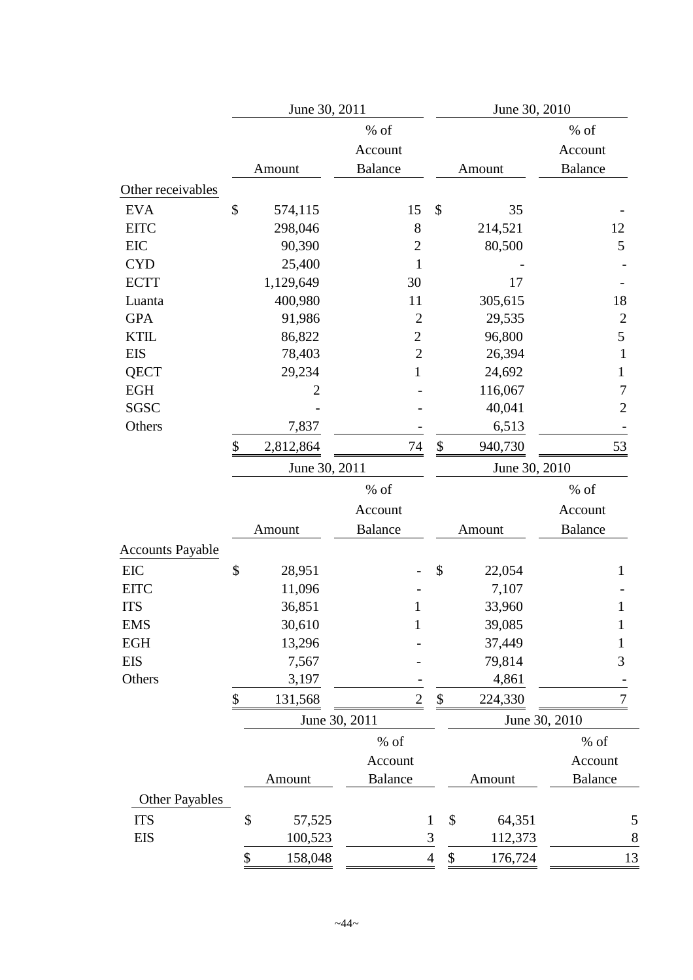|                         | June 30, 2011   |                                   |                           | June 30, 2010 |               |                                     |  |
|-------------------------|-----------------|-----------------------------------|---------------------------|---------------|---------------|-------------------------------------|--|
|                         | Amount          | % of<br>Account<br><b>Balance</b> |                           |               | Amount        | $%$ of<br>Account<br><b>Balance</b> |  |
| Other receivables       |                 |                                   |                           |               |               |                                     |  |
| <b>EVA</b>              | \$<br>574,115   | 15                                | \$                        |               | 35            |                                     |  |
| <b>EITC</b>             | 298,046         | 8                                 |                           |               | 214,521       | 12                                  |  |
| EIC                     | 90,390          | $\mathbf{2}$                      |                           |               | 80,500        | 5                                   |  |
| <b>CYD</b>              | 25,400          | $\mathbf{1}$                      |                           |               |               |                                     |  |
| <b>ECTT</b>             | 1,129,649       | 30                                |                           |               | 17            |                                     |  |
| Luanta                  | 400,980         | 11                                |                           |               | 305,615       | 18                                  |  |
| <b>GPA</b>              | 91,986          | $\overline{2}$                    |                           |               | 29,535        | $\overline{c}$                      |  |
| <b>KTIL</b>             | 86,822          | $\overline{c}$                    |                           |               | 96,800        | 5                                   |  |
| <b>EIS</b>              | 78,403          | $\overline{2}$                    |                           |               | 26,394        | $\mathbf{1}$                        |  |
| <b>QECT</b>             | 29,234          | $\mathbf{1}$                      |                           |               | 24,692        | 1                                   |  |
| <b>EGH</b>              | 2               |                                   |                           |               | 116,067       | 7                                   |  |
| <b>SGSC</b>             |                 |                                   |                           |               | 40,041        | $\overline{2}$                      |  |
| Others                  | 7,837           |                                   |                           |               | 6,513         |                                     |  |
|                         | \$<br>2,812,864 | 74                                | \$                        |               | 940,730       | 53                                  |  |
|                         | June 30, 2011   |                                   |                           |               | June 30, 2010 |                                     |  |
|                         |                 | % of                              |                           |               |               | $%$ of                              |  |
|                         |                 | Account                           |                           |               |               | Account                             |  |
|                         | Amount          | <b>Balance</b>                    |                           |               | Amount        | <b>Balance</b>                      |  |
| <b>Accounts Payable</b> |                 |                                   |                           |               |               |                                     |  |
| <b>EIC</b>              | \$<br>28,951    |                                   | \$                        |               | 22,054        | $\mathbf{1}$                        |  |
| <b>EITC</b>             | 11,096          |                                   |                           |               | 7,107         |                                     |  |
| <b>ITS</b>              | 36,851          |                                   |                           |               | 33,960        | 1                                   |  |
| <b>EMS</b>              | 30,610          | $\mathbf{1}$                      |                           |               | 39,085        | $\mathbf{1}$                        |  |
| <b>EGH</b>              | 13,296          |                                   |                           |               | 37,449        | $\mathbf{1}$                        |  |
| <b>EIS</b>              | 7,567           |                                   |                           |               | 79,814        | 3                                   |  |
| Others                  | 3,197           |                                   |                           |               | 4,861         |                                     |  |
|                         | \$<br>131,568   | $\overline{2}$                    | $\boldsymbol{\mathsf{S}}$ |               | 224,330       | 7                                   |  |
|                         | June 30, 2011   |                                   |                           |               |               | June 30, 2010                       |  |
|                         |                 | $%$ of                            |                           |               |               | $%$ of                              |  |
|                         |                 | Account                           |                           |               |               | Account                             |  |
|                         | Amount          | <b>Balance</b>                    |                           |               | Amount        | <b>Balance</b>                      |  |
| <b>Other Payables</b>   |                 |                                   |                           |               |               |                                     |  |
| <b>ITS</b>              | \$<br>57,525    |                                   | $\mathbf{1}$              | \$            | 64,351        | 5                                   |  |
| <b>EIS</b>              | 100,523         |                                   | $\mathfrak 3$             |               | 112,373       | $\,8$                               |  |
|                         |                 |                                   |                           |               |               |                                     |  |
|                         | \$<br>158,048   |                                   | $\overline{4}$            | \$            | 176,724       | 13                                  |  |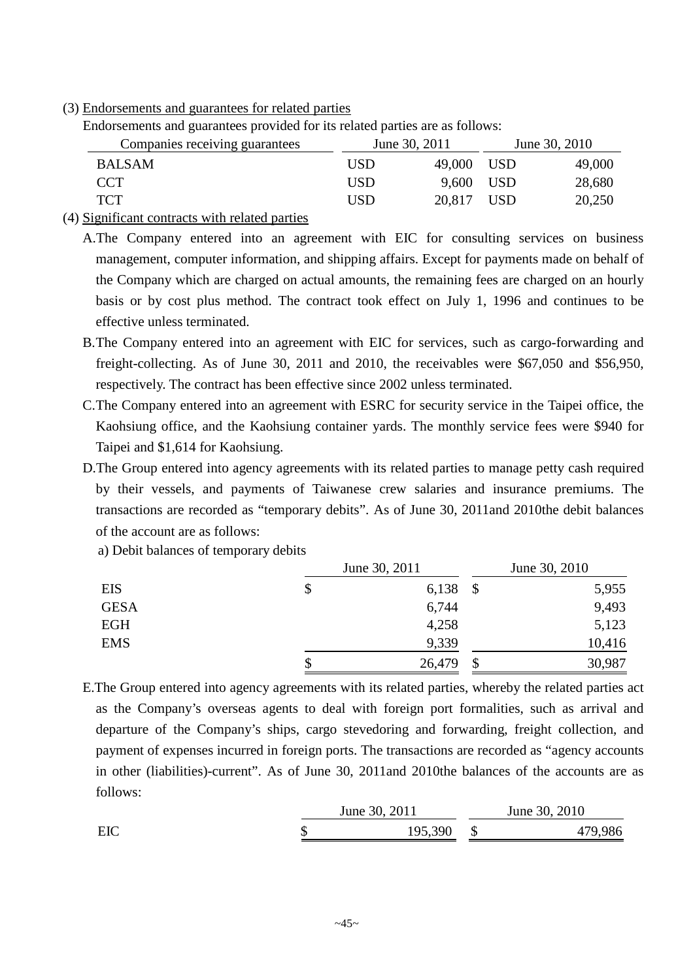(3) Endorsements and guarantees for related parties

| Endorsements and guarantees provided for its related parties are as follows: |  |  |  |  |  |  |
|------------------------------------------------------------------------------|--|--|--|--|--|--|
|------------------------------------------------------------------------------|--|--|--|--|--|--|

| Companies receiving guarantees                                                                      |     | June 30, 2011 |       | June 30, 2010 |
|-----------------------------------------------------------------------------------------------------|-----|---------------|-------|---------------|
| <b>BALSAM</b>                                                                                       | USD | 49,000        | - USD | 49,000        |
| CCT.                                                                                                | USD | 9,600 USD     |       | 28,680        |
| <b>TCT</b>                                                                                          | USD | 20.817 USD    |       | 20,250        |
| $\mathcal{C}$ and $\mathcal{C}$ can be controlled as the set of the set of the set of $\mathcal{C}$ |     |               |       |               |

(4) Significant contracts with related parties

A.The Company entered into an agreement with EIC for consulting services on business management, computer information, and shipping affairs. Except for payments made on behalf of the Company which are charged on actual amounts, the remaining fees are charged on an hourly basis or by cost plus method. The contract took effect on July 1, 1996 and continues to be effective unless terminated.

- B.The Company entered into an agreement with EIC for services, such as cargo-forwarding and freight-collecting. As of June 30, 2011 and 2010, the receivables were \$67,050 and \$56,950, respectively. The contract has been effective since 2002 unless terminated.
- C.The Company entered into an agreement with ESRC for security service in the Taipei office, the Kaohsiung office, and the Kaohsiung container yards. The monthly service fees were \$940 for Taipei and \$1,614 for Kaohsiung.
- D.The Group entered into agency agreements with its related parties to manage petty cash required by their vessels, and payments of Taiwanese crew salaries and insurance premiums. The transactions are recorded as "temporary debits". As of June 30, 2011and 2010the debit balances of the account are as follows:

a) Debit balances of temporary debits

|             | June 30, 2011 |               |        |
|-------------|---------------|---------------|--------|
| <b>EIS</b>  | \$<br>6,138   | -\$           | 5,955  |
| <b>GESA</b> | 6,744         |               | 9,493  |
| <b>EGH</b>  | 4,258         |               | 5,123  |
| <b>EMS</b>  | 9,339         |               | 10,416 |
|             | \$<br>26,479  | $\mathcal{S}$ | 30,987 |

E.The Group entered into agency agreements with its related parties, whereby the related parties act as the Company's overseas agents to deal with foreign port formalities, such as arrival and departure of the Company's ships, cargo stevedoring and forwarding, freight collection, and payment of expenses incurred in foreign ports. The transactions are recorded as "agency accounts in other (liabilities)-current". As of June 30, 2011and 2010the balances of the accounts are as follows:

|     | June 30, 2011 | June 30, 2010 |
|-----|---------------|---------------|
| EIC | 195,390       | 479,986       |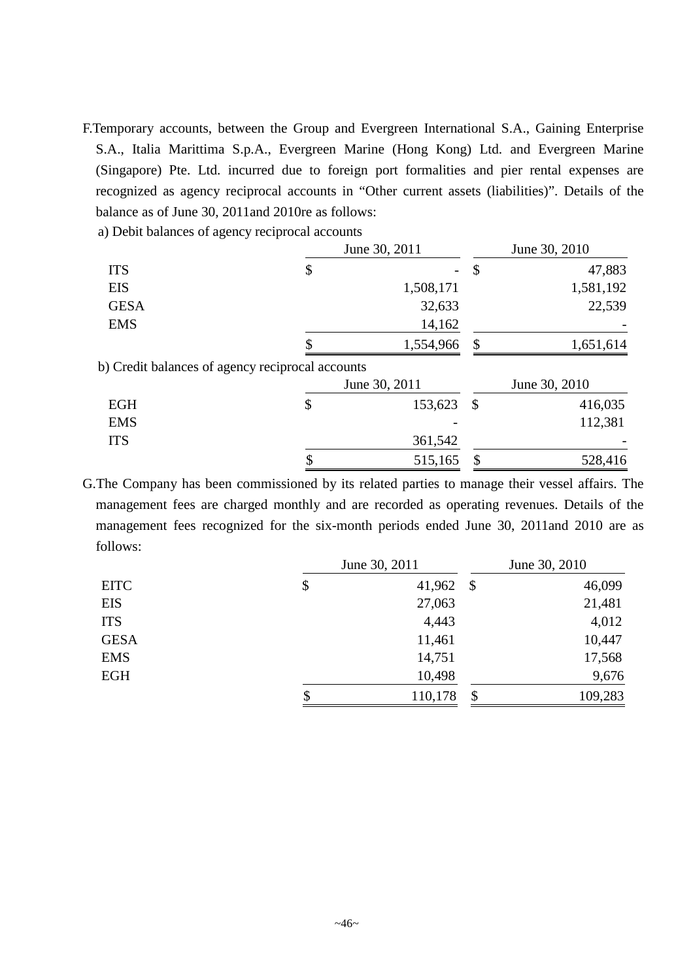- F.Temporary accounts, between the Group and Evergreen International S.A., Gaining Enterprise S.A., Italia Marittima S.p.A., Evergreen Marine (Hong Kong) Ltd. and Evergreen Marine (Singapore) Pte. Ltd. incurred due to foreign port formalities and pier rental expenses are recognized as agency reciprocal accounts in "Other current assets (liabilities)". Details of the balance as of June 30, 2011and 2010re as follows:
	- a) Debit balances of agency reciprocal accounts

|                                                  | June 30, 2011 |                           | June 30, 2010 |
|--------------------------------------------------|---------------|---------------------------|---------------|
| <b>ITS</b>                                       | \$            | $\boldsymbol{\mathsf{S}}$ | 47,883        |
| <b>EIS</b>                                       | 1,508,171     |                           | 1,581,192     |
| <b>GESA</b>                                      | 32,633        |                           | 22,539        |
| <b>EMS</b>                                       | 14,162        |                           |               |
|                                                  | 1,554,966     | \$                        | 1,651,614     |
| b) Credit balances of agency reciprocal accounts |               |                           |               |
|                                                  | June 30, 2011 |                           | June 30, 2010 |
| <b>EGH</b>                                       | \$<br>153,623 | $\mathcal{S}$             | 416,035       |
| <b>EMS</b>                                       |               |                           | 112,381       |
| <b>ITS</b>                                       | 361,542       |                           |               |
|                                                  | 515,165       | \$                        | 528,416       |

G.The Company has been commissioned by its related parties to manage their vessel affairs. The management fees are charged monthly and are recorded as operating revenues. Details of the management fees recognized for the six-month periods ended June 30, 2011and 2010 are as follows:

|             | June 30, 2011 | June 30, 2010             |         |
|-------------|---------------|---------------------------|---------|
| <b>EITC</b> | \$<br>41,962  | $\mathcal{S}$             | 46,099  |
| <b>EIS</b>  | 27,063        |                           | 21,481  |
| <b>ITS</b>  | 4,443         |                           | 4,012   |
| <b>GESA</b> | 11,461        |                           | 10,447  |
| <b>EMS</b>  | 14,751        |                           | 17,568  |
| <b>EGH</b>  | 10,498        |                           | 9,676   |
|             | \$<br>110,178 | $\boldsymbol{\mathsf{S}}$ | 109,283 |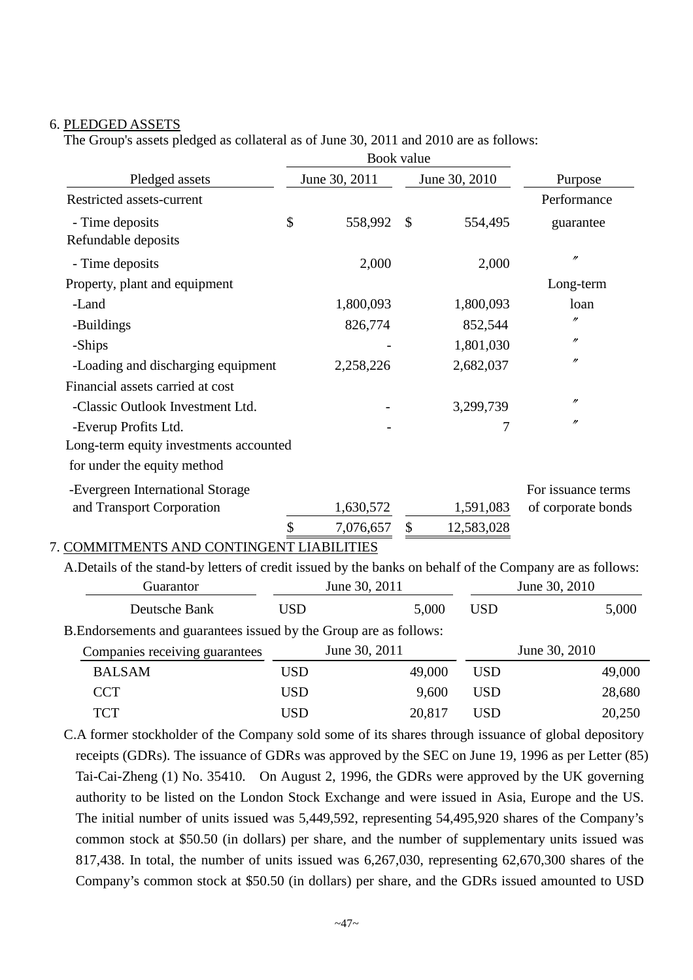### 6. PLEDGED ASSETS

The Group's assets pledged as collateral as of June 30, 2011 and 2010 are as follows:

|                                                                                                                       |            | Book value    |               |               |            |                    |
|-----------------------------------------------------------------------------------------------------------------------|------------|---------------|---------------|---------------|------------|--------------------|
| Pledged assets                                                                                                        |            | June 30, 2011 |               | June 30, 2010 |            | Purpose            |
| Restricted assets-current                                                                                             |            |               |               |               |            | Performance        |
| - Time deposits<br>Refundable deposits                                                                                | \$         | 558,992       | \$            |               | 554,495    | guarantee          |
| - Time deposits                                                                                                       |            | 2,000         |               |               | 2,000      | $\prime\prime$     |
| Property, plant and equipment                                                                                         |            |               |               |               |            | Long-term          |
| -Land                                                                                                                 |            | 1,800,093     |               |               | 1,800,093  | loan               |
| -Buildings                                                                                                            |            | 826,774       |               |               | 852,544    | $\prime$           |
| -Ships                                                                                                                |            |               |               |               | 1,801,030  | $^{\prime\prime}$  |
| -Loading and discharging equipment                                                                                    |            | 2,258,226     |               |               | 2,682,037  | $\prime\prime$     |
| Financial assets carried at cost                                                                                      |            |               |               |               |            |                    |
| -Classic Outlook Investment Ltd.                                                                                      |            |               |               |               | 3,299,739  | $\prime\prime$     |
| -Everup Profits Ltd.                                                                                                  |            |               |               |               | 7          | $\prime\prime$     |
| Long-term equity investments accounted                                                                                |            |               |               |               |            |                    |
| for under the equity method                                                                                           |            |               |               |               |            |                    |
| -Evergreen International Storage                                                                                      |            |               |               |               |            | For issuance terms |
| and Transport Corporation                                                                                             |            | 1,630,572     |               |               | 1,591,083  | of corporate bonds |
|                                                                                                                       | \$         | 7,076,657     | $\mathcal{S}$ |               | 12,583,028 |                    |
| 7. COMMITMENTS AND CONTINGENT LIABILITIES                                                                             |            |               |               |               |            |                    |
| A.Details of the stand-by letters of credit issued by the banks on behalf of the Company are as follows:<br>Guarantor |            | June 30, 2011 |               |               |            | June 30, 2010      |
| Deutsche Bank                                                                                                         | <b>USD</b> |               |               | 5,000         | <b>USD</b> | 5,000              |
|                                                                                                                       |            |               |               |               |            |                    |
| B. Endorsements and guarantees issued by the Group are as follows:                                                    |            |               |               |               |            |                    |
| Companies receiving guarantees                                                                                        |            | June 30, 2011 |               |               |            | June 30, 2010      |
| <b>BALSAM</b>                                                                                                         | <b>USD</b> |               |               | 49,000        | <b>USD</b> | 49,000             |
| <b>CCT</b>                                                                                                            | <b>USD</b> |               |               | 9,600         | <b>USD</b> | 28,680             |

C.A former stockholder of the Company sold some of its shares through issuance of global depository receipts (GDRs). The issuance of GDRs was approved by the SEC on June 19, 1996 as per Letter (85) Tai-Cai-Zheng (1) No. 35410. On August 2, 1996, the GDRs were approved by the UK governing authority to be listed on the London Stock Exchange and were issued in Asia, Europe and the US. The initial number of units issued was 5,449,592, representing 54,495,920 shares of the Company's common stock at \$50.50 (in dollars) per share, and the number of supplementary units issued was 817,438. In total, the number of units issued was 6,267,030, representing 62,670,300 shares of the Company's common stock at \$50.50 (in dollars) per share, and the GDRs issued amounted to USD

TCT USD 20,817 USD 20,250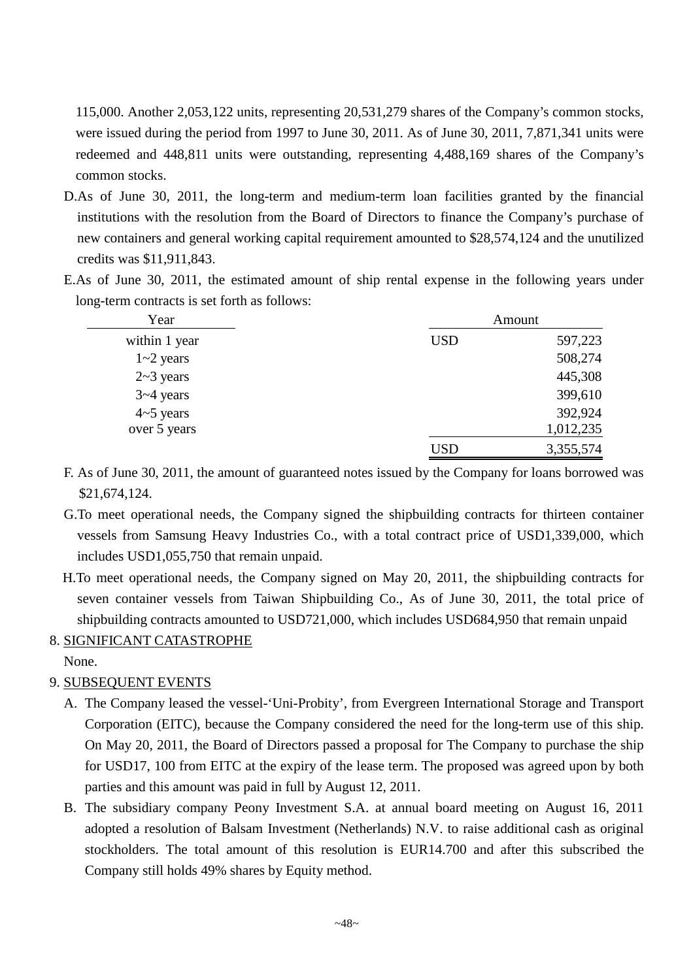115,000. Another 2,053,122 units, representing 20,531,279 shares of the Company's common stocks, were issued during the period from 1997 to June 30, 2011. As of June 30, 2011, 7,871,341 units were redeemed and 448,811 units were outstanding, representing 4,488,169 shares of the Company's common stocks.

- D.As of June 30, 2011, the long-term and medium-term loan facilities granted by the financial institutions with the resolution from the Board of Directors to finance the Company's purchase of new containers and general working capital requirement amounted to \$28,574,124 and the unutilized credits was \$11,911,843.
- E.As of June 30, 2011, the estimated amount of ship rental expense in the following years under long-term contracts is set forth as follows:

| Year             |            | Amount    |
|------------------|------------|-----------|
| within 1 year    | <b>USD</b> | 597,223   |
| $1 - 2$ years    |            | 508,274   |
| $2 \sim 3$ years |            | 445,308   |
| $3 - 4$ years    |            | 399,610   |
| $4 \sim 5$ years |            | 392,924   |
| over 5 years     |            | 1,012,235 |
|                  | USD        | 3,355,574 |

- F. As of June 30, 2011, the amount of guaranteed notes issued by the Company for loans borrowed was \$21,674,124.
- G.To meet operational needs, the Company signed the shipbuilding contracts for thirteen container vessels from Samsung Heavy Industries Co., with a total contract price of USD1,339,000, which includes USD1,055,750 that remain unpaid.
- H.To meet operational needs, the Company signed on May 20, 2011, the shipbuilding contracts for seven container vessels from Taiwan Shipbuilding Co., As of June 30, 2011, the total price of shipbuilding contracts amounted to USD721,000, which includes USD684,950 that remain unpaid

# 8. SIGNIFICANT CATASTROPHE

None.

# 9. SUBSEQUENT EVENTS

- A. The Company leased the vessel-'Uni-Probity', from Evergreen International Storage and Transport Corporation (EITC), because the Company considered the need for the long-term use of this ship. On May 20, 2011, the Board of Directors passed a proposal for The Company to purchase the ship for USD17, 100 from EITC at the expiry of the lease term. The proposed was agreed upon by both parties and this amount was paid in full by August 12, 2011.
- B. The subsidiary company Peony Investment S.A. at annual board meeting on August 16, 2011 adopted a resolution of Balsam Investment (Netherlands) N.V. to raise additional cash as original stockholders. The total amount of this resolution is EUR14.700 and after this subscribed the Company still holds 49% shares by Equity method.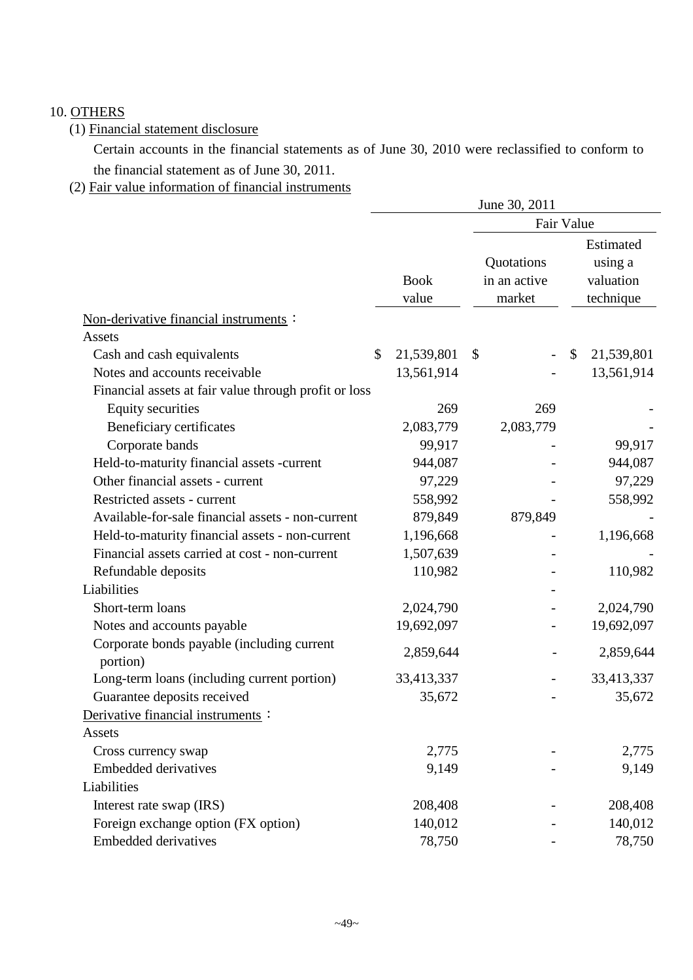# 10. OTHERS

# (1) Financial statement disclosure

Certain accounts in the financial statements as of June 30, 2010 were reclassified to conform to the financial statement as of June 30, 2011.

# (2) Fair value information of financial instruments

|                                                        |                  | June 30, 2011 |    |            |  |  |  |
|--------------------------------------------------------|------------------|---------------|----|------------|--|--|--|
|                                                        |                  | Fair Value    |    |            |  |  |  |
|                                                        |                  |               |    | Estimated  |  |  |  |
|                                                        |                  | Quotations    |    | using a    |  |  |  |
|                                                        | <b>Book</b>      | in an active  |    | valuation  |  |  |  |
|                                                        | value            | market        |    | technique  |  |  |  |
| Non-derivative financial instruments :                 |                  |               |    |            |  |  |  |
| Assets                                                 |                  |               |    |            |  |  |  |
| Cash and cash equivalents                              | \$<br>21,539,801 | \$            | \$ | 21,539,801 |  |  |  |
| Notes and accounts receivable                          | 13,561,914       |               |    | 13,561,914 |  |  |  |
| Financial assets at fair value through profit or loss  |                  |               |    |            |  |  |  |
| <b>Equity securities</b>                               | 269              | 269           |    |            |  |  |  |
| Beneficiary certificates                               | 2,083,779        | 2,083,779     |    |            |  |  |  |
| Corporate bands                                        | 99,917           |               |    | 99,917     |  |  |  |
| Held-to-maturity financial assets -current             | 944,087          |               |    | 944,087    |  |  |  |
| Other financial assets - current                       | 97,229           |               |    | 97,229     |  |  |  |
| Restricted assets - current                            | 558,992          |               |    | 558,992    |  |  |  |
| Available-for-sale financial assets - non-current      | 879,849          | 879,849       |    |            |  |  |  |
| Held-to-maturity financial assets - non-current        | 1,196,668        |               |    | 1,196,668  |  |  |  |
| Financial assets carried at cost - non-current         | 1,507,639        |               |    |            |  |  |  |
| Refundable deposits                                    | 110,982          |               |    | 110,982    |  |  |  |
| Liabilities                                            |                  |               |    |            |  |  |  |
| Short-term loans                                       | 2,024,790        |               |    | 2,024,790  |  |  |  |
| Notes and accounts payable                             | 19,692,097       |               |    | 19,692,097 |  |  |  |
| Corporate bonds payable (including current<br>portion) | 2,859,644        |               |    | 2,859,644  |  |  |  |
| Long-term loans (including current portion)            | 33,413,337       |               |    | 33,413,337 |  |  |  |
| Guarantee deposits received                            | 35,672           |               |    | 35,672     |  |  |  |
| Derivative financial instruments :                     |                  |               |    |            |  |  |  |
| Assets                                                 |                  |               |    |            |  |  |  |
| Cross currency swap                                    | 2,775            |               |    | 2,775      |  |  |  |
| <b>Embedded derivatives</b>                            | 9,149            |               |    | 9,149      |  |  |  |
| Liabilities                                            |                  |               |    |            |  |  |  |
| Interest rate swap (IRS)                               | 208,408          |               |    | 208,408    |  |  |  |
| Foreign exchange option (FX option)                    | 140,012          |               |    | 140,012    |  |  |  |
| <b>Embedded derivatives</b>                            | 78,750           |               |    | 78,750     |  |  |  |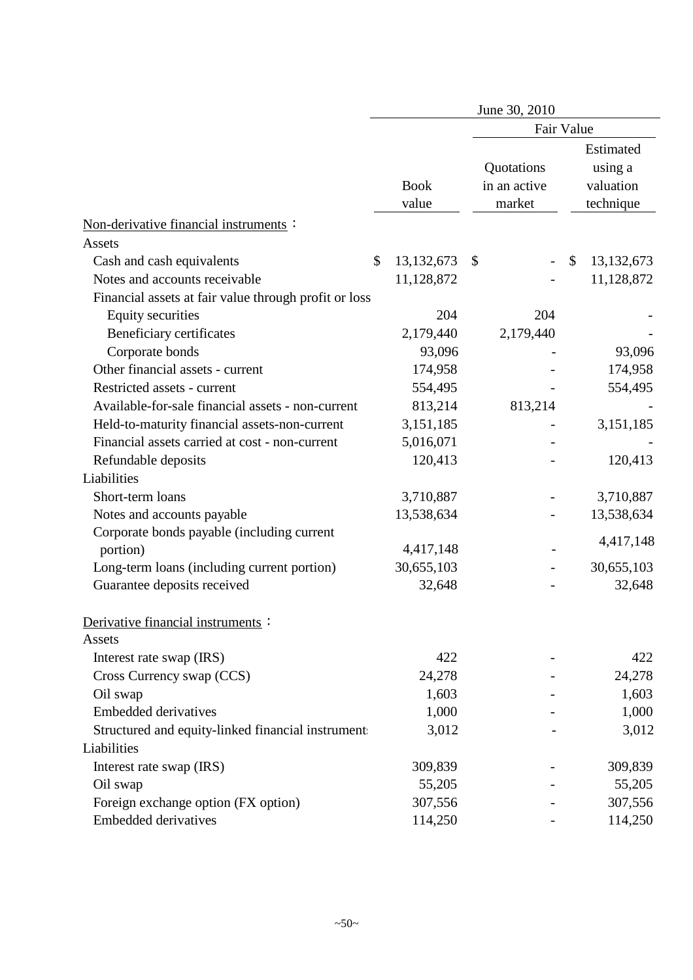|                                                       |                      | June 30, 2010                        |                                                |
|-------------------------------------------------------|----------------------|--------------------------------------|------------------------------------------------|
|                                                       |                      | Fair Value                           |                                                |
|                                                       | <b>Book</b><br>value | Quotations<br>in an active<br>market | Estimated<br>using a<br>valuation<br>technique |
| Non-derivative financial instruments :                |                      |                                      |                                                |
| Assets                                                |                      |                                      |                                                |
| Cash and cash equivalents                             | \$<br>13, 132, 673   | \$                                   | \$<br>13, 132, 673                             |
| Notes and accounts receivable                         | 11,128,872           |                                      | 11,128,872                                     |
| Financial assets at fair value through profit or loss |                      |                                      |                                                |
| <b>Equity securities</b>                              | 204                  | 204                                  |                                                |
| Beneficiary certificates                              | 2,179,440            | 2,179,440                            |                                                |
| Corporate bonds                                       | 93,096               |                                      | 93,096                                         |
| Other financial assets - current                      | 174,958              |                                      | 174,958                                        |
| Restricted assets - current                           | 554,495              |                                      | 554,495                                        |
| Available-for-sale financial assets - non-current     | 813,214              | 813,214                              |                                                |
| Held-to-maturity financial assets-non-current         | 3,151,185            |                                      | 3,151,185                                      |
| Financial assets carried at cost - non-current        | 5,016,071            |                                      |                                                |
| Refundable deposits                                   | 120,413              |                                      | 120,413                                        |
| Liabilities                                           |                      |                                      |                                                |
| Short-term loans                                      | 3,710,887            |                                      | 3,710,887                                      |
| Notes and accounts payable                            | 13,538,634           |                                      | 13,538,634                                     |
| Corporate bonds payable (including current            |                      |                                      | 4,417,148                                      |
| portion)                                              | 4,417,148            |                                      |                                                |
| Long-term loans (including current portion)           | 30,655,103           |                                      | 30,655,103                                     |
| Guarantee deposits received                           | 32,648               |                                      | 32,648                                         |
| Derivative financial instruments :<br>Assets          |                      |                                      |                                                |
| Interest rate swap (IRS)                              | 422                  |                                      | 422                                            |
| Cross Currency swap (CCS)                             | 24,278               |                                      | 24,278                                         |
| Oil swap                                              | 1,603                |                                      | 1,603                                          |
| <b>Embedded derivatives</b>                           | 1,000                |                                      | 1,000                                          |
| Structured and equity-linked financial instrument     | 3,012                |                                      | 3,012                                          |
| Liabilities                                           |                      |                                      |                                                |
| Interest rate swap (IRS)                              | 309,839              |                                      | 309,839                                        |
| Oil swap                                              | 55,205               |                                      | 55,205                                         |
| Foreign exchange option (FX option)                   | 307,556              |                                      | 307,556                                        |
| <b>Embedded derivatives</b>                           | 114,250              |                                      | 114,250                                        |
|                                                       |                      |                                      |                                                |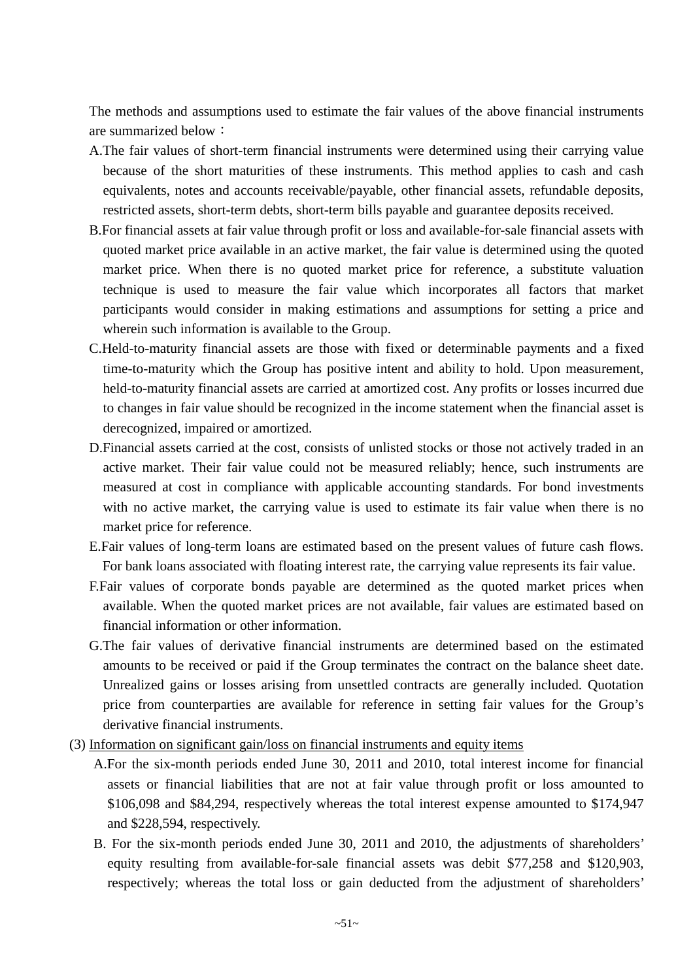The methods and assumptions used to estimate the fair values of the above financial instruments are summarized below:

- A.The fair values of short-term financial instruments were determined using their carrying value because of the short maturities of these instruments. This method applies to cash and cash equivalents, notes and accounts receivable/payable, other financial assets, refundable deposits, restricted assets, short-term debts, short-term bills payable and guarantee deposits received.
- B.For financial assets at fair value through profit or loss and available-for-sale financial assets with quoted market price available in an active market, the fair value is determined using the quoted market price. When there is no quoted market price for reference, a substitute valuation technique is used to measure the fair value which incorporates all factors that market participants would consider in making estimations and assumptions for setting a price and wherein such information is available to the Group.
- C.Held-to-maturity financial assets are those with fixed or determinable payments and a fixed time-to-maturity which the Group has positive intent and ability to hold. Upon measurement, held-to-maturity financial assets are carried at amortized cost. Any profits or losses incurred due to changes in fair value should be recognized in the income statement when the financial asset is derecognized, impaired or amortized.
- D.Financial assets carried at the cost, consists of unlisted stocks or those not actively traded in an active market. Their fair value could not be measured reliably; hence, such instruments are measured at cost in compliance with applicable accounting standards. For bond investments with no active market, the carrying value is used to estimate its fair value when there is no market price for reference.
- E.Fair values of long-term loans are estimated based on the present values of future cash flows. For bank loans associated with floating interest rate, the carrying value represents its fair value.
- F.Fair values of corporate bonds payable are determined as the quoted market prices when available. When the quoted market prices are not available, fair values are estimated based on financial information or other information.
- G.The fair values of derivative financial instruments are determined based on the estimated amounts to be received or paid if the Group terminates the contract on the balance sheet date. Unrealized gains or losses arising from unsettled contracts are generally included. Quotation price from counterparties are available for reference in setting fair values for the Group's derivative financial instruments.
- (3) Information on significant gain/loss on financial instruments and equity items
	- A.For the six-month periods ended June 30, 2011 and 2010, total interest income for financial assets or financial liabilities that are not at fair value through profit or loss amounted to \$106,098 and \$84,294, respectively whereas the total interest expense amounted to \$174,947 and \$228,594, respectively.
	- B. For the six-month periods ended June 30, 2011 and 2010, the adjustments of shareholders' equity resulting from available-for-sale financial assets was debit \$77,258 and \$120,903, respectively; whereas the total loss or gain deducted from the adjustment of shareholders'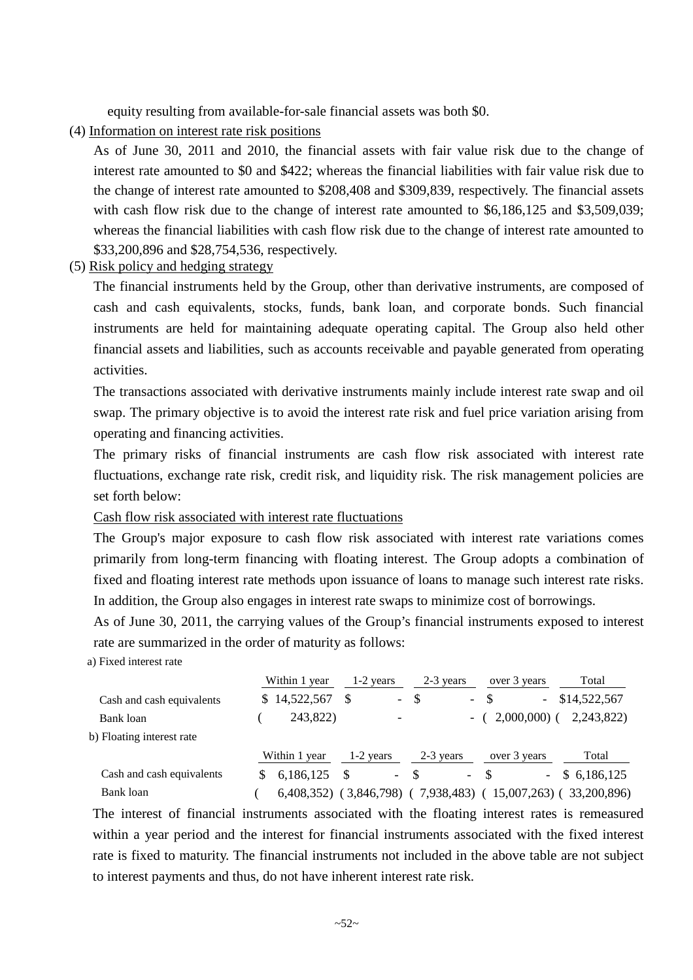equity resulting from available-for-sale financial assets was both \$0.

(4) Information on interest rate risk positions

As of June 30, 2011 and 2010, the financial assets with fair value risk due to the change of interest rate amounted to \$0 and \$422; whereas the financial liabilities with fair value risk due to the change of interest rate amounted to \$208,408 and \$309,839, respectively. The financial assets with cash flow risk due to the change of interest rate amounted to \$6,186,125 and \$3,509,039; whereas the financial liabilities with cash flow risk due to the change of interest rate amounted to \$33,200,896 and \$28,754,536, respectively.

(5) Risk policy and hedging strategy

The financial instruments held by the Group, other than derivative instruments, are composed of cash and cash equivalents, stocks, funds, bank loan, and corporate bonds. Such financial instruments are held for maintaining adequate operating capital. The Group also held other financial assets and liabilities, such as accounts receivable and payable generated from operating activities.

The transactions associated with derivative instruments mainly include interest rate swap and oil swap. The primary objective is to avoid the interest rate risk and fuel price variation arising from operating and financing activities.

The primary risks of financial instruments are cash flow risk associated with interest rate fluctuations, exchange rate risk, credit risk, and liquidity risk. The risk management policies are set forth below:

Cash flow risk associated with interest rate fluctuations

The Group's major exposure to cash flow risk associated with interest rate variations comes primarily from long-term financing with floating interest. The Group adopts a combination of fixed and floating interest rate methods upon issuance of loans to manage such interest rate risks. In addition, the Group also engages in interest rate swaps to minimize cost of borrowings.

As of June 30, 2011, the carrying values of the Group's financial instruments exposed to interest rate are summarized in the order of maturity as follows:

a) Fixed interest rate

|                           | Within 1 year              | 1-2 years |                          | 2-3 years    |            | over 3 years |                          | Total        |
|---------------------------|----------------------------|-----------|--------------------------|--------------|------------|--------------|--------------------------|--------------|
| Cash and cash equivalents | \$14,522,567               |           | $\sim$                   | \$           | $\sim$     | -S           | $\overline{\phantom{a}}$ | \$14,522,567 |
| Bank loan                 | 243,822)                   |           | $\overline{\phantom{0}}$ |              | -          |              | $2,000,000$ (            | 2,243,822)   |
| b) Floating interest rate |                            |           |                          |              |            |              |                          |              |
|                           | Within 1 year              |           | $1-2$ years              | 2-3 years    |            | over 3 years |                          | Total        |
| Cash and cash equivalents | 6,186,125                  | -S        | $\sim$                   | -\$          | $\sim$ $-$ | -8           | $\sim$                   | \$6,186,125  |
| Bank loan                 | $6,408,352)$ (3,846,798) ( |           |                          | 7,938,483) ( |            |              | $15,007,263$ (           | 33,200,896)  |

The interest of financial instruments associated with the floating interest rates is remeasured within a year period and the interest for financial instruments associated with the fixed interest rate is fixed to maturity. The financial instruments not included in the above table are not subject to interest payments and thus, do not have inherent interest rate risk.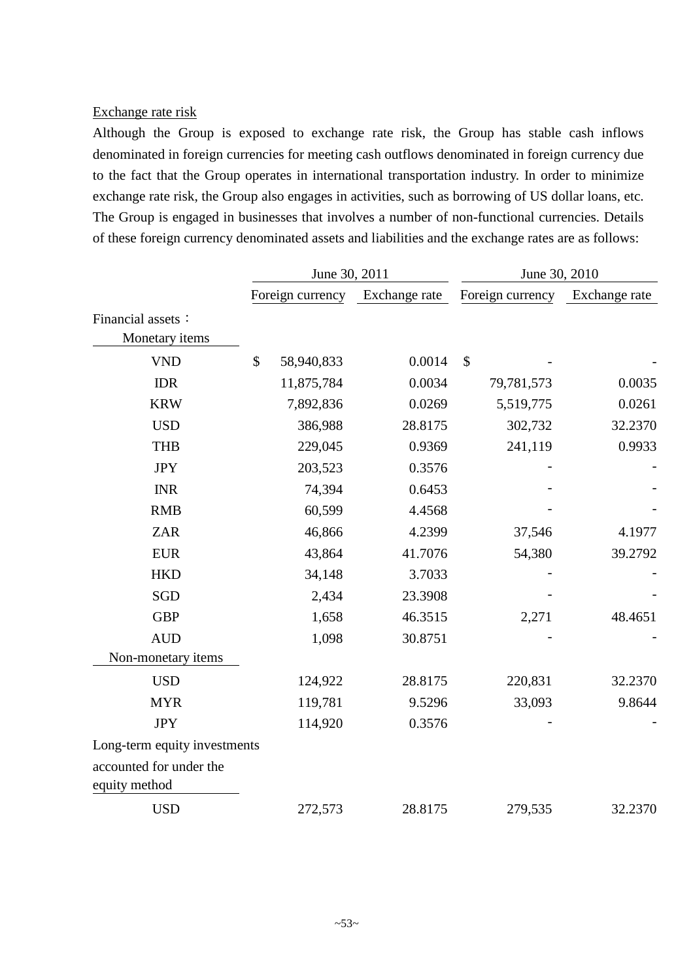### Exchange rate risk

Although the Group is exposed to exchange rate risk, the Group has stable cash inflows denominated in foreign currencies for meeting cash outflows denominated in foreign currency due to the fact that the Group operates in international transportation industry. In order to minimize exchange rate risk, the Group also engages in activities, such as borrowing of US dollar loans, etc. The Group is engaged in businesses that involves a number of non-functional currencies. Details of these foreign currency denominated assets and liabilities and the exchange rates are as follows:

|                                     | June 30, 2011    |               |                           | June 30, 2010    |               |
|-------------------------------------|------------------|---------------|---------------------------|------------------|---------------|
|                                     | Foreign currency | Exchange rate |                           | Foreign currency | Exchange rate |
| Financial assets:<br>Monetary items |                  |               |                           |                  |               |
| <b>VND</b>                          | \$<br>58,940,833 | 0.0014        | $\boldsymbol{\mathsf{S}}$ |                  |               |
| <b>IDR</b>                          | 11,875,784       | 0.0034        |                           | 79,781,573       | 0.0035        |
| <b>KRW</b>                          | 7,892,836        | 0.0269        |                           | 5,519,775        | 0.0261        |
| <b>USD</b>                          | 386,988          | 28.8175       |                           | 302,732          | 32.2370       |
| <b>THB</b>                          | 229,045          | 0.9369        |                           | 241,119          | 0.9933        |
| <b>JPY</b>                          | 203,523          | 0.3576        |                           |                  |               |
| <b>INR</b>                          | 74,394           | 0.6453        |                           |                  |               |
| <b>RMB</b>                          | 60,599           | 4.4568        |                           |                  |               |
| <b>ZAR</b>                          | 46,866           | 4.2399        |                           | 37,546           | 4.1977        |
| <b>EUR</b>                          | 43,864           | 41.7076       |                           | 54,380           | 39.2792       |
| <b>HKD</b>                          | 34,148           | 3.7033        |                           |                  |               |
| <b>SGD</b>                          | 2,434            | 23.3908       |                           |                  |               |
| <b>GBP</b>                          | 1,658            | 46.3515       |                           | 2,271            | 48.4651       |
| <b>AUD</b>                          | 1,098            | 30.8751       |                           |                  |               |
| Non-monetary items                  |                  |               |                           |                  |               |
| <b>USD</b>                          | 124,922          | 28.8175       |                           | 220,831          | 32.2370       |
| <b>MYR</b>                          | 119,781          | 9.5296        |                           | 33,093           | 9.8644        |
| <b>JPY</b>                          | 114,920          | 0.3576        |                           |                  |               |
| Long-term equity investments        |                  |               |                           |                  |               |
| accounted for under the             |                  |               |                           |                  |               |
| equity method                       |                  |               |                           |                  |               |
| <b>USD</b>                          | 272,573          | 28.8175       |                           | 279,535          | 32.2370       |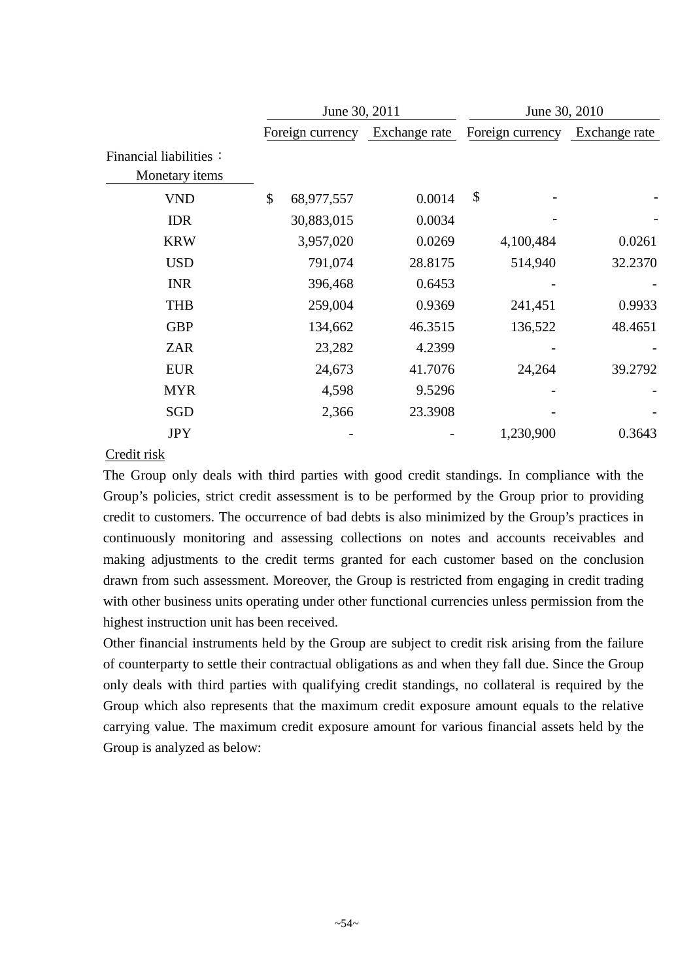|                                          | June 30, 2011    |               | June 30, 2010    |               |
|------------------------------------------|------------------|---------------|------------------|---------------|
|                                          | Foreign currency | Exchange rate | Foreign currency | Exchange rate |
| Financial liabilities:<br>Monetary items |                  |               |                  |               |
| <b>VND</b>                               | \$<br>68,977,557 | 0.0014        | \$               |               |
| <b>IDR</b>                               | 30,883,015       | 0.0034        |                  |               |
| <b>KRW</b>                               | 3,957,020        | 0.0269        | 4,100,484        | 0.0261        |
| <b>USD</b>                               | 791,074          | 28.8175       | 514,940          | 32.2370       |
| <b>INR</b>                               | 396,468          | 0.6453        |                  |               |
| <b>THB</b>                               | 259,004          | 0.9369        | 241,451          | 0.9933        |
| <b>GBP</b>                               | 134,662          | 46.3515       | 136,522          | 48.4651       |
| <b>ZAR</b>                               | 23,282           | 4.2399        |                  |               |
| <b>EUR</b>                               | 24,673           | 41.7076       | 24,264           | 39.2792       |
| <b>MYR</b>                               | 4,598            | 9.5296        |                  |               |
| SGD                                      | 2,366            | 23.3908       |                  |               |
| <b>JPY</b>                               |                  |               | 1,230,900        | 0.3643        |

# Credit risk

The Group only deals with third parties with good credit standings. In compliance with the Group's policies, strict credit assessment is to be performed by the Group prior to providing credit to customers. The occurrence of bad debts is also minimized by the Group's practices in continuously monitoring and assessing collections on notes and accounts receivables and making adjustments to the credit terms granted for each customer based on the conclusion drawn from such assessment. Moreover, the Group is restricted from engaging in credit trading with other business units operating under other functional currencies unless permission from the highest instruction unit has been received.

Other financial instruments held by the Group are subject to credit risk arising from the failure of counterparty to settle their contractual obligations as and when they fall due. Since the Group only deals with third parties with qualifying credit standings, no collateral is required by the Group which also represents that the maximum credit exposure amount equals to the relative carrying value. The maximum credit exposure amount for various financial assets held by the Group is analyzed as below: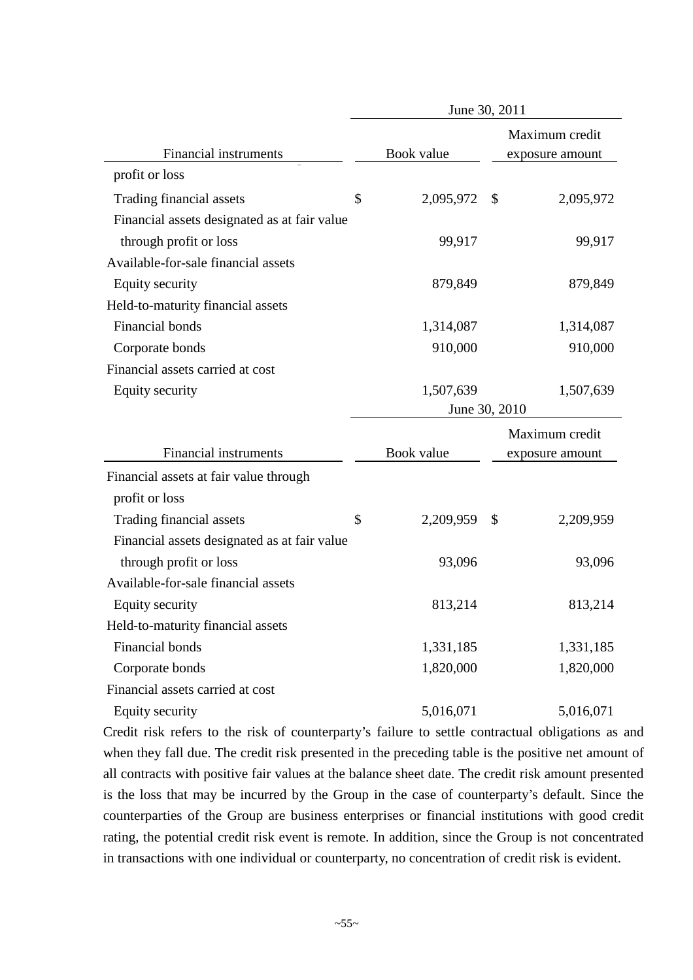|                                              | June 30, 2011   |              |                 |
|----------------------------------------------|-----------------|--------------|-----------------|
|                                              |                 |              | Maximum credit  |
| Financial instruments                        | Book value      |              | exposure amount |
| profit or loss                               |                 |              |                 |
| Trading financial assets                     | \$<br>2,095,972 | $\mathbb{S}$ | 2,095,972       |
| Financial assets designated as at fair value |                 |              |                 |
| through profit or loss                       | 99,917          |              | 99,917          |
| Available-for-sale financial assets          |                 |              |                 |
| <b>Equity security</b>                       | 879,849         |              | 879,849         |
| Held-to-maturity financial assets            |                 |              |                 |
| Financial bonds                              | 1,314,087       |              | 1,314,087       |
| Corporate bonds                              | 910,000         |              | 910,000         |
| Financial assets carried at cost             |                 |              |                 |
| Equity security                              | 1,507,639       |              | 1,507,639       |
|                                              | June 30, 2010   |              |                 |
|                                              |                 |              | Maximum credit  |
| Financial instruments                        | Book value      |              | exposure amount |
| Financial assets at fair value through       |                 |              |                 |
| profit or loss                               |                 |              |                 |
| Trading financial assets                     | \$<br>2,209,959 | \$           | 2,209,959       |
| Financial assets designated as at fair value |                 |              |                 |
| through profit or loss                       | 93,096          |              | 93,096          |
| Available-for-sale financial assets          |                 |              |                 |
| Equity security                              | 813,214         |              | 813,214         |
| Held-to-maturity financial assets            |                 |              |                 |
| Financial bonds                              | 1,331,185       |              | 1,331,185       |
| Corporate bonds                              | 1,820,000       |              | 1,820,000       |
| Financial assets carried at cost             |                 |              |                 |
| Equity security                              | 5,016,071       |              | 5,016,071       |

Credit risk refers to the risk of counterparty's failure to settle contractual obligations as and when they fall due. The credit risk presented in the preceding table is the positive net amount of all contracts with positive fair values at the balance sheet date. The credit risk amount presented is the loss that may be incurred by the Group in the case of counterparty's default. Since the counterparties of the Group are business enterprises or financial institutions with good credit rating, the potential credit risk event is remote. In addition, since the Group is not concentrated in transactions with one individual or counterparty, no concentration of credit risk is evident.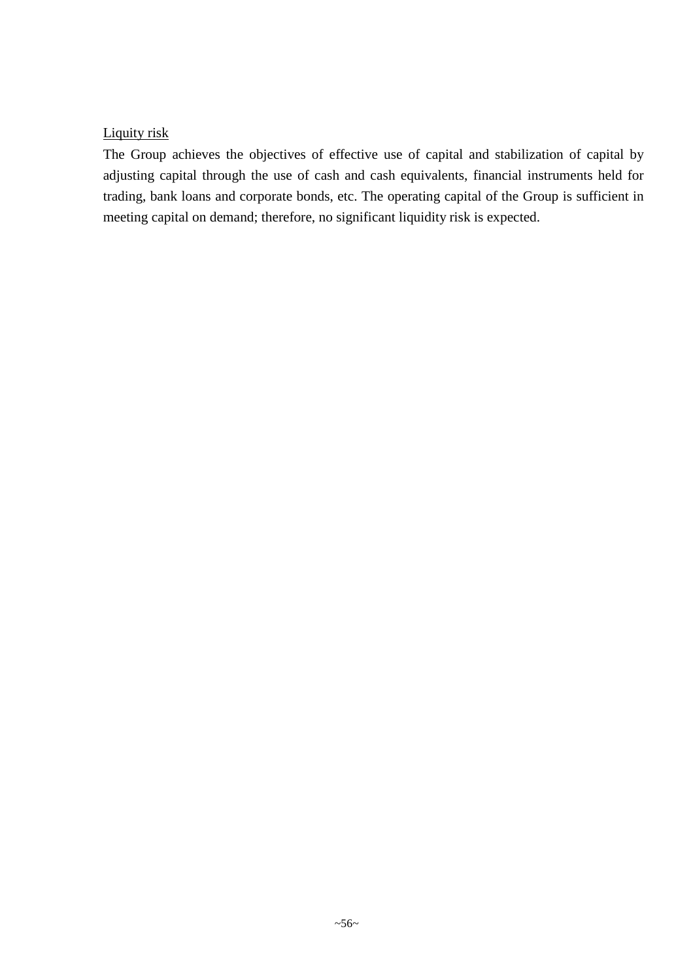# Liquity risk

The Group achieves the objectives of effective use of capital and stabilization of capital by adjusting capital through the use of cash and cash equivalents, financial instruments held for trading, bank loans and corporate bonds, etc. The operating capital of the Group is sufficient in meeting capital on demand; therefore, no significant liquidity risk is expected.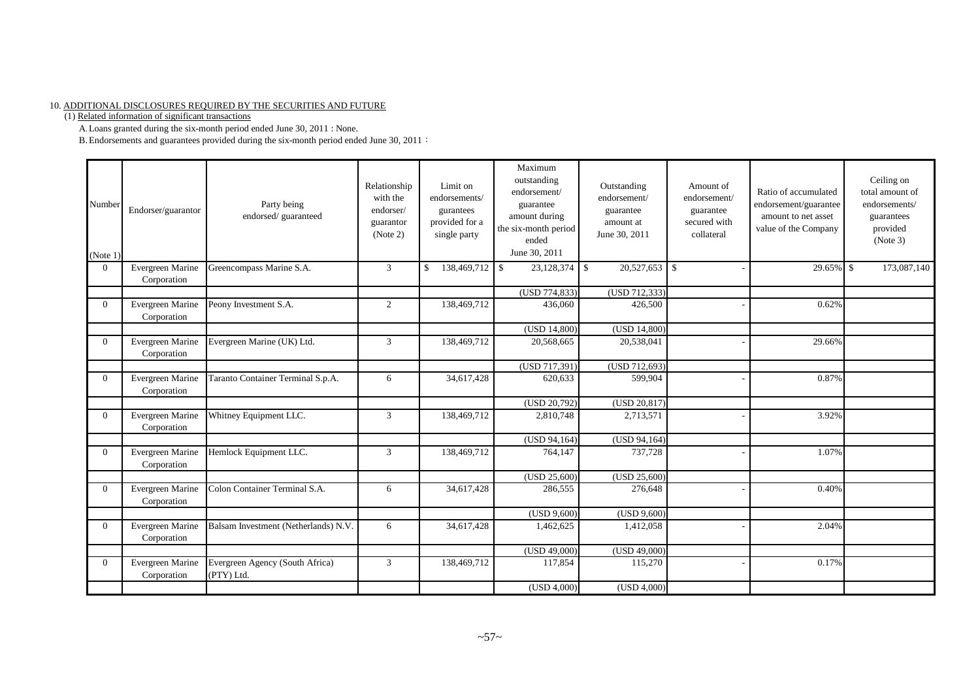#### 10. ADDITIONAL DISCLOSURES REQUIRED BY THE SECURITIES AND FUTURE

(1) Related information of significant transactions

A.Loans granted during the six-month period ended June 30, 2011 : None.

B. Endorsements and guarantees provided during the six-month period ended June 30, 2011:

| Number<br>(Note 1) | Endorser/guarantor              | Party being<br>endorsed/guaranteed            | Relationship<br>with the<br>endorser/<br>guarantor<br>(Note 2) | Limit on<br>endorsements/<br>gurantees<br>provided for a<br>single party | Maximum<br>outstanding<br>endorsement/<br>guarantee<br>amount during<br>the six-month period<br>ended<br>June 30, 2011 | Outstanding<br>endorsement/<br>guarantee<br>amount at<br>June 30, 2011 | Amount of<br>endorsement/<br>guarantee<br>secured with<br>collateral | Ratio of accumulated<br>endorsement/guarantee<br>amount to net asset<br>value of the Company | Ceiling on<br>total amount of<br>endorsements/<br>guarantees<br>provided<br>(Note 3) |
|--------------------|---------------------------------|-----------------------------------------------|----------------------------------------------------------------|--------------------------------------------------------------------------|------------------------------------------------------------------------------------------------------------------------|------------------------------------------------------------------------|----------------------------------------------------------------------|----------------------------------------------------------------------------------------------|--------------------------------------------------------------------------------------|
| $\Omega$           | Evergreen Marine<br>Corporation | Greencompass Marine S.A.                      | 3                                                              | 138,469,712 \$<br>\$                                                     | $23,128,374$ \$                                                                                                        | 20,527,653                                                             | l \$                                                                 | 29.65% \$                                                                                    | 173,087,140                                                                          |
|                    |                                 |                                               |                                                                |                                                                          | (USD 774,833)                                                                                                          | (USD 712, 333)                                                         |                                                                      |                                                                                              |                                                                                      |
| $\Omega$           | Evergreen Marine<br>Corporation | Peony Investment S.A.                         | 2                                                              | 138,469,712                                                              | 436,060                                                                                                                | 426,500                                                                |                                                                      | 0.62%                                                                                        |                                                                                      |
|                    |                                 |                                               |                                                                |                                                                          | (USD 14,800)                                                                                                           | (USD 14,800)                                                           |                                                                      |                                                                                              |                                                                                      |
| $\Omega$           | Evergreen Marine<br>Corporation | Evergreen Marine (UK) Ltd.                    | 3                                                              | 138,469,712                                                              | 20,568,665                                                                                                             | 20,538,041                                                             |                                                                      | 29.66%                                                                                       |                                                                                      |
|                    |                                 |                                               |                                                                |                                                                          | (USD 717,391)                                                                                                          | $\overline{(USD 712,693)}$                                             |                                                                      |                                                                                              |                                                                                      |
| $\Omega$           | Evergreen Marine<br>Corporation | Taranto Container Terminal S.p.A.             | 6                                                              | 34,617,428                                                               | 620,633                                                                                                                | 599,904                                                                |                                                                      | 0.87%                                                                                        |                                                                                      |
|                    |                                 |                                               |                                                                |                                                                          | (USD 20,792)                                                                                                           | (USD 20,817)                                                           |                                                                      |                                                                                              |                                                                                      |
| $\Omega$           | Evergreen Marine<br>Corporation | Whitney Equipment LLC.                        | 3                                                              | 138,469,712                                                              | 2,810,748                                                                                                              | 2,713,571                                                              |                                                                      | 3.92%                                                                                        |                                                                                      |
|                    |                                 |                                               |                                                                |                                                                          | (USD 94,164)                                                                                                           | (USD 94,164)                                                           |                                                                      |                                                                                              |                                                                                      |
| $\Omega$           | Evergreen Marine<br>Corporation | Hemlock Equipment LLC.                        | 3                                                              | 138,469,712                                                              | 764,147                                                                                                                | 737,728                                                                |                                                                      | 1.07%                                                                                        |                                                                                      |
|                    |                                 |                                               |                                                                |                                                                          | (USD 25,600)                                                                                                           | (USD 25,600)                                                           |                                                                      |                                                                                              |                                                                                      |
| $\Omega$           | Evergreen Marine<br>Corporation | Colon Container Terminal S.A.                 | 6                                                              | 34,617,428                                                               | 286,555                                                                                                                | 276,648                                                                |                                                                      | 0.40%                                                                                        |                                                                                      |
|                    |                                 |                                               |                                                                |                                                                          | (USD 9,600)                                                                                                            | (USD 9,600)                                                            |                                                                      |                                                                                              |                                                                                      |
| $\overline{0}$     | Evergreen Marine<br>Corporation | Balsam Investment (Netherlands) N.V.          | 6                                                              | 34,617,428                                                               | 1,462,625                                                                                                              | 1,412,058                                                              |                                                                      | 2.04%                                                                                        |                                                                                      |
|                    |                                 |                                               |                                                                |                                                                          | (USD 49,000)                                                                                                           | (USD 49,000)                                                           |                                                                      |                                                                                              |                                                                                      |
| $\Omega$           | Evergreen Marine<br>Corporation | Evergreen Agency (South Africa)<br>(PTY) Ltd. | 3                                                              | 138,469,712                                                              | 117,854                                                                                                                | 115,270                                                                |                                                                      | 0.17%                                                                                        |                                                                                      |
|                    |                                 |                                               |                                                                |                                                                          | (USD 4,000)                                                                                                            | (USD 4,000)                                                            |                                                                      |                                                                                              |                                                                                      |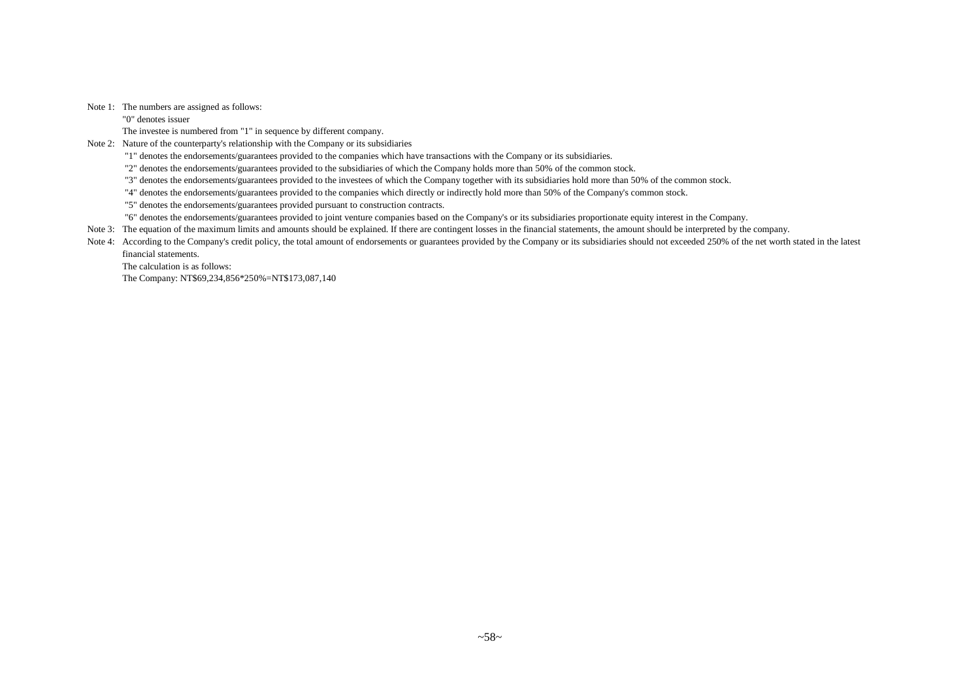Note 1: The numbers are assigned as follows:

"0" denotes issuer

The investee is numbered from "1" in sequence by different company.

Note 2: Nature of the counterparty's relationship with the Company or its subsidiaries

"1" denotes the endorsements/guarantees provided to the companies which have transactions with the Company or its subsidiaries.

"2" denotes the endorsements/guarantees provided to the subsidiaries of which the Company holds more than 50% of the common stock.

"3" denotes the endorsements/guarantees provided to the investees of which the Company together with its subsidiaries hold more than 50% of the common stock.

"4" denotes the endorsements/guarantees provided to the companies which directly or indirectly hold more than 50% of the Company's common stock.

"5" denotes the endorsements/guarantees provided pursuant to construction contracts.

"6" denotes the endorsements/guarantees provided to joint venture companies based on the Company's or its subsidiaries proportionate equity interest in the Company.

Note 3: The equation of the maximum limits and amounts should be explained. If there are contingent losses in the financial statements, the amount should be interpreted by the company.

Note 4: According to the Company's credit policy, the total amount of endorsements or guarantees provided by the Company or its subsidiaries should not exceeded 250% of the net worth stated in the latest financial statements.

The calculation is as follows:

The Company: NT\$69,234,856\*250%=NT\$173,087,140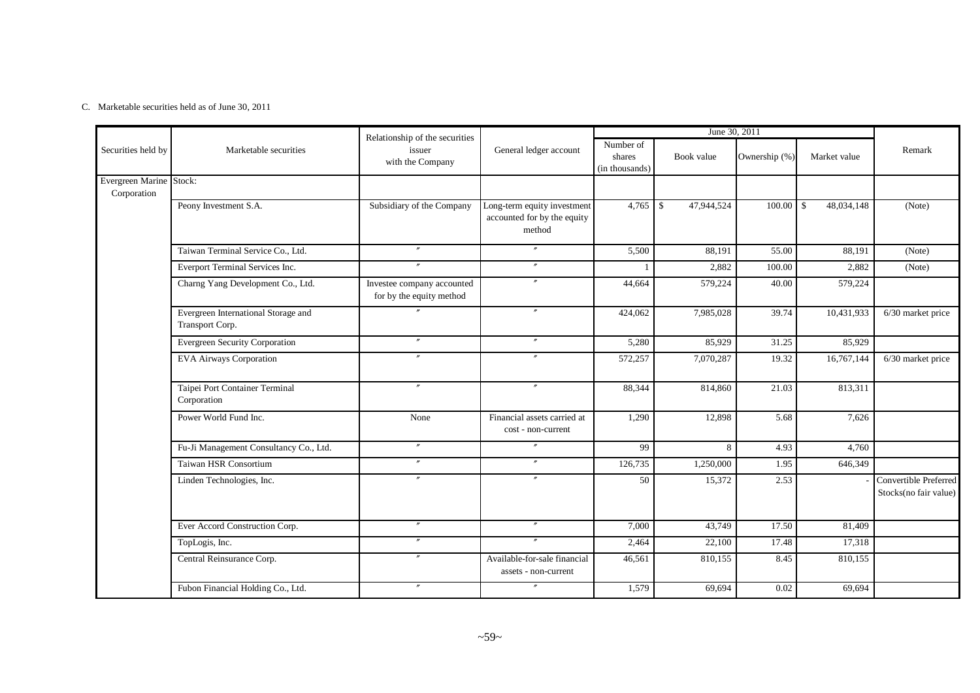#### C. Marketable securities held as of June 30, 2011

|                                        |                                                        | Relationship of the securities                         |                                                                      |                                       | June 30, 2011            |               |                                        |                                                |
|----------------------------------------|--------------------------------------------------------|--------------------------------------------------------|----------------------------------------------------------------------|---------------------------------------|--------------------------|---------------|----------------------------------------|------------------------------------------------|
| Securities held by                     | Marketable securities                                  | issuer<br>with the Company                             | General ledger account                                               | Number of<br>shares<br>(in thousands) | Book value               | Ownership (%) | Market value                           | Remark                                         |
| Evergreen Marine Stock:<br>Corporation |                                                        |                                                        |                                                                      |                                       |                          |               |                                        |                                                |
|                                        | Peony Investment S.A.                                  | Subsidiary of the Company                              | Long-term equity investment<br>accounted for by the equity<br>method | 4,765                                 | $\sqrt{S}$<br>47,944,524 | 100.00        | 48,034,148<br>$\overline{\phantom{a}}$ | (Note)                                         |
|                                        | Taiwan Terminal Service Co., Ltd.                      | $^{\prime\prime}$                                      | $\prime\prime$                                                       | 5,500                                 | 88,191                   | 55.00         | 88,191                                 | (Note)                                         |
|                                        | Everport Terminal Services Inc.                        | $^{\prime\prime}$                                      | $^{\prime\prime}$                                                    |                                       | 2,882                    | 100.00        | 2,882                                  | (Note)                                         |
|                                        | Charng Yang Development Co., Ltd.                      | Investee company accounted<br>for by the equity method | $\prime$                                                             | 44,664                                | 579,224                  | 40.00         | 579,224                                |                                                |
|                                        | Evergreen International Storage and<br>Transport Corp. |                                                        | $^{\prime\prime}$                                                    | 424,062                               | 7,985,028                | 39.74         | 10,431,933                             | 6/30 market price                              |
|                                        | <b>Evergreen Security Corporation</b>                  |                                                        | $^{\prime\prime}$                                                    | 5,280                                 | 85,929                   | 31.25         | 85,929                                 |                                                |
|                                        | <b>EVA Airways Corporation</b>                         | $\prime\prime$                                         | $\prime$                                                             | 572,257                               | 7,070,287                | 19.32         | 16,767,144                             | 6/30 market price                              |
|                                        | Taipei Port Container Terminal<br>Corporation          | $\prime\prime$                                         | $^{\prime\prime}$                                                    | 88,344                                | 814,860                  | 21.03         | 813,311                                |                                                |
|                                        | Power World Fund Inc.                                  | None                                                   | Financial assets carried at<br>cost - non-current                    | 1,290                                 | 12,898                   | 5.68          | 7,626                                  |                                                |
|                                        | Fu-Ji Management Consultancy Co., Ltd.                 | $^{\prime\prime}$                                      | $^{\prime\prime}$                                                    | 99                                    | 8                        | 4.93          | 4,760                                  |                                                |
|                                        | Taiwan HSR Consortium                                  | $\boldsymbol{''}$                                      | $\overline{''}$                                                      | 126,735                               | 1,250,000                | 1.95          | 646,349                                |                                                |
|                                        | Linden Technologies, Inc.                              | $\boldsymbol{''}$                                      | $^{\prime\prime}$                                                    | 50                                    | 15,372                   | 2.53          |                                        | Convertible Preferred<br>Stocks(no fair value) |
|                                        | Ever Accord Construction Corp.                         |                                                        | $\prime$                                                             | 7,000                                 | 43,749                   | 17.50         | 81,409                                 |                                                |
|                                        | TopLogis, Inc.                                         | $\boldsymbol{''}$                                      | $\prime\prime$                                                       | 2,464                                 | 22,100                   | 17.48         | 17,318                                 |                                                |
|                                        | Central Reinsurance Corp.                              |                                                        | Available-for-sale financial<br>assets - non-current                 | 46,561                                | 810,155                  | 8.45          | 810,155                                |                                                |
|                                        | Fubon Financial Holding Co., Ltd.                      | $^{\prime\prime}$                                      | $\prime\prime$                                                       | 1,579                                 | 69,694                   | 0.02          | 69,694                                 |                                                |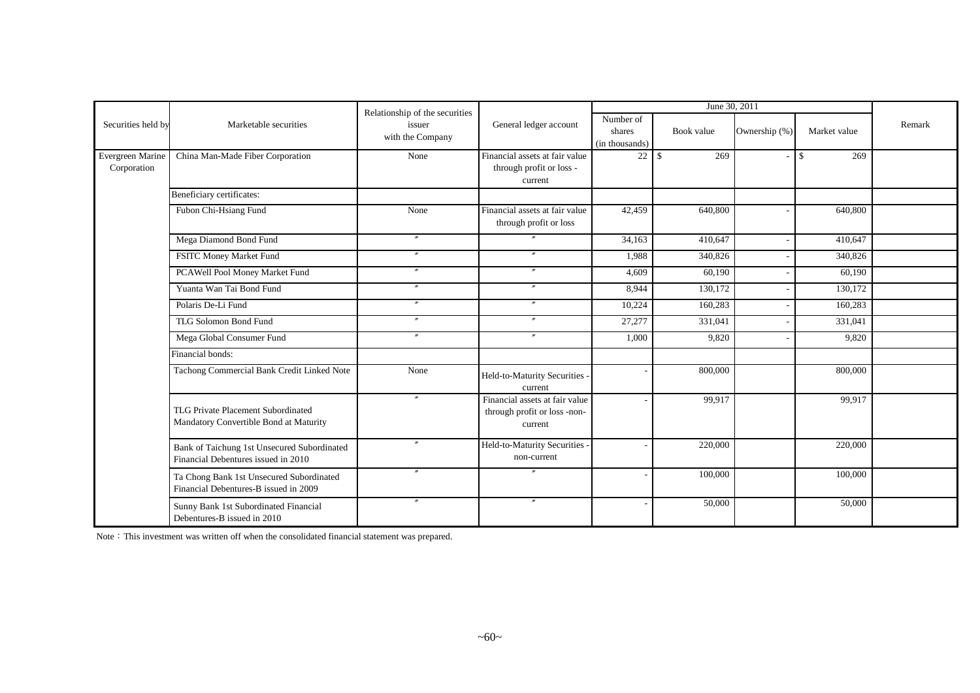|                                 |                                                                                    | Relationship of the securities |                                                                           |                                       | June 30, 2011 |               |                     |        |
|---------------------------------|------------------------------------------------------------------------------------|--------------------------------|---------------------------------------------------------------------------|---------------------------------------|---------------|---------------|---------------------|--------|
| Securities held by              | Marketable securities                                                              | issuer<br>with the Company     | General ledger account                                                    | Number of<br>shares<br>(in thousands) | Book value    | Ownership (%) | Market value        | Remark |
| Evergreen Marine<br>Corporation | China Man-Made Fiber Corporation                                                   | None                           | Financial assets at fair value<br>through profit or loss -<br>current     | $22 \mid$ \$                          | 269           |               | $\mathbb{S}$<br>269 |        |
|                                 | Beneficiary certificates:                                                          |                                |                                                                           |                                       |               |               |                     |        |
|                                 | Fubon Chi-Hsiang Fund                                                              | None                           | Financial assets at fair value<br>through profit or loss                  | 42,459                                | 640,800       |               | 640,800             |        |
|                                 | Mega Diamond Bond Fund                                                             | $\prime\prime$                 | $^{\prime\prime}$                                                         | 34,163                                | 410,647       |               | 410,647             |        |
|                                 | FSITC Money Market Fund                                                            | $\boldsymbol{''}$              | $\prime\prime$                                                            | 1,988                                 | 340,826       |               | 340,826             |        |
|                                 | PCAWell Pool Money Market Fund                                                     | $^{\prime\prime}$              | $^{\prime\prime}$                                                         | 4,609                                 | 60,190        |               | 60,190              |        |
|                                 | Yuanta Wan Tai Bond Fund                                                           | $\overline{''}$                | $\overline{''}$                                                           | 8,944                                 | 130,172       |               | 130,172             |        |
|                                 | Polaris De-Li Fund                                                                 | $^{\prime\prime}$              | $^{\prime\prime}$                                                         | 10,224                                | 160,283       |               | 160,283             |        |
|                                 | TLG Solomon Bond Fund                                                              | $^{\prime\prime}$              | $\prime\prime$                                                            | 27,277                                | 331,041       |               | 331,041             |        |
|                                 | Mega Global Consumer Fund                                                          | $^{\prime\prime}$              | $^{\prime\prime}$                                                         | 1,000                                 | 9,820         |               | 9,820               |        |
|                                 | Financial bonds:                                                                   |                                |                                                                           |                                       |               |               |                     |        |
|                                 | Tachong Commercial Bank Credit Linked Note                                         | None                           | Held-to-Maturity Securities -<br>current                                  |                                       | 800,000       |               | 800,000             |        |
|                                 | TLG Private Placement Subordinated<br>Mandatory Convertible Bond at Maturity       | $^{\prime\prime}$              | Financial assets at fair value<br>through profit or loss -non-<br>current |                                       | 99,917        |               | 99,917              |        |
|                                 | Bank of Taichung 1st Unsecured Subordinated<br>Financial Debentures issued in 2010 | $^{\prime\prime}$              | Held-to-Maturity Securities -<br>non-current                              |                                       | 220,000       |               | 220,000             |        |
|                                 | Ta Chong Bank 1st Unsecured Subordinated<br>Financial Debentures-B issued in 2009  |                                |                                                                           |                                       | 100,000       |               | 100,000             |        |
|                                 | Sunny Bank 1st Subordinated Financial<br>Debentures-B issued in 2010               | $^{\prime\prime}$              | $^{\prime\prime}$                                                         |                                       | 50,000        |               | 50,000              |        |

Note: This investment was written off when the consolidated financial statement was prepared.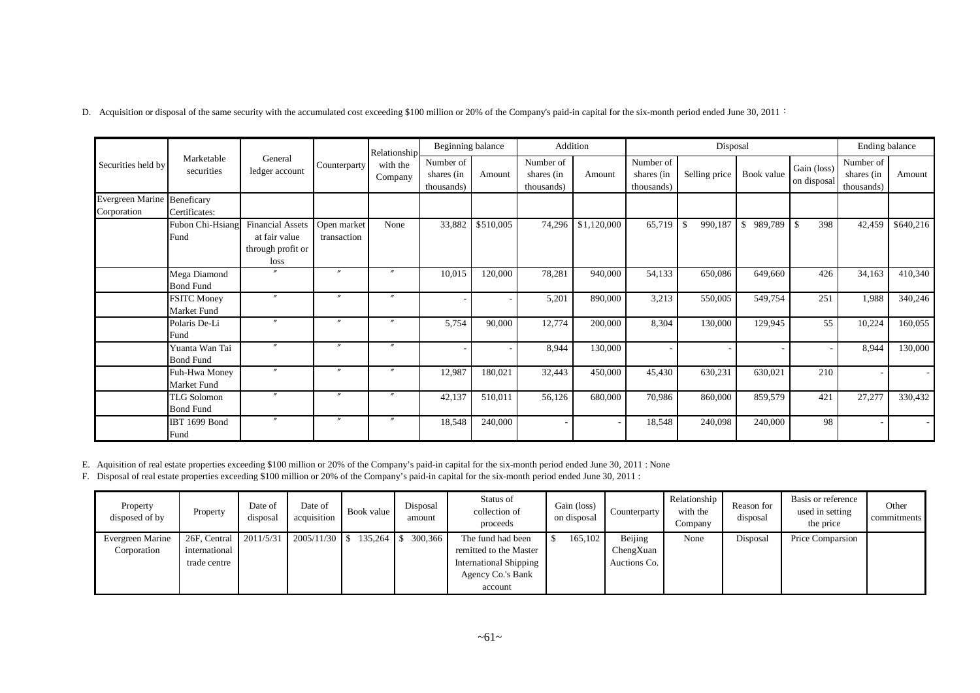D. Acquisition or disposal of the same security with the accumulated cost exceeding \$100 million or 20% of the Company's paid-in capital for the six-month period ended June 30, 2011:

|                                                   | Beginning balance<br>Addition<br>Disposal<br>Relationship |                                                                       |                            |                       |                                       |           |                                       |             |                                       | Ending balance |               |                            |                                       |           |
|---------------------------------------------------|-----------------------------------------------------------|-----------------------------------------------------------------------|----------------------------|-----------------------|---------------------------------------|-----------|---------------------------------------|-------------|---------------------------------------|----------------|---------------|----------------------------|---------------------------------------|-----------|
| Securities held by                                | Marketable<br>securities                                  | General<br>ledger account                                             | Counterparty               | with the<br>Company   | Number of<br>shares (in<br>thousands) | Amount    | Number of<br>shares (in<br>thousands) | Amount      | Number of<br>shares (in<br>thousands) | Selling price  | Book value    | Gain (loss)<br>on disposal | Number of<br>shares (in<br>thousands) | Amount    |
| <b>Evergreen Marine Beneficary</b><br>Corporation | Certificates:                                             |                                                                       |                            |                       |                                       |           |                                       |             |                                       |                |               |                            |                                       |           |
|                                                   | Fubon Chi-Hsiang<br>Fund                                  | <b>Financial Assets</b><br>at fair value<br>through profit or<br>loss | Open market<br>transaction | None                  | 33,882                                | \$510,005 | 74,296                                | \$1,120,000 | 65,719                                | 990,187<br>-\$ | 989,789<br>\$ | $\overline{1}$ s<br>398    | 42,459                                | \$640,216 |
|                                                   | Mega Diamond<br><b>Bond Fund</b>                          |                                                                       | $\prime$                   | $\overline{u}$        | 10,015                                | 120,000   | 78,281                                | 940,000     | 54,133                                | 650,086        | 649,660       | 426                        | 34,163                                | 410,340   |
|                                                   | <b>FSITC Money</b><br><b>Market Fund</b>                  | $^{\prime\prime}$                                                     | $\prime$                   | $\prime\prime$        |                                       |           | 5,201                                 | 890,000     | 3,213                                 | 550,005        | 549,754       | 251                        | 1,988                                 | 340,246   |
|                                                   | Polaris De-Li<br>Fund                                     | $\boldsymbol{''}$                                                     | $\prime$                   | $\boldsymbol{\prime}$ | 5,754                                 | 90,000    | 12,774                                | 200,000     | 8,304                                 | 130,000        | 129,945       | 55                         | 10,224                                | 160,055   |
|                                                   | Yuanta Wan Tai<br><b>Bond Fund</b>                        | $\boldsymbol{''}$                                                     | $\prime$                   | $\boldsymbol{\prime}$ |                                       |           | 8,944                                 | 130,000     |                                       |                |               |                            | 8,944                                 | 130,000   |
|                                                   | Fuh-Hwa Money<br>Market Fund                              | $\boldsymbol{''}$                                                     | $\prime$                   | $\boldsymbol{\prime}$ | 12,987                                | 180,021   | 32,443                                | 450,000     | 45,430                                | 630,231        | 630,021       | 210                        |                                       |           |
|                                                   | <b>TLG Solomon</b><br><b>Bond Fund</b>                    | $\overline{v}$                                                        | $\prime$                   | $\boldsymbol{''}$     | 42,137                                | 510,011   | 56,126                                | 680,000     | 70,986                                | 860,000        | 859,579       | 421                        | 27,277                                | 330,432   |
|                                                   | <b>IBT 1699 Bond</b><br>Fund                              | $\prime$                                                              | $\prime$                   | $\prime\prime$        | 18,548                                | 240,000   |                                       |             | 18,548                                | 240,098        | 240,000       | 98                         |                                       |           |

E. Aquisition of real estate properties exceeding \$100 million or 20% of the Company's paid-in capital for the six-month period ended June 30, 2011 : None

F. Disposal of real estate properties exceeding \$100 million or 20% of the Company's paid-in capital for the six-month period ended June 30, 2011 :

| Property<br>disposed of by      | Property                                                | Date of<br>disposal | Date of<br>acquisition | Book value | Disposal<br>amount | Status of<br>collection of<br>proceeds                                                                       | Gain (loss)<br>on disposal | Counterparty                         | Relationship<br>with the<br>Company | Reason for<br>disposal | Basis or reference<br>used in setting<br>the price | Other<br>commitments |
|---------------------------------|---------------------------------------------------------|---------------------|------------------------|------------|--------------------|--------------------------------------------------------------------------------------------------------------|----------------------------|--------------------------------------|-------------------------------------|------------------------|----------------------------------------------------|----------------------|
| Evergreen Marine<br>Corporation | 26F, Central 2011/5/31<br>international<br>trade centre |                     | $2005/11/30$ \$        |            | 300,366            | The fund had been<br>remitted to the Master<br><b>International Shipping</b><br>Agency Co.'s Bank<br>account | 165,102                    | Beijing<br>ChengXuan<br>Auctions Co. | None                                | Disposal               | Price Comparsion                                   |                      |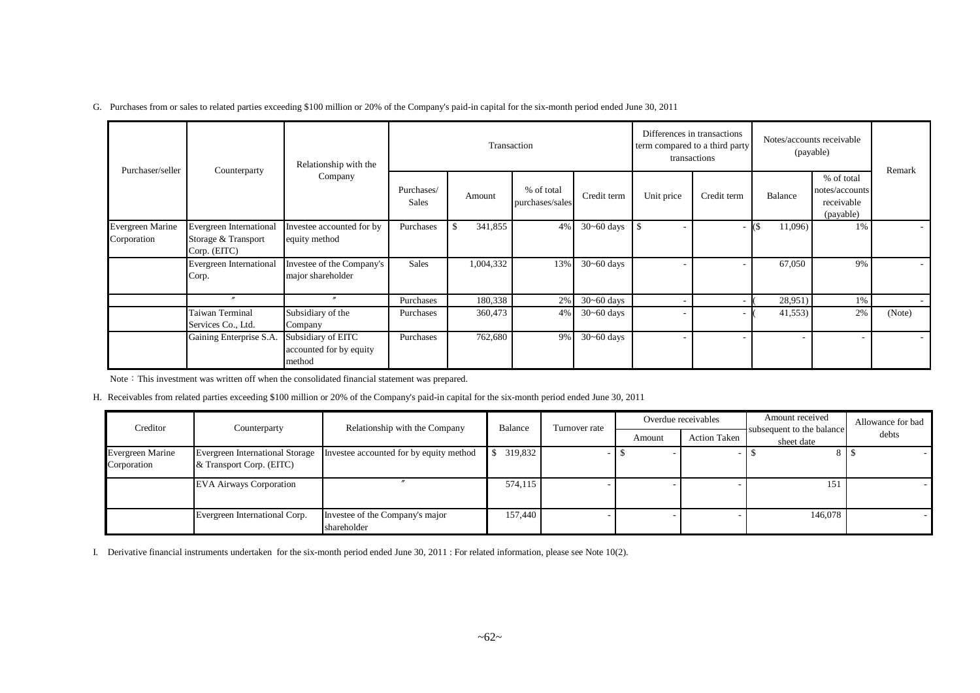G. Purchases from or sales to related parties exceeding \$100 million or 20% of the Company's paid-in capital for the six-month period ended June 30, 2011

|                                        |                                                                | Relationship with the                                   |                     | Transaction   |                               |                |            | Differences in transactions<br>term compared to a third party<br>transactions |         | Notes/accounts receivable<br>(payable)                  |        |
|----------------------------------------|----------------------------------------------------------------|---------------------------------------------------------|---------------------|---------------|-------------------------------|----------------|------------|-------------------------------------------------------------------------------|---------|---------------------------------------------------------|--------|
| Purchaser/seller                       | Counterparty                                                   | Company                                                 | Purchases/<br>Sales | Amount        | % of total<br>purchases/sales | Credit term    | Unit price | Credit term                                                                   | Balance | % of total<br>notes/accounts<br>receivable<br>(payable) | Remark |
| <b>Evergreen Marine</b><br>Corporation | Evergreen International<br>Storage & Transport<br>Corp. (EITC) | Investee accounted for by<br>equity method              | Purchases           | 341,855<br>S. | 4%                            | $30 - 60$ days |            | ٠                                                                             | 11,096) | 1%                                                      |        |
|                                        | Evergreen International<br>Corp.                               | Investee of the Company's<br>major shareholder          | Sales               | 1,004,332     | 13%                           | $30 - 60$ days |            |                                                                               | 67,050  | 9%                                                      |        |
|                                        | $\prime\prime$                                                 | $^{\prime\prime}$                                       | Purchases           | 180,338       | 2%                            | $30 - 60$ days |            |                                                                               | 28,951) | 1%                                                      |        |
|                                        | Taiwan Terminal<br>Services Co., Ltd.                          | Subsidiary of the<br>Company                            | Purchases           | 360,473       | $4\%$                         | $30 - 60$ days |            |                                                                               | 41,553  | 2%                                                      | (Note) |
|                                        | Gaining Enterprise S.A.                                        | Subsidiary of EITC<br>accounted for by equity<br>method | Purchases           | 762,680       | 9%                            | $30 - 60$ days |            |                                                                               |         |                                                         |        |

Note: This investment was written off when the consolidated financial statement was prepared.

H. Receivables from related parties exceeding \$100 million or 20% of the Company's paid-in capital for the six-month period ended June 30, 2011

| Creditor                        | Counterparty                                                       | Relationship with the Company                  | Balance | Turnover rate |        | Overdue receivables | Amount received                         | Allowance for bad |
|---------------------------------|--------------------------------------------------------------------|------------------------------------------------|---------|---------------|--------|---------------------|-----------------------------------------|-------------------|
|                                 |                                                                    |                                                |         |               | Amount | <b>Action Taken</b> | subsequent to the balance<br>sheet date | debts             |
| Evergreen Marine<br>Corporation | <b>Evergreen International Storage</b><br>& Transport Corp. (EITC) | Investee accounted for by equity method        | 319,832 |               |        |                     |                                         |                   |
|                                 | <b>EVA Airways Corporation</b>                                     |                                                | 574,115 |               |        |                     | 151                                     |                   |
|                                 | Evergreen International Corp.                                      | Investee of the Company's major<br>shareholder | 157,440 |               |        |                     | 146,078                                 |                   |

I. Derivative financial instruments undertaken for the six-month period ended June 30, 2011 : For related information, please see Note 10(2).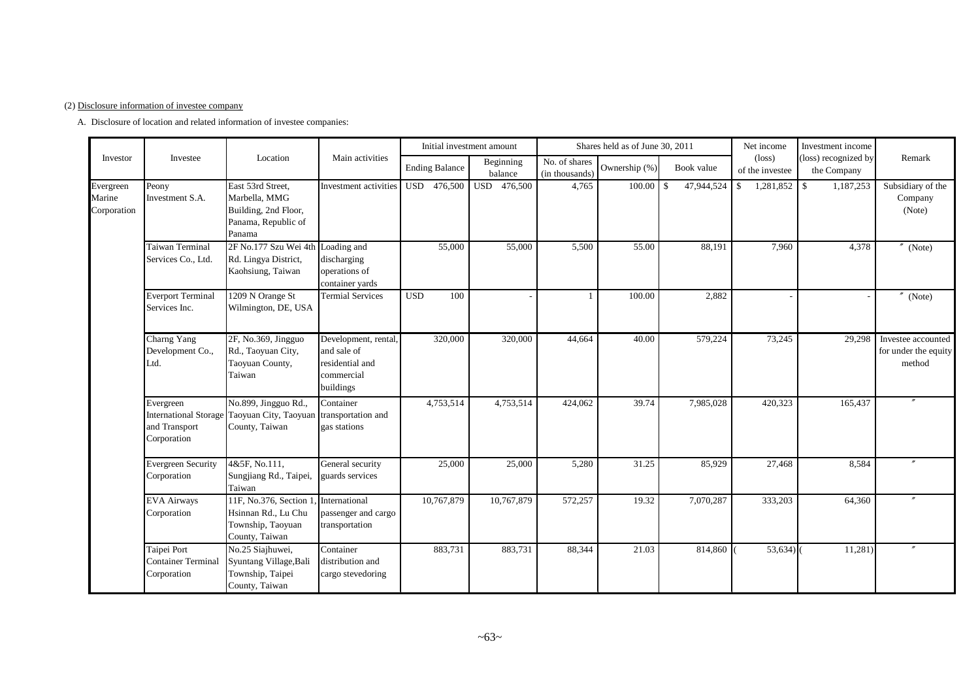#### (2) Disclosure information of investee company

A. Disclosure of location and related information of investee companies:

|                                    |                                                         |                                                                                             |                                                                                   |                       | Initial investment amount |                                 | Shares held as of June 30, 2011 |                  | Net income                         | Investment income                   |                                                      |
|------------------------------------|---------------------------------------------------------|---------------------------------------------------------------------------------------------|-----------------------------------------------------------------------------------|-----------------------|---------------------------|---------------------------------|---------------------------------|------------------|------------------------------------|-------------------------------------|------------------------------------------------------|
| Investor                           | Investee                                                | Location                                                                                    | Main activities                                                                   | <b>Ending Balance</b> | Beginning<br>balance      | No. of shares<br>(in thousands) | Ownership (%)                   | Book value       | $(\text{loss})$<br>of the investee | (loss) recognized by<br>the Company | Remark                                               |
| Evergreen<br>Marine<br>Corporation | Peony<br>Investment S.A.                                | East 53rd Street,<br>Marbella, MMG<br>Building, 2nd Floor,<br>Panama, Republic of<br>Panama | Investment activities                                                             | USD 476,500           | USD 476,500               | 4,765                           | 100.00                          | 47,944,524<br>-S | $1,281,852$ \$<br>S.               | 1,187,253                           | Subsidiary of the<br>Company<br>(Note)               |
|                                    | Taiwan Terminal<br>Services Co., Ltd.                   | 2F No.177 Szu Wei 4th Loading and<br>Rd. Lingya District,<br>Kaohsiung, Taiwan              | discharging<br>operations of<br>container yards                                   | 55,000                | 55,000                    | 5,500                           | 55.00                           | 88,191           | 7,960                              | 4,378                               | $''$ (Note)                                          |
|                                    | <b>Everport Terminal</b><br>Services Inc.               | 1209 N Orange St<br>Wilmington, DE, USA                                                     | <b>Termial Services</b>                                                           | <b>USD</b><br>100     |                           |                                 | 100.00                          | 2,882            |                                    |                                     | $''$ (Note)                                          |
|                                    | Charng Yang<br>Development Co.,<br>Ltd.                 | 2F, No.369, Jingguo<br>Rd., Taoyuan City,<br>Taoyuan County,<br>Taiwan                      | Development, rental,<br>and sale of<br>residential and<br>commercial<br>buildings | 320,000               | 320,000                   | 44,664                          | 40.00                           | 579,224          | 73,245                             | 29,298                              | Investee accounted<br>for under the equity<br>method |
|                                    | Evergreen<br>and Transport<br>Corporation               | No.899, Jingguo Rd.,<br>International Storage Taoyuan City, Taoyuan<br>County, Taiwan       | Container<br>transportation and<br>gas stations                                   | 4,753,514             | 4,753,514                 | 424,062                         | 39.74                           | 7,985,028        | 420,323                            | 165,437                             |                                                      |
|                                    | <b>Evergreen Security</b><br>Corporation                | 4&5F, No.111.<br>Sungjiang Rd., Taipei,<br>Taiwan                                           | General security<br>guards services                                               | 25,000                | 25,000                    | 5,280                           | 31.25                           | 85,929           | 27,468                             | 8,584                               |                                                      |
|                                    | <b>EVA Airways</b><br>Corporation                       | 11F, No.376, Section 1<br>Hsinnan Rd., Lu Chu<br>Township, Taoyuan<br>County, Taiwan        | International<br>passenger and cargo<br>transportation                            | 10,767,879            | 10,767,879                | 572,257                         | 19.32                           | 7,070,287        | 333,203                            | 64,360                              |                                                      |
|                                    | Taipei Port<br><b>Container Terminal</b><br>Corporation | No.25 Siajhuwei,<br>Syuntang Village, Bali<br>Township, Taipei<br>County, Taiwan            | Container<br>distribution and<br>cargo stevedoring                                | 883,731               | 883,731                   | 88,344                          | 21.03                           | 814,860          | 53,634)                            | 11,281)                             |                                                      |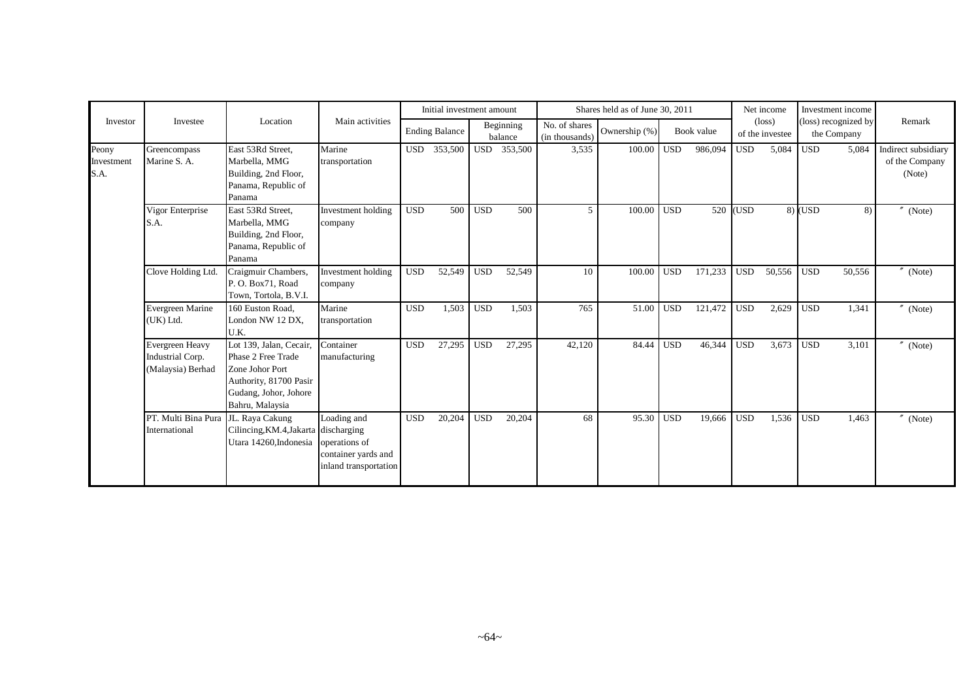|                             |                                                          |                                                                                                                                        |                                                                              |            | Initial investment amount |            |                      |                                 | Shares held as of June 30, 2011 |            |            |            | Net income                         |            | Investment income                   |                                                 |
|-----------------------------|----------------------------------------------------------|----------------------------------------------------------------------------------------------------------------------------------------|------------------------------------------------------------------------------|------------|---------------------------|------------|----------------------|---------------------------------|---------------------------------|------------|------------|------------|------------------------------------|------------|-------------------------------------|-------------------------------------------------|
| Investor                    | Investee                                                 | Location                                                                                                                               | Main activities                                                              |            | <b>Ending Balance</b>     |            | Beginning<br>balance | No. of shares<br>(in thousands) | Ownership (%)                   |            | Book value |            | $(\text{loss})$<br>of the investee |            | (loss) recognized by<br>the Company | Remark                                          |
| Peony<br>Investment<br>S.A. | Greencompass<br>Marine S. A.                             | East 53Rd Street,<br>Marbella, MMG<br>Building, 2nd Floor,<br>Panama, Republic of<br>Panama                                            | Marine<br>transportation                                                     |            | USD 353,500               |            | USD 353,500          | 3,535                           | 100.00                          | <b>USD</b> | 986,094    | <b>USD</b> | 5,084                              | <b>USD</b> | 5,084                               | Indirect subsidiary<br>of the Company<br>(Note) |
|                             | Vigor Enterprise<br>S.A.                                 | East 53Rd Street,<br>Marbella, MMG<br>Building, 2nd Floor,<br>Panama, Republic of<br>Panama                                            | Investment holding<br>company                                                | <b>USD</b> | 500                       | <b>USD</b> | 500                  | 5                               | 100.00                          | <b>USD</b> | 520        | (USD       |                                    | $8)$ (USD  | 8)                                  | (Note)                                          |
|                             | Clove Holding Ltd.                                       | Craigmuir Chambers,<br>P.O. Box71, Road<br>Town, Tortola, B.V.I.                                                                       | Investment holding<br>company                                                | <b>USD</b> | 52,549                    | <b>USD</b> | 52,549               | 10                              | 100.00                          | <b>USD</b> | 171,233    | <b>USD</b> | 50,556                             | <b>USD</b> | 50,556                              | $''$ (Note)                                     |
|                             | Evergreen Marine<br>(UK) Ltd.                            | 160 Euston Road.<br>London NW 12 DX,<br>U.K.                                                                                           | Marine<br>transportation                                                     | <b>USD</b> | 1,503                     | <b>USD</b> | 1,503                | 765                             | 51.00                           | <b>USD</b> | 121,472    | <b>USD</b> | 2,629                              | <b>USD</b> | 1,341                               | $''$ (Note)                                     |
|                             | Evergreen Heavy<br>Industrial Corp.<br>(Malaysia) Berhad | Lot 139, Jalan, Cecair,<br>Phase 2 Free Trade<br>Zone Johor Port<br>Authority, 81700 Pasir<br>Gudang, Johor, Johore<br>Bahru, Malaysia | Container<br>manufacturing                                                   | <b>USD</b> | 27,295                    | <b>USD</b> | 27,295               | 42,120                          | 84.44                           | <b>USD</b> | 46,344     | <b>USD</b> | 3,673                              | <b>USD</b> | 3,101                               | $''$ (Note)                                     |
|                             | PT. Multi Bina Pura<br>International                     | JL. Raya Cakung<br>Cilincing, KM.4, Jakarta discharging<br>Utara 14260, Indonesia                                                      | Loading and<br>operations of<br>container yards and<br>inland transportation | <b>USD</b> | 20,204                    | <b>USD</b> | 20,204               | 68                              | 95.30                           | <b>USD</b> | 19,666     | <b>USD</b> | 1,536                              | <b>USD</b> | 1,463                               | (Note)                                          |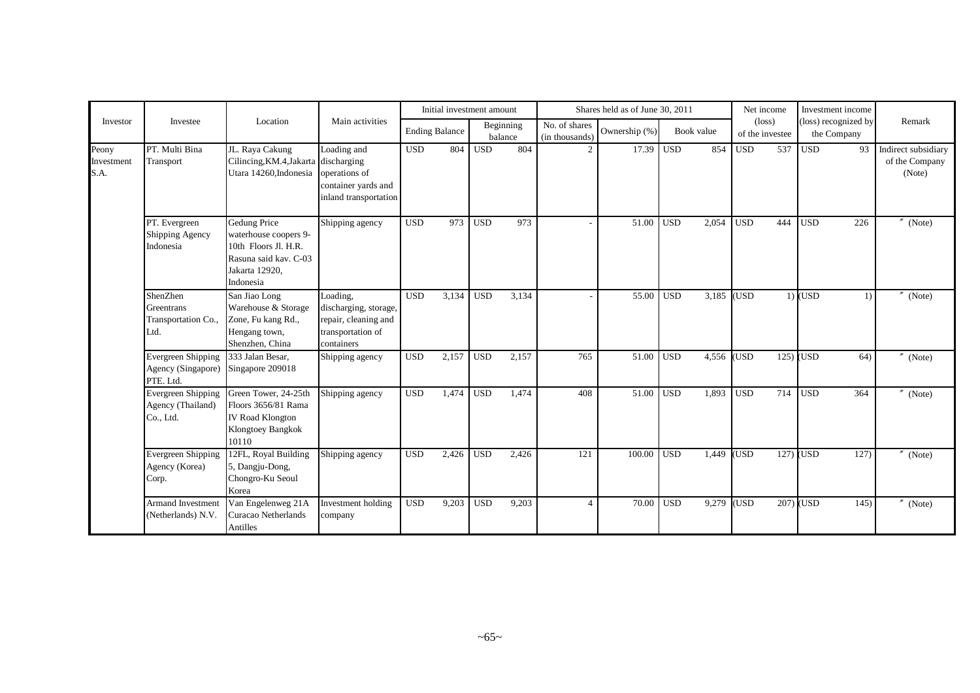|                             |                                                              |                                                                                                                       |                                                                                              |                       |       | Initial investment amount |                      |                                 | Shares held as of June 30, 2011 |                  |            |            | Net income                         |             | Investment income                   |                                                 |
|-----------------------------|--------------------------------------------------------------|-----------------------------------------------------------------------------------------------------------------------|----------------------------------------------------------------------------------------------|-----------------------|-------|---------------------------|----------------------|---------------------------------|---------------------------------|------------------|------------|------------|------------------------------------|-------------|-------------------------------------|-------------------------------------------------|
| Investor                    | Investee                                                     | Location                                                                                                              | Main activities                                                                              | <b>Ending Balance</b> |       |                           | Beginning<br>balance | No. of shares<br>(in thousands) | Ownership (%)                   |                  | Book value |            | $(\text{loss})$<br>of the investee |             | (loss) recognized by<br>the Company | Remark                                          |
| Peony<br>Investment<br>S.A. | PT. Multi Bina<br>Transport                                  | JL. Raya Cakung<br>Cilincing, KM.4, Jakarta discharging<br>Utara 14260, Indonesia operations of                       | Loading and<br>container yards and<br>inland transportation                                  | <b>USD</b>            | 804   | <b>USD</b>                | 804                  | $\overline{2}$                  | 17.39                           | $\overline{USD}$ | 854        | <b>USD</b> | 537                                | <b>USD</b>  | 93                                  | Indirect subsidiary<br>of the Company<br>(Note) |
|                             | PT. Evergreen<br>Shipping Agency<br>Indonesia                | Gedung Price<br>waterhouse coopers 9-<br>10th Floors Jl. H.R.<br>Rasuna said kav. C-03<br>Jakarta 12920,<br>Indonesia | Shipping agency                                                                              | <b>USD</b>            | 973   | <b>USD</b>                | 973                  |                                 | 51.00                           | <b>USD</b>       | 2,054      | <b>USD</b> | 444                                | <b>USD</b>  | 226                                 | (Note)                                          |
|                             | ShenZhen<br>Greentrans<br>Transportation Co.,<br>Ltd.        | San Jiao Long<br>Warehouse & Storage<br>Zone, Fu kang Rd.,<br>Hengang town,<br>Shenzhen, China                        | Loading,<br>discharging, storage,<br>repair, cleaning and<br>transportation of<br>containers | $\overline{USD}$      | 3,134 | $\overline{USD}$          | 3,134                |                                 | 55.00                           | $\overline{USD}$ | 3,185      | (USD)      |                                    | $1)$ (USD   | $\left( \right)$                    | (Note)                                          |
|                             | <b>Evergreen Shipping</b><br>Agency (Singapore)<br>PTE. Ltd. | 333 Jalan Besar,<br>Singapore 209018                                                                                  | Shipping agency                                                                              | <b>USD</b>            | 2,157 | <b>USD</b>                | 2,157                | 765                             | 51.00                           | <b>USD</b>       | 4,556      | (USD       | 125)                               | <b>USD</b>  | 64)                                 | (Note)                                          |
|                             | Evergreen Shipping<br>Agency (Thailand)<br>Co., Ltd.         | Green Tower, 24-25th<br>Floors 3656/81 Rama<br><b>IV Road Klongton</b><br>Klongtoey Bangkok<br>10110                  | Shipping agency                                                                              | <b>USD</b>            | 1,474 | <b>USD</b>                | 1,474                | 408                             | 51.00                           | <b>USD</b>       | 1,893      | <b>USD</b> | 714                                | <b>USD</b>  | 364                                 | $\sqrt{N}$ (Note)                               |
|                             | Evergreen Shipping<br>Agency (Korea)<br>Corp.                | 12FL, Royal Building<br>5, Dangju-Dong,<br>Chongro-Ku Seoul<br>Korea                                                  | Shipping agency                                                                              | <b>USD</b>            | 2,426 | <b>USD</b>                | 2,426                | 121                             | 100.00                          | <b>USD</b>       | 1,449      | <b>USD</b> |                                    | $127)$ (USD | 127)                                | $''$ (Note)                                     |
|                             | Armand Investment<br>(Netherlands) N.V.                      | Van Engelenweg 21A<br>Curacao Netherlands<br>Antilles                                                                 | Investment holding<br>company                                                                | <b>USD</b>            | 9,203 | <b>USD</b>                | 9,203                | $\overline{4}$                  | 70.00                           | <b>USD</b>       | 9,279      | (USD       | 207)                               | (USD        | 145)                                | (Note)                                          |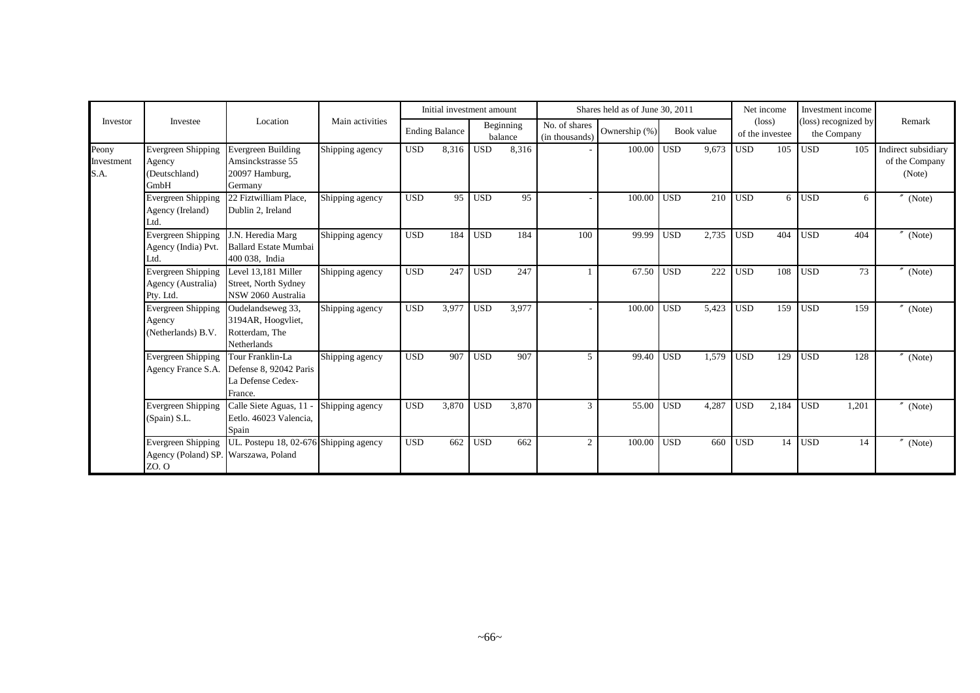|                             |                                                              |                                                                                               |                 |            | Initial investment amount |            |                      |                                 | Shares held as of June 30, 2011 |            |            |            | Net income                         | Investment income                   |       |                                                 |
|-----------------------------|--------------------------------------------------------------|-----------------------------------------------------------------------------------------------|-----------------|------------|---------------------------|------------|----------------------|---------------------------------|---------------------------------|------------|------------|------------|------------------------------------|-------------------------------------|-------|-------------------------------------------------|
| Investor                    | Investee                                                     | Location                                                                                      | Main activities |            | <b>Ending Balance</b>     |            | Beginning<br>balance | No. of shares<br>(in thousands) | Ownership (%)                   |            | Book value |            | $(\text{loss})$<br>of the investee | (loss) recognized by<br>the Company |       | Remark                                          |
| Peony<br>Investment<br>S.A. | <b>Evergreen Shipping</b><br>Agency<br>(Deutschland)<br>GmbH | <b>Evergreen Building</b><br>Amsinckstrasse 55<br>20097 Hamburg,<br>Germany                   | Shipping agency | <b>USD</b> | 8,316                     | <b>USD</b> | 8,316                |                                 | 100.00 USD                      |            | 9,673      | <b>USD</b> | 105                                | <b>USD</b>                          | 105   | Indirect subsidiary<br>of the Company<br>(Note) |
|                             | Evergreen Shipping<br>Agency (Ireland)<br>Ltd.               | 22 Fiztwilliam Place.<br>Dublin 2. Ireland                                                    | Shipping agency | <b>USD</b> | 95                        | <b>USD</b> | 95                   |                                 | 100.00                          | <b>USD</b> | 210        | <b>USD</b> | 6                                  | <b>USD</b>                          | 6     | $^{\prime\prime}$ (Note)                        |
|                             | Evergreen Shipping<br>Agency (India) Pvt.<br>Ltd.            | J.N. Heredia Marg<br><b>Ballard Estate Mumbai</b><br>400 038, India                           | Shipping agency | <b>USD</b> | 184                       | <b>USD</b> | 184                  | 100                             | 99.99                           | <b>USD</b> | 2,735      | <b>USD</b> | 404                                | <b>USD</b>                          | 404   | $^{\prime\prime}$ (Note)                        |
|                             | <b>Evergreen Shipping</b><br>Agency (Australia)<br>Pty. Ltd. | Level 13,181 Miller<br>Street, North Sydney<br>NSW 2060 Australia                             | Shipping agency | <b>USD</b> | 247                       | <b>USD</b> | 247                  |                                 | 67.50                           | <b>USD</b> | 222        | <b>USD</b> | 108                                | <b>USD</b>                          | 73    | $''$ (Note)                                     |
|                             | Evergreen Shipping<br>Agency<br>(Netherlands) B.V.           | Oudelandseweg 33,<br>3194AR, Hoogyliet,<br>Rotterdam, The<br>Netherlands                      | Shipping agency | <b>USD</b> | 3,977                     | <b>USD</b> | 3,977                |                                 | 100.00                          | <b>USD</b> | 5,423      | <b>USD</b> | 159                                | <b>USD</b>                          | 159   | $''$ (Note)                                     |
|                             | Evergreen Shipping                                           | Tour Franklin-La<br>Agency France S.A. Defense 8, 92042 Paris<br>La Defense Cedex-<br>France. | Shipping agency | <b>USD</b> | 907                       | <b>USD</b> | 907                  | $\mathfrak{F}$                  | 99.40                           | <b>USD</b> | 1,579      | <b>USD</b> | 129                                | <b>USD</b>                          | 128   | $''$ (Note)                                     |
|                             | Evergreen Shipping<br>(Spain) S.L.                           | Calle Siete Aguas, 11<br>Eetlo. 46023 Valencia,<br>Spain                                      | Shipping agency | <b>USD</b> | 3,870                     | <b>USD</b> | 3,870                | 3                               | 55.00                           | <b>USD</b> | 4,287      | <b>USD</b> | 2,184                              | <b>USD</b>                          | 1,201 | $''$ (Note)                                     |
|                             | Agency (Poland) SP. Warszawa, Poland<br>ZO. O                | Evergreen Shipping   UL. Postepu 18, 02-676 Shipping agency                                   |                 | <b>USD</b> | 662                       | <b>USD</b> | 662                  | 2                               | 100.00                          | <b>USD</b> | 660        | <b>USD</b> | 14                                 | <b>USD</b>                          | 14    | $''$ (Note)                                     |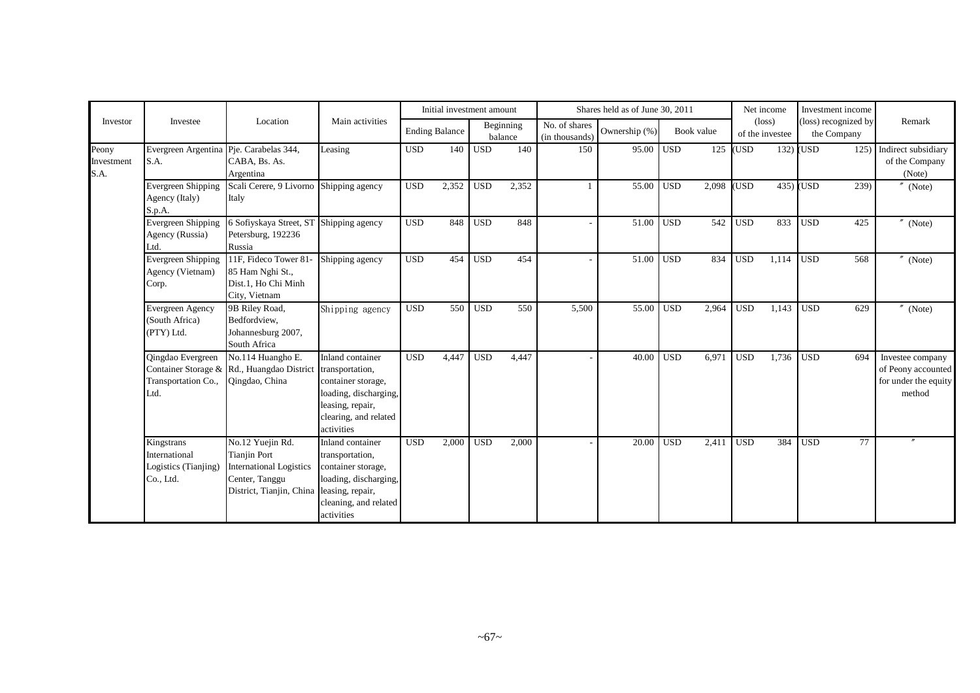|                             |                                                                  |                                                                                                                         |                                                                                                                                               |            | Initial investment amount |            |                      |                                 | Shares held as of June 30, 2011 |            |            |            | Net income                         | Investment income                   |                                                                                 |
|-----------------------------|------------------------------------------------------------------|-------------------------------------------------------------------------------------------------------------------------|-----------------------------------------------------------------------------------------------------------------------------------------------|------------|---------------------------|------------|----------------------|---------------------------------|---------------------------------|------------|------------|------------|------------------------------------|-------------------------------------|---------------------------------------------------------------------------------|
| Investor                    | Investee                                                         | Location                                                                                                                | Main activities                                                                                                                               |            | <b>Ending Balance</b>     |            | Beginning<br>balance | No. of shares<br>(in thousands) | Ownership (%)                   |            | Book value |            | $(\text{loss})$<br>of the investee | (loss) recognized by<br>the Company | Remark                                                                          |
| Peony<br>Investment<br>S.A. | Evergreen Argentina Pje. Carabelas 344,<br>S.A.                  | CABA, Bs. As.<br>Argentina                                                                                              | Leasing                                                                                                                                       | <b>USD</b> | 140                       | <b>USD</b> | 140                  | 150                             | 95.00                           | <b>USD</b> | 125        | (USD       |                                    | $132)$ (USD                         | 125) Indirect subsidiary<br>of the Company<br>(Note)                            |
|                             | <b>Evergreen Shipping</b><br>Agency (Italy)<br>S.p.A.            | Scali Cerere, 9 Livorno<br>Italy                                                                                        | Shipping agency                                                                                                                               | <b>USD</b> | 2,352                     | <b>USD</b> | 2,352                |                                 | 55.00                           | <b>USD</b> | 2,098      | <b>USD</b> |                                    | $435)$ (USD                         | 239)<br>(Note)                                                                  |
|                             | Evergreen Shipping<br>Agency (Russia)<br>Ltd.                    | 6 Sofiyskaya Street, ST Shipping agency<br>Petersburg, 192236<br>Russia                                                 |                                                                                                                                               | <b>USD</b> | 848                       | <b>USD</b> | 848                  |                                 | 51.00                           | <b>USD</b> | 542        | <b>USD</b> | 833                                | <b>USD</b>                          | 425<br>$^{\prime\prime}$ (Note)                                                 |
|                             | <b>Evergreen Shipping</b><br>Agency (Vietnam)<br>Corp.           | 11F, Fideco Tower 81<br>85 Ham Nghi St.,<br>Dist.1, Ho Chi Minh<br>City, Vietnam                                        | Shipping agency                                                                                                                               | <b>USD</b> | 454                       | <b>USD</b> | 454                  |                                 | 51.00                           | <b>USD</b> | 834        | <b>USD</b> | 1,114                              | <b>USD</b>                          | 568<br>$''$ (Note)                                                              |
|                             | <b>Evergreen Agency</b><br>(South Africa)<br>(PTY) Ltd.          | 9B Riley Road,<br>Bedfordview.<br>Johannesburg 2007,<br>South Africa                                                    | Shipping agency                                                                                                                               | <b>USD</b> | 550 <sub>1</sub>          | <b>USD</b> | 550                  | 5,500                           | 55.00                           | <b>USD</b> | 2,964      | <b>USD</b> | 1,143                              | <b>USD</b>                          | 629<br>$''$ (Note)                                                              |
|                             | Qingdao Evergreen<br>Transportation Co.,<br>Ltd.                 | No.114 Huangho E.<br>Container Storage & Rd., Huangdao District<br>Qingdao, China                                       | Inland container<br>transportation,<br>container storage,<br>loading, discharging,<br>leasing, repair,<br>clearing, and related<br>activities | <b>USD</b> | 4,447                     | <b>USD</b> | 4,447                |                                 | 40.00                           | <b>USD</b> | 6.971      | <b>USD</b> | 1,736                              | <b>USD</b>                          | 694<br>Investee company<br>of Peony accounted<br>for under the equity<br>method |
|                             | Kingstrans<br>International<br>Logistics (Tianjing)<br>Co., Ltd. | No.12 Yuejin Rd.<br><b>Tianjin Port</b><br><b>International Logistics</b><br>Center, Tanggu<br>District, Tianjin, China | Inland container<br>transportation,<br>container storage,<br>loading, discharging,<br>leasing, repair,<br>cleaning, and related<br>activities | <b>USD</b> | 2,000                     | <b>USD</b> | 2,000                |                                 | 20.00                           | <b>USD</b> | 2,411      | <b>USD</b> | 384                                | <b>USD</b>                          | 77                                                                              |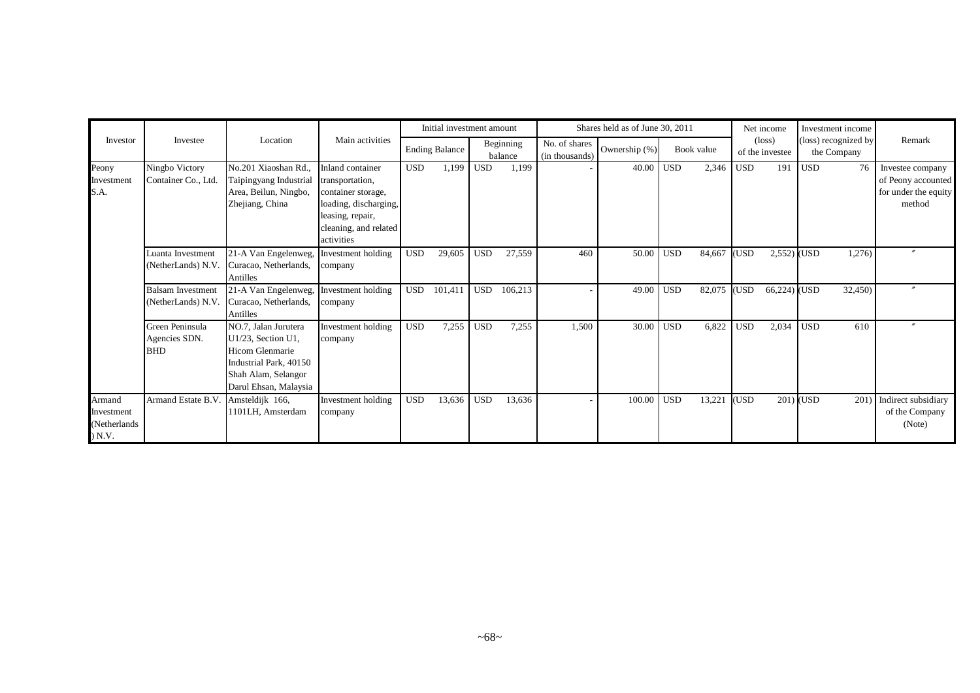|                                                 |                                                |                                                                                                                                         |                                                                                                                                               |            | Initial investment amount |            |                      |                                 | Shares held as of June 30, 2011 |            |            |            | Net income                         |            | Investment income                   |                                                                          |
|-------------------------------------------------|------------------------------------------------|-----------------------------------------------------------------------------------------------------------------------------------------|-----------------------------------------------------------------------------------------------------------------------------------------------|------------|---------------------------|------------|----------------------|---------------------------------|---------------------------------|------------|------------|------------|------------------------------------|------------|-------------------------------------|--------------------------------------------------------------------------|
| Investor                                        | Investee                                       | Location                                                                                                                                | Main activities                                                                                                                               |            | <b>Ending Balance</b>     |            | Beginning<br>balance | No. of shares<br>(in thousands) | Ownership (%)                   |            | Book value |            | $(\text{loss})$<br>of the investee |            | (loss) recognized by<br>the Company | Remark                                                                   |
| Peony<br>Investment<br>S.A.                     | Ningbo Victory<br>Container Co., Ltd.          | No.201 Xiaoshan Rd.,<br>Taipingyang Industrial<br>Area, Beilun, Ningbo,<br>Zhejiang, China                                              | Inland container<br>transportation,<br>container storage,<br>loading, discharging,<br>leasing, repair,<br>cleaning, and related<br>activities | <b>USD</b> | 1,199                     | USD        | 1,199                |                                 | 40.00                           | <b>USD</b> | 2,346      | <b>USD</b> | 191                                | <b>USD</b> | 76                                  | Investee company<br>of Peony accounted<br>for under the equity<br>method |
|                                                 | Luanta Investment<br>(NetherLands) N.V.        | 21-A Van Engelenweg,<br>Curacao, Netherlands,<br>Antilles                                                                               | Investment holding<br>company                                                                                                                 | <b>USD</b> | 29,605                    | <b>USD</b> | 27,559               | 460                             | 50.00                           | <b>USD</b> | 84,667     | (USD       | $2,552)$ (USD                      |            | 1,276)                              |                                                                          |
|                                                 | <b>Balsam Investment</b><br>(NetherLands) N.V. | 21-A Van Engelenweg,<br>Curacao, Netherlands,<br>Antilles                                                                               | Investment holding<br>company                                                                                                                 | <b>USD</b> | 101,411                   | <b>USD</b> | 106,213              |                                 | 49.00                           | <b>USD</b> | 82,075     | (USD       | 66,224) (USD                       |            | 32,450)                             |                                                                          |
|                                                 | Green Peninsula<br>Agencies SDN.<br><b>BHD</b> | NO.7, Jalan Jurutera<br>U1/23, Section U1,<br>Hicom Glenmarie<br>Industrial Park, 40150<br>Shah Alam, Selangor<br>Darul Ehsan, Malaysia | Investment holding<br>company                                                                                                                 | <b>USD</b> | 7,255                     | <b>USD</b> | 7,255                | 1,500                           | 30.00                           | <b>USD</b> | 6,822      | <b>USD</b> | 2,034                              | <b>USD</b> | 610                                 |                                                                          |
| Armand<br>Investment<br>(Netherlands)<br>) N.V. | Armand Estate B.V.                             | Amsteldijk 166,<br>1101LH, Amsterdam                                                                                                    | Investment holding<br>company                                                                                                                 | <b>USD</b> | 13,636                    | <b>USD</b> | 13,636               |                                 | 100.00                          | <b>USD</b> | 13,221     | (USD       |                                    | 201) (USD  | 201)                                | Indirect subsidiary<br>of the Company<br>(Note)                          |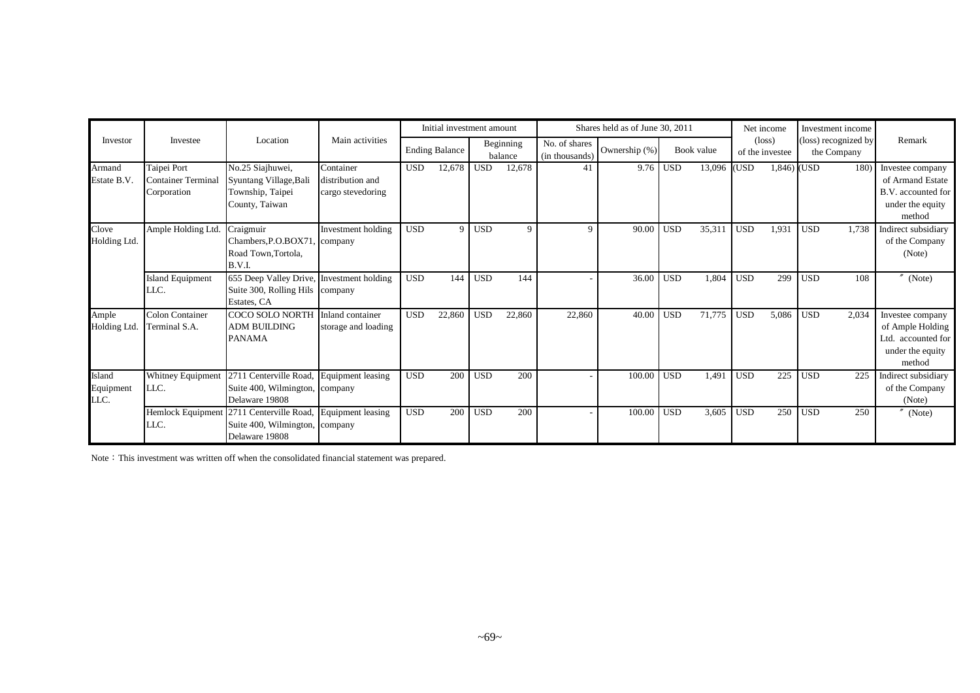|                             |                                                  |                                                                                                                |                                                    |            | Initial investment amount |            |                      |                                 | Shares held as of June 30, 2011 |                  |             |            | Net income                         | Investment income                   |                                                                                          |
|-----------------------------|--------------------------------------------------|----------------------------------------------------------------------------------------------------------------|----------------------------------------------------|------------|---------------------------|------------|----------------------|---------------------------------|---------------------------------|------------------|-------------|------------|------------------------------------|-------------------------------------|------------------------------------------------------------------------------------------|
| Investor                    | Investee                                         | Location                                                                                                       | Main activities                                    |            | <b>Ending Balance</b>     |            | Beginning<br>balance | No. of shares<br>(in thousands) | Ownership (%)                   |                  | Book value  |            | $(\text{loss})$<br>of the investee | (loss) recognized by<br>the Company | Remark                                                                                   |
| Armand<br>Estate B.V.       | Taipei Port<br>Container Terminal<br>Corporation | No.25 Siajhuwei,<br>Syuntang Village, Bali<br>Township, Taipei<br>County, Taiwan                               | Container<br>distribution and<br>cargo stevedoring | <b>USD</b> | 12,678                    | <b>USD</b> | 12,678               | 41                              |                                 | $9.76$ USD       | 13,096 (USD |            | $1,846)$ (USD                      | 180)                                | Investee company<br>of Armand Estate<br>B.V. accounted for<br>under the equity<br>method |
| Clove<br>Holding Ltd.       | Ample Holding Ltd.                               | Craigmuir<br>Chambers, P.O.BOX71.<br>Road Town, Tortola,<br>B.V.I.                                             | Investment holding<br>, company                    | <b>USD</b> | 9                         | <b>USD</b> | 9                    | Q                               | 90.00                           | <b>USD</b>       | 35,311      | <b>USD</b> | 1,931                              | <b>USD</b><br>1.738                 | Indirect subsidiary<br>of the Company<br>(Note)                                          |
|                             | <b>Island Equipment</b><br>LLC.                  | 655 Deep Valley Drive, Investment holding<br>Suite 300, Rolling Hils company<br>Estates, CA                    |                                                    | <b>USD</b> | 144                       | <b>USD</b> | 144                  |                                 | 36.00                           | <b>USD</b>       | 1,804       | <b>USD</b> | 299                                | <b>USD</b><br>108                   | (Note)                                                                                   |
| Ample<br>Holding Ltd.       | Colon Container<br>Terminal S.A.                 | <b>COCO SOLO NORTH</b><br><b>ADM BUILDING</b><br><b>PANAMA</b>                                                 | Inland container<br>storage and loading            | <b>USD</b> | 22,860                    | <b>USD</b> | 22,860               | 22,860                          | 40.00                           | USD <sup>1</sup> | 71,775      | <b>USD</b> | 5,086                              | <b>USD</b><br>2,034                 | Investee company<br>of Ample Holding<br>Ltd. accounted for<br>under the equity<br>method |
| Island<br>Equipment<br>LLC. | Whitney Equipment<br>LLC.                        | 2711 Centerville Road, Equipment leasing<br>Suite 400, Wilmington, company<br>Delaware 19808                   |                                                    | <b>USD</b> | 200                       | <b>USD</b> | 200                  |                                 | 100.00                          | <b>USD</b>       | 1,491       | <b>USD</b> | 225                                | <b>USD</b><br>225                   | Indirect subsidiary<br>of the Company<br>(Note)                                          |
|                             | LLC.                                             | Hemlock Equipment 2711 Centerville Road, Equipment leasing<br>Suite 400, Wilmington, company<br>Delaware 19808 |                                                    | <b>USD</b> | 200                       | <b>USD</b> | 200                  |                                 | 100.00                          | <b>USD</b>       | 3,605       | <b>USD</b> | 250                                | <b>USD</b><br>250                   | (Note)                                                                                   |

Note: This investment was written off when the consolidated financial statement was prepared.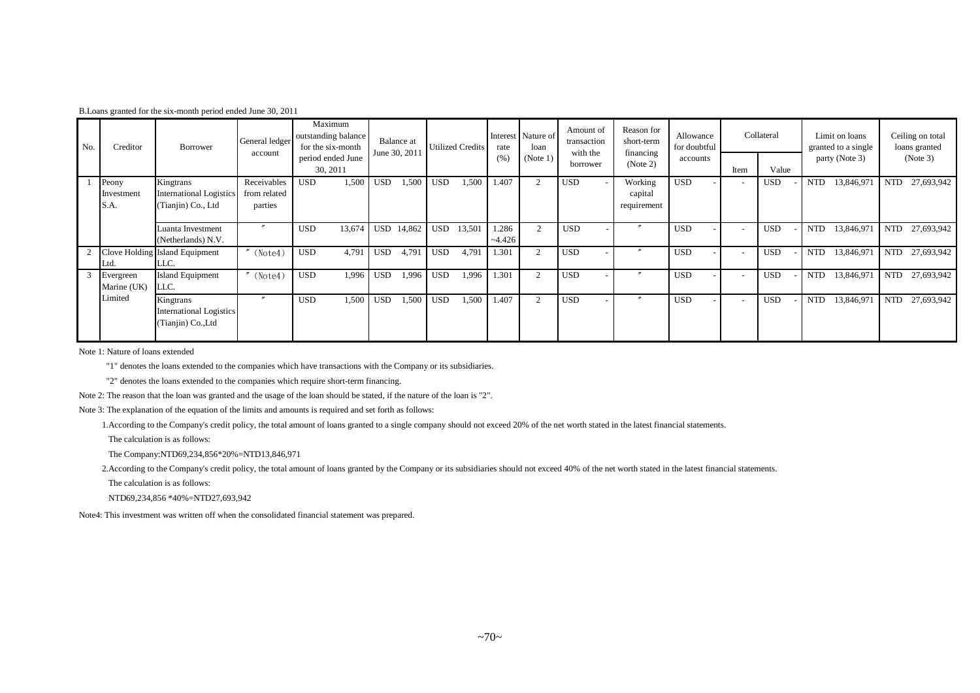| B. Loans granted for the six-month period ended June 30, 2011 |  |  |
|---------------------------------------------------------------|--|--|
|---------------------------------------------------------------|--|--|

| No. | Creditor                    | Borrower                                                          | General ledger<br>account              | Maximum<br>outstanding balance<br>for the six-month |            | Balance at<br>June 30, 201 |            | <b>Utilized Credits</b> | rate              | Interest Nature of<br>loan | Amount of<br>transaction<br>with the | Reason for<br>short-term<br>financing | Allowance<br>for doubtful |                          | Collateral |            | Limit on loans<br>granted to a single | Ceiling on total<br>loans granted |
|-----|-----------------------------|-------------------------------------------------------------------|----------------------------------------|-----------------------------------------------------|------------|----------------------------|------------|-------------------------|-------------------|----------------------------|--------------------------------------|---------------------------------------|---------------------------|--------------------------|------------|------------|---------------------------------------|-----------------------------------|
|     |                             |                                                                   |                                        | period ended June<br>30, 2011                       |            |                            |            |                         | (% )              | (Note 1)                   | borrower                             | (Note 2)                              | accounts                  | Item                     | Value      |            | party (Note 3)                        | (Note 3)                          |
|     | Peony<br>Investment<br>S.A. | Kingtrans<br><b>International Logistics</b><br>(Tianjin) Co., Ltd | Receivables<br>from related<br>parties | <b>USD</b><br>1,500                                 | <b>USD</b> | 1,500                      | <b>USD</b> | 1,500                   | 1.407             | $\overline{2}$             | <b>USD</b>                           | Working<br>capital<br>requirement     | <b>USD</b>                | $\overline{\phantom{a}}$ | <b>USD</b> | <b>NTD</b> | 13,846,971                            | 27,693,942<br>NTD                 |
|     |                             | Luanta Investment<br>(Netherlands) N.V.                           | $\boldsymbol{''}$                      | <b>USD</b><br>13,674                                |            | USD 14,862                 | <b>USD</b> | 13,501                  | 1.286<br>$-4.426$ | $\overline{2}$             | <b>USD</b>                           | $\boldsymbol{''}$                     | <b>USD</b>                | $\overline{\phantom{a}}$ | <b>USD</b> | <b>NTD</b> | 13,846,971                            | <b>NTD</b><br>27,693,942          |
|     | Ltd.                        | Clove Holding Island Equipment<br>LLC.                            | (Note4)                                | 4,791<br><b>USD</b>                                 | <b>USD</b> | 4,791                      | <b>USD</b> | 4,791                   | 1.301             | $\overline{c}$             | <b>USD</b>                           | $\prime$                              | <b>USD</b>                | $\overline{\phantom{a}}$ | <b>USD</b> | <b>NTD</b> | 13,846,971                            | 27,693,942<br>NTD                 |
|     | Evergreen<br>Marine (UK)    | <b>Island Equipment</b><br>LLC.                                   | (Note4)                                | <b>USD</b><br>1.996                                 | <b>USD</b> | 1,996                      | <b>USD</b> | 1,996                   | 1.301             | $\overline{c}$             | <b>USD</b>                           | $\boldsymbol{''}$                     | <b>USD</b>                | $\overline{\phantom{a}}$ | <b>USD</b> | <b>NTD</b> | 13,846,971                            | NTD 27,693,942                    |
|     | Limited                     | Kingtrans<br>International Logistics<br>(Tianjin) Co., Ltd        |                                        | <b>USD</b><br>1,500                                 | <b>USD</b> | 1,500                      | <b>USD</b> | 1,500                   | 1.407             | 2                          | <b>USD</b>                           |                                       | <b>USD</b>                | $\overline{\phantom{a}}$ | <b>USD</b> | <b>NTD</b> | 13,846,971                            | 27,693,942<br><b>NTD</b>          |

Note 1: Nature of loans extended

"1" denotes the loans extended to the companies which have transactions with the Company or its subsidiaries.

"2" denotes the loans extended to the companies which require short-term financing.

Note 2: The reason that the loan was granted and the usage of the loan should be stated, if the nature of the loan is "2".

Note 3: The explanation of the equation of the limits and amounts is required and set forth as follows:

1.According to the Company's credit policy, the total amount of loans granted to a single company should not exceed 20% of the net worth stated in the latest financial statements.

The calculation is as follows:

The Company:NTD69,234,856\*20%=NTD13,846,971

2.According to the Company's credit policy, the total amount of loans granted by the Company or its subsidiaries should not exceed 40% of the net worth stated in the latest financial statements.

The calculation is as follows:

NTD69,234,856 \*40%=NTD27,693,942

Note4: This investment was written off when the consolidated financial statement was prepared.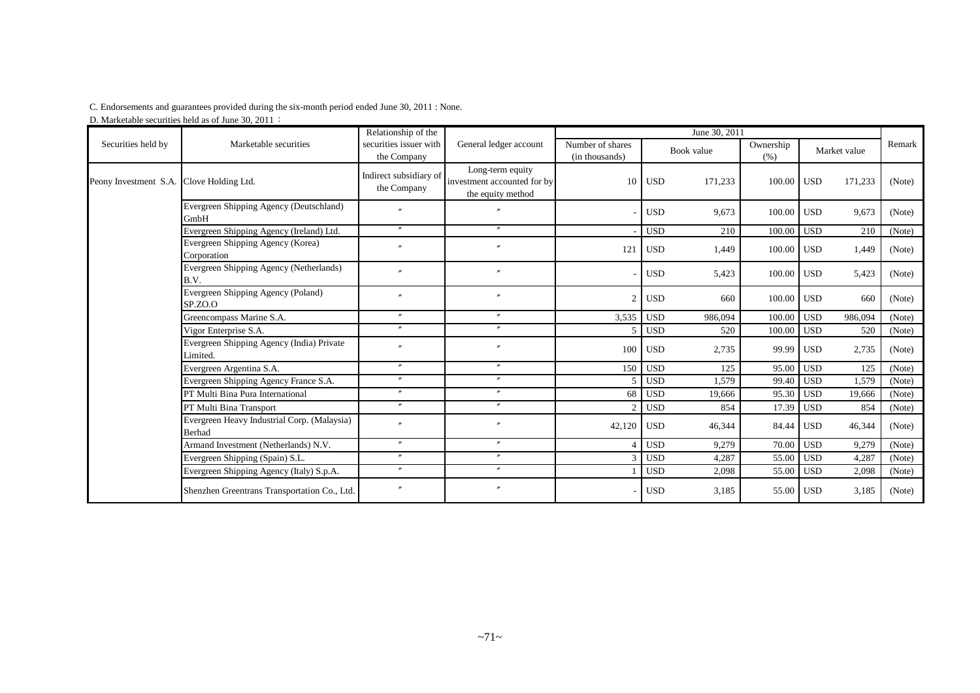#### C. Endorsements and guarantees provided during the six-month period ended June 30, 2011 : None.

D. Marketable securities held as of June 30, 2011:

| Securities held by    | Marketable securities                                        | Relationship of the<br>securities issuer with<br>the Company | General ledger account                                               | June 30, 2011                      |            |            |                   |                  |         |        |
|-----------------------|--------------------------------------------------------------|--------------------------------------------------------------|----------------------------------------------------------------------|------------------------------------|------------|------------|-------------------|------------------|---------|--------|
|                       |                                                              |                                                              |                                                                      | Number of shares<br>(in thousands) |            | Book value | Ownership<br>(% ) | Market value     |         | Remark |
| Peony Investment S.A. | Clove Holding Ltd.                                           | Indirect subsidiary of<br>the Company                        | Long-term equity<br>investment accounted for by<br>the equity method | 10                                 | <b>USD</b> | 171,233    | 100.00 USD        |                  | 171,233 | (Note) |
|                       | Evergreen Shipping Agency (Deutschland)<br>GmbH              | $\theta$                                                     | $\overline{''}$                                                      |                                    | <b>USD</b> | 9,673      | 100.00 USD        |                  | 9,673   | (Note) |
|                       | Evergreen Shipping Agency (Ireland) Ltd.                     | $\prime\prime$                                               | $^{\prime\prime}$                                                    |                                    | <b>USD</b> | 210        | 100.00            | <b>USD</b>       | 210     | (Note) |
|                       | Evergreen Shipping Agency (Korea)<br>Corporation             | $\mathbf{v}$                                                 | $^{\prime\prime}$                                                    | 121                                | <b>USD</b> | 1,449      | 100.00 USD        |                  | 1,449   | (Note) |
|                       | Evergreen Shipping Agency (Netherlands)<br>B.V.              | $\overline{v}$                                               | $^{\prime\prime}$                                                    |                                    | <b>USD</b> | 5,423      | 100.00 USD        |                  | 5,423   | (Note) |
|                       | Evergreen Shipping Agency (Poland)<br>SPZO.                  | $\overline{v}$                                               | $\overline{''}$                                                      | $\overline{2}$                     | <b>USD</b> | 660        | 100.00 USD        |                  | 660     | (Note) |
|                       | Greencompass Marine S.A.                                     | $^{\prime\prime}$                                            | $^{\prime\prime}$                                                    | 3,535                              | <b>USD</b> | 986,094    | 100.00            | <b>USD</b>       | 986,094 | (Note) |
|                       | Vigor Enterprise S.A.                                        | $\mathbf{v}$                                                 | $^{\prime\prime}$                                                    |                                    | <b>USD</b> | 520        | 100.00            | USD <sup>1</sup> | 520     | (Note) |
|                       | Evergreen Shipping Agency (India) Private<br>Limited.        | $\overline{''}$                                              | $\boldsymbol{''}$                                                    | 100                                | <b>USD</b> | 2,735      | 99.99 USD         |                  | 2,735   | (Note) |
|                       | Evergreen Argentina S.A.                                     | $\prime\prime$                                               | $^{\prime\prime}$                                                    | 150                                | <b>USD</b> | 125        | 95.00             | <b>USD</b>       | 125     | (Note) |
|                       | Evergreen Shipping Agency France S.A.                        | $\prime\prime$                                               | $^{\prime\prime}$                                                    | $\overline{\phantom{1}}$           | <b>USD</b> | 1,579      | 99.40             | <b>USD</b>       | 1,579   | (Note) |
|                       | PT Multi Bina Pura International                             | $\prime\prime$                                               | $^{\prime\prime}$                                                    | 68                                 | <b>USD</b> | 19,666     | 95.30             | <b>USD</b>       | 19,666  | (Note) |
|                       | PT Multi Bina Transport                                      | $\prime\prime$                                               | $^{\prime\prime}$                                                    | $\mathcal{D}$                      | <b>USD</b> | 854        | 17.39 USD         |                  | 854     | (Note) |
|                       | Evergreen Heavy Industrial Corp. (Malaysia)<br><b>Berhad</b> | $\overline{v}$                                               | $\boldsymbol{''}$                                                    | 42,120                             | <b>USD</b> | 46,344     | 84.44 USD         |                  | 46,344  | (Note) |
|                       | Armand Investment (Netherlands) N.V.                         | $^{\prime\prime}$                                            | $^{\prime\prime}$                                                    |                                    | <b>USD</b> | 9,279      | 70.00             | <b>USD</b>       | 9,279   | (Note) |
|                       | Evergreen Shipping (Spain) S.L.                              | $\boldsymbol{r}$                                             | $\boldsymbol{''}$                                                    | $\mathcal{R}$                      | <b>USD</b> | 4,287      | 55.00             | <b>USD</b>       | 4,287   | (Note) |
|                       | Evergreen Shipping Agency (Italy) S.p.A.                     | $\prime\prime$                                               | $^{\prime\prime}$                                                    |                                    | <b>USD</b> | 2,098      | 55.00             | <b>USD</b>       | 2,098   | (Note) |
|                       | Shenzhen Greentrans Transportation Co., Ltd.                 |                                                              | $\boldsymbol{''}$                                                    |                                    | <b>USD</b> | 3,185      | 55.00 USD         |                  | 3,185   | (Note) |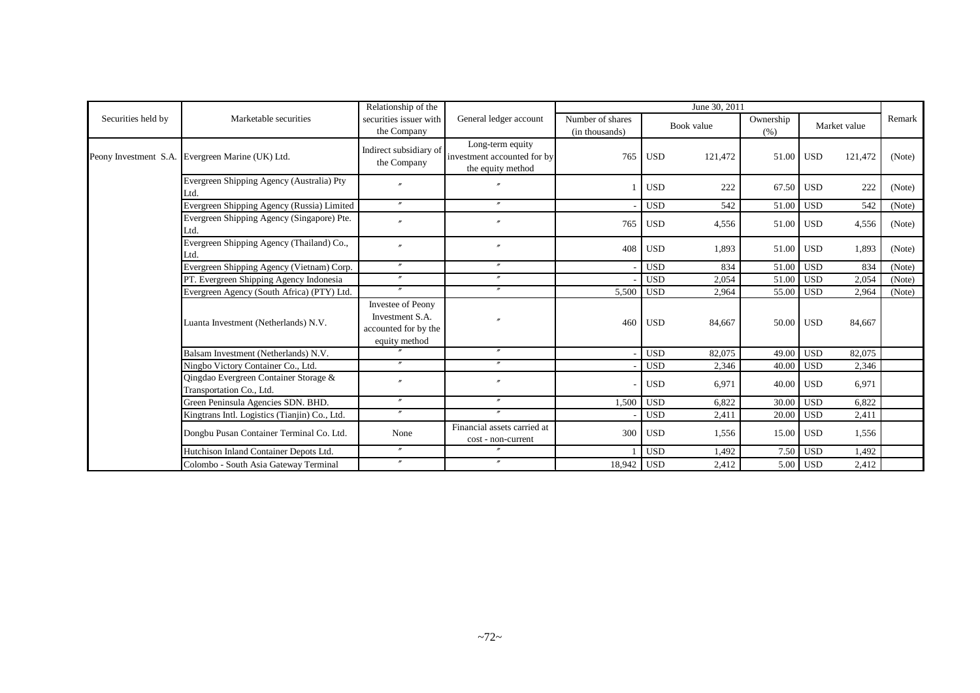|                    |                                                                   | Relationship of the                                                           |                                                                      | June 30, 2011                      |            |         |                   |            |              |        |
|--------------------|-------------------------------------------------------------------|-------------------------------------------------------------------------------|----------------------------------------------------------------------|------------------------------------|------------|---------|-------------------|------------|--------------|--------|
| Securities held by | Marketable securities                                             | securities issuer with<br>the Company                                         | General ledger account                                               | Number of shares<br>(in thousands) | Book value |         | Ownership<br>(% ) |            | Market value | Remark |
|                    | Peony Investment S.A. Evergreen Marine (UK) Ltd.                  | Indirect subsidiary of<br>the Company                                         | Long-term equity<br>investment accounted for by<br>the equity method | 765                                | <b>USD</b> | 121,472 | 51.00             | <b>USD</b> | 121,472      | (Note) |
|                    | Evergreen Shipping Agency (Australia) Pty<br>Ltd.                 |                                                                               |                                                                      |                                    | <b>USD</b> | 222     | 67.50             | <b>USD</b> | 222          | (Note) |
|                    | Evergreen Shipping Agency (Russia) Limited                        | $\prime\prime$                                                                | $^{\prime\prime}$                                                    |                                    | <b>USD</b> | 542     | 51.00             | <b>USD</b> | 542          | (Note) |
|                    | Evergreen Shipping Agency (Singapore) Pte.<br>Ltd.                | $\overline{u}$                                                                | $^{\prime\prime}$                                                    | 765                                | <b>USD</b> | 4,556   | 51.00 USD         |            | 4,556        | (Note) |
|                    | Evergreen Shipping Agency (Thailand) Co.,<br>Ltd.                 | $\theta$                                                                      | $^{\prime\prime}$                                                    | 408                                | <b>USD</b> | 1,893   | 51.00             | <b>USD</b> | 1,893        | (Note) |
|                    | Evergreen Shipping Agency (Vietnam) Corp.                         | $^{\prime\prime}$                                                             | $^{\prime\prime}$                                                    |                                    | <b>USD</b> | 834     | 51.00             | <b>USD</b> | 834          | (Note) |
|                    | PT. Evergreen Shipping Agency Indonesia                           | $^{\prime\prime}$                                                             | $^{\prime\prime}$                                                    |                                    | <b>USD</b> | 2,054   | 51.00             | <b>USD</b> | 2,054        | (Note) |
|                    | Evergreen Agency (South Africa) (PTY) Ltd.                        | $\overline{''}$                                                               | $^{\prime\prime}$                                                    | 5,500                              | <b>USD</b> | 2,964   | 55.00             | <b>USD</b> | 2,964        | (Note) |
|                    | Luanta Investment (Netherlands) N.V.                              | Investee of Peony<br>Investment S.A.<br>accounted for by the<br>equity method | $\prime$                                                             | 460                                | <b>USD</b> | 84,667  | 50.00 USD         |            | 84,667       |        |
|                    | Balsam Investment (Netherlands) N.V.                              |                                                                               | $\prime$                                                             |                                    | <b>USD</b> | 82,075  | 49.00             | <b>USD</b> | 82,075       |        |
|                    | Ningbo Victory Container Co., Ltd.                                | $\prime\prime$                                                                | $^{\prime\prime}$                                                    |                                    | <b>USD</b> | 2,346   | 40.00             | <b>USD</b> | 2,346        |        |
|                    | Oingdao Evergreen Container Storage &<br>Transportation Co., Ltd. |                                                                               | $\prime$                                                             |                                    | <b>USD</b> | 6,971   | 40.00             | <b>USD</b> | 6,971        |        |
|                    | Green Peninsula Agencies SDN. BHD.                                | $\boldsymbol{''}$                                                             | $\boldsymbol{''}$                                                    | 1,500                              | <b>USD</b> | 6,822   | 30.00             | <b>USD</b> | 6,822        |        |
|                    | Kingtrans Intl. Logistics (Tianjin) Co., Ltd.                     |                                                                               | $^{\prime\prime}$                                                    |                                    | <b>USD</b> | 2,411   | 20.00             | <b>USD</b> | 2,411        |        |
|                    | Dongbu Pusan Container Terminal Co. Ltd.                          | None                                                                          | Financial assets carried at<br>cost - non-current                    |                                    | 300 USD    | 1,556   | 15.00             | <b>USD</b> | 1,556        |        |
|                    | Hutchison Inland Container Depots Ltd.                            | $\prime\prime$                                                                | $^{\prime\prime}$                                                    |                                    | <b>USD</b> | 1.492   | 7.50              | <b>USD</b> | 1,492        |        |
|                    | Colombo - South Asia Gateway Terminal                             | $\prime\prime$                                                                | $^{\prime\prime}$                                                    | 18,942 USD                         |            | 2,412   | 5.00              | <b>USD</b> | 2,412        |        |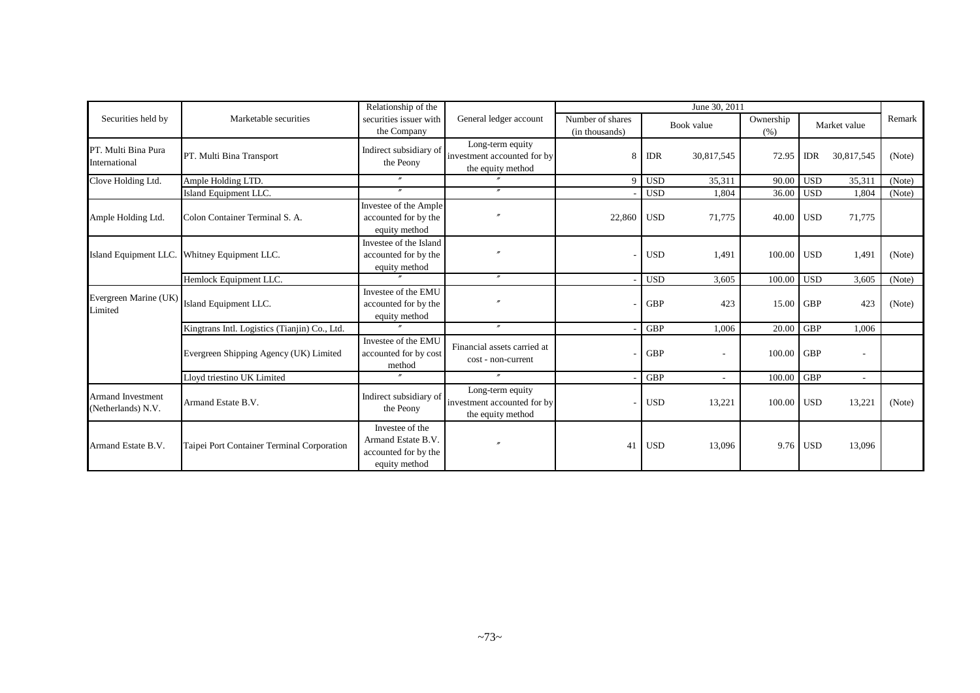|                                                |                                               | Relationship of the                                                            |                                                                      | June 30, 2011                      |            |            |                   |            |                          |        |
|------------------------------------------------|-----------------------------------------------|--------------------------------------------------------------------------------|----------------------------------------------------------------------|------------------------------------|------------|------------|-------------------|------------|--------------------------|--------|
| Securities held by                             | Marketable securities                         | securities issuer with<br>the Company                                          | General ledger account                                               | Number of shares<br>(in thousands) |            | Book value | Ownership<br>(% ) |            | Market value             | Remark |
| PT. Multi Bina Pura<br>International           | PT. Multi Bina Transport                      | Indirect subsidiary of<br>the Peony                                            | Long-term equity<br>investment accounted for by<br>the equity method | 8                                  | <b>IDR</b> | 30,817,545 | 72.95             | <b>IDR</b> | 30,817,545               | (Note) |
| Clove Holding Ltd.                             | Ample Holding LTD.                            |                                                                                |                                                                      | $\mathbf{Q}$                       | <b>USD</b> | 35,311     | 90.00             | l USD      | 35,311                   | (Note) |
|                                                | Island Equipment LLC.                         | $\prime\prime$                                                                 | $^{\prime\prime}$                                                    |                                    | <b>USD</b> | 1.804      | 36.00             | <b>USD</b> | 1,804                    | (Note) |
| Ample Holding Ltd.                             | Colon Container Terminal S. A.                | Investee of the Ample<br>accounted for by the<br>equity method                 | $\theta$                                                             | 22,860 USD                         |            | 71,775     | 40.00 USD         |            | 71,775                   |        |
|                                                | Island Equipment LLC. Whitney Equipment LLC.  | Investee of the Island<br>accounted for by the<br>equity method                | $\theta$                                                             |                                    | <b>USD</b> | 1,491      | 100.00 USD        |            | 1,491                    | (Note) |
|                                                | Hemlock Equipment LLC.                        |                                                                                | $^{\prime\prime}$                                                    |                                    | <b>USD</b> | 3,605      | 100.00            | <b>USD</b> | 3,605                    | (Note) |
| Evergreen Marine (UK)<br>Limited               | Island Equipment LLC.                         | Investee of the EMU<br>accounted for by the<br>equity method                   | $\theta$                                                             |                                    | <b>GBP</b> | 423        | 15.00 GBP         |            | 423                      | (Note) |
|                                                | Kingtrans Intl. Logistics (Tianjin) Co., Ltd. | $\mathbf{r}$                                                                   | $^{\prime\prime}$                                                    |                                    | <b>GBP</b> | 1,006      | 20.00             | <b>GBP</b> | 1,006                    |        |
|                                                | Evergreen Shipping Agency (UK) Limited        | Investee of the EMU<br>accounted for by cost<br>method                         | Financial assets carried at<br>cost - non-current                    |                                    | <b>GBP</b> |            | 100.00 GBP        |            | $\overline{\phantom{a}}$ |        |
|                                                | Lloyd triestino UK Limited                    |                                                                                | $\prime\prime$                                                       |                                    | <b>GBP</b> |            | 100.00            | <b>GBP</b> | $\overline{\phantom{a}}$ |        |
| <b>Armand Investment</b><br>(Netherlands) N.V. | Armand Estate B.V.                            | Indirect subsidiary of<br>the Peony                                            | Long-term equity<br>investment accounted for by<br>the equity method |                                    | <b>USD</b> | 13,221     | 100.00 USD        |            | 13,221                   | (Note) |
| Armand Estate B.V.                             | Taipei Port Container Terminal Corporation    | Investee of the<br>Armand Estate B.V.<br>accounted for by the<br>equity method | $\overline{ }$                                                       | 41                                 | <b>USD</b> | 13,096     |                   | 9.76 USD   | 13,096                   |        |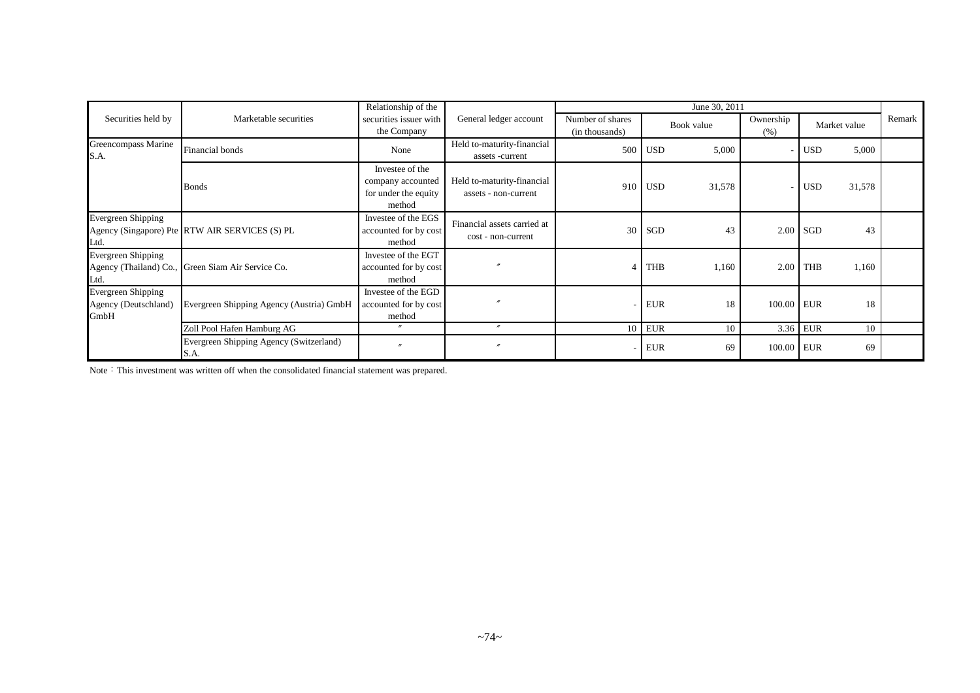|                                                           |                                                   | Relationship of the                                                    |                                                    |                                    |            | June 30, 2011 |                   |              |        |        |
|-----------------------------------------------------------|---------------------------------------------------|------------------------------------------------------------------------|----------------------------------------------------|------------------------------------|------------|---------------|-------------------|--------------|--------|--------|
| Securities held by                                        | Marketable securities                             | General ledger account<br>securities issuer with<br>the Company        |                                                    | Number of shares<br>(in thousands) | Book value |               | Ownership<br>(% ) | Market value |        | Remark |
| Greencompass Marine<br>S.A.                               | Financial bonds                                   | None                                                                   | Held to-maturity-financial<br>assets -current      | 500                                | <b>USD</b> | 5,000         |                   | <b>USD</b>   | 5,000  |        |
|                                                           | <b>Bonds</b>                                      | Investee of the<br>company accounted<br>for under the equity<br>method | Held to-maturity-financial<br>assets - non-current | 910                                | <b>USD</b> | 31,578        |                   | <b>USD</b>   | 31,578 |        |
| Evergreen Shipping<br>Ltd.                                | Agency (Singapore) Pte RTW AIR SERVICES (S) PL    | Investee of the EGS<br>accounted for by cost<br>method                 | Financial assets carried at<br>cost - non-current  | 30                                 | SGD        | 43            |                   | $2.00$ SGD   | 43     |        |
| Evergreen Shipping<br>Ltd.                                | Agency (Thailand) Co., Green Siam Air Service Co. | Investee of the EGT<br>accounted for by cost<br>method                 | $\overline{v}$                                     | 4                                  | <b>THB</b> | 1,160         |                   | $2.00$ THB   | 1,160  |        |
| <b>Evergreen Shipping</b><br>Agency (Deutschland)<br>GmbH | Evergreen Shipping Agency (Austria) GmbH          | Investee of the EGD<br>accounted for by cost<br>method                 | $\overline{v}$                                     |                                    | <b>EUR</b> | 18            | 100.00 EUR        |              | 18     |        |
|                                                           | Zoll Pool Hafen Hamburg AG                        |                                                                        | $\overline{u}$                                     | 10                                 | <b>EUR</b> | 10            |                   | 3.36 EUR     | 10     |        |
|                                                           | Evergreen Shipping Agency (Switzerland)<br>S.A.   |                                                                        | $\prime$                                           |                                    | <b>EUR</b> | 69            | 100.00 EUR        |              | 69     |        |

Note: This investment was written off when the consolidated financial statement was prepared.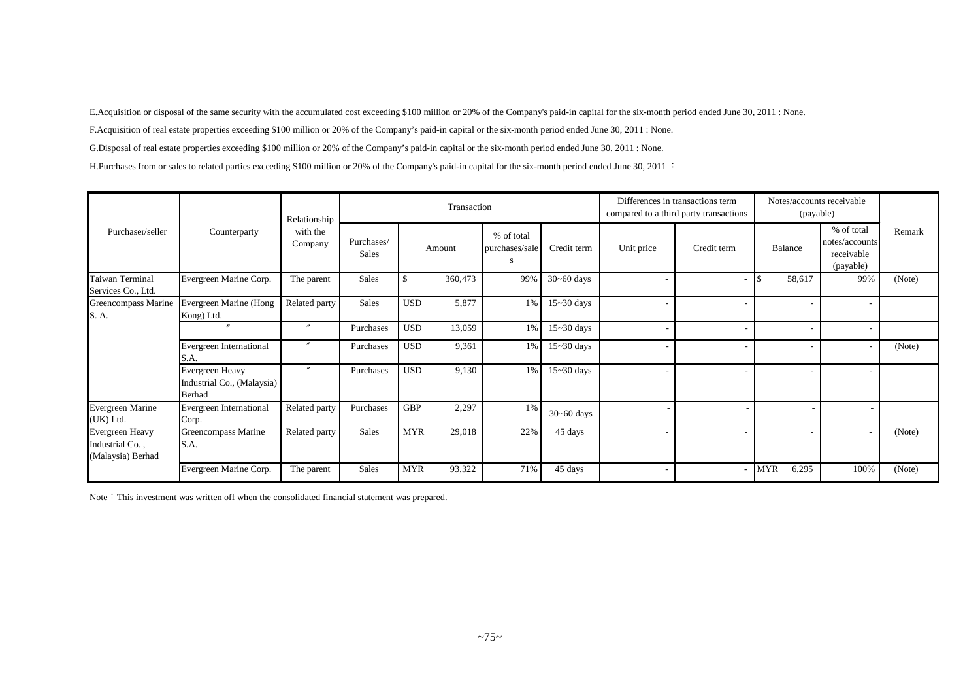E.Acquisition or disposal of the same security with the accumulated cost exceeding \$100 million or 20% of the Company's paid-in capital for the six-month period ended June 30, 2011 : None.

F.Acquisition of real estate properties exceeding \$100 million or 20% of the Company's paid-in capital or the six-month period ended June 30, 2011 : None.

G.Disposal of real estate properties exceeding \$100 million or 20% of the Company's paid-in capital or the six-month period ended June 30, 2011 : None.

H.Purchases from or sales to related parties exceeding \$100 million or 20% of the Company's paid-in capital for the six-month period ended June 30, 2011 :

|                                                         |                                                         | Relationship        |                            |               | Transaction |                                   |                |            | Differences in transactions term<br>compared to a third party transactions |            | Notes/accounts receivable<br>(payable) |                                                         |        |
|---------------------------------------------------------|---------------------------------------------------------|---------------------|----------------------------|---------------|-------------|-----------------------------------|----------------|------------|----------------------------------------------------------------------------|------------|----------------------------------------|---------------------------------------------------------|--------|
| Purchaser/seller                                        | Counterparty                                            | with the<br>Company | Purchases/<br><b>Sales</b> |               | Amount      | % of total<br>purchases/sale<br>S | Credit term    | Unit price | Credit term                                                                |            | Balance                                | % of total<br>notes/accounts<br>receivable<br>(payable) | Remark |
| Taiwan Terminal<br>Services Co., Ltd.                   | Evergreen Marine Corp.                                  | The parent          | Sales                      | <sup>\$</sup> | 360,473     | 99%                               | $30 - 60$ days |            |                                                                            |            | 58,617                                 | 99%                                                     | (Note) |
| Greencompass Marine<br>S. A.                            | Evergreen Marine (Hong<br>Kong) Ltd.                    | Related party       | <b>Sales</b>               | <b>USD</b>    | 5,877       | 1%                                | $15 - 30$ days |            |                                                                            |            |                                        |                                                         |        |
|                                                         | $^{\prime\prime}$                                       | $\prime\prime$      | Purchases                  | <b>USD</b>    | 13,059      | $1\%$                             | $15 - 30$ days |            |                                                                            |            |                                        |                                                         |        |
|                                                         | Evergreen International<br>S.A.                         |                     | Purchases                  | <b>USD</b>    | 9,361       | $1\%$                             | $15 - 30$ days |            |                                                                            |            |                                        |                                                         | (Note) |
|                                                         | Evergreen Heavy<br>Industrial Co., (Malaysia)<br>Berhad | $\prime\prime$      | Purchases                  | <b>USD</b>    | 9,130       | 1%                                | $15 - 30$ days |            |                                                                            |            |                                        |                                                         |        |
| Evergreen Marine<br>(UK) Ltd.                           | Evergreen International<br>Corp.                        | Related party       | Purchases                  | <b>GBP</b>    | 2,297       | 1%                                | $30 - 60$ days |            |                                                                            |            |                                        |                                                         |        |
| Evergreen Heavy<br>Industrial Co.,<br>(Malaysia) Berhad | Greencompass Marine<br>S.A.                             | Related party       | <b>Sales</b>               | <b>MYR</b>    | 29,018      | 22%                               | 45 days        |            |                                                                            |            |                                        | ۰                                                       | (Note) |
|                                                         | Evergreen Marine Corp.                                  | The parent          | Sales                      | <b>MYR</b>    | 93,322      | 71%                               | 45 days        |            |                                                                            | <b>MYR</b> | 6,295                                  | 100%                                                    | (Note) |

Note: This investment was written off when the consolidated financial statement was prepared.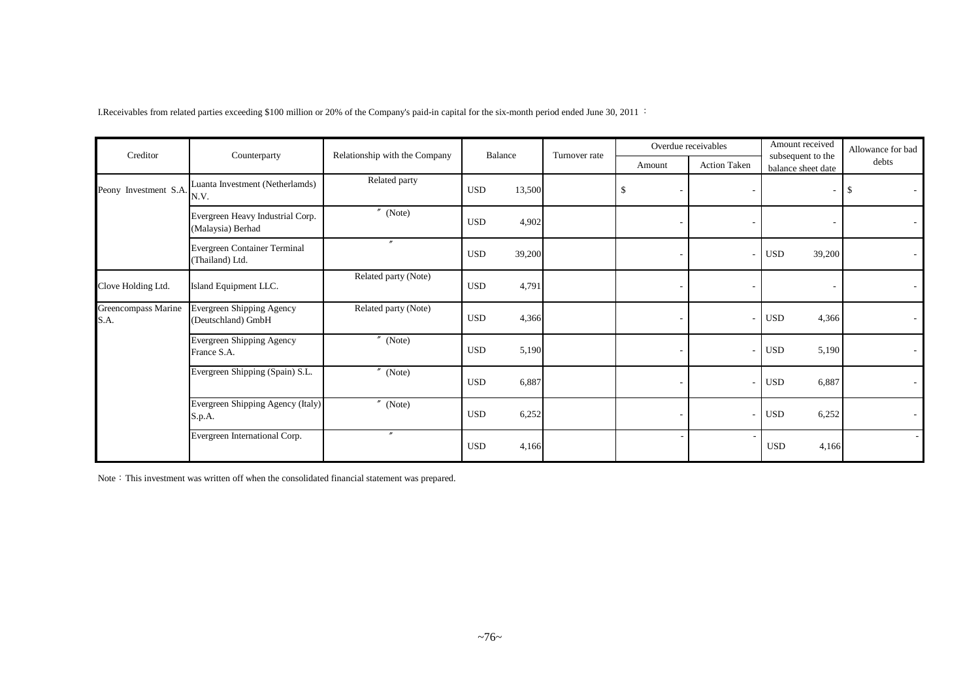I.Receivables from related parties exceeding \$100 million or 20% of the Company's paid-in capital for the six-month period ended June 30, 2011 :

| Creditor                    | Counterparty                                                                      | Relationship with the Company | Balance              | Turnover rate |        | Overdue receivables | Amount received<br>subsequent to the | Allowance for bad |
|-----------------------------|-----------------------------------------------------------------------------------|-------------------------------|----------------------|---------------|--------|---------------------|--------------------------------------|-------------------|
|                             |                                                                                   |                               |                      |               | Amount | <b>Action Taken</b> | balance sheet date                   | debts             |
| Peony Investment S.A.       | Luanta Investment (Netherlamds)<br>N.V.                                           | Related party                 | <b>USD</b><br>13,500 |               |        |                     | $\overline{\phantom{a}}$             | \$                |
|                             | $^{\prime\prime}$ (Note)<br>Evergreen Heavy Industrial Corp.<br>(Malaysia) Berhad |                               | <b>USD</b><br>4,902  |               |        |                     |                                      |                   |
|                             | Evergreen Container Terminal<br>(Thailand) Ltd.                                   | $\prime$                      | 39,200<br><b>USD</b> |               |        |                     | 39,200<br><b>USD</b>                 |                   |
| Clove Holding Ltd.          | Island Equipment LLC.                                                             | Related party (Note)          | <b>USD</b><br>4,791  |               |        |                     |                                      |                   |
| Greencompass Marine<br>S.A. | Evergreen Shipping Agency<br>(Deutschland) GmbH                                   | Related party (Note)          | <b>USD</b><br>4,366  |               |        |                     | <b>USD</b><br>4,366                  |                   |
|                             | Evergreen Shipping Agency<br>France S.A.                                          | $^{\prime\prime}$<br>(Note)   | 5,190<br><b>USD</b>  |               |        | $\overline{a}$      | 5,190<br><b>USD</b>                  |                   |
|                             | Evergreen Shipping (Spain) S.L.                                                   | $^{\prime\prime}$ (Note)      | 6,887<br><b>USD</b>  |               |        | $\overline{a}$      | <b>USD</b><br>6,887                  |                   |
|                             | Evergreen Shipping Agency (Italy)<br>S.p.A.                                       | $''$ (Note)                   | <b>USD</b><br>6,252  |               |        |                     | <b>USD</b><br>6,252                  |                   |
|                             | Evergreen International Corp.                                                     | $^{\prime\prime}$             | <b>USD</b><br>4,166  |               |        |                     | <b>USD</b><br>4,166                  |                   |

Note: This investment was written off when the consolidated financial statement was prepared.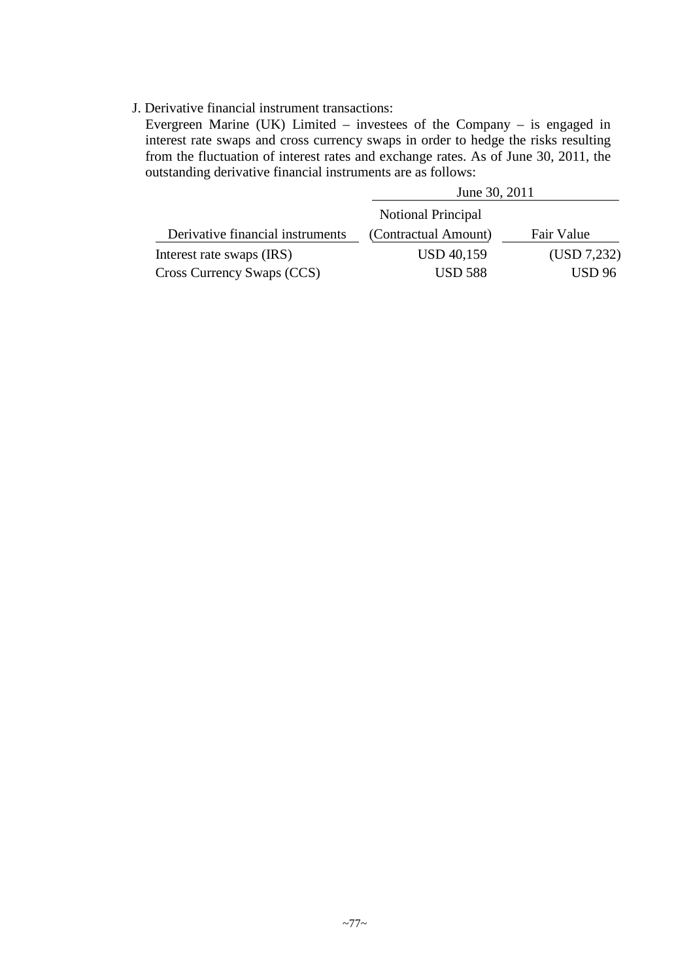### J. Derivative financial instrument transactions:

Evergreen Marine (UK) Limited – investees of the Company – is engaged in interest rate swaps and cross currency swaps in order to hedge the risks resulting from the fluctuation of interest rates and exchange rates. As of June 30, 2011, the outstanding derivative financial instruments are as follows:

|                                  | June 30, 2011        |               |
|----------------------------------|----------------------|---------------|
|                                  | Notional Principal   |               |
| Derivative financial instruments | (Contractual Amount) | Fair Value    |
| Interest rate swaps (IRS)        | <b>USD 40,159</b>    | (USD 7,232)   |
| Cross Currency Swaps (CCS)       | <b>USD 588</b>       | <b>USD</b> 96 |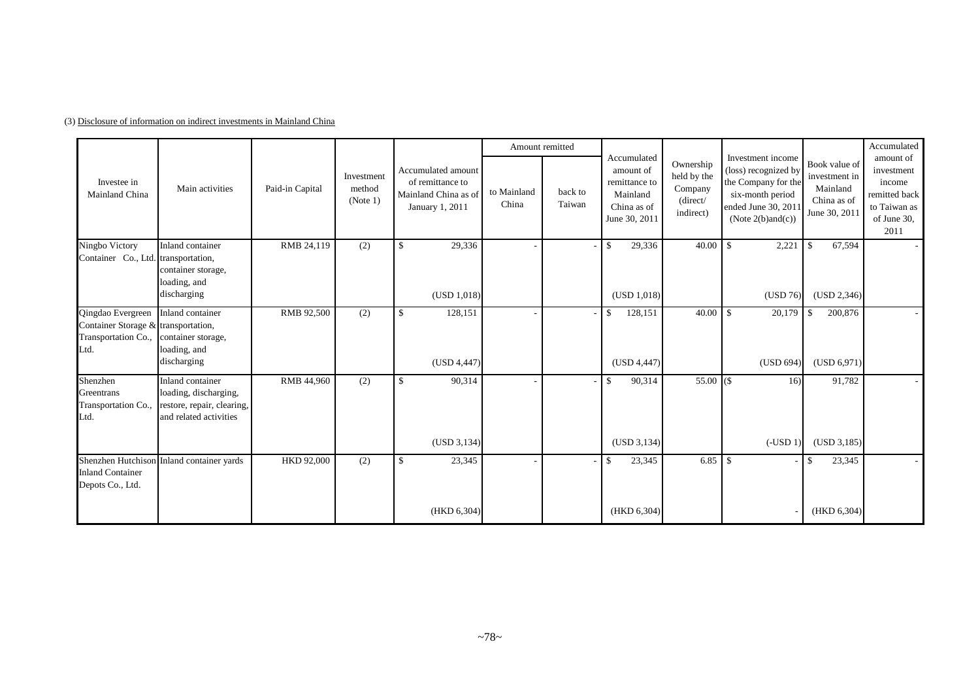|                                                                                                            |                                                                                                   |                 |                                  |                                                                                   |                      | Amount remitted   |                                                                                       |                                                              |                                                                                                                                         |                                                                            | Accumulated                                                                               |
|------------------------------------------------------------------------------------------------------------|---------------------------------------------------------------------------------------------------|-----------------|----------------------------------|-----------------------------------------------------------------------------------|----------------------|-------------------|---------------------------------------------------------------------------------------|--------------------------------------------------------------|-----------------------------------------------------------------------------------------------------------------------------------------|----------------------------------------------------------------------------|-------------------------------------------------------------------------------------------|
| Investee in<br>Mainland China                                                                              | Main activities                                                                                   | Paid-in Capital | Investment<br>method<br>(Note 1) | Accumulated amount<br>of remittance to<br>Mainland China as of<br>January 1, 2011 | to Mainland<br>China | back to<br>Taiwan | Accumulated<br>amount of<br>remittance to<br>Mainland<br>China as of<br>June 30, 2011 | Ownership<br>held by the<br>Company<br>(direct/<br>indirect) | Investment income<br>(loss) recognized by<br>the Company for the<br>six-month period<br>ended June 30, 2011<br>(Note $2(b)$ and $(c)$ ) | Book value of<br>investment in<br>Mainland<br>China as of<br>June 30, 2011 | amount of<br>investment<br>income<br>remitted back<br>to Taiwan as<br>of June 30,<br>2011 |
| Ningbo Victory<br>Container Co., Ltd. transportation,                                                      | Inland container<br>container storage,<br>loading, and<br>discharging                             | RMB 24,119      | (2)                              | $\mathbb{S}$<br>29,336<br>(USD 1,018)                                             |                      |                   | 29,336<br>$\mathcal{S}$<br>(USD 1,018)                                                | 40.00                                                        | $\mathbf{\hat{S}}$<br>2,221<br>(USD 76)                                                                                                 | 67,594<br>-\$<br>(USD 2,346)                                               |                                                                                           |
| Qingdao Evergreen<br>Container Storage & transportation,<br>Transportation Co., container storage,<br>Ltd. | Inland container<br>loading, and<br>discharging                                                   | RMB 92,500      | (2)                              | $\mathbb{S}$<br>128,151<br>(USD 4,447)                                            |                      |                   | 128,151<br>-S<br>(USD 4,447)                                                          | 40.00                                                        | 20,179<br>$\mathbf{\hat{S}}$<br>(USD 694)                                                                                               | 200,876<br>-\$<br>(USD 6.971)                                              |                                                                                           |
| Shenzhen<br>Greentrans<br>Transportation Co.,<br>Ltd.                                                      | Inland container<br>loading, discharging,<br>restore, repair, clearing,<br>and related activities | RMB 44,960      | (2)                              | $\mathbb{S}$<br>90,314<br>(USD 3, 134)                                            |                      |                   | 90,314<br>$\mathbb{S}$<br>(USD 3, 134)                                                | $55.00$ (\$)                                                 | 16)<br>$(-USD 1)$                                                                                                                       | 91,782<br>(USD 3,185)                                                      |                                                                                           |
| <b>Inland Container</b><br>Depots Co., Ltd.                                                                | Shenzhen Hutchison Inland container yards                                                         | HKD 92,000      | (2)                              | \$<br>23,345<br>(HKD 6, 304)                                                      |                      |                   | 23,345<br>-S<br>(HKD 6, 304)                                                          | 6.85                                                         | -\$                                                                                                                                     | 23,345<br>-8<br>(HKD 6,304)                                                |                                                                                           |

(3) Disclosure of information on indirect investments in Mainland China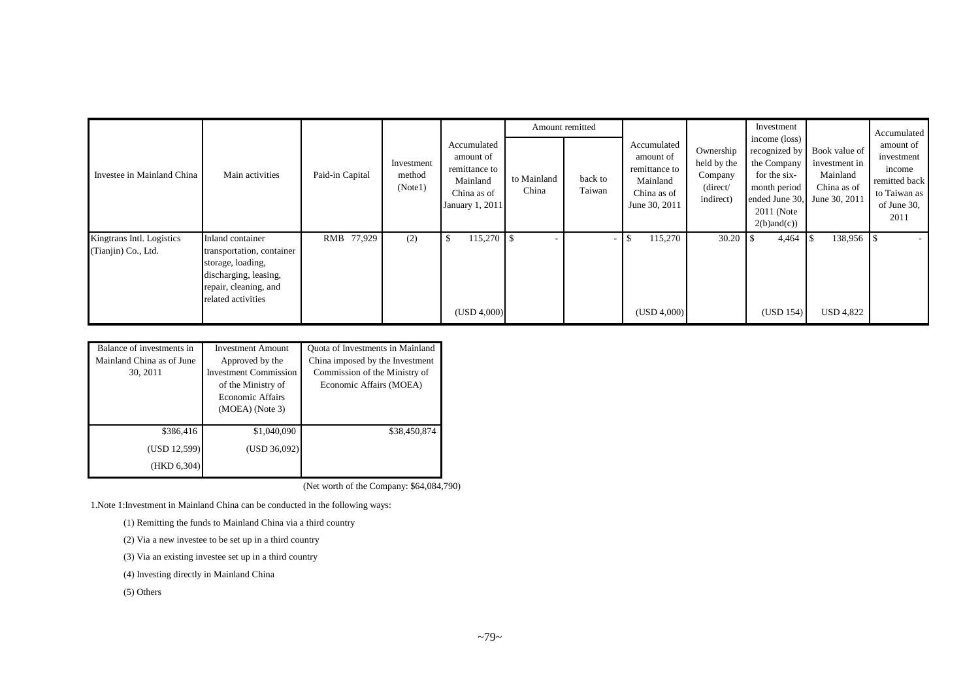|                                                  |                                                                                                                                            |                 |                                 |                                                                                         |                      | Amount remitted   |                                                                                       |                                                              | Investment                                                                                                                                          |                                                           | Accumulated                                                                               |
|--------------------------------------------------|--------------------------------------------------------------------------------------------------------------------------------------------|-----------------|---------------------------------|-----------------------------------------------------------------------------------------|----------------------|-------------------|---------------------------------------------------------------------------------------|--------------------------------------------------------------|-----------------------------------------------------------------------------------------------------------------------------------------------------|-----------------------------------------------------------|-------------------------------------------------------------------------------------------|
| Investee in Mainland China                       | Main activities                                                                                                                            | Paid-in Capital | Investment<br>method<br>(Note1) | Accumulated<br>amount of<br>remittance to<br>Mainland<br>China as of<br>January 1, 2011 | to Mainland<br>China | back to<br>Taiwan | Accumulated<br>amount of<br>remittance to<br>Mainland<br>China as of<br>June 30, 2011 | Ownership<br>held by the<br>Company<br>(direct/<br>indirect) | income (loss)<br>recognized by<br>the Company<br>for the six-<br>month period<br>ended June 30, June 30, 2011<br>$2011$ (Note<br>$2(b)$ and $(c)$ ) | Book value of<br>investment in<br>Mainland<br>China as of | amount of<br>investment<br>income<br>remitted back<br>to Taiwan as<br>of June 30,<br>2011 |
| Kingtrans Intl. Logistics<br>(Tianjin) Co., Ltd. | Inland container<br>transportation, container<br>storage, loading,<br>discharging, leasing,<br>repair, cleaning, and<br>related activities | RMB 77,929      | (2)                             | 115,270<br>-8<br>(USD 4,000)                                                            |                      |                   | 115,270<br>(USD 4,000)                                                                | 30.20                                                        | 4,464<br>(USD 154)                                                                                                                                  | 138,956<br><b>USD 4,822</b>                               |                                                                                           |

| Balance of investments in | <b>Investment Amount</b>     | Quota of Investments in Mainland |
|---------------------------|------------------------------|----------------------------------|
| Mainland China as of June | Approved by the              | China imposed by the Investment  |
| 30, 2011                  | <b>Investment Commission</b> | Commission of the Ministry of    |
|                           | of the Ministry of           | Economic Affairs (MOEA)          |
|                           | Economic Affairs             |                                  |
|                           | $(MOEA)$ (Note 3)            |                                  |
|                           |                              |                                  |
| \$386,416                 | \$1,040,090                  | \$38,450,874                     |
| (USD 12,599)              | (USD 36,092)                 |                                  |
| (HKD 6,304)               |                              |                                  |

(Net worth of the Company: \$64,084,790)

1.Note 1:Investment in Mainland China can be conducted in the following ways:

(1) Remitting the funds to Mainland China via a third country

(2) Via a new investee to be set up in a third country

(3) Via an existing investee set up in a third country

(4) Investing directly in Mainland China

(5) Others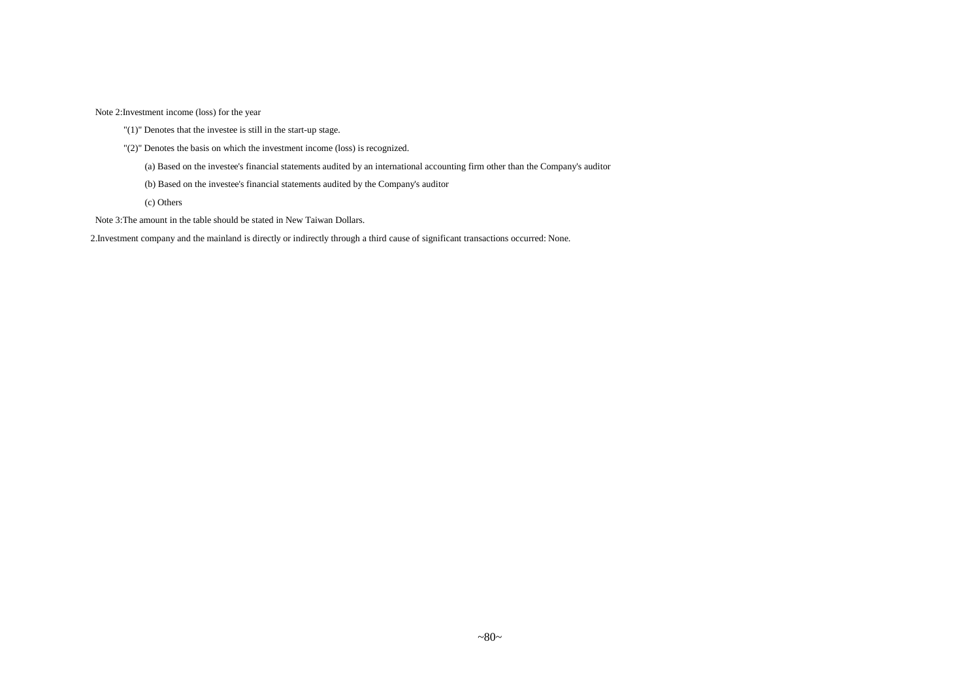Note 2:Investment income (loss) for the year

- "(1)" Denotes that the investee is still in the start-up stage.
- "(2)" Denotes the basis on which the investment income (loss) is recognized.
	- (a) Based on the investee's financial statements audited by an international accounting firm other than the Company's auditor
	- (b) Based on the investee's financial statements audited by the Company's auditor
	- (c) Others
- Note 3:The amount in the table should be stated in New Taiwan Dollars.

2.Investment company and the mainland is directly or indirectly through a third cause of significant transactions occurred: None.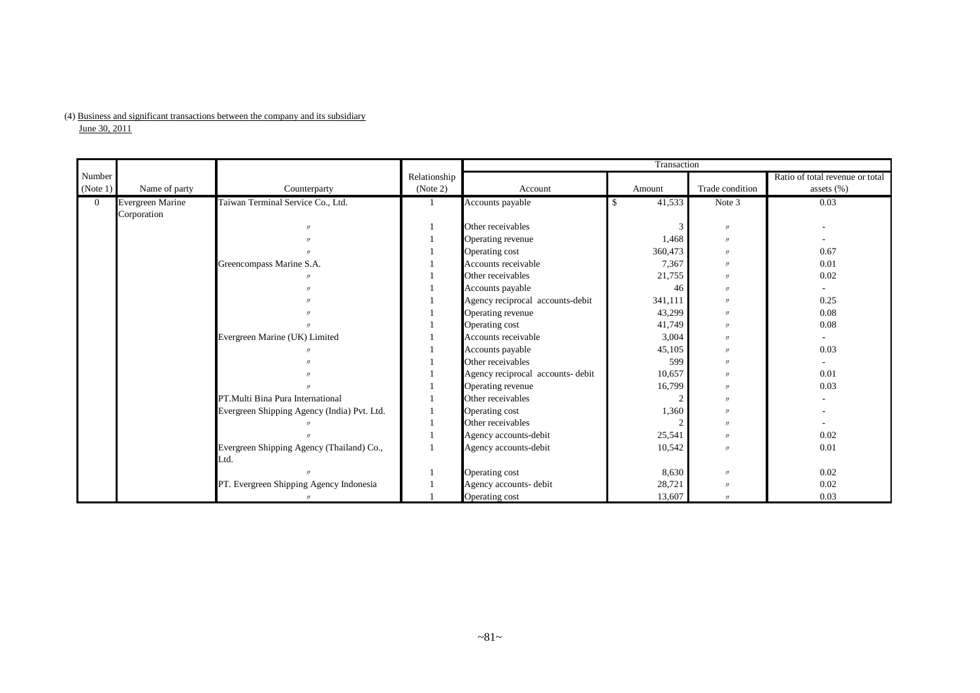### (4) Business and significant transactions between the company and its subsidiary

 $J$ une 30, 2011

|                |                         |                                             |              | Transaction                       |         |                   |                                 |  |  |  |
|----------------|-------------------------|---------------------------------------------|--------------|-----------------------------------|---------|-------------------|---------------------------------|--|--|--|
| Number         |                         |                                             | Relationship |                                   |         |                   | Ratio of total revenue or total |  |  |  |
| (Note 1)       | Name of party           | Counterparty                                | (Note 2)     | Account                           | Amount  | Trade condition   | assets $(\%)$                   |  |  |  |
| $\overline{0}$ | <b>Evergreen Marine</b> | Taiwan Terminal Service Co., Ltd.           |              | Accounts payable                  | 41,533  | Note 3            | 0.03                            |  |  |  |
|                | Corporation             |                                             |              |                                   |         |                   |                                 |  |  |  |
|                |                         |                                             |              | Other receivables                 | 3       | $\prime\prime$    |                                 |  |  |  |
|                |                         |                                             |              | Operating revenue                 | 1,468   | $\prime\prime$    |                                 |  |  |  |
|                |                         |                                             |              | Operating cost                    | 360,473 | $\prime\prime$    | 0.67                            |  |  |  |
|                |                         | Greencompass Marine S.A.                    |              | Accounts receivable               | 7,367   | $\prime\prime$    | 0.01                            |  |  |  |
|                |                         |                                             |              | Other receivables                 | 21,755  | $\prime$          | 0.02                            |  |  |  |
|                |                         |                                             |              | Accounts payable                  | 46      | $\prime$          |                                 |  |  |  |
|                |                         |                                             |              | Agency reciprocal accounts-debit  | 341,111 | $\prime$          | 0.25                            |  |  |  |
|                |                         |                                             |              | Operating revenue                 | 43,299  | $\prime$          | 0.08                            |  |  |  |
|                |                         |                                             |              | Operating cost                    | 41,749  | $^{\prime\prime}$ | 0.08                            |  |  |  |
|                |                         | Evergreen Marine (UK) Limited               |              | Accounts receivable               | 3,004   | $\prime\prime$    |                                 |  |  |  |
|                |                         |                                             |              | Accounts payable                  | 45,105  | $\prime$          | 0.03                            |  |  |  |
|                |                         |                                             |              | Other receivables                 | 599     | $\prime$          |                                 |  |  |  |
|                |                         |                                             |              | Agency reciprocal accounts- debit | 10,657  | $^{\prime\prime}$ | 0.01                            |  |  |  |
|                |                         |                                             |              | Operating revenue                 | 16,799  | $^{\prime\prime}$ | 0.03                            |  |  |  |
|                |                         | PT. Multi Bina Pura International           |              | Other receivables                 |         | $\prime$          |                                 |  |  |  |
|                |                         | Evergreen Shipping Agency (India) Pvt. Ltd. |              | Operating cost                    | 1,360   | $\prime$          |                                 |  |  |  |
|                |                         |                                             |              | Other receivables                 |         | $^{\prime\prime}$ |                                 |  |  |  |
|                |                         |                                             |              | Agency accounts-debit             | 25,541  | $\prime$          | 0.02                            |  |  |  |
|                |                         | Evergreen Shipping Agency (Thailand) Co.,   |              | Agency accounts-debit             | 10,542  | $^{\prime\prime}$ | 0.01                            |  |  |  |
|                |                         | Ltd.                                        |              |                                   |         |                   |                                 |  |  |  |
|                |                         |                                             |              | Operating cost                    | 8,630   | $\prime\prime$    | 0.02                            |  |  |  |
|                |                         | PT. Evergreen Shipping Agency Indonesia     |              | Agency accounts- debit            | 28,721  | $\prime\prime$    | 0.02                            |  |  |  |
|                |                         |                                             |              | Operating cost                    | 13,607  | $^{\prime\prime}$ | 0.03                            |  |  |  |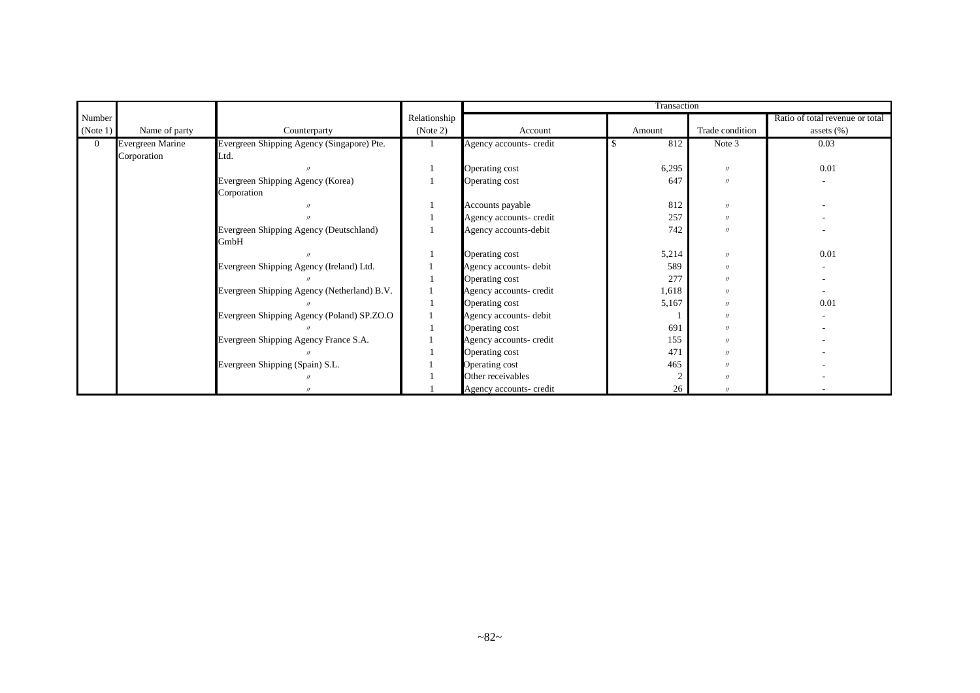|          |                  |                                             |              | Transaction             |        |                   |                                 |  |  |  |
|----------|------------------|---------------------------------------------|--------------|-------------------------|--------|-------------------|---------------------------------|--|--|--|
| Number   |                  |                                             | Relationship |                         |        |                   | Ratio of total revenue or total |  |  |  |
| (Note 1) | Name of party    | Counterparty                                | (Note 2)     | Account                 | Amount | Trade condition   | assets $(\%)$                   |  |  |  |
| $\Omega$ | Evergreen Marine | Evergreen Shipping Agency (Singapore) Pte.  |              | Agency accounts- credit | 812    | Note 3            | 0.03                            |  |  |  |
|          | Corporation      | Ltd.                                        |              |                         |        |                   |                                 |  |  |  |
|          |                  |                                             |              | Operating cost          | 6,295  | $^{\prime\prime}$ | 0.01                            |  |  |  |
|          |                  | Evergreen Shipping Agency (Korea)           |              | Operating cost          | 647    | $^{\prime\prime}$ |                                 |  |  |  |
|          |                  | Corporation                                 |              |                         |        |                   |                                 |  |  |  |
|          |                  |                                             |              | Accounts payable        | 812    | $^{\prime\prime}$ |                                 |  |  |  |
|          |                  |                                             |              | Agency accounts- credit | 257    | $^{\prime\prime}$ |                                 |  |  |  |
|          |                  | Evergreen Shipping Agency (Deutschland)     |              | Agency accounts-debit   | 742    | $^{\prime\prime}$ |                                 |  |  |  |
|          |                  | GmbH                                        |              |                         |        |                   |                                 |  |  |  |
|          |                  |                                             |              | Operating cost          | 5,214  | $^{\prime\prime}$ | 0.01                            |  |  |  |
|          |                  | Evergreen Shipping Agency (Ireland) Ltd.    |              | Agency accounts- debit  | 589    | $^{\prime\prime}$ |                                 |  |  |  |
|          |                  |                                             |              | Operating cost          | 277    | $\overline{u}$    |                                 |  |  |  |
|          |                  | Evergreen Shipping Agency (Netherland) B.V. |              | Agency accounts- credit | 1,618  |                   |                                 |  |  |  |
|          |                  |                                             |              | Operating cost          | 5,167  |                   | 0.01                            |  |  |  |
|          |                  | Evergreen Shipping Agency (Poland) SP.ZO.O  |              | Agency accounts- debit  |        | $^{\prime\prime}$ |                                 |  |  |  |
|          |                  |                                             |              | Operating cost          | 691    | $^{\prime\prime}$ |                                 |  |  |  |
|          |                  | Evergreen Shipping Agency France S.A.       |              | Agency accounts- credit | 155    | $^{\prime\prime}$ |                                 |  |  |  |
|          |                  |                                             |              | Operating cost          | 471    | $^{\prime\prime}$ |                                 |  |  |  |
|          |                  | Evergreen Shipping (Spain) S.L.             |              | Operating cost          | 465    | $^{\prime\prime}$ |                                 |  |  |  |
|          |                  |                                             |              | Other receivables       |        | $^{\prime\prime}$ |                                 |  |  |  |
|          |                  |                                             |              | Agency accounts- credit | 26     | $\overline{u}$    |                                 |  |  |  |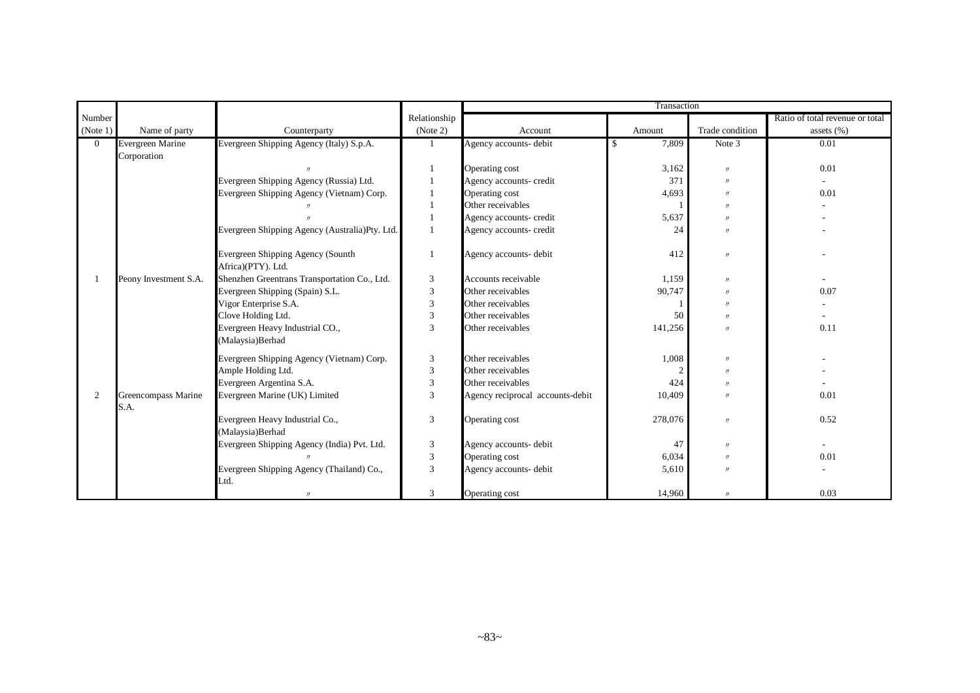|                |                             |                                                         |              | Transaction                      |         |                   |                                 |  |
|----------------|-----------------------------|---------------------------------------------------------|--------------|----------------------------------|---------|-------------------|---------------------------------|--|
| Number         |                             |                                                         | Relationship |                                  |         |                   | Ratio of total revenue or total |  |
| (Note 1)       | Name of party               | Counterparty                                            | (Note 2)     | Account                          | Amount  | Trade condition   | assets (%)                      |  |
| $\Omega$       | Evergreen Marine            | Evergreen Shipping Agency (Italy) S.p.A.                |              | Agency accounts- debit           | 7,809   | Note 3            | 0.01                            |  |
|                | Corporation                 |                                                         |              |                                  |         |                   |                                 |  |
|                |                             |                                                         |              | Operating cost                   | 3,162   | $^{\prime\prime}$ | 0.01                            |  |
|                |                             | Evergreen Shipping Agency (Russia) Ltd.                 |              | Agency accounts- credit          | 371     | $^{\prime\prime}$ |                                 |  |
|                |                             | Evergreen Shipping Agency (Vietnam) Corp.               |              | Operating cost                   | 4,693   | $^{\prime\prime}$ | 0.01                            |  |
|                |                             |                                                         |              | Other receivables                |         | $^{\prime\prime}$ |                                 |  |
|                |                             |                                                         |              | Agency accounts- credit          | 5,637   | $\prime$          |                                 |  |
|                |                             | Evergreen Shipping Agency (Australia)Pty. Ltd.          |              | Agency accounts- credit          | 24      | $\prime$          |                                 |  |
|                |                             | Evergreen Shipping Agency (Sounth<br>Africa)(PTY). Ltd. |              | Agency accounts- debit           | 412     | $^{\prime\prime}$ |                                 |  |
|                | Peony Investment S.A.       | Shenzhen Greentrans Transportation Co., Ltd.            | 3            | Accounts receivable              | 1,159   | $\prime$          |                                 |  |
|                |                             | Evergreen Shipping (Spain) S.L.                         | 3            | Other receivables                | 90,747  | $^{\prime\prime}$ | 0.07                            |  |
|                |                             | Vigor Enterprise S.A.                                   | 3            | Other receivables                |         | $\prime$          |                                 |  |
|                |                             | Clove Holding Ltd.                                      | 3            | Other receivables                | 50      | $^{\prime\prime}$ |                                 |  |
|                |                             | Evergreen Heavy Industrial CO.,<br>(Malaysia)Berhad     | 3            | Other receivables                | 141,256 | $^{\prime\prime}$ | 0.11                            |  |
|                |                             | Evergreen Shipping Agency (Vietnam) Corp.               | 3            | Other receivables                | 1,008   | $\prime$          |                                 |  |
|                |                             | Ample Holding Ltd.                                      | 3            | Other receivables                |         | $^{\prime\prime}$ |                                 |  |
|                |                             | Evergreen Argentina S.A.                                | 3            | Other receivables                | 424     | $^{\prime\prime}$ |                                 |  |
| $\overline{2}$ | Greencompass Marine<br>S.A. | Evergreen Marine (UK) Limited                           | 3            | Agency reciprocal accounts-debit | 10,409  | $\prime$          | 0.01                            |  |
|                |                             | Evergreen Heavy Industrial Co.,<br>(Malaysia)Berhad     | 3            | Operating cost                   | 278,076 | $\prime$          | 0.52                            |  |
|                |                             | Evergreen Shipping Agency (India) Pvt. Ltd.             | 3            | Agency accounts- debit           | 47      | $\prime$          |                                 |  |
|                |                             |                                                         | 3            | Operating cost                   | 6,034   | $\prime$          | 0.01                            |  |
|                |                             | Evergreen Shipping Agency (Thailand) Co.,<br>Ltd.       | 3            | Agency accounts- debit           | 5,610   | $^{\prime\prime}$ |                                 |  |
|                |                             | $^{\prime\prime}$                                       | 3            | Operating cost                   | 14,960  | $^{\prime\prime}$ | 0.03                            |  |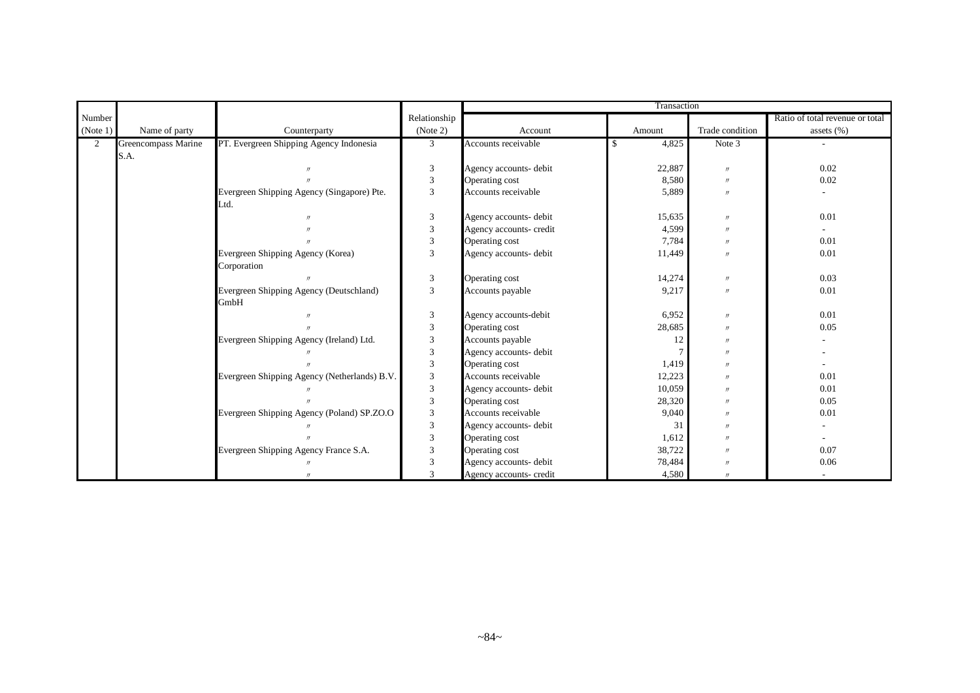|                |                     |                                              |                         |                         | Transaction  |                   |                                 |
|----------------|---------------------|----------------------------------------------|-------------------------|-------------------------|--------------|-------------------|---------------------------------|
| Number         |                     |                                              | Relationship            |                         |              |                   | Ratio of total revenue or total |
| (Note 1)       | Name of party       | Counterparty                                 | (Note 2)                | Account                 | Amount       | Trade condition   | assets $(\% )$                  |
| $\overline{2}$ | Greencompass Marine | PT. Evergreen Shipping Agency Indonesia      | 3                       | Accounts receivable     | 4,825<br>-\$ | Note 3            |                                 |
|                | S.A.                |                                              |                         |                         |              |                   |                                 |
|                |                     |                                              | 3                       | Agency accounts- debit  | 22,887       | $\prime\prime$    | 0.02                            |
|                |                     |                                              | 3                       | Operating cost          | 8,580        | $\prime\prime$    | 0.02                            |
|                |                     | Evergreen Shipping Agency (Singapore) Pte.   | $\overline{3}$          | Accounts receivable     | 5,889        | $\prime$          |                                 |
|                |                     | Ltd.                                         |                         |                         |              |                   |                                 |
|                |                     |                                              | $\mathfrak{Z}$          | Agency accounts- debit  | 15,635       | $\prime$          | 0.01                            |
|                |                     |                                              | $\mathfrak{Z}$          | Agency accounts- credit | 4,599        | $^{\prime\prime}$ |                                 |
|                |                     |                                              | $\overline{\mathbf{3}}$ | Operating cost          | 7,784        | $^{\prime\prime}$ | 0.01                            |
|                |                     | Evergreen Shipping Agency (Korea)            | 3                       | Agency accounts- debit  | 11,449       | $\prime$          | 0.01                            |
|                |                     | Corporation                                  |                         |                         |              |                   |                                 |
|                |                     |                                              | 3                       | Operating cost          | 14,274       | $\prime\prime$    | 0.03                            |
|                |                     | Evergreen Shipping Agency (Deutschland)      | 3                       | Accounts payable        | 9,217        | $^{\prime\prime}$ | 0.01                            |
|                |                     | GmbH                                         |                         |                         |              |                   |                                 |
|                |                     |                                              | 3                       | Agency accounts-debit   | 6,952        | $\prime$          | 0.01                            |
|                |                     |                                              | 3                       | Operating cost          | 28,685       | $\prime$          | 0.05                            |
|                |                     | Evergreen Shipping Agency (Ireland) Ltd.     | 3                       | Accounts payable        | 12           | $\prime$          |                                 |
|                |                     |                                              | $\overline{3}$          | Agency accounts- debit  |              | $^{\prime\prime}$ |                                 |
|                |                     |                                              | 3                       | Operating cost          | 1,419        | $^{\prime\prime}$ |                                 |
|                |                     | Evergreen Shipping Agency (Netherlands) B.V. | 3                       | Accounts receivable     | 12,223       | $\prime$          | 0.01                            |
|                |                     |                                              | 3                       | Agency accounts- debit  | 10,059       | $\prime$          | 0.01                            |
|                |                     |                                              | 3                       | Operating cost          | 28,320       | $^{\prime\prime}$ | 0.05                            |
|                |                     | Evergreen Shipping Agency (Poland) SP.ZO.O   | $\mathfrak{Z}$          | Accounts receivable     | 9,040        | $^{\prime\prime}$ | 0.01                            |
|                |                     |                                              | 3                       | Agency accounts- debit  | 31           | $^{\prime\prime}$ |                                 |
|                |                     |                                              | 3                       | Operating cost          | 1,612        | $\prime$          |                                 |
|                |                     | Evergreen Shipping Agency France S.A.        | 3                       | Operating cost          | 38,722       | $\prime$          | 0.07                            |
|                |                     |                                              | 3                       | Agency accounts- debit  | 78,484       | $^{\prime\prime}$ | 0.06                            |
|                |                     |                                              | 3                       | Agency accounts- credit | 4,580        | $^{\prime\prime}$ |                                 |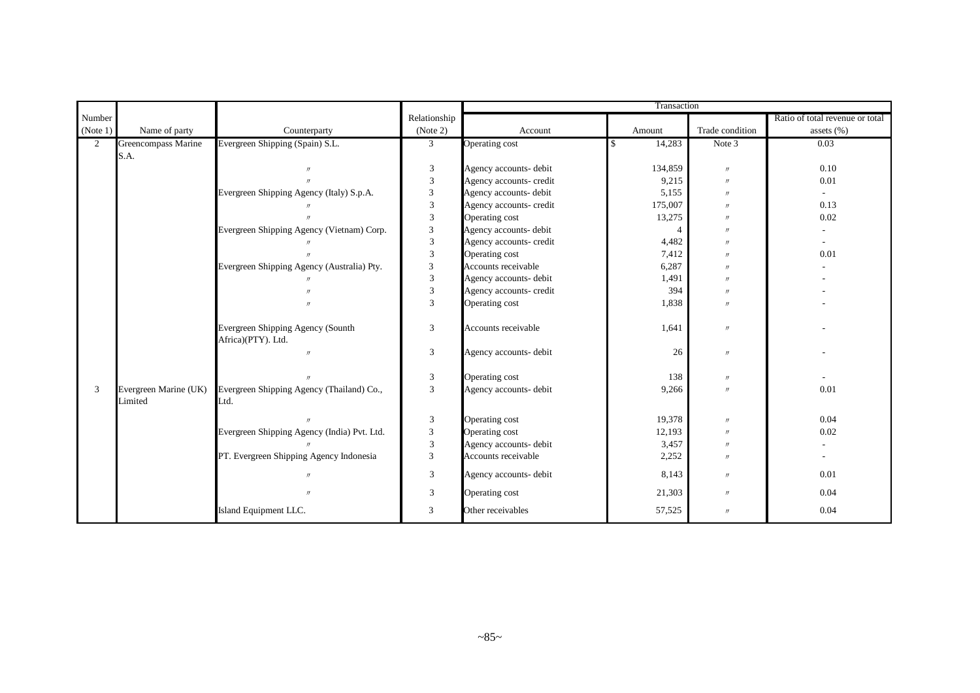|                |                                  |                                                         |                           |                         | Transaction              |                   |                                 |
|----------------|----------------------------------|---------------------------------------------------------|---------------------------|-------------------------|--------------------------|-------------------|---------------------------------|
| Number         |                                  |                                                         | Relationship              |                         |                          |                   | Ratio of total revenue or total |
| (Note 1)       | Name of party                    | Counterparty                                            | (Note 2)                  | Account                 | Amount                   | Trade condition   | assets (%)                      |
| $\overline{2}$ | Greencompass Marine              | Evergreen Shipping (Spain) S.L.                         | $\mathfrak{Z}$            | Operating cost          | 14,283<br>\$             | Note 3            | 0.03                            |
|                | S.A.                             |                                                         |                           |                         |                          |                   |                                 |
|                |                                  |                                                         | 3                         | Agency accounts- debit  | 134,859                  | $\prime\prime$    | 0.10                            |
|                |                                  |                                                         | $\overline{3}$            | Agency accounts- credit | 9,215                    | $\prime$          | 0.01                            |
|                |                                  | Evergreen Shipping Agency (Italy) S.p.A.                | $\mathfrak{Z}$            | Agency accounts- debit  | 5,155                    | $\prime$          | $\sim$                          |
|                |                                  |                                                         | 3                         | Agency accounts- credit | 175,007                  | $\prime$          | 0.13                            |
|                |                                  |                                                         | 3                         | Operating cost          | 13,275                   | $^{\prime\prime}$ | 0.02                            |
|                |                                  | Evergreen Shipping Agency (Vietnam) Corp.               | 3                         | Agency accounts- debit  | $\boldsymbol{\varDelta}$ | $\prime\prime$    |                                 |
|                |                                  |                                                         | $\overline{3}$            | Agency accounts- credit | 4,482                    | $\prime$          |                                 |
|                |                                  |                                                         | $\overline{3}$            | Operating cost          | 7,412                    | $\prime$          | 0.01                            |
|                |                                  | Evergreen Shipping Agency (Australia) Pty.              | $\mathfrak{Z}$            | Accounts receivable     | 6,287                    | $\prime$          |                                 |
|                |                                  |                                                         | $\overline{3}$            | Agency accounts- debit  | 1,491                    | $\prime$          |                                 |
|                |                                  |                                                         | $\overline{3}$            | Agency accounts- credit | 394                      | $^{\prime\prime}$ |                                 |
|                |                                  |                                                         | $\mathfrak{Z}$            | Operating cost          | 1,838                    | $\prime$          |                                 |
|                |                                  | Evergreen Shipping Agency (Sounth<br>Africa)(PTY). Ltd. | 3                         | Accounts receivable     | 1,641                    | $^{\prime\prime}$ |                                 |
|                |                                  | $^{\prime\prime}$                                       | 3                         | Agency accounts- debit  | 26                       | $^{\prime\prime}$ |                                 |
|                |                                  |                                                         | 3                         | Operating cost          | 138                      | $\prime\prime$    |                                 |
| 3              | Evergreen Marine (UK)<br>Limited | Evergreen Shipping Agency (Thailand) Co.,<br>Ltd.       | 3                         | Agency accounts- debit  | 9,266                    | $\prime$          | 0.01                            |
|                |                                  | $\overline{u}$                                          | 3                         | Operating cost          | 19,378                   | $\prime\prime$    | 0.04                            |
|                |                                  | Evergreen Shipping Agency (India) Pvt. Ltd.             | $\ensuremath{\mathbf{3}}$ | Operating cost          | 12,193                   | $\prime$          | 0.02                            |
|                |                                  |                                                         | 3                         | Agency accounts- debit  | 3,457                    | $^{\prime\prime}$ |                                 |
|                |                                  | PT. Evergreen Shipping Agency Indonesia                 | 3                         | Accounts receivable     | 2,252                    | $^{\prime\prime}$ |                                 |
|                |                                  | $\prime$                                                | $\overline{3}$            | Agency accounts- debit  | 8,143                    | $^{\prime\prime}$ | 0.01                            |
|                |                                  |                                                         | 3                         | Operating cost          | 21,303                   | $\prime\prime$    | 0.04                            |
|                |                                  | Island Equipment LLC.                                   | 3                         | Other receivables       | 57,525                   | $\prime\prime$    | 0.04                            |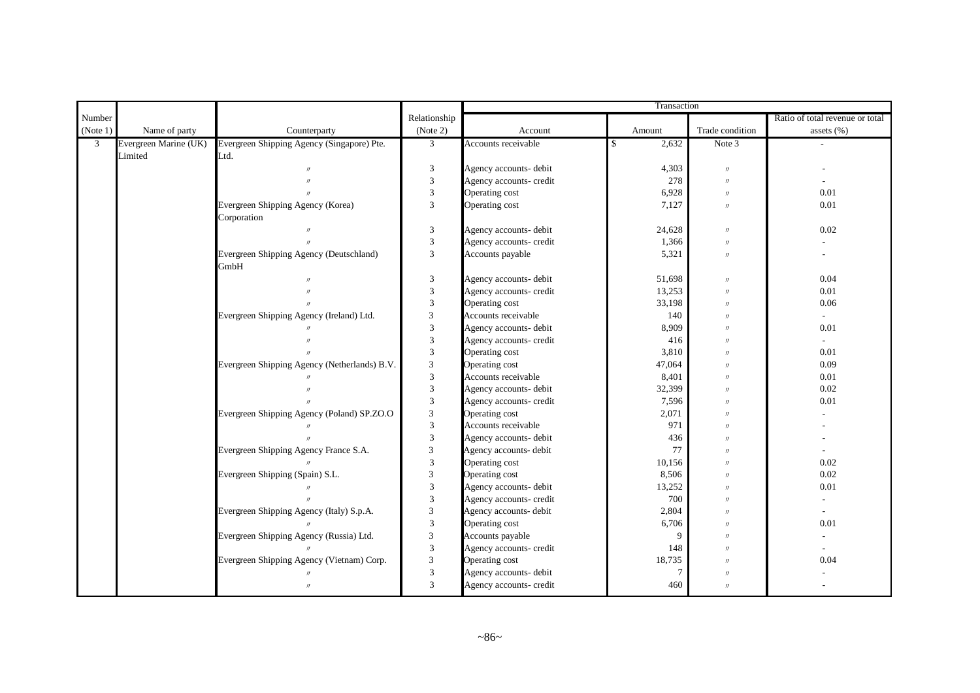|                |                       |                                              |                             | Transaction             |             |                   |                                 |  |
|----------------|-----------------------|----------------------------------------------|-----------------------------|-------------------------|-------------|-------------------|---------------------------------|--|
| Number         |                       |                                              | Relationship                |                         |             |                   | Ratio of total revenue or total |  |
| (Note 1)       | Name of party         | Counterparty                                 | (Note 2)                    | Account                 | Amount      | Trade condition   | assets (%)                      |  |
| $\mathfrak{Z}$ | Evergreen Marine (UK) | Evergreen Shipping Agency (Singapore) Pte.   | $\mathfrak{Z}$              | Accounts receivable     | 2,632<br>\$ | Note 3            |                                 |  |
|                | Limited               | Ltd.                                         |                             |                         |             |                   |                                 |  |
|                |                       |                                              | $\mathfrak{Z}$              | Agency accounts- debit  | 4,303       | $\prime\prime$    |                                 |  |
|                |                       |                                              | $\mathfrak{Z}$              | Agency accounts- credit | 278         | $\prime$          |                                 |  |
|                |                       |                                              | $\ensuremath{\mathfrak{Z}}$ | Operating cost          | 6,928       | $\prime$          | 0.01                            |  |
|                |                       | Evergreen Shipping Agency (Korea)            | $\overline{3}$              | Operating cost          | 7,127       | $\prime$          | 0.01                            |  |
|                |                       | Corporation                                  |                             |                         |             |                   |                                 |  |
|                |                       |                                              | $\ensuremath{\mathfrak{Z}}$ | Agency accounts- debit  | 24,628      | $\prime$          | 0.02                            |  |
|                |                       |                                              | $\mathfrak{Z}$              | Agency accounts- credit | 1,366       | $\prime$          |                                 |  |
|                |                       | Evergreen Shipping Agency (Deutschland)      | $\overline{3}$              | Accounts payable        | 5,321       | $\prime$          |                                 |  |
|                |                       | GmbH                                         |                             |                         |             |                   |                                 |  |
|                |                       |                                              | $\mathfrak{Z}$              | Agency accounts- debit  | 51,698      | $\prime$          | 0.04                            |  |
|                |                       |                                              | $\mathfrak{Z}$              | Agency accounts- credit | 13,253      | $\prime$          | 0.01                            |  |
|                |                       |                                              | $\mathfrak{Z}$              | Operating cost          | 33,198      | $\prime$          | 0.06                            |  |
|                |                       | Evergreen Shipping Agency (Ireland) Ltd.     | 3                           | Accounts receivable     | 140         | $^{\prime\prime}$ | ÷.                              |  |
|                |                       |                                              | $\mathfrak{Z}$              | Agency accounts- debit  | 8,909       | $\prime$          | 0.01                            |  |
|                |                       |                                              | $\ensuremath{\mathfrak{Z}}$ | Agency accounts- credit | 416         | $\prime$          |                                 |  |
|                |                       |                                              | $\mathfrak{Z}$              | Operating cost          | 3,810       | $\prime$          | 0.01                            |  |
|                |                       | Evergreen Shipping Agency (Netherlands) B.V. | 3                           | Operating cost          | 47,064      | $\prime$          | 0.09                            |  |
|                |                       |                                              | $\mathfrak{Z}$              | Accounts receivable     | 8,401       | $^{\prime\prime}$ | 0.01                            |  |
|                |                       |                                              | $\overline{3}$              | Agency accounts- debit  | 32,399      | $^{\prime\prime}$ | 0.02                            |  |
|                |                       |                                              | $\overline{3}$              | Agency accounts- credit | 7,596       | $^{\prime\prime}$ | 0.01                            |  |
|                |                       | Evergreen Shipping Agency (Poland) SP.ZO.O   | $\sqrt{3}$                  | Operating cost          | 2,071       | $^{\prime\prime}$ |                                 |  |
|                |                       |                                              | $\mathfrak z$               | Accounts receivable     | 971         | $^{\prime\prime}$ |                                 |  |
|                |                       |                                              | $\mathfrak{Z}$              | Agency accounts- debit  | 436         | $\prime$          |                                 |  |
|                |                       | Evergreen Shipping Agency France S.A.        | 3                           | Agency accounts- debit  | 77          | $^{\prime\prime}$ |                                 |  |
|                |                       |                                              | $\mathfrak{Z}$              | Operating cost          | 10,156      | $^{\prime\prime}$ | 0.02                            |  |
|                |                       | Evergreen Shipping (Spain) S.L.              | 3                           | Operating cost          | 8,506       | $\prime$          | 0.02                            |  |
|                |                       |                                              | $\mathfrak{Z}$              | Agency accounts- debit  | 13,252      | $\prime$          | 0.01                            |  |
|                |                       |                                              | $\mathfrak{Z}$              | Agency accounts- credit | 700         | $\prime$          |                                 |  |
|                |                       | Evergreen Shipping Agency (Italy) S.p.A.     | $\mathfrak{Z}$              | Agency accounts- debit  | 2,804       | $\prime$          |                                 |  |
|                |                       |                                              | 3                           | Operating cost          | 6,706       | $^{\prime\prime}$ | 0.01                            |  |
|                |                       | Evergreen Shipping Agency (Russia) Ltd.      | 3                           | Accounts payable        | 9           | $^{\prime\prime}$ |                                 |  |
|                |                       |                                              | 3                           | Agency accounts- credit | 148         | $^{\prime\prime}$ |                                 |  |
|                |                       | Evergreen Shipping Agency (Vietnam) Corp.    | $\mathfrak{Z}$              | Operating cost          | 18,735      | $^{\prime\prime}$ | 0.04                            |  |
|                |                       |                                              | $\sqrt{3}$                  | Agency accounts- debit  | 7           | $\prime$          |                                 |  |
|                |                       | $^{\prime\prime}$                            | 3                           | Agency accounts- credit | 460         | $\prime$          |                                 |  |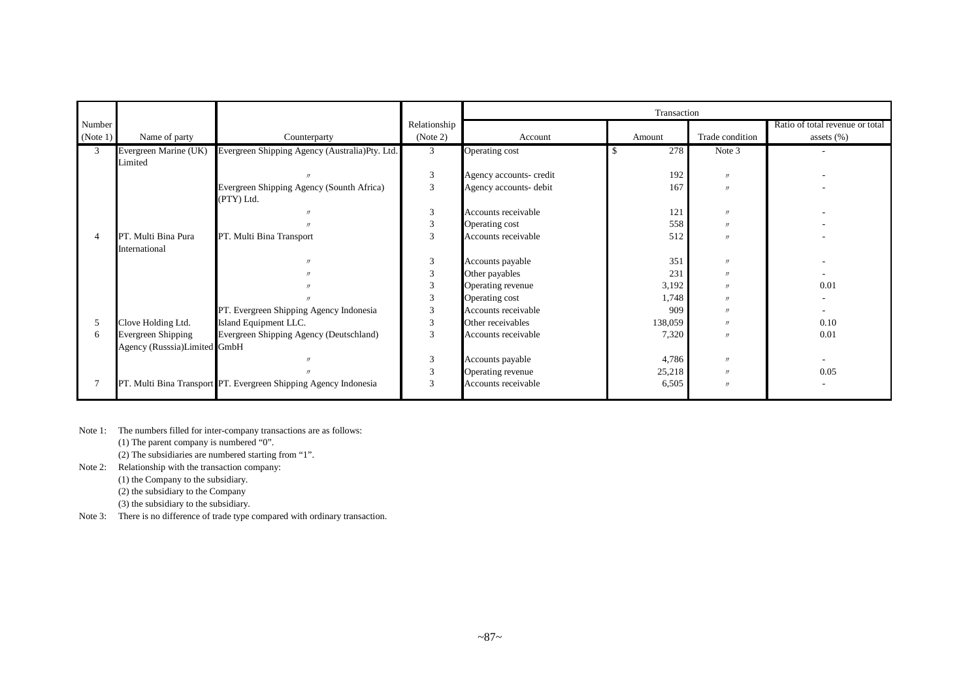|          |                              |                                                                  |                | Transaction             |         |                   |                                 |  |
|----------|------------------------------|------------------------------------------------------------------|----------------|-------------------------|---------|-------------------|---------------------------------|--|
| Number   |                              |                                                                  | Relationship   |                         |         |                   | Ratio of total revenue or total |  |
| (Note 1) | Name of party                | Counterparty                                                     | (Note 2)       | Account                 | Amount  | Trade condition   | assets $(\%)$                   |  |
| 3        | Evergreen Marine (UK)        | Evergreen Shipping Agency (Australia)Pty. Ltd.                   | 3              | Operating cost          | 278     | Note 3            |                                 |  |
|          | Limited                      |                                                                  |                |                         |         |                   |                                 |  |
|          |                              |                                                                  | 3              | Agency accounts- credit | 192     | $^{\prime\prime}$ |                                 |  |
|          |                              | Evergreen Shipping Agency (Sounth Africa)                        | 3              | Agency accounts- debit  | 167     | $^{\prime\prime}$ |                                 |  |
|          |                              | (PTY) Ltd.                                                       |                |                         |         |                   |                                 |  |
|          |                              |                                                                  | 3              | Accounts receivable     | 121     | $^{\prime\prime}$ |                                 |  |
|          |                              |                                                                  | 3              | Operating cost          | 558     | $^{\prime\prime}$ |                                 |  |
|          | PT. Multi Bina Pura          | PT. Multi Bina Transport                                         | 3              | Accounts receivable     | 512     | $\overline{u}$    |                                 |  |
|          | International                |                                                                  |                |                         |         |                   |                                 |  |
|          |                              |                                                                  | 3              | Accounts payable        | 351     | $^{\prime\prime}$ |                                 |  |
|          |                              |                                                                  | 3              | Other payables          | 231     | $^{\prime\prime}$ |                                 |  |
|          |                              |                                                                  | 3              | Operating revenue       | 3,192   | $^{\prime\prime}$ | 0.01                            |  |
|          |                              |                                                                  | $\mathfrak{Z}$ | Operating cost          | 1,748   | $^{\prime\prime}$ |                                 |  |
|          |                              | PT. Evergreen Shipping Agency Indonesia                          | 3              | Accounts receivable     | 909     | $^{\prime\prime}$ |                                 |  |
| 5        | Clove Holding Ltd.           | Island Equipment LLC.                                            | 3              | Other receivables       | 138,059 | $^{\prime\prime}$ | 0.10                            |  |
| 6        | Evergreen Shipping           | Evergreen Shipping Agency (Deutschland)                          | 3              | Accounts receivable     | 7,320   | $^{\prime\prime}$ | 0.01                            |  |
|          | Agency (Russsia)Limited GmbH |                                                                  |                |                         |         |                   |                                 |  |
|          |                              |                                                                  | 3              | Accounts payable        | 4,786   | $^{\prime\prime}$ |                                 |  |
|          |                              |                                                                  | 3              | Operating revenue       | 25,218  | $^{\prime\prime}$ | 0.05                            |  |
|          |                              | PT. Multi Bina Transport PT. Evergreen Shipping Agency Indonesia | 3              | Accounts receivable     | 6,505   | $^{\prime\prime}$ |                                 |  |
|          |                              |                                                                  |                |                         |         |                   |                                 |  |

Note 1: The numbers filled for inter-company transactions are as follows:

(1) The parent company is numbered "0".

(2) The subsidiaries are numbered starting from "1".

Note 2: Relationship with the transaction company:

(1) the Company to the subsidiary.

(2) the subsidiary to the Company

(3) the subsidiary to the subsidiary.

Note 3: There is no difference of trade type compared with ordinary transaction.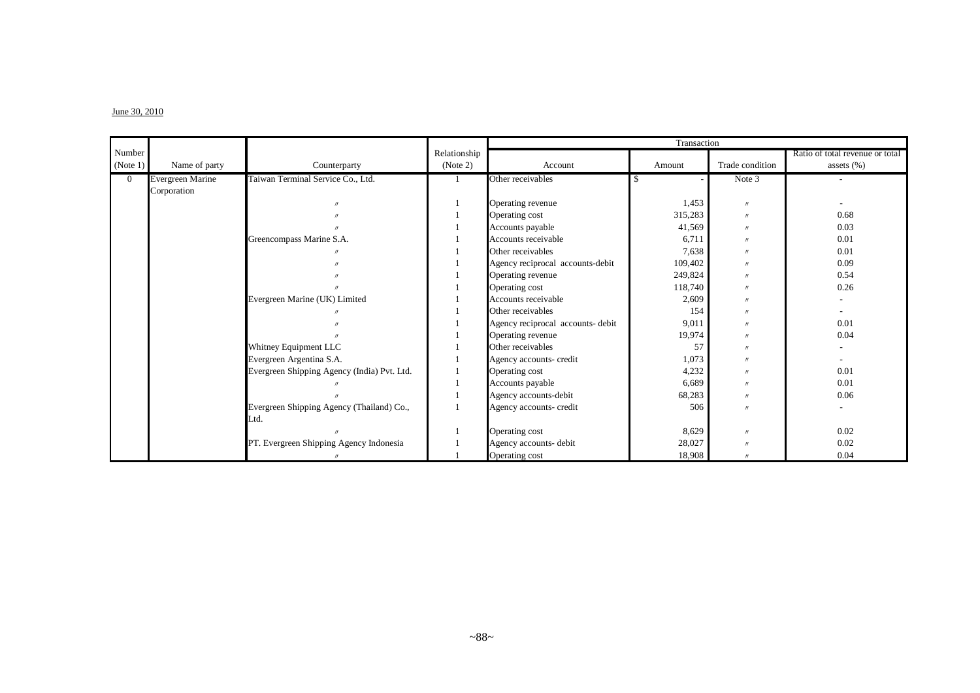#### $J$ une 30, 2010

|              |                         |                                             |              | Transaction                       |         |                   |                                 |  |
|--------------|-------------------------|---------------------------------------------|--------------|-----------------------------------|---------|-------------------|---------------------------------|--|
| Number       |                         |                                             | Relationship |                                   |         |                   | Ratio of total revenue or total |  |
| (Note 1)     | Name of party           | Counterparty                                | (Note 2)     | Account                           | Amount  | Trade condition   | assets $(\%)$                   |  |
| $\mathbf{0}$ | <b>Evergreen Marine</b> | Taiwan Terminal Service Co., Ltd.           |              | Other receivables                 | S       | Note 3            |                                 |  |
|              | Corporation             |                                             |              |                                   |         |                   |                                 |  |
|              |                         |                                             |              | Operating revenue                 | 1,453   | $^{\prime\prime}$ |                                 |  |
|              |                         |                                             |              | Operating cost                    | 315,283 | $^{\prime\prime}$ | 0.68                            |  |
|              |                         |                                             |              | Accounts payable                  | 41,569  | $\prime$          | 0.03                            |  |
|              |                         | Greencompass Marine S.A.                    |              | Accounts receivable               | 6,711   | $^{\prime\prime}$ | 0.01                            |  |
|              |                         |                                             |              | Other receivables                 | 7,638   | $^{\prime\prime}$ | 0.01                            |  |
|              |                         |                                             |              | Agency reciprocal accounts-debit  | 109,402 | $^{\prime\prime}$ | 0.09                            |  |
|              |                         |                                             |              | Operating revenue                 | 249,824 | $\prime$          | 0.54                            |  |
|              |                         |                                             |              | Operating cost                    | 118,740 | $^{\prime\prime}$ | 0.26                            |  |
|              |                         | Evergreen Marine (UK) Limited               |              | Accounts receivable               | 2,609   | $\prime$          |                                 |  |
|              |                         |                                             |              | Other receivables                 | 154     | $\prime$          |                                 |  |
|              |                         |                                             |              | Agency reciprocal accounts- debit | 9,011   | $\prime$          | 0.01                            |  |
|              |                         |                                             |              | Operating revenue                 | 19,974  | $^{\prime\prime}$ | 0.04                            |  |
|              |                         | Whitney Equipment LLC                       |              | Other receivables                 | 57      | $^{\prime\prime}$ |                                 |  |
|              |                         | Evergreen Argentina S.A.                    |              | Agency accounts- credit           | 1,073   | $\prime$          |                                 |  |
|              |                         | Evergreen Shipping Agency (India) Pvt. Ltd. |              | Operating cost                    | 4,232   | $\prime$          | 0.01                            |  |
|              |                         |                                             |              | Accounts payable                  | 6,689   | $^{\prime\prime}$ | 0.01                            |  |
|              |                         |                                             |              | Agency accounts-debit             | 68,283  | $^{\prime\prime}$ | 0.06                            |  |
|              |                         | Evergreen Shipping Agency (Thailand) Co.,   |              | Agency accounts- credit           | 506     | $\prime$          |                                 |  |
|              |                         | Ltd.                                        |              |                                   |         |                   |                                 |  |
|              |                         |                                             |              | Operating cost                    | 8,629   | $\prime$          | 0.02                            |  |
|              |                         | PT. Evergreen Shipping Agency Indonesia     |              | Agency accounts- debit            | 28,027  | $^{\prime\prime}$ | 0.02                            |  |
|              |                         |                                             |              | Operating cost                    | 18,908  | $^{\prime\prime}$ | 0.04                            |  |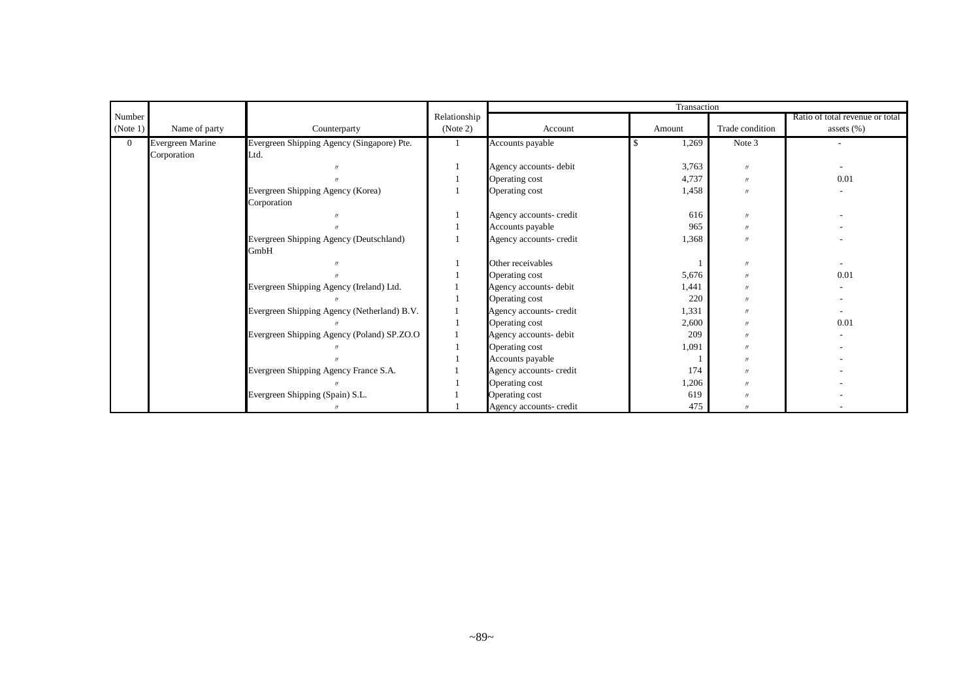|                |                  |                                             |              |                         | Transaction |                   |                                 |
|----------------|------------------|---------------------------------------------|--------------|-------------------------|-------------|-------------------|---------------------------------|
| Number         |                  |                                             | Relationship |                         |             |                   | Ratio of total revenue or total |
| (Note 1)       | Name of party    | Counterparty                                | (Note 2)     | Account                 | Amount      | Trade condition   | assets $(\%)$                   |
| $\overline{0}$ | Evergreen Marine | Evergreen Shipping Agency (Singapore) Pte.  |              | Accounts payable        | 1,269       | Note 3            | $\overline{\phantom{a}}$        |
|                | Corporation      | Ltd.                                        |              |                         |             |                   |                                 |
|                |                  |                                             |              | Agency accounts- debit  | 3,763       | $^{\prime\prime}$ |                                 |
|                |                  |                                             |              | Operating cost          | 4,737       | $^{\prime\prime}$ | 0.01                            |
|                |                  | Evergreen Shipping Agency (Korea)           |              | Operating cost          | 1,458       | $^{\prime\prime}$ |                                 |
|                |                  | Corporation                                 |              |                         |             |                   |                                 |
|                |                  |                                             |              | Agency accounts- credit | 616         | $^{\prime\prime}$ |                                 |
|                |                  |                                             |              | Accounts payable        | 965         | $^{\prime\prime}$ |                                 |
|                |                  | Evergreen Shipping Agency (Deutschland)     |              | Agency accounts- credit | 1,368       | $^{\prime\prime}$ |                                 |
|                |                  | GmbH                                        |              |                         |             |                   |                                 |
|                |                  |                                             |              | Other receivables       |             | $^{\prime\prime}$ |                                 |
|                |                  |                                             |              | Operating cost          | 5,676       | $^{\prime\prime}$ | 0.01                            |
|                |                  | Evergreen Shipping Agency (Ireland) Ltd.    |              | Agency accounts- debit  | 1,441       | $^{\prime\prime}$ |                                 |
|                |                  |                                             |              | Operating cost          | 220         | $^{\prime\prime}$ |                                 |
|                |                  | Evergreen Shipping Agency (Netherland) B.V. |              | Agency accounts- credit | 1,331       | $^{\prime\prime}$ |                                 |
|                |                  |                                             |              | Operating cost          | 2,600       | $^{\prime\prime}$ | 0.01                            |
|                |                  | Evergreen Shipping Agency (Poland) SP.ZO.O  |              | Agency accounts- debit  | 209         | $^{\prime\prime}$ |                                 |
|                |                  |                                             |              | Operating cost          | 1,091       | $^{\prime\prime}$ |                                 |
|                |                  |                                             |              | Accounts payable        |             | $^{\prime\prime}$ |                                 |
|                |                  | Evergreen Shipping Agency France S.A.       |              | Agency accounts- credit | 174         | $^{\prime\prime}$ |                                 |
|                |                  |                                             |              | Operating cost          | 1,206       | $^{\prime\prime}$ |                                 |
|                |                  | Evergreen Shipping (Spain) S.L.             |              | Operating cost          | 619         | $^{\prime\prime}$ |                                 |
|                |                  |                                             |              | Agency accounts- credit | 475         | $^{\prime\prime}$ |                                 |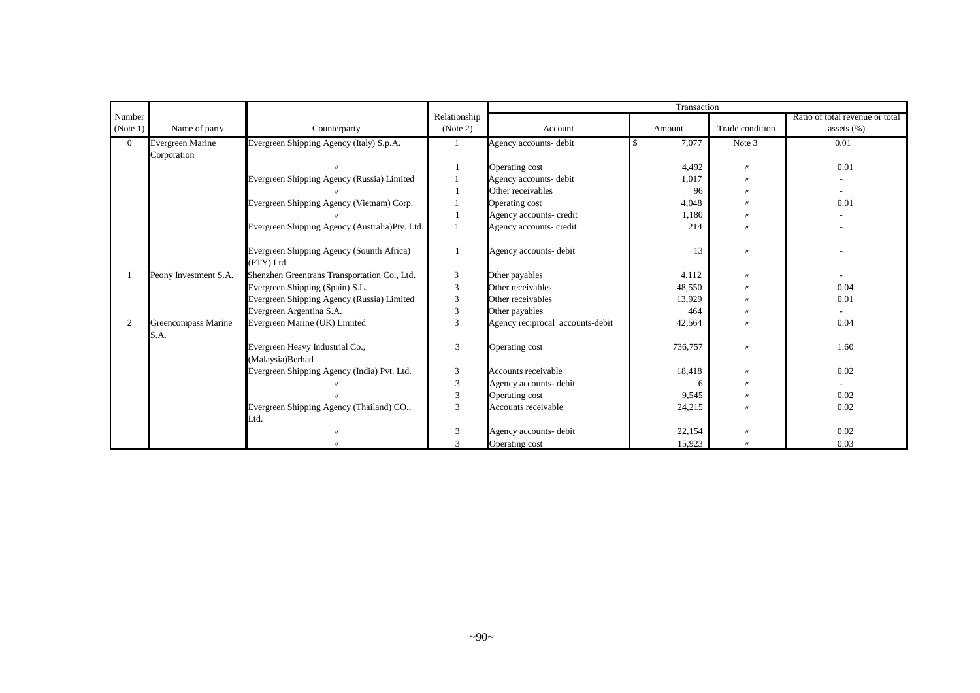|                |                       |                                                |                             |                                  | Transaction |                     |                                 |
|----------------|-----------------------|------------------------------------------------|-----------------------------|----------------------------------|-------------|---------------------|---------------------------------|
| Number         |                       |                                                | Relationship                |                                  |             |                     | Ratio of total revenue or total |
| (Note 1)       | Name of party         | Counterparty                                   | (Note 2)                    | Account                          | Amount      | Trade condition     | assets $(\%)$                   |
| $\overline{0}$ | Evergreen Marine      | Evergreen Shipping Agency (Italy) S.p.A.       |                             | Agency accounts- debit           | 7,077       | Note 3              | 0.01                            |
|                | Corporation           |                                                |                             |                                  |             |                     |                                 |
|                |                       |                                                |                             | Operating cost                   | 4,492       | $^{\prime\prime}$   | 0.01                            |
|                |                       | Evergreen Shipping Agency (Russia) Limited     |                             | Agency accounts- debit           | 1,017       | $^{\prime\prime}$   |                                 |
|                |                       |                                                |                             | Other receivables                | 96          | $^{\prime\prime}$   |                                 |
|                |                       | Evergreen Shipping Agency (Vietnam) Corp.      |                             | Operating cost                   | 4,048       | $^{\prime}$         | 0.01                            |
|                |                       |                                                |                             | Agency accounts- credit          | 1,180       | $^{\prime\prime}$   |                                 |
|                |                       | Evergreen Shipping Agency (Australia)Pty. Ltd. |                             | Agency accounts- credit          | 214         | $^{\prime\prime}$   |                                 |
|                |                       |                                                |                             |                                  |             |                     |                                 |
|                |                       | Evergreen Shipping Agency (Sounth Africa)      |                             | Agency accounts- debit           | 13          | $^{\prime\prime}$   |                                 |
|                |                       | (PTY) Ltd.                                     |                             |                                  |             |                     |                                 |
|                | Peony Investment S.A. | Shenzhen Greentrans Transportation Co., Ltd.   | 3                           | Other payables                   | 4,112       | $\prime$            |                                 |
|                |                       | Evergreen Shipping (Spain) S.L.                | 3                           | Other receivables                | 48,550      | $^{\prime\prime}$   | 0.04                            |
|                |                       | Evergreen Shipping Agency (Russia) Limited     | $\ensuremath{\mathfrak{Z}}$ | Other receivables                | 13,929      | $^{\prime\prime}$   | 0.01                            |
|                |                       | Evergreen Argentina S.A.                       | 3                           | Other payables                   | 464         | $^{\prime}$         |                                 |
| $\overline{2}$ | Greencompass Marine   | Evergreen Marine (UK) Limited                  | $\overline{3}$              | Agency reciprocal accounts-debit | 42,564      | $^{\prime\prime}$   | 0.04                            |
|                | S.A.                  |                                                |                             |                                  |             |                     |                                 |
|                |                       | Evergreen Heavy Industrial Co.,                | 3                           | Operating cost                   | 736,757     | $^{\prime\prime}$   | 1.60                            |
|                |                       | (Malaysia)Berhad                               |                             |                                  |             |                     |                                 |
|                |                       | Evergreen Shipping Agency (India) Pvt. Ltd.    | 3                           | Accounts receivable              | 18,418      | $^{\prime\prime}$   | 0.02                            |
|                |                       |                                                | 3                           | Agency accounts- debit           | 6           | $^{\prime\prime}$   |                                 |
|                |                       |                                                | 3                           | Operating cost                   | 9,545       | $\boldsymbol{\eta}$ | 0.02                            |
|                |                       | Evergreen Shipping Agency (Thailand) CO.,      | 3                           | Accounts receivable              | 24,215      | $^{\prime\prime}$   | 0.02                            |
|                |                       | Ltd.                                           |                             |                                  |             |                     |                                 |
|                |                       | $^{\prime\prime}$                              | 3                           | Agency accounts- debit           | 22,154      | $^{\prime\prime}$   | 0.02                            |
|                |                       | $^{\prime\prime}$                              | 3                           | Operating cost                   | 15,923      | $^{\prime\prime}$   | 0.03                            |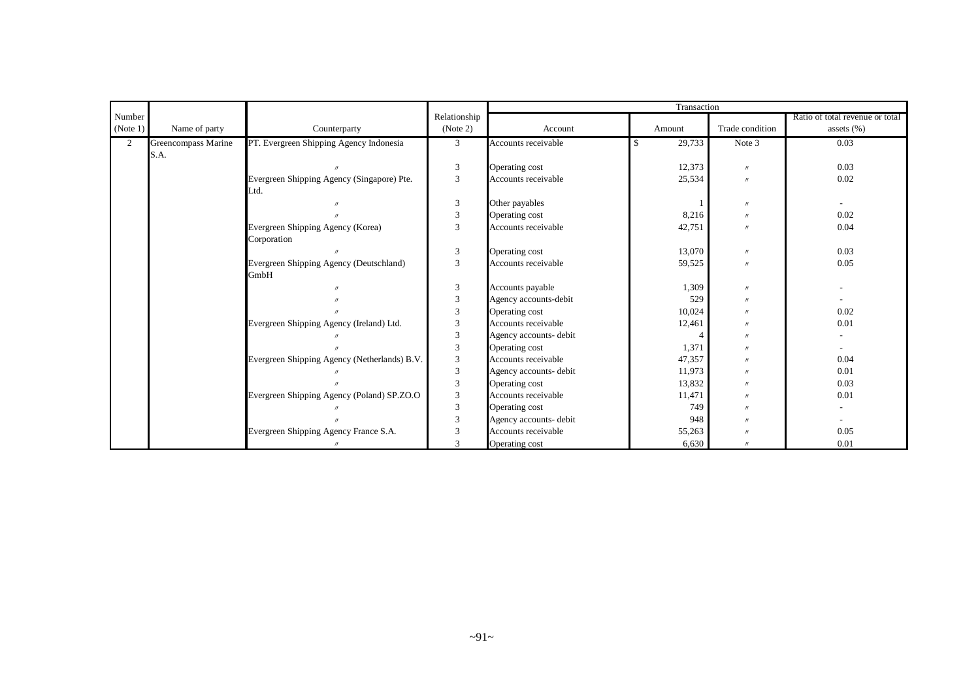|          |                     |                                              |                |                        | Transaction  |                   |                                 |
|----------|---------------------|----------------------------------------------|----------------|------------------------|--------------|-------------------|---------------------------------|
| Number   |                     |                                              | Relationship   |                        |              |                   | Ratio of total revenue or total |
| (Note 1) | Name of party       | Counterparty                                 | (Note 2)       | Account                | Amount       | Trade condition   | assets $(\% )$                  |
| 2        | Greencompass Marine | PT. Evergreen Shipping Agency Indonesia      | 3              | Accounts receivable    | 29,733<br>\$ | Note 3            | 0.03                            |
|          | S.A.                |                                              |                |                        |              |                   |                                 |
|          |                     |                                              | 3              | Operating cost         | 12,373       | $^{\prime\prime}$ | 0.03                            |
|          |                     | Evergreen Shipping Agency (Singapore) Pte.   | $\overline{3}$ | Accounts receivable    | 25,534       | $\prime$          | 0.02                            |
|          |                     | Ltd.                                         |                |                        |              |                   |                                 |
|          |                     |                                              | 3              | Other payables         |              | $^{\prime\prime}$ |                                 |
|          |                     |                                              | 3              | Operating cost         | 8,216        | $^{\prime\prime}$ | 0.02                            |
|          |                     | Evergreen Shipping Agency (Korea)            | 3              | Accounts receivable    | 42,751       | $^{\prime\prime}$ | 0.04                            |
|          |                     | Corporation                                  |                |                        |              |                   |                                 |
|          |                     |                                              | 3              | Operating cost         | 13,070       | $^{\prime\prime}$ | 0.03                            |
|          |                     | Evergreen Shipping Agency (Deutschland)      | 3              | Accounts receivable    | 59,525       | $^{\prime\prime}$ | 0.05                            |
|          |                     | GmbH                                         |                |                        |              |                   |                                 |
|          |                     |                                              | 3              | Accounts payable       | 1,309        | $^{\prime\prime}$ |                                 |
|          |                     |                                              | 3              | Agency accounts-debit  | 529          | $^{\prime\prime}$ |                                 |
|          |                     |                                              | $\overline{3}$ | Operating cost         | 10,024       | $^{\prime\prime}$ | 0.02                            |
|          |                     | Evergreen Shipping Agency (Ireland) Ltd.     | 3              | Accounts receivable    | 12,461       | $^{\prime\prime}$ | 0.01                            |
|          |                     |                                              | $\overline{3}$ | Agency accounts- debit |              | $^{\prime\prime}$ |                                 |
|          |                     |                                              | $\overline{3}$ | Operating cost         | 1,371        | $^{\prime\prime}$ |                                 |
|          |                     | Evergreen Shipping Agency (Netherlands) B.V. | 3              | Accounts receivable    | 47,357       | $^{\prime\prime}$ | 0.04                            |
|          |                     |                                              | $\overline{3}$ | Agency accounts- debit | 11,973       | $^{\prime\prime}$ | 0.01                            |
|          |                     |                                              | 3              | Operating cost         | 13,832       | $^{\prime\prime}$ | 0.03                            |
|          |                     | Evergreen Shipping Agency (Poland) SP.ZO.O   | 3              | Accounts receivable    | 11,471       | $^{\prime\prime}$ | 0.01                            |
|          |                     |                                              | $\overline{3}$ | Operating cost         | 749          | $^{\prime\prime}$ |                                 |
|          |                     |                                              | 3              | Agency accounts- debit | 948          | $^{\prime\prime}$ |                                 |
|          |                     | Evergreen Shipping Agency France S.A.        | 3              | Accounts receivable    | 55,263       | $^{\prime\prime}$ | 0.05                            |
|          |                     |                                              | $\mathcal{R}$  | Operating cost         | 6,630        | $^{\prime\prime}$ | 0.01                            |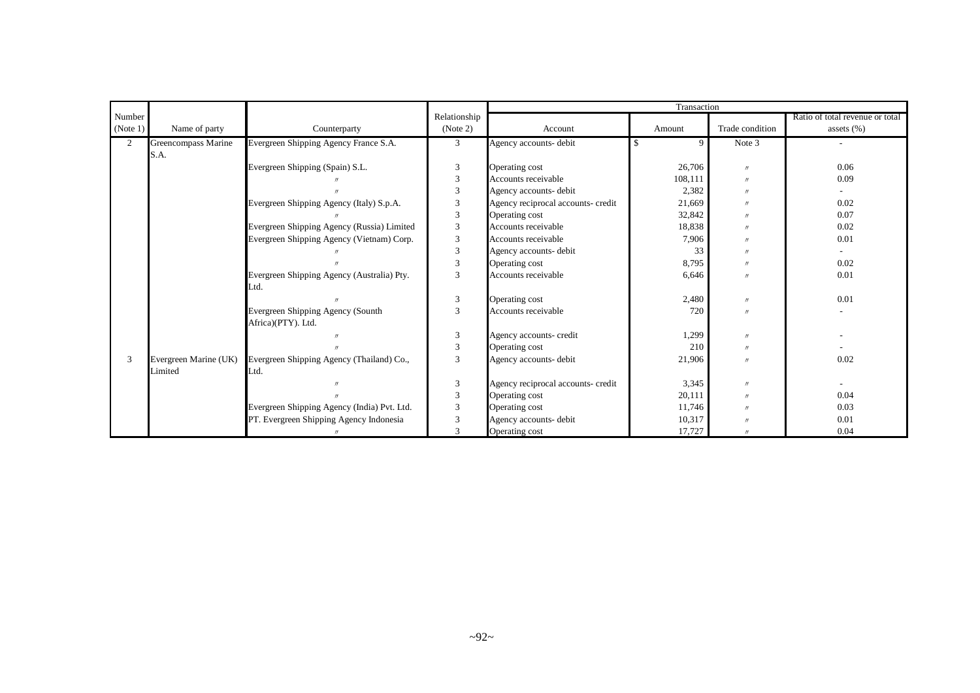|                |                       |                                             |                |                                    | Transaction |                   |                                 |
|----------------|-----------------------|---------------------------------------------|----------------|------------------------------------|-------------|-------------------|---------------------------------|
| Number         |                       |                                             | Relationship   |                                    |             |                   | Ratio of total revenue or total |
| (Note 1)       | Name of party         | Counterparty                                | (Note 2)       | Account                            | Amount      | Trade condition   | assets $(\% )$                  |
| $\overline{2}$ | Greencompass Marine   | Evergreen Shipping Agency France S.A.       | 3              | Agency accounts-debit              | 9           | Note 3            |                                 |
|                | S.A.                  |                                             |                |                                    |             |                   |                                 |
|                |                       | Evergreen Shipping (Spain) S.L.             | 3              | Operating cost                     | 26,706      | $\prime$          | 0.06                            |
|                |                       |                                             | 3              | Accounts receivable                | 108,111     | $^{\prime\prime}$ | 0.09                            |
|                |                       |                                             | 3              | Agency accounts- debit             | 2,382       | $^{\prime\prime}$ |                                 |
|                |                       | Evergreen Shipping Agency (Italy) S.p.A.    | 3              | Agency reciprocal accounts- credit | 21,669      | $^{\prime\prime}$ | 0.02                            |
|                |                       |                                             | $\mathfrak{Z}$ | Operating cost                     | 32,842      | $^{\prime\prime}$ | 0.07                            |
|                |                       | Evergreen Shipping Agency (Russia) Limited  | 3              | Accounts receivable                | 18,838      | $^{\prime}$       | 0.02                            |
|                |                       | Evergreen Shipping Agency (Vietnam) Corp.   | $\mathfrak{Z}$ | Accounts receivable                | 7,906       | $^{\prime\prime}$ | 0.01                            |
|                |                       |                                             | $\mathfrak{Z}$ | Agency accounts- debit             | 33          | $^{\prime\prime}$ |                                 |
|                |                       |                                             | 3              | Operating cost                     | 8,795       | $^{\prime\prime}$ | 0.02                            |
|                |                       | Evergreen Shipping Agency (Australia) Pty.  | 3              | Accounts receivable                | 6,646       | $^{\prime\prime}$ | 0.01                            |
|                |                       | Ltd.                                        |                |                                    |             |                   |                                 |
|                |                       |                                             | 3              | Operating cost                     | 2,480       | $^{\prime\prime}$ | 0.01                            |
|                |                       | Evergreen Shipping Agency (Sounth           | 3              | Accounts receivable                | 720         | $^{\prime\prime}$ |                                 |
|                |                       | Africa)(PTY). Ltd.                          |                |                                    |             |                   |                                 |
|                |                       |                                             | 3              | Agency accounts- credit            | 1,299       | $^{\prime\prime}$ |                                 |
|                |                       |                                             | 3              | Operating cost                     | 210         | $^{\prime\prime}$ |                                 |
| 3              | Evergreen Marine (UK) | Evergreen Shipping Agency (Thailand) Co.,   | 3              | Agency accounts- debit             | 21,906      | $^{\prime\prime}$ | 0.02                            |
|                | Limited               | Ltd.                                        |                |                                    |             |                   |                                 |
|                |                       |                                             | 3              | Agency reciprocal accounts- credit | 3,345       | $^{\prime\prime}$ |                                 |
|                |                       |                                             | 3              | Operating cost                     | 20,111      | $^{\prime\prime}$ | 0.04                            |
|                |                       | Evergreen Shipping Agency (India) Pvt. Ltd. | 3              | Operating cost                     | 11,746      | $^{\prime\prime}$ | 0.03                            |
|                |                       | PT. Evergreen Shipping Agency Indonesia     | 3              | Agency accounts- debit             | 10,317      | $^{\prime\prime}$ | 0.01                            |
|                |                       |                                             | $\mathcal{R}$  | Operating cost                     | 17,727      |                   | 0.04                            |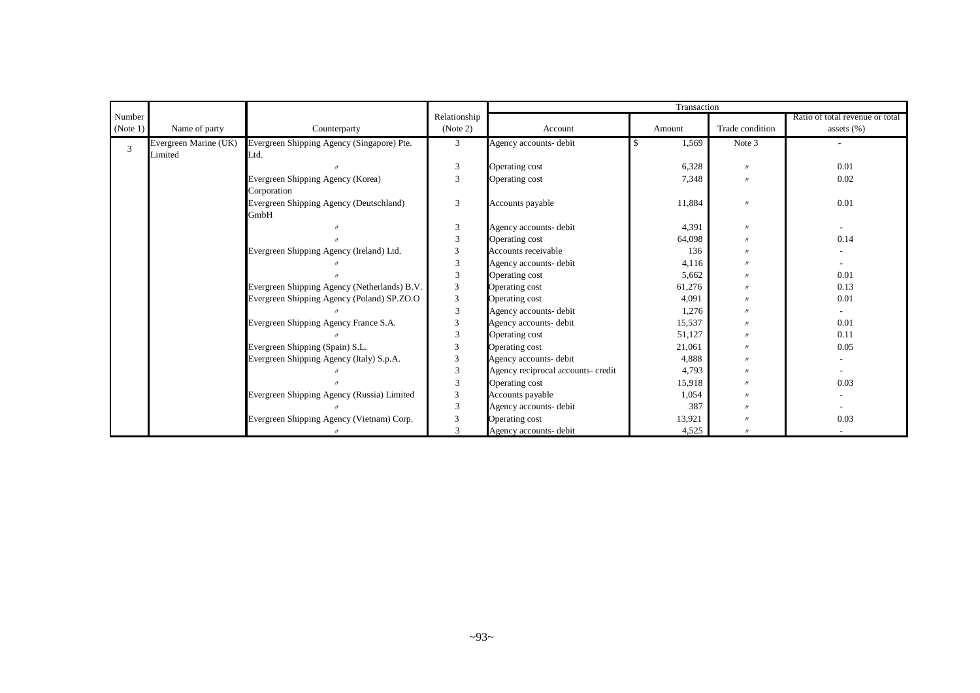|          |                       |                                              |                             |                                    | Transaction |                   |                                 |
|----------|-----------------------|----------------------------------------------|-----------------------------|------------------------------------|-------------|-------------------|---------------------------------|
| Number   |                       |                                              | Relationship                |                                    |             |                   | Ratio of total revenue or total |
| (Note 1) | Name of party         | Counterparty                                 | (Note 2)                    | Account                            | Amount      | Trade condition   | assets $(\%)$                   |
| 3        | Evergreen Marine (UK) | Evergreen Shipping Agency (Singapore) Pte.   | 3                           | Agency accounts-debit              | 1,569       | Note 3            |                                 |
|          | Limited               | Ltd.                                         |                             |                                    |             |                   |                                 |
|          |                       |                                              | 3                           | Operating cost                     | 6,328       | $^{\prime\prime}$ | 0.01                            |
|          |                       | Evergreen Shipping Agency (Korea)            | 3                           | Operating cost                     | 7,348       | $^{\prime\prime}$ | 0.02                            |
|          |                       | Corporation                                  |                             |                                    |             |                   |                                 |
|          |                       | Evergreen Shipping Agency (Deutschland)      | 3                           | Accounts payable                   | 11,884      | $^{\prime\prime}$ | 0.01                            |
|          |                       | GmbH                                         |                             |                                    |             |                   |                                 |
|          |                       |                                              | 3                           | Agency accounts- debit             | 4,391       | $^{\prime\prime}$ |                                 |
|          |                       |                                              | $\overline{3}$              | Operating cost                     | 64,098      | $^{\prime\prime}$ | 0.14                            |
|          |                       | Evergreen Shipping Agency (Ireland) Ltd.     | $\mathfrak{Z}$              | Accounts receivable                | 136         | $^{\prime\prime}$ |                                 |
|          |                       |                                              | $\overline{3}$              | Agency accounts- debit             | 4,116       | $^{\prime\prime}$ |                                 |
|          |                       |                                              | 3                           | Operating cost                     | 5,662       | $^{\prime\prime}$ | 0.01                            |
|          |                       | Evergreen Shipping Agency (Netherlands) B.V. | 3                           | Operating cost                     | 61,276      | $^{\prime\prime}$ | 0.13                            |
|          |                       | Evergreen Shipping Agency (Poland) SP.ZO.O   | 3                           | Operating cost                     | 4,091       | $^{\prime\prime}$ | 0.01                            |
|          |                       |                                              | $\overline{3}$              | Agency accounts- debit             | 1,276       | $^{\prime\prime}$ |                                 |
|          |                       | Evergreen Shipping Agency France S.A.        | $\ensuremath{\mathfrak{Z}}$ | Agency accounts- debit             | 15,537      | $^{\prime\prime}$ | 0.01                            |
|          |                       |                                              | $\overline{3}$              | Operating cost                     | 51,127      | $^{\prime\prime}$ | 0.11                            |
|          |                       | Evergreen Shipping (Spain) S.L.              | 3                           | Operating cost                     | 21,061      | $^{\prime\prime}$ | 0.05                            |
|          |                       | Evergreen Shipping Agency (Italy) S.p.A.     | $\ensuremath{\mathfrak{Z}}$ | Agency accounts- debit             | 4,888       | $^{\prime\prime}$ |                                 |
|          |                       |                                              | $\overline{3}$              | Agency reciprocal accounts- credit | 4,793       | $^{\prime\prime}$ |                                 |
|          |                       |                                              | $\overline{3}$              | Operating cost                     | 15,918      | $^{\prime\prime}$ | 0.03                            |
|          |                       | Evergreen Shipping Agency (Russia) Limited   | 3                           | Accounts payable                   | 1,054       | $^{\prime\prime}$ |                                 |
|          |                       |                                              | $\overline{3}$              | Agency accounts- debit             | 387         | $^{\prime\prime}$ |                                 |
|          |                       | Evergreen Shipping Agency (Vietnam) Corp.    | 3                           | Operating cost                     | 13,921      | $^{\prime\prime}$ | 0.03                            |
|          |                       |                                              | 3                           | Agency accounts- debit             | 4,525       |                   |                                 |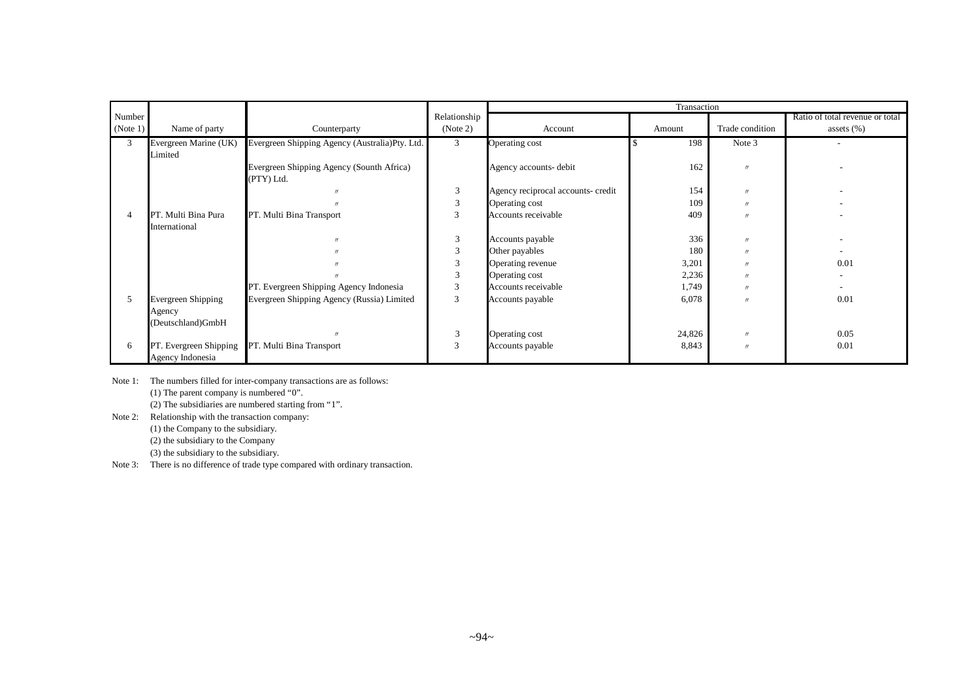|          |                             |                                                |              |                                    | Transaction |                   |                                 |
|----------|-----------------------------|------------------------------------------------|--------------|------------------------------------|-------------|-------------------|---------------------------------|
| Number   |                             |                                                | Relationship |                                    |             |                   | Ratio of total revenue or total |
| (Note 1) | Name of party               | Counterparty                                   | (Note 2)     | Account                            | Amount      | Trade condition   | assets $(\%)$                   |
| 3        | Evergreen Marine (UK)       | Evergreen Shipping Agency (Australia)Pty. Ltd. | 3            | Operating cost                     | 198         | Note 3            | $\overline{\phantom{a}}$        |
|          | Limited                     |                                                |              |                                    |             |                   |                                 |
|          |                             | Evergreen Shipping Agency (Sounth Africa)      |              | Agency accounts- debit             | 162         | $^{\prime\prime}$ |                                 |
|          |                             | (PTY) Ltd.                                     |              |                                    |             |                   |                                 |
|          |                             |                                                | 3            | Agency reciprocal accounts- credit | 154         | $^{\prime\prime}$ |                                 |
|          |                             |                                                | 3            | Operating cost                     | 109         | $^{\prime\prime}$ |                                 |
|          | PT. Multi Bina Pura         | PT. Multi Bina Transport                       | 3            | Accounts receivable                | 409         | $^{\prime\prime}$ |                                 |
|          | International               |                                                |              |                                    |             |                   |                                 |
|          |                             | $^{\prime\prime}$                              | 3            | Accounts payable                   | 336         | $\prime$          |                                 |
|          |                             |                                                | 3            | Other payables                     | 180         | $^{\prime\prime}$ |                                 |
|          |                             |                                                | 3            | Operating revenue                  | 3,201       | $^{\prime\prime}$ | 0.01                            |
|          |                             |                                                | 3            | Operating cost                     | 2,236       | $^{\prime\prime}$ | $\overline{\phantom{a}}$        |
|          |                             | PT. Evergreen Shipping Agency Indonesia        | 3            | Accounts receivable                | 1,749       | $^{\prime\prime}$ |                                 |
| 5        | Evergreen Shipping          | Evergreen Shipping Agency (Russia) Limited     | 3            | Accounts payable                   | 6,078       | $^{\prime\prime}$ | 0.01                            |
|          | Agency                      |                                                |              |                                    |             |                   |                                 |
|          | (Deutschland)GmbH           |                                                |              |                                    |             |                   |                                 |
|          |                             |                                                | 3            | Operating cost                     | 24,826      | $^{\prime\prime}$ | 0.05                            |
| 6        | . Evergreen Shipping<br>PT. | PT. Multi Bina Transport                       | 3            | Accounts payable                   | 8,843       | $\prime\prime$    | 0.01                            |
|          | Agency Indonesia            |                                                |              |                                    |             |                   |                                 |

Note 1: The numbers filled for inter-company transactions are as follows: (1) The parent company is numbered "0". (2) The subsidiaries are numbered starting from "1".

Note 2: Relationship with the transaction company:

- (1) the Company to the subsidiary.
- (2) the subsidiary to the Company
- (3) the subsidiary to the subsidiary.

Note 3: There is no difference of trade type compared with ordinary transaction.